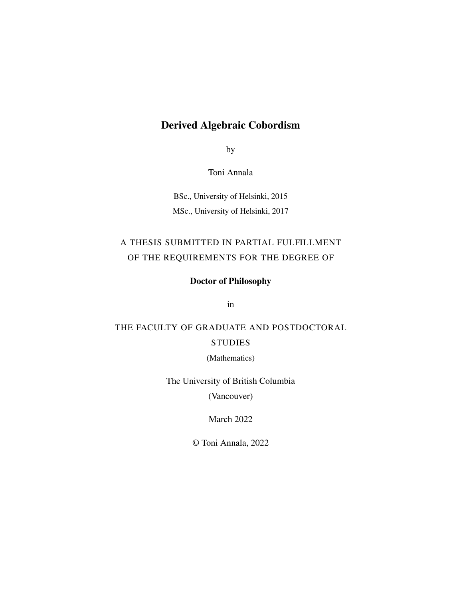## Derived Algebraic Cobordism

by

Toni Annala

BSc., University of Helsinki, 2015 MSc., University of Helsinki, 2017

## A THESIS SUBMITTED IN PARTIAL FULFILLMENT OF THE REQUIREMENTS FOR THE DEGREE OF

## Doctor of Philosophy

in

# THE FACULTY OF GRADUATE AND POSTDOCTORAL **STUDIES**

(Mathematics)

The University of British Columbia

(Vancouver)

March 2022

© Toni Annala, 2022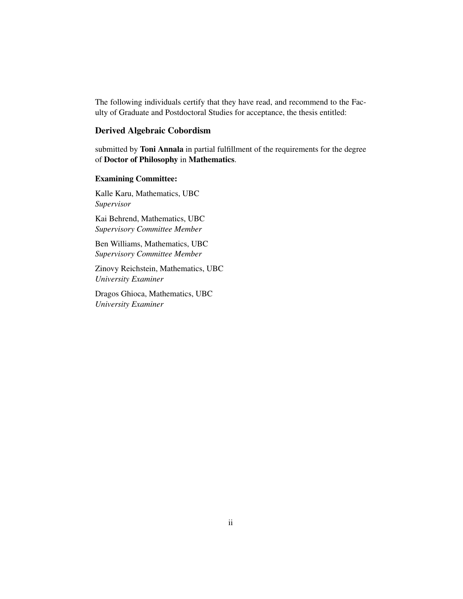The following individuals certify that they have read, and recommend to the Faculty of Graduate and Postdoctoral Studies for acceptance, the thesis entitled:

### Derived Algebraic Cobordism

submitted by Toni Annala in partial fulfillment of the requirements for the degree of Doctor of Philosophy in Mathematics.

### Examining Committee:

Kalle Karu, Mathematics, UBC *Supervisor*

Kai Behrend, Mathematics, UBC *Supervisory Committee Member*

Ben Williams, Mathematics, UBC *Supervisory Committee Member*

Zinovy Reichstein, Mathematics, UBC *University Examiner*

Dragos Ghioca, Mathematics, UBC *University Examiner*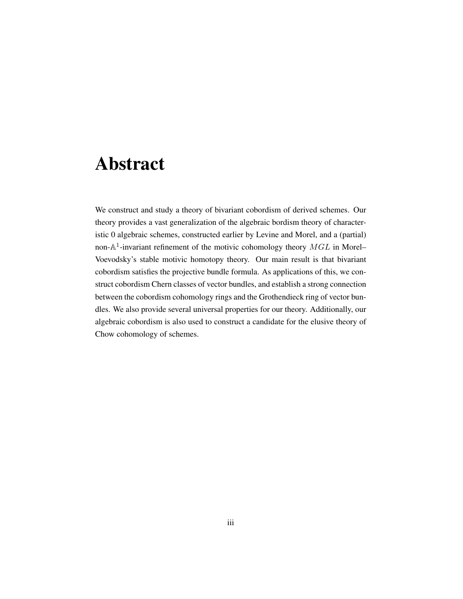# <span id="page-2-0"></span>Abstract

We construct and study a theory of bivariant cobordism of derived schemes. Our theory provides a vast generalization of the algebraic bordism theory of characteristic 0 algebraic schemes, constructed earlier by Levine and Morel, and a (partial) non- $\mathbb{A}^1$ -invariant refinement of the motivic cohomology theory  $MGL$  in Morel– Voevodsky's stable motivic homotopy theory. Our main result is that bivariant cobordism satisfies the projective bundle formula. As applications of this, we construct cobordism Chern classes of vector bundles, and establish a strong connection between the cobordism cohomology rings and the Grothendieck ring of vector bundles. We also provide several universal properties for our theory. Additionally, our algebraic cobordism is also used to construct a candidate for the elusive theory of Chow cohomology of schemes.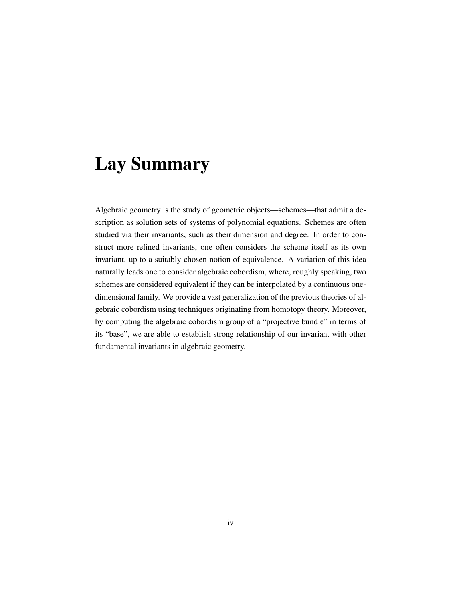# <span id="page-3-0"></span>Lay Summary

Algebraic geometry is the study of geometric objects—schemes—that admit a description as solution sets of systems of polynomial equations. Schemes are often studied via their invariants, such as their dimension and degree. In order to construct more refined invariants, one often considers the scheme itself as its own invariant, up to a suitably chosen notion of equivalence. A variation of this idea naturally leads one to consider algebraic cobordism, where, roughly speaking, two schemes are considered equivalent if they can be interpolated by a continuous onedimensional family. We provide a vast generalization of the previous theories of algebraic cobordism using techniques originating from homotopy theory. Moreover, by computing the algebraic cobordism group of a "projective bundle" in terms of its "base", we are able to establish strong relationship of our invariant with other fundamental invariants in algebraic geometry.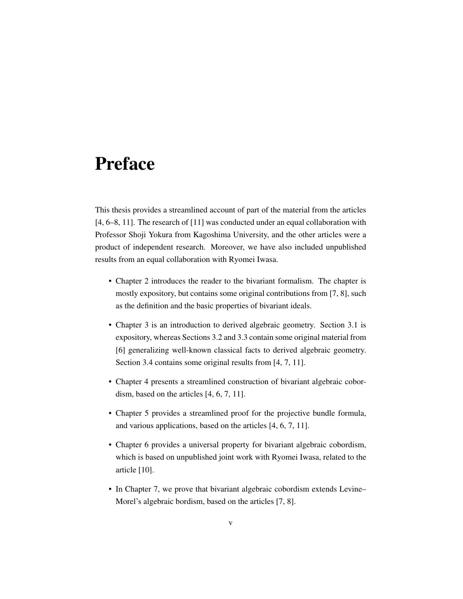# <span id="page-4-0"></span>Preface

This thesis provides a streamlined account of part of the material from the articles [\[4,](#page-197-0) [6](#page-197-1)[–8,](#page-197-2) [11\]](#page-198-0). The research of [\[11\]](#page-198-0) was conducted under an equal collaboration with Professor Shoji Yokura from Kagoshima University, and the other articles were a product of independent research. Moreover, we have also included unpublished results from an equal collaboration with Ryomei Iwasa.

- Chapter [2](#page-13-0) introduces the reader to the bivariant formalism. The chapter is mostly expository, but contains some original contributions from [\[7,](#page-197-3) [8\]](#page-197-2), such as the definition and the basic properties of bivariant ideals.
- Chapter [3](#page-60-0) is an introduction to derived algebraic geometry. Section [3.1](#page-61-0) is expository, whereas Sections [3.2](#page-75-0) and [3.3](#page-82-0) contain some original material from [\[6\]](#page-197-1) generalizing well-known classical facts to derived algebraic geometry. Section [3.4](#page-87-0) contains some original results from [\[4,](#page-197-0) [7,](#page-197-3) [11\]](#page-198-0).
- Chapter [4](#page-95-0) presents a streamlined construction of bivariant algebraic cobordism, based on the articles [\[4,](#page-197-0) [6,](#page-197-1) [7,](#page-197-3) [11\]](#page-198-0).
- Chapter [5](#page-115-0) provides a streamlined proof for the projective bundle formula, and various applications, based on the articles [\[4,](#page-197-0) [6,](#page-197-1) [7,](#page-197-3) [11\]](#page-198-0).
- Chapter [6](#page-142-0) provides a universal property for bivariant algebraic cobordism, which is based on unpublished joint work with Ryomei Iwasa, related to the article [\[10\]](#page-197-4).
- In Chapter [7,](#page-168-0) we prove that bivariant algebraic cobordism extends Levine– Morel's algebraic bordism, based on the articles [\[7,](#page-197-3) [8\]](#page-197-2).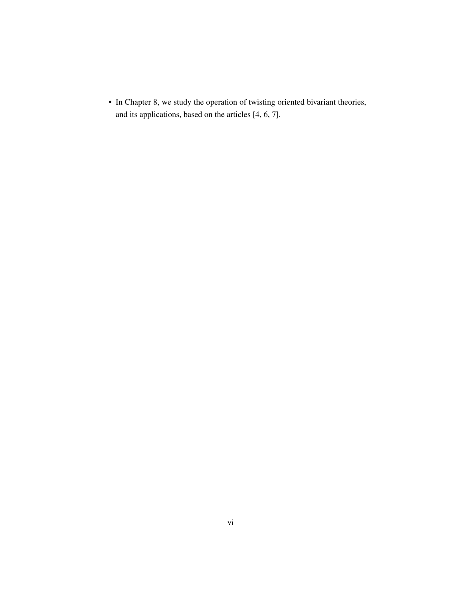• In Chapter [8,](#page-177-0) we study the operation of twisting oriented bivariant theories, and its applications, based on the articles [\[4,](#page-197-0) [6,](#page-197-1) [7\]](#page-197-3).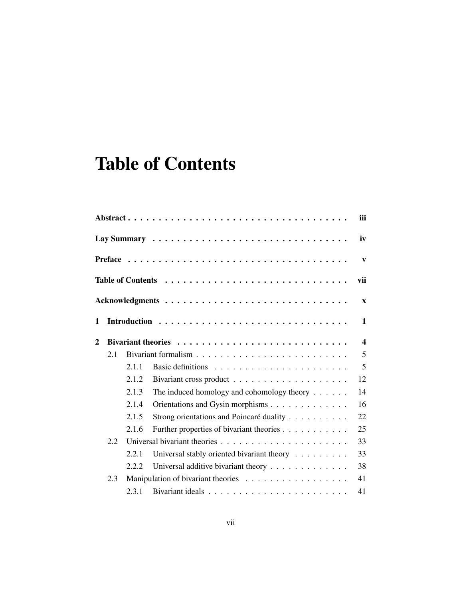# <span id="page-6-0"></span>Table of Contents

|                |              |       |                                            | iii                     |  |  |  |  |  |  |  |  |  |
|----------------|--------------|-------|--------------------------------------------|-------------------------|--|--|--|--|--|--|--|--|--|
|                | iv           |       |                                            |                         |  |  |  |  |  |  |  |  |  |
|                | $\mathbf{V}$ |       |                                            |                         |  |  |  |  |  |  |  |  |  |
|                | vii          |       |                                            |                         |  |  |  |  |  |  |  |  |  |
|                |              |       |                                            | $\mathbf{x}$            |  |  |  |  |  |  |  |  |  |
| 1              |              |       |                                            | $\mathbf{1}$            |  |  |  |  |  |  |  |  |  |
| $\overline{2}$ |              |       |                                            | $\overline{\mathbf{4}}$ |  |  |  |  |  |  |  |  |  |
|                | 2.1          |       |                                            | 5                       |  |  |  |  |  |  |  |  |  |
|                |              | 2.1.1 |                                            | 5                       |  |  |  |  |  |  |  |  |  |
|                |              | 2.1.2 |                                            | 12                      |  |  |  |  |  |  |  |  |  |
|                |              | 2.1.3 | The induced homology and cohomology theory | 14                      |  |  |  |  |  |  |  |  |  |
|                |              | 2.1.4 | Orientations and Gysin morphisms           | 16                      |  |  |  |  |  |  |  |  |  |
|                |              | 2.1.5 | Strong orientations and Poincaré duality   | 22                      |  |  |  |  |  |  |  |  |  |
|                |              | 2.1.6 | Further properties of bivariant theories   | 25                      |  |  |  |  |  |  |  |  |  |
|                | 2.2          |       |                                            |                         |  |  |  |  |  |  |  |  |  |
|                |              | 2.2.1 | Universal stably oriented bivariant theory | 33                      |  |  |  |  |  |  |  |  |  |
|                |              | 2.2.2 | Universal additive bivariant theory        | 38                      |  |  |  |  |  |  |  |  |  |
|                | 2.3          |       |                                            | 41                      |  |  |  |  |  |  |  |  |  |
|                |              | 2.3.1 |                                            | 41                      |  |  |  |  |  |  |  |  |  |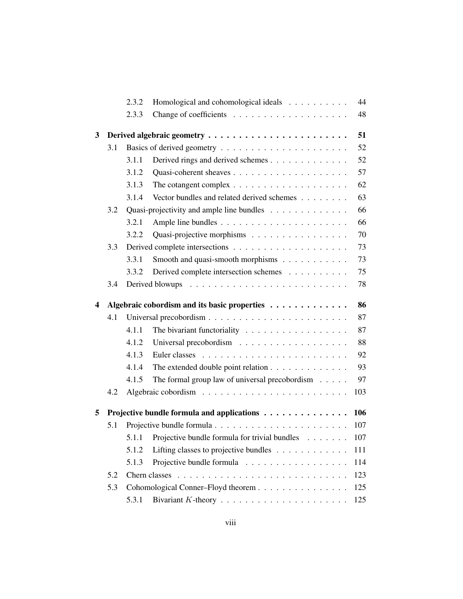|                         |                                                    | 2.3.2 | Homological and cohomological ideals                      | 44  |  |  |  |  |
|-------------------------|----------------------------------------------------|-------|-----------------------------------------------------------|-----|--|--|--|--|
|                         |                                                    | 2.3.3 |                                                           | 48  |  |  |  |  |
| 3                       | 51                                                 |       |                                                           |     |  |  |  |  |
|                         | 3.1                                                |       |                                                           | 52  |  |  |  |  |
|                         |                                                    | 3.1.1 | Derived rings and derived schemes                         | 52  |  |  |  |  |
|                         |                                                    | 3.1.2 |                                                           | 57  |  |  |  |  |
|                         |                                                    | 3.1.3 |                                                           | 62  |  |  |  |  |
|                         |                                                    | 3.1.4 | Vector bundles and related derived schemes                | 63  |  |  |  |  |
|                         | 3.2                                                |       | Quasi-projectivity and ample line bundles                 | 66  |  |  |  |  |
|                         |                                                    | 3.2.1 |                                                           | 66  |  |  |  |  |
|                         |                                                    | 3.2.2 | Quasi-projective morphisms                                | 70  |  |  |  |  |
|                         | 3.3                                                |       |                                                           | 73  |  |  |  |  |
|                         |                                                    | 3.3.1 | Smooth and quasi-smooth morphisms                         | 73  |  |  |  |  |
|                         |                                                    | 3.3.2 | Derived complete intersection schemes                     | 75  |  |  |  |  |
|                         | 3.4                                                |       |                                                           | 78  |  |  |  |  |
| $\overline{\mathbf{4}}$ | 86<br>Algebraic cobordism and its basic properties |       |                                                           |     |  |  |  |  |
|                         | 4.1                                                |       |                                                           | 87  |  |  |  |  |
|                         |                                                    | 4.1.1 | The bivariant functoriality                               | 87  |  |  |  |  |
|                         |                                                    | 4.1.2 |                                                           | 88  |  |  |  |  |
|                         |                                                    | 4.1.3 |                                                           | 92  |  |  |  |  |
|                         |                                                    | 4.1.4 | The extended double point relation                        | 93  |  |  |  |  |
|                         |                                                    | 4.1.5 | The formal group law of universal precobordism $\ldots$ . | 97  |  |  |  |  |
|                         | 4.2                                                |       |                                                           | 103 |  |  |  |  |
| 5                       | Projective bundle formula and applications<br>106  |       |                                                           |     |  |  |  |  |
|                         | 5.1                                                |       |                                                           | 107 |  |  |  |  |
|                         |                                                    |       | 5.1.1 Projective bundle formula for trivial bundles       | 107 |  |  |  |  |
|                         |                                                    | 5.1.2 | Lifting classes to projective bundles                     | 111 |  |  |  |  |
|                         |                                                    | 5.1.3 | Projective bundle formula                                 | 114 |  |  |  |  |
|                         | 5.2                                                |       |                                                           | 123 |  |  |  |  |
|                         | 5.3                                                |       | Cohomological Conner-Floyd theorem                        | 125 |  |  |  |  |
|                         |                                                    | 5.3.1 |                                                           | 125 |  |  |  |  |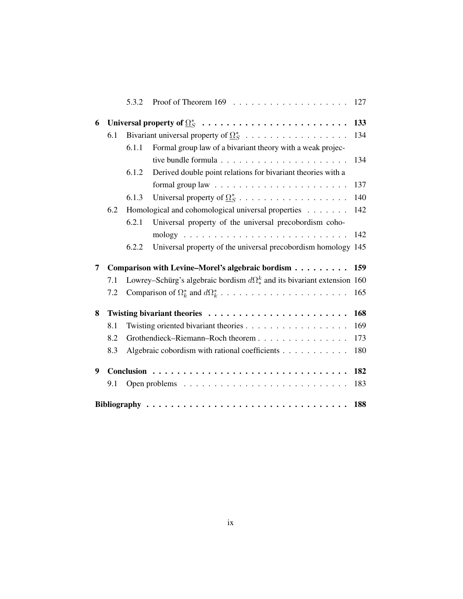|   |                                                         | 5.3.2                             |                                                                               | 127 |  |
|---|---------------------------------------------------------|-----------------------------------|-------------------------------------------------------------------------------|-----|--|
| 6 | Universal property of $\Omega_S^*$<br>133               |                                   |                                                                               |     |  |
|   | 6.1                                                     |                                   | Bivariant universal property of $\Omega_S^*$                                  | 134 |  |
|   |                                                         | 6.1.1                             | Formal group law of a bivariant theory with a weak projec-                    |     |  |
|   |                                                         |                                   | tive bundle formula                                                           | 134 |  |
|   |                                                         | 6.1.2                             | Derived double point relations for bivariant theories with a                  |     |  |
|   |                                                         |                                   |                                                                               | 137 |  |
|   |                                                         | 6.1.3                             |                                                                               | 140 |  |
|   | 6.2                                                     |                                   | Homological and cohomological universal properties                            | 142 |  |
|   |                                                         | 6.2.1                             | Universal property of the universal precobordism coho-                        |     |  |
|   |                                                         |                                   |                                                                               | 142 |  |
|   |                                                         | 6.2.2                             | Universal property of the universal precobordism homology 145                 |     |  |
| 7 | Comparison with Levine-Morel's algebraic bordism<br>159 |                                   |                                                                               |     |  |
|   | 7.1                                                     |                                   | Lowrey–Schürg's algebraic bordism $d\Omega^k$ and its bivariant extension 160 |     |  |
|   | 7.2                                                     |                                   |                                                                               | 165 |  |
| 8 |                                                         |                                   |                                                                               |     |  |
|   | 8.1                                                     |                                   |                                                                               |     |  |
|   | 8.2                                                     | Grothendieck-Riemann-Roch theorem |                                                                               |     |  |
|   | 8.3                                                     |                                   | Algebraic cobordism with rational coefficients                                | 180 |  |
| 9 |                                                         |                                   |                                                                               | 182 |  |
|   | 9.1                                                     |                                   |                                                                               | 183 |  |
|   |                                                         |                                   |                                                                               | 188 |  |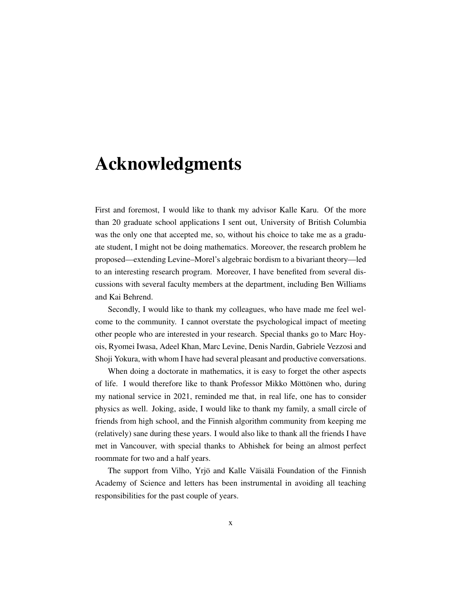# <span id="page-9-0"></span>Acknowledgments

First and foremost, I would like to thank my advisor Kalle Karu. Of the more than 20 graduate school applications I sent out, University of British Columbia was the only one that accepted me, so, without his choice to take me as a graduate student, I might not be doing mathematics. Moreover, the research problem he proposed—extending Levine–Morel's algebraic bordism to a bivariant theory—led to an interesting research program. Moreover, I have benefited from several discussions with several faculty members at the department, including Ben Williams and Kai Behrend.

Secondly, I would like to thank my colleagues, who have made me feel welcome to the community. I cannot overstate the psychological impact of meeting other people who are interested in your research. Special thanks go to Marc Hoyois, Ryomei Iwasa, Adeel Khan, Marc Levine, Denis Nardin, Gabriele Vezzosi and Shoji Yokura, with whom I have had several pleasant and productive conversations.

When doing a doctorate in mathematics, it is easy to forget the other aspects of life. I would therefore like to thank Professor Mikko Möttönen who, during my national service in 2021, reminded me that, in real life, one has to consider physics as well. Joking, aside, I would like to thank my family, a small circle of friends from high school, and the Finnish algorithm community from keeping me (relatively) sane during these years. I would also like to thank all the friends I have met in Vancouver, with special thanks to Abhishek for being an almost perfect roommate for two and a half years.

The support from Vilho, Yrjö and Kalle Väisälä Foundation of the Finnish Academy of Science and letters has been instrumental in avoiding all teaching responsibilities for the past couple of years.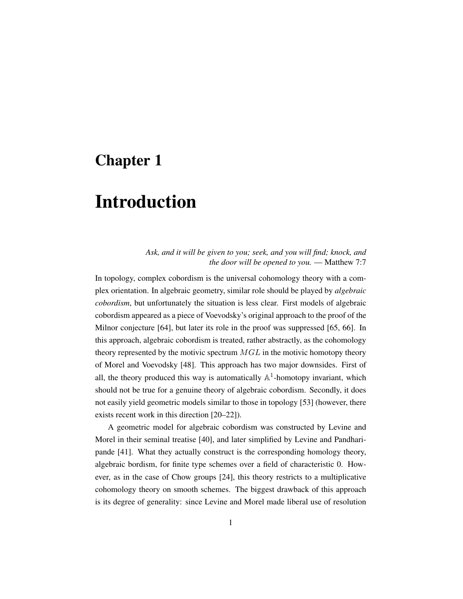# <span id="page-10-0"></span>Chapter 1

# Introduction

### *Ask, and it will be given to you; seek, and you will find; knock, and the door will be opened to you.* — Matthew 7:7

In topology, complex cobordism is the universal cohomology theory with a complex orientation. In algebraic geometry, similar role should be played by *algebraic cobordism*, but unfortunately the situation is less clear. First models of algebraic cobordism appeared as a piece of Voevodsky's original approach to the proof of the Milnor conjecture [\[64\]](#page-202-0), but later its role in the proof was suppressed [\[65,](#page-202-1) [66\]](#page-202-2). In this approach, algebraic cobordism is treated, rather abstractly, as the cohomology theory represented by the motivic spectrum  $MGL$  in the motivic homotopy theory of Morel and Voevodsky [\[48\]](#page-201-0). This approach has two major downsides. First of all, the theory produced this way is automatically  $\mathbb{A}^1$ -homotopy invariant, which should not be true for a genuine theory of algebraic cobordism. Secondly, it does not easily yield geometric models similar to those in topology [\[53\]](#page-201-1) (however, there exists recent work in this direction [\[20](#page-198-1)[–22\]](#page-199-0)).

A geometric model for algebraic cobordism was constructed by Levine and Morel in their seminal treatise [\[40\]](#page-200-0), and later simplified by Levine and Pandharipande [\[41\]](#page-200-1). What they actually construct is the corresponding homology theory, algebraic bordism, for finite type schemes over a field of characteristic 0. However, as in the case of Chow groups [\[24\]](#page-199-1), this theory restricts to a multiplicative cohomology theory on smooth schemes. The biggest drawback of this approach is its degree of generality: since Levine and Morel made liberal use of resolution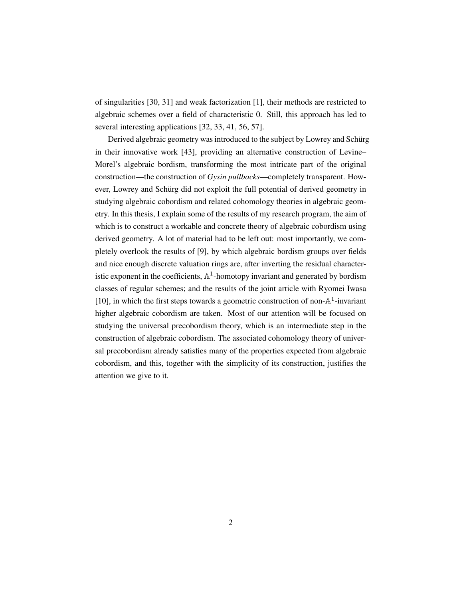of singularities [\[30,](#page-199-2) [31\]](#page-199-3) and weak factorization [\[1\]](#page-197-6), their methods are restricted to algebraic schemes over a field of characteristic 0. Still, this approach has led to several interesting applications [\[32,](#page-199-4) [33,](#page-199-5) [41,](#page-200-1) [56,](#page-201-2) [57\]](#page-201-3).

Derived algebraic geometry was introduced to the subject by Lowrey and Schürg in their innovative work [\[43\]](#page-200-2), providing an alternative construction of Levine– Morel's algebraic bordism, transforming the most intricate part of the original construction—the construction of *Gysin pullbacks*—completely transparent. However, Lowrey and Schürg did not exploit the full potential of derived geometry in studying algebraic cobordism and related cohomology theories in algebraic geometry. In this thesis, I explain some of the results of my research program, the aim of which is to construct a workable and concrete theory of algebraic cobordism using derived geometry. A lot of material had to be left out: most importantly, we completely overlook the results of [\[9\]](#page-197-7), by which algebraic bordism groups over fields and nice enough discrete valuation rings are, after inverting the residual characteristic exponent in the coefficients,  $\mathbb{A}^1$ -homotopy invariant and generated by bordism classes of regular schemes; and the results of the joint article with Ryomei Iwasa [\[10\]](#page-197-4), in which the first steps towards a geometric construction of non- $\mathbb{A}^1$ -invariant higher algebraic cobordism are taken. Most of our attention will be focused on studying the universal precobordism theory, which is an intermediate step in the construction of algebraic cobordism. The associated cohomology theory of universal precobordism already satisfies many of the properties expected from algebraic cobordism, and this, together with the simplicity of its construction, justifies the attention we give to it.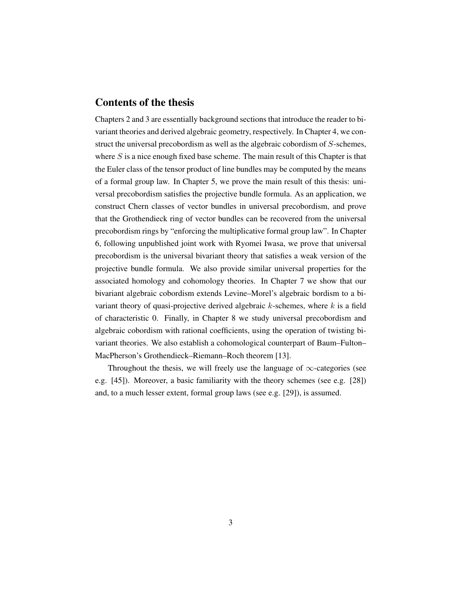## Contents of the thesis

Chapters [2](#page-13-0) and [3](#page-60-0) are essentially background sections that introduce the reader to bivariant theories and derived algebraic geometry, respectively. In Chapter [4,](#page-95-0) we construct the universal precobordism as well as the algebraic cobordism of S-schemes, where  $S$  is a nice enough fixed base scheme. The main result of this Chapter is that the Euler class of the tensor product of line bundles may be computed by the means of a formal group law. In Chapter [5,](#page-115-0) we prove the main result of this thesis: universal precobordism satisfies the projective bundle formula. As an application, we construct Chern classes of vector bundles in universal precobordism, and prove that the Grothendieck ring of vector bundles can be recovered from the universal precobordism rings by "enforcing the multiplicative formal group law". In Chapter [6,](#page-142-0) following unpublished joint work with Ryomei Iwasa, we prove that universal precobordism is the universal bivariant theory that satisfies a weak version of the projective bundle formula. We also provide similar universal properties for the associated homology and cohomology theories. In Chapter [7](#page-168-0) we show that our bivariant algebraic cobordism extends Levine–Morel's algebraic bordism to a bivariant theory of quasi-projective derived algebraic  $k$ -schemes, where  $k$  is a field of characteristic 0. Finally, in Chapter [8](#page-177-0) we study universal precobordism and algebraic cobordism with rational coefficients, using the operation of twisting bivariant theories. We also establish a cohomological counterpart of Baum–Fulton– MacPherson's Grothendieck–Riemann–Roch theorem [\[13\]](#page-198-2).

Throughout the thesis, we will freely use the language of  $\infty$ -categories (see e.g. [\[45\]](#page-201-4)). Moreover, a basic familiarity with the theory schemes (see e.g. [\[28\]](#page-199-6)) and, to a much lesser extent, formal group laws (see e.g. [\[29\]](#page-199-7)), is assumed.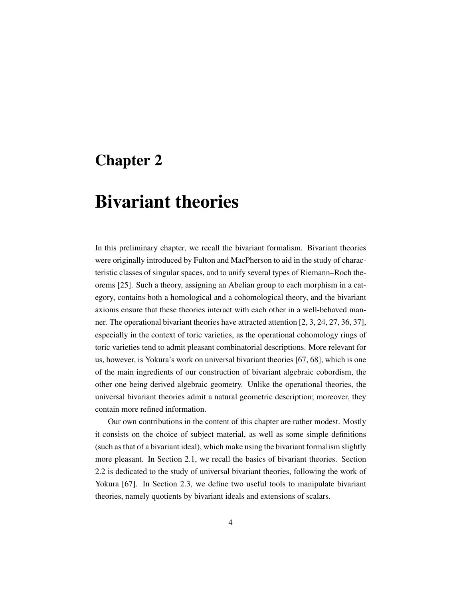# <span id="page-13-0"></span>Chapter 2

# Bivariant theories

In this preliminary chapter, we recall the bivariant formalism. Bivariant theories were originally introduced by Fulton and MacPherson to aid in the study of characteristic classes of singular spaces, and to unify several types of Riemann–Roch theorems [\[25\]](#page-199-8). Such a theory, assigning an Abelian group to each morphism in a category, contains both a homological and a cohomological theory, and the bivariant axioms ensure that these theories interact with each other in a well-behaved manner. The operational bivariant theories have attracted attention [\[2,](#page-197-8) [3,](#page-197-9) [24,](#page-199-1) [27,](#page-199-9) [36,](#page-200-3) [37\]](#page-200-4), especially in the context of toric varieties, as the operational cohomology rings of toric varieties tend to admit pleasant combinatorial descriptions. More relevant for us, however, is Yokura's work on universal bivariant theories [\[67,](#page-202-3) [68\]](#page-202-4), which is one of the main ingredients of our construction of bivariant algebraic cobordism, the other one being derived algebraic geometry. Unlike the operational theories, the universal bivariant theories admit a natural geometric description; moreover, they contain more refined information.

Our own contributions in the content of this chapter are rather modest. Mostly it consists on the choice of subject material, as well as some simple definitions (such as that of a bivariant ideal), which make using the bivariant formalism slightly more pleasant. In Section [2.1,](#page-14-0) we recall the basics of bivariant theories. Section [2.2](#page-42-0) is dedicated to the study of universal bivariant theories, following the work of Yokura [\[67\]](#page-202-3). In Section [2.3,](#page-50-0) we define two useful tools to manipulate bivariant theories, namely quotients by bivariant ideals and extensions of scalars.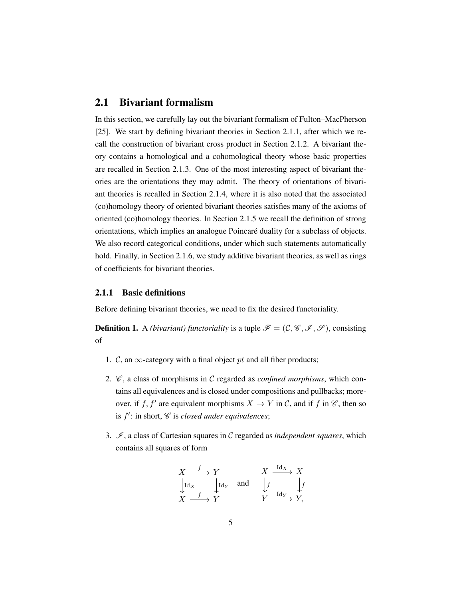## <span id="page-14-0"></span>2.1 Bivariant formalism

In this section, we carefully lay out the bivariant formalism of Fulton–MacPherson [\[25\]](#page-199-8). We start by defining bivariant theories in Section [2.1.1,](#page-14-1) after which we recall the construction of bivariant cross product in Section [2.1.2.](#page-21-0) A bivariant theory contains a homological and a cohomological theory whose basic properties are recalled in Section [2.1.3.](#page-23-0) One of the most interesting aspect of bivariant theories are the orientations they may admit. The theory of orientations of bivariant theories is recalled in Section [2.1.4,](#page-25-0) where it is also noted that the associated (co)homology theory of oriented bivariant theories satisfies many of the axioms of oriented (co)homology theories. In Section [2.1.5](#page-31-0) we recall the definition of strong orientations, which implies an analogue Poincare duality for a subclass of objects. ´ We also record categorical conditions, under which such statements automatically hold. Finally, in Section [2.1.6,](#page-34-0) we study additive bivariant theories, as well as rings of coefficients for bivariant theories.

### <span id="page-14-1"></span>2.1.1 Basic definitions

Before defining bivariant theories, we need to fix the desired functoriality.

**Definition 1.** A *(bivariant) functoriality* is a tuple  $\mathcal{F} = (\mathcal{C}, \mathcal{C}, \mathcal{I}, \mathcal{S})$ , consisting of

- 1. C, an  $\infty$ -category with a final object pt and all fiber products;
- 2.  $\mathcal{C}$ , a class of morphisms in  $\mathcal{C}$  regarded as *confined morphisms*, which contains all equivalences and is closed under compositions and pullbacks; moreover, if f, f' are equivalent morphisms  $X \to Y$  in C, and if f in  $\mathscr{C}$ , then so is  $f'$ : in short,  $\mathscr C$  is *closed under equivalences*;
- 3.  $\mathcal{I}$ , a class of Cartesian squares in C regarded as *independent squares*, which contains all squares of form

$$
\begin{array}{ccc}\nX & \xrightarrow{f} & Y & X & \xrightarrow{\mathrm{Id}_X} & X \\
\downarrow \mathrm{Id}_X & \downarrow \mathrm{Id}_Y & \mathrm{and} & \downarrow f & \downarrow f \\
X & \xrightarrow{f} & Y & Y & \xrightarrow{\mathrm{Id}_Y} & Y,\n\end{array}
$$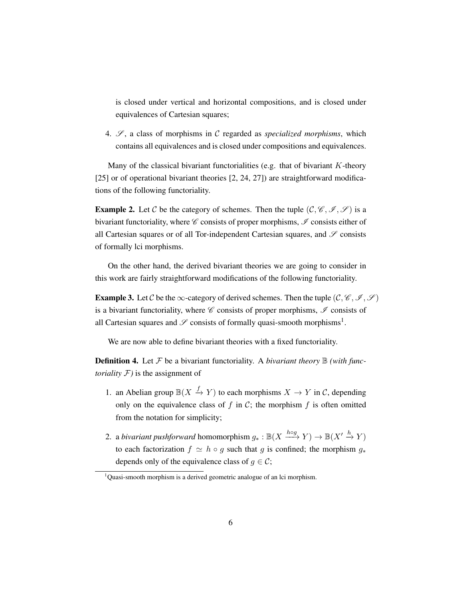is closed under vertical and horizontal compositions, and is closed under equivalences of Cartesian squares;

4.  $\mathscr{S}$ , a class of morphisms in  $\mathscr C$  regarded as *specialized morphisms*, which contains all equivalences and is closed under compositions and equivalences.

Many of the classical bivariant functorialities (e.g. that of bivariant  $K$ -theory [\[25\]](#page-199-8) or of operational bivariant theories [\[2,](#page-197-8) [24,](#page-199-1) [27\]](#page-199-9)) are straightforward modifications of the following functoriality.

**Example 2.** Let C be the category of schemes. Then the tuple  $(C, \mathcal{C}, \mathcal{I}, \mathcal{S})$  is a bivariant functoriality, where  $\mathscr C$  consists of proper morphisms,  $\mathscr I$  consists either of all Cartesian squares or of all Tor-independent Cartesian squares, and  $\mathscr S$  consists of formally lci morphisms.

On the other hand, the derived bivariant theories we are going to consider in this work are fairly straightforward modifications of the following functoriality.

**Example 3.** Let C be the  $\infty$ -category of derived schemes. Then the tuple  $(\mathcal{C}, \mathcal{C}, \mathcal{I}, \mathcal{S})$ is a bivariant functoriality, where  $\mathscr C$  consists of proper morphisms,  $\mathscr I$  consists of all Cartesian squares and  $\mathscr S$  consists of formally quasi-smooth morphisms<sup>[1](#page-15-0)</sup>.

We are now able to define bivariant theories with a fixed functoriality.

**Definition 4.** Let  $\mathcal F$  be a bivariant functoriality. A *bivariant theory*  $\mathbb B$  *(with functoriality*  $\mathcal{F}$ *)* is the assignment of

- 1. an Abelian group  $\mathbb{B}(X \xrightarrow{f} Y)$  to each morphisms  $X \to Y$  in C, depending only on the equivalence class of  $f$  in  $C$ ; the morphism  $f$  is often omitted from the notation for simplicity;
- 2. a *bivariant pushforward* homomorphism  $g_* : \mathbb{B}(X \xrightarrow{h \circ g} Y) \to \mathbb{B}(X' \xrightarrow{h} Y)$ to each factorization  $f \simeq h \circ g$  such that g is confined; the morphism  $g_*$ depends only of the equivalence class of  $q \in \mathcal{C}$ ;

<span id="page-15-0"></span> $1$ Quasi-smooth morphism is a derived geometric analogue of an lci morphism.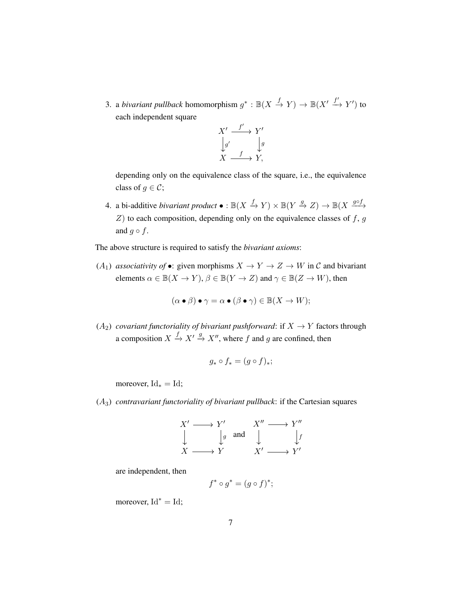3. a *bivariant pullback* homomorphism  $g^* : \mathbb{B}(X \xrightarrow{f} Y) \to \mathbb{B}(X' \xrightarrow{f'} Y')$  to each independent square



depending only on the equivalence class of the square, i.e., the equivalence class of  $q \in \mathcal{C}$ ;

4. a bi-additive *bivariant product*  $\bullet : \mathbb{B}(X \xrightarrow{f} Y) \times \mathbb{B}(Y \xrightarrow{g} Z) \rightarrow \mathbb{B}(X \xrightarrow{g \circ f} Y)$  $Z$ ) to each composition, depending only on the equivalence classes of  $f$ ,  $g$ and  $g \circ f$ .

The above structure is required to satisfy the *bivariant axioms*:

(A<sub>1</sub>) *associativity of* •: given morphisms  $X \to Y \to Z \to W$  in C and bivariant elements  $\alpha \in \mathbb{B}(X \to Y)$ ,  $\beta \in \mathbb{B}(Y \to Z)$  and  $\gamma \in \mathbb{B}(Z \to W)$ , then

$$
(\alpha \bullet \beta) \bullet \gamma = \alpha \bullet (\beta \bullet \gamma) \in \mathbb{B}(X \to W);
$$

( $A_2$ ) *covariant functoriality of bivariant pushforward*: if  $X \rightarrow Y$  factors through a composition  $X \xrightarrow{f} X' \xrightarrow{g} X''$ , where f and g are confined, then

$$
g_* \circ f_* = (g \circ f)_*;
$$

moreover,  $Id_* = Id;$ 

(A3) *contravariant functoriality of bivariant pullback*: if the Cartesian squares

$$
X' \longrightarrow Y' \qquad X'' \longrightarrow Y''
$$
  
\n
$$
\downarrow g \quad \text{and} \quad \downarrow f
$$
  
\n
$$
X \longrightarrow Y \qquad X' \longrightarrow Y'
$$

are independent, then

$$
f^* \circ g^* = (g \circ f)^*;
$$

moreover,  $Id^* = Id$ ;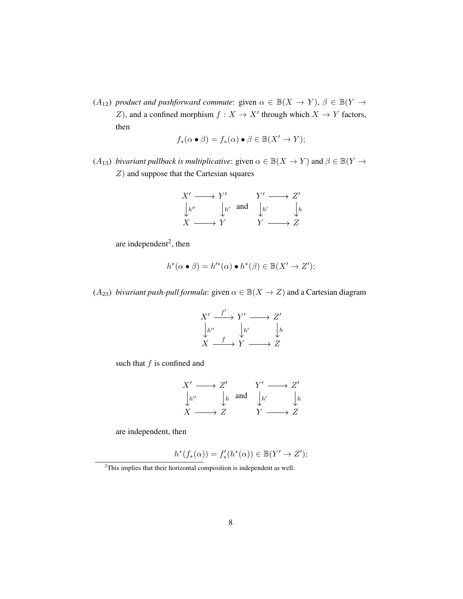$(A_{12})$  *product and pushforward commute*: given  $\alpha \in \mathbb{B}(X \to Y)$ ,  $\beta \in \mathbb{B}(Y \to Y)$ Z), and a confined morphism  $f : X \to X'$  through which  $X \to Y$  factors, then

$$
f_*(\alpha \bullet \beta) = f_*(\alpha) \bullet \beta \in \mathbb{B}(X' \to Y);
$$

(A<sub>13</sub>) *bivariant pullback is multiplicative*: given  $\alpha \in \mathbb{B}(X \to Y)$  and  $\beta \in \mathbb{B}(Y \to Y)$ Z) and suppose that the Cartesian squares

$$
X' \longrightarrow Y' \qquad Y' \longrightarrow Z'
$$
  
\n
$$
\downarrow_{h'} \qquad \downarrow_{h'} \text{ and } \qquad \downarrow_{h'} \qquad \downarrow_{h}
$$
  
\n
$$
X \longrightarrow Y \qquad Y \longrightarrow Z
$$

are independent<sup>[2](#page-17-0)</sup>, then

$$
h^*(\alpha \bullet \beta) = h'^*(\alpha) \bullet h^*(\beta) \in \mathbb{B}(X' \to Z');
$$

( $A_{23}$ ) *bivariant push-pull formula*: given  $\alpha \in \mathbb{B}(X \to Z)$  and a Cartesian diagram

$$
X' \xrightarrow{f'} Y' \longrightarrow Z' \n\downarrow h'' \qquad \downarrow h' \qquad \downarrow h \nX \xrightarrow{f} Y \longrightarrow Z
$$

such that  $f$  is confined and

$$
X' \longrightarrow Z' \qquad Y' \longrightarrow Z' \downarrow_{h''} \qquad \downarrow_{h} \text{ and } \qquad \downarrow_{h'} \qquad \downarrow_{h} \nX \longrightarrow Z \qquad Y \longrightarrow Z
$$

are independent, then

$$
h^*(f_*(\alpha)) = f'_*(h^*(\alpha)) \in \mathbb{B}(Y' \to Z');
$$

<span id="page-17-0"></span><sup>&</sup>lt;sup>2</sup>This implies that their horizontal composition is independent as well.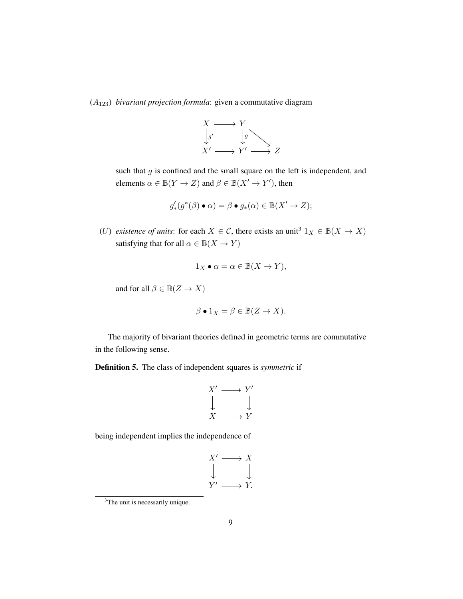(A123) *bivariant projection formula*: given a commutative diagram



such that  $g$  is confined and the small square on the left is independent, and elements  $\alpha \in \mathbb{B}(Y \to Z)$  and  $\beta \in \mathbb{B}(X' \to Y')$ , then

$$
g'_*(g^*(\beta) \bullet \alpha) = \beta \bullet g_*(\alpha) \in \mathbb{B}(X' \to Z);
$$

(U) *existence of units*: for each  $X \in \mathcal{C}$ , there exists an unit<sup>[3](#page-18-0)</sup>  $1_X \in \mathbb{B}(X \to X)$ satisfying that for all  $\alpha \in \mathbb{B}(X \to Y)$ 

$$
1_X \bullet \alpha = \alpha \in \mathbb{B}(X \to Y),
$$

and for all  $\beta \in \mathbb{B}(Z \to X)$ 

$$
\beta \bullet 1_X = \beta \in \mathbb{B}(Z \to X).
$$

The majority of bivariant theories defined in geometric terms are commutative in the following sense.

Definition 5. The class of independent squares is *symmetric* if

$$
\begin{array}{ccc}\nX' & \longrightarrow & Y' \\
\downarrow & & \downarrow \\
X & \longrightarrow & Y\n\end{array}
$$

being independent implies the independence of

$$
X' \longrightarrow X
$$
  
\n
$$
\downarrow \qquad \qquad \downarrow
$$
  
\n
$$
Y' \longrightarrow Y.
$$

<span id="page-18-0"></span><sup>&</sup>lt;sup>3</sup>The unit is necessarily unique.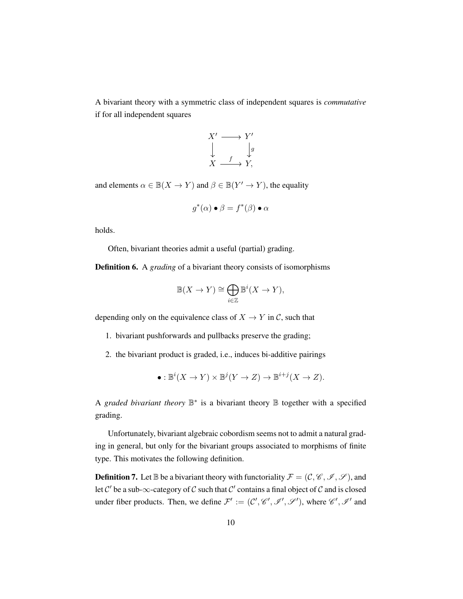A bivariant theory with a symmetric class of independent squares is *commutative* if for all independent squares



and elements  $\alpha \in \mathbb{B}(X \to Y)$  and  $\beta \in \mathbb{B}(Y' \to Y)$ , the equality

$$
g^*(\alpha) \bullet \beta = f^*(\beta) \bullet \alpha
$$

holds.

Often, bivariant theories admit a useful (partial) grading.

Definition 6. A *grading* of a bivariant theory consists of isomorphisms

$$
\mathbb{B}(X \to Y) \cong \bigoplus_{i \in \mathbb{Z}} \mathbb{B}^i(X \to Y),
$$

depending only on the equivalence class of  $X \to Y$  in C, such that

- 1. bivariant pushforwards and pullbacks preserve the grading;
- 2. the bivariant product is graded, i.e., induces bi-additive pairings

$$
\bullet: \mathbb{B}^i(X \to Y) \times \mathbb{B}^j(Y \to Z) \to \mathbb{B}^{i+j}(X \to Z).
$$

A *graded bivariant theory*  $\mathbb{B}^*$  is a bivariant theory  $\mathbb B$  together with a specified grading.

Unfortunately, bivariant algebraic cobordism seems not to admit a natural grading in general, but only for the bivariant groups associated to morphisms of finite type. This motivates the following definition.

**Definition 7.** Let  $\mathbb B$  be a bivariant theory with functoriality  $\mathcal F = (\mathcal C, \mathcal C, \mathcal I, \mathcal S)$ , and let C' be a sub- $\infty$ -category of C such that C' contains a final object of C and is closed under fiber products. Then, we define  $\mathcal{F}' := (\mathcal{C}', \mathcal{C}', \mathcal{I}', \mathcal{I}')$ , where  $\mathcal{C}', \mathcal{I}'$  and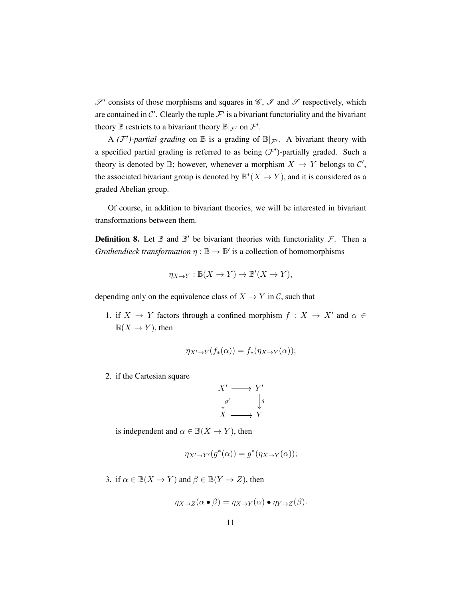$\mathscr{S}'$  consists of those morphisms and squares in  $\mathscr{C}$ ,  $\mathscr{I}$  and  $\mathscr{S}$  respectively, which are contained in C'. Clearly the tuple  $\mathcal{F}'$  is a bivariant functoriality and the bivariant theory  $\mathbb B$  restricts to a bivariant theory  $\mathbb B|_{\mathcal{F}'}$  on  $\mathcal{F}'.$ 

A  $(F')$ -partial grading on  $\mathbb B$  is a grading of  $\mathbb B|_{F'}$ . A bivariant theory with a specified partial grading is referred to as being  $(F')$ -partially graded. Such a theory is denoted by  $\mathbb{B}$ ; however, whenever a morphism  $X \to Y$  belongs to  $\mathcal{C}'$ , the associated bivariant group is denoted by  $\mathbb{B}^*(X \to Y)$ , and it is considered as a graded Abelian group.

Of course, in addition to bivariant theories, we will be interested in bivariant transformations between them.

**Definition 8.** Let  $\mathbb B$  and  $\mathbb B'$  be bivariant theories with functoriality  $\mathcal F$ . Then a *Grothendieck transformation*  $\eta : \mathbb{B} \to \mathbb{B}'$  is a collection of homomorphisms

$$
\eta_{X \to Y} : \mathbb{B}(X \to Y) \to \mathbb{B}'(X \to Y),
$$

depending only on the equivalence class of  $X \to Y$  in C, such that

1. if  $X \to Y$  factors through a confined morphism  $f : X \to X'$  and  $\alpha \in Y$  $\mathbb{B}(X \to Y)$ , then

$$
\eta_{X' \to Y}(f_*(\alpha)) = f_*(\eta_{X \to Y}(\alpha));
$$

2. if the Cartesian square

$$
X' \longrightarrow Y' \n\downarrow g' \qquad \qquad \downarrow g \nX \longrightarrow Y
$$

is independent and  $\alpha \in \mathbb{B}(X \to Y)$ , then

$$
\eta_{X' \to Y'}(g^*(\alpha)) = g^*(\eta_{X \to Y}(\alpha));
$$

3. if  $\alpha \in \mathbb{B}(X \to Y)$  and  $\beta \in \mathbb{B}(Y \to Z)$ , then

$$
\eta_{X \to Z}(\alpha \bullet \beta) = \eta_{X \to Y}(\alpha) \bullet \eta_{Y \to Z}(\beta).
$$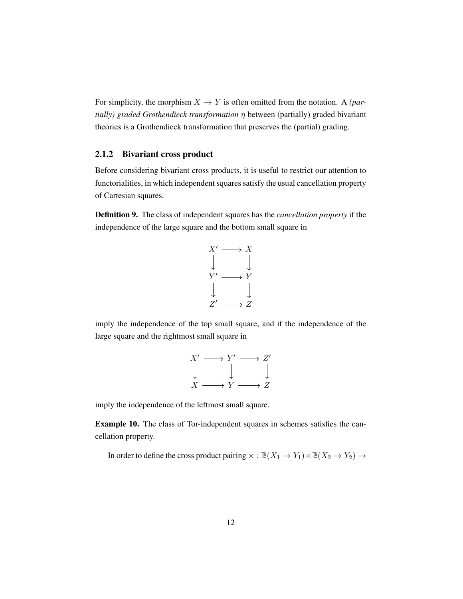For simplicity, the morphism  $X \to Y$  is often omitted from the notation. A *(partially) graded Grothendieck transformation* η between (partially) graded bivariant theories is a Grothendieck transformation that preserves the (partial) grading.

### <span id="page-21-0"></span>2.1.2 Bivariant cross product

Before considering bivariant cross products, it is useful to restrict our attention to functorialities, in which independent squares satisfy the usual cancellation property of Cartesian squares.

<span id="page-21-1"></span>Definition 9. The class of independent squares has the *cancellation property* if the independence of the large square and the bottom small square in



imply the independence of the top small square, and if the independence of the large square and the rightmost small square in

$$
X' \longrightarrow Y' \longrightarrow Z'
$$
  
\n
$$
\downarrow \qquad \qquad \downarrow
$$
  
\n
$$
X \longrightarrow Y \longrightarrow Z
$$

imply the independence of the leftmost small square.

Example 10. The class of Tor-independent squares in schemes satisfies the cancellation property.

In order to define the cross product pairing  $\times : \mathbb{B}(X_1 \to Y_1) \times \mathbb{B}(X_2 \to Y_2) \to$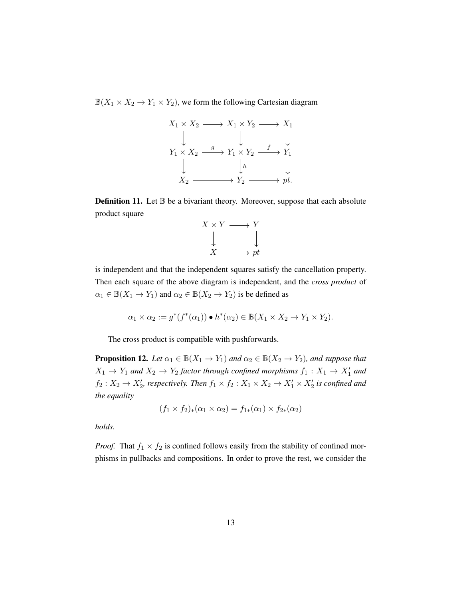$\mathbb{B}(X_1 \times X_2 \to Y_1 \times Y_2)$ , we form the following Cartesian diagram



**Definition 11.** Let  $\mathbb{B}$  be a bivariant theory. Moreover, suppose that each absolute product square



is independent and that the independent squares satisfy the cancellation property. Then each square of the above diagram is independent, and the *cross product* of  $\alpha_1 \in \mathbb{B}(X_1 \to Y_1)$  and  $\alpha_2 \in \mathbb{B}(X_2 \to Y_2)$  is be defined as

$$
\alpha_1 \times \alpha_2 := g^*(f^*(\alpha_1)) \bullet h^*(\alpha_2) \in \mathbb{B}(X_1 \times X_2 \to Y_1 \times Y_2).
$$

The cross product is compatible with pushforwards.

<span id="page-22-0"></span>**Proposition 12.** *Let*  $\alpha_1 \in \mathbb{B}(X_1 \to Y_1)$  *and*  $\alpha_2 \in \mathbb{B}(X_2 \to Y_2)$ *, and suppose that*  $X_1 \rightarrow Y_1$  and  $X_2 \rightarrow Y_2$  factor through confined morphisms  $f_1 : X_1 \rightarrow X'_1$  and  $f_2: X_2 \to X'_2$ , respectively. Then  $f_1 \times f_2: X_1 \times X_2 \to X'_1 \times X'_2$  is confined and *the equality*

$$
(f_1 \times f_2)_*(\alpha_1 \times \alpha_2) = f_{1*}(\alpha_1) \times f_{2*}(\alpha_2)
$$

*holds.*

*Proof.* That  $f_1 \times f_2$  is confined follows easily from the stability of confined morphisms in pullbacks and compositions. In order to prove the rest, we consider the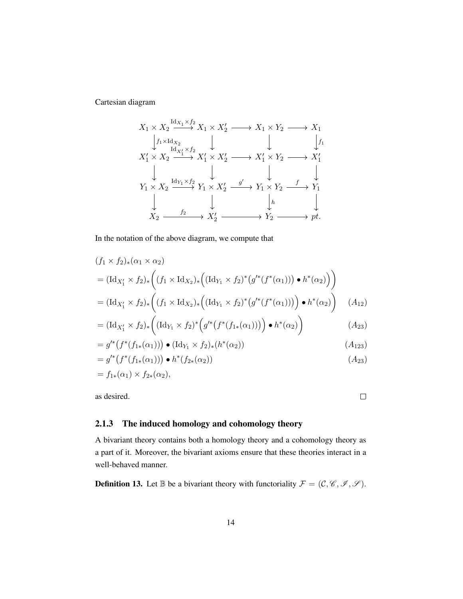Cartesian diagram

$$
X_1 \times X_2 \xrightarrow{\text{Id}_{X_1} \times f_2} X_1 \times X_2' \longrightarrow X_1 \times Y_2 \longrightarrow X_1
$$
\n
$$
\downarrow f_1 \times \text{Id}_{X_2} \qquad \downarrow \qquad \qquad \downarrow f_1
$$
\n
$$
X_1' \times X_2 \xrightarrow{\text{Id}_{X_1'} \times f_2} X_1' \times X_2' \longrightarrow X_1' \times Y_2 \longrightarrow X_1'
$$
\n
$$
\downarrow \qquad \qquad \downarrow \qquad \qquad \downarrow \qquad \qquad \downarrow
$$
\n
$$
Y_1 \times X_2 \xrightarrow{\text{Id}_{Y_1} \times f_2} Y_1 \times X_2' \xrightarrow{g'} Y_1 \times Y_2 \longrightarrow Y_1
$$
\n
$$
\downarrow \qquad \qquad \downarrow f_2 \qquad \qquad \downarrow f_2 \qquad \qquad \downarrow f_2 \qquad \qquad \downarrow f_2
$$
\n
$$
X_2 \longrightarrow X_2' \longrightarrow Y_2 \longrightarrow pt.
$$

In the notation of the above diagram, we compute that

$$
(f_1 \times f_2)_*(\alpha_1 \times \alpha_2)
$$
  
=  $(\text{Id}_{X'_1} \times f_2)_*\left((f_1 \times \text{Id}_{X_2})_*\left((\text{Id}_{Y_1} \times f_2)^*(g'^*(f^*(\alpha_1))) \bullet h^*(\alpha_2)\right)\right)$   
=  $(\text{Id}_{X'_1} \times f_2)_*\left((f_1 \times \text{Id}_{X_2})_*\left((\text{Id}_{Y_1} \times f_2)^*(g'^*(f^*(\alpha_1)))\right) \bullet h^*(\alpha_2)\right)$  (A<sub>12</sub>)

$$
= (\mathrm{Id}_{X'_1} \times f_2)_* \Big( (\mathrm{Id}_{Y_1} \times f_2)^* \Big( g'^* \big( f^* (f_{1*}(\alpha_1)) \big) \Big) \bullet h^*(\alpha_2) \Big) \tag{A_{23}}
$$

$$
= g'^{*}(f^{*}(f_{1*}(\alpha_1))) \bullet (\mathrm{Id}_{Y_1} \times f_2)_{*}(h^{*}(\alpha_2))
$$
\n
$$
(A_{123})
$$

$$
= g'^{*}(f^{*}(f_{1*}(\alpha_1))) \bullet h^{*}(f_{2*}(\alpha_2))
$$
  
=  $f_{1*}(\alpha_1) \times f_{2*}(\alpha_2)$ , (A<sub>23</sub>)

as desired.

 $\Box$ 

## <span id="page-23-0"></span>2.1.3 The induced homology and cohomology theory

A bivariant theory contains both a homology theory and a cohomology theory as a part of it. Moreover, the bivariant axioms ensure that these theories interact in a well-behaved manner.

**Definition 13.** Let  $\mathbb{B}$  be a bivariant theory with functoriality  $\mathcal{F} = (\mathcal{C}, \mathcal{C}, \mathcal{I}, \mathcal{S})$ .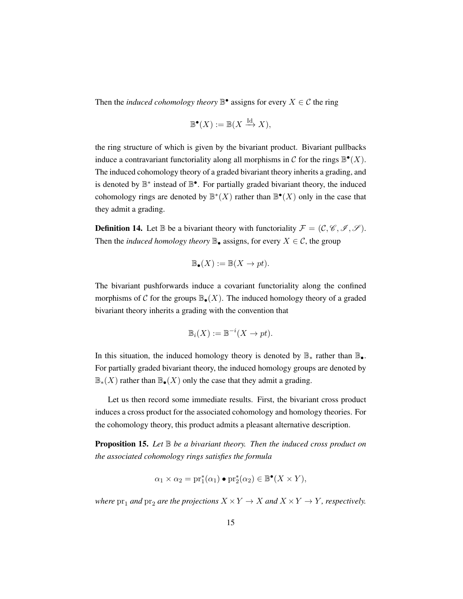Then the *induced cohomology theory*  $\mathbb{B}^{\bullet}$  assigns for every  $X \in \mathcal{C}$  the ring

$$
\mathbb{B}^{\bullet}(X) := \mathbb{B}(X \xrightarrow{\text{Id}} X),
$$

the ring structure of which is given by the bivariant product. Bivariant pullbacks induce a contravariant functoriality along all morphisms in C for the rings  $\mathbb{B}^{\bullet}(X)$ . The induced cohomology theory of a graded bivariant theory inherits a grading, and is denoted by  $\mathbb{B}^*$  instead of  $\mathbb{B}^{\bullet}$ . For partially graded bivariant theory, the induced cohomology rings are denoted by  $\mathbb{B}^*(X)$  rather than  $\mathbb{B}^{\bullet}(X)$  only in the case that they admit a grading.

**Definition 14.** Let  $\mathbb{B}$  be a bivariant theory with functoriality  $\mathcal{F} = (\mathcal{C}, \mathcal{C}, \mathcal{I}, \mathcal{S})$ . Then the *induced homology theory*  $\mathbb{B}_{\bullet}$  assigns, for every  $X \in \mathcal{C}$ , the group

$$
\mathbb{B}_{\bullet}(X) := \mathbb{B}(X \to pt).
$$

The bivariant pushforwards induce a covariant functoriality along the confined morphisms of C for the groups  $\mathbb{B}_{\bullet}(X)$ . The induced homology theory of a graded bivariant theory inherits a grading with the convention that

$$
\mathbb{B}_i(X) := \mathbb{B}^{-i}(X \to pt).
$$

In this situation, the induced homology theory is denoted by  $\mathbb{B}_{*}$  rather than  $\mathbb{B}_{\bullet}$ . For partially graded bivariant theory, the induced homology groups are denoted by  $\mathbb{B}_{*}(X)$  rather than  $\mathbb{B}_{\bullet}(X)$  only the case that they admit a grading.

Let us then record some immediate results. First, the bivariant cross product induces a cross product for the associated cohomology and homology theories. For the cohomology theory, this product admits a pleasant alternative description.

**Proposition 15.** Let  $\mathbb B$  be a bivariant theory. Then the induced cross product on *the associated cohomology rings satisfies the formula*

$$
\alpha_1 \times \alpha_2 = \text{pr}_1^*(\alpha_1) \bullet \text{pr}_2^*(\alpha_2) \in \mathbb{B}^\bullet(X \times Y),
$$

*where*  $pr_1$  *and*  $pr_2$  *are the projections*  $X \times Y \to X$  *and*  $X \times Y \to Y$ *, respectively.*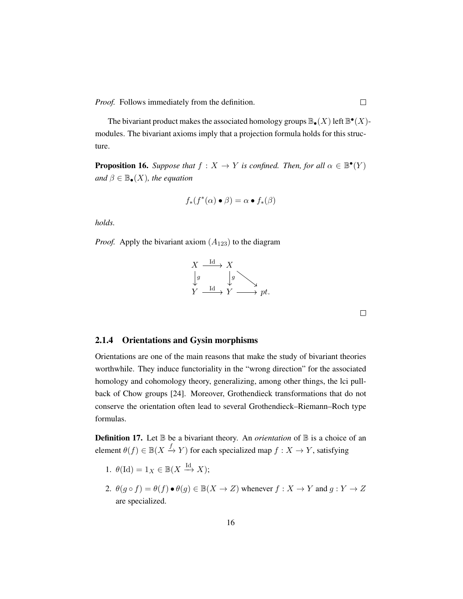*Proof.* Follows immediately from the definition.

The bivariant product makes the associated homology groups  $\mathbb{B}_{\bullet}(X)$  left  $\mathbb{B}^{\bullet}(X)$ modules. The bivariant axioms imply that a projection formula holds for this structure.

**Proposition 16.** *Suppose that*  $f : X \to Y$  *is confined. Then, for all*  $\alpha \in \mathbb{B}^{\bullet}(Y)$ *and*  $\beta \in \mathbb{B}_{\bullet}(X)$ *, the equation* 

$$
f_*(f^*(\alpha) \bullet \beta) = \alpha \bullet f_*(\beta)
$$

*holds.*

*Proof.* Apply the bivariant axiom  $(A_{123})$  to the diagram



 $\Box$ 

#### <span id="page-25-0"></span>2.1.4 Orientations and Gysin morphisms

Orientations are one of the main reasons that make the study of bivariant theories worthwhile. They induce functoriality in the "wrong direction" for the associated homology and cohomology theory, generalizing, among other things, the lci pullback of Chow groups [\[24\]](#page-199-1). Moreover, Grothendieck transformations that do not conserve the orientation often lead to several Grothendieck–Riemann–Roch type formulas.

**Definition 17.** Let  $\mathbb B$  be a bivariant theory. An *orientation* of  $\mathbb B$  is a choice of an element  $\theta(f) \in \mathbb{B}(X \xrightarrow{f} Y)$  for each specialized map  $f : X \to Y$ , satisfying

- 1.  $\theta(\mathrm{Id}) = 1_X \in \mathbb{B}(X \xrightarrow{\mathrm{Id}} X);$
- 2.  $\theta(g \circ f) = \theta(f) \bullet \theta(g) \in \mathbb{B}(X \to Z)$  whenever  $f : X \to Y$  and  $g : Y \to Z$ are specialized.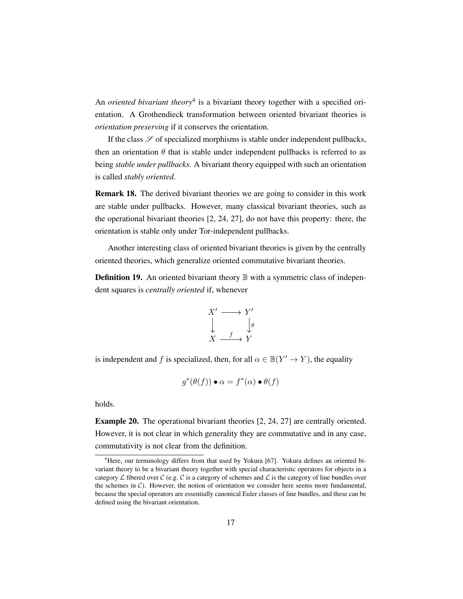An *oriented bivariant theory*<sup>[4](#page-26-0)</sup> is a bivariant theory together with a specified orientation. A Grothendieck transformation between oriented bivariant theories is *orientation preserving* if it conserves the orientation.

If the class  $\mathscr S$  of specialized morphisms is stable under independent pullbacks, then an orientation  $\theta$  that is stable under independent pullbacks is referred to as being *stable under pullbacks*. A bivariant theory equipped with such an orientation is called *stably oriented*.

Remark 18. The derived bivariant theories we are going to consider in this work are stable under pullbacks. However, many classical bivariant theories, such as the operational bivariant theories [\[2,](#page-197-8) [24,](#page-199-1) [27\]](#page-199-9), do not have this property: there, the orientation is stable only under Tor-independent pullbacks.

Another interesting class of oriented bivariant theories is given by the centrally oriented theories, which generalize oriented commutative bivariant theories.

**Definition 19.** An oriented bivariant theory  $\mathbb{B}$  with a symmetric class of independent squares is *centrally oriented* if, whenever

$$
X' \longrightarrow Y' \n\downarrow \qquad \qquad \downarrow g \nX \longrightarrow Y
$$

is independent and f is specialized, then, for all  $\alpha \in \mathbb{B}(Y' \to Y)$ , the equality

$$
g^*(\theta(f)) \bullet \alpha = f^*(\alpha) \bullet \theta(f)
$$

holds.

Example 20. The operational bivariant theories [\[2,](#page-197-8) [24,](#page-199-1) [27\]](#page-199-9) are centrally oriented. However, it is not clear in which generality they are commutative and in any case, commutativity is not clear from the definition.

<span id="page-26-0"></span><sup>&</sup>lt;sup>4</sup>Here, our terminology differs from that used by Yokura [\[67\]](#page-202-3). Yokura defines an oriented bivariant theory to be a bivariant theory together with special characteristic operators for objects in a category  $\mathcal L$  fibered over  $\mathcal C$  (e.g.  $\mathcal C$  is a category of schemes and  $\mathcal L$  is the category of line bundles over the schemes in  $C$ ). However, the notion of orientation we consider here seems more fundamental, because the special operators are essentially canonical Euler classes of line bundles, and these can be defined using the bivariant orientation.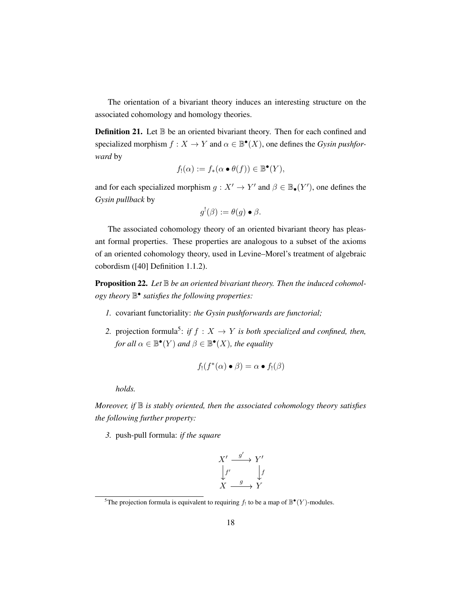The orientation of a bivariant theory induces an interesting structure on the associated cohomology and homology theories.

**Definition 21.** Let  $\mathbb{B}$  be an oriented bivariant theory. Then for each confined and specialized morphism  $f: X \to Y$  and  $\alpha \in \mathbb{B}^{\bullet}(X)$ , one defines the *Gysin pushforward* by

$$
f_!(\alpha) := f_*(\alpha \bullet \theta(f)) \in \mathbb{B}^\bullet(Y),
$$

and for each specialized morphism  $g: X' \to Y'$  and  $\beta \in \mathbb{B}_{\bullet}(Y')$ , one defines the *Gysin pullback* by

$$
g^{!}(\beta) := \theta(g) \bullet \beta.
$$

The associated cohomology theory of an oriented bivariant theory has pleasant formal properties. These properties are analogous to a subset of the axioms of an oriented cohomology theory, used in Levine–Morel's treatment of algebraic cobordism ([\[40\]](#page-200-0) Definition 1.1.2).

**Proposition 22.** Let  $\mathbb B$  be an oriented bivariant theory. Then the induced cohomol*ogy theory* B • *satisfies the following properties:*

- *1.* covariant functoriality: *the Gysin pushforwards are functorial;*
- 2. projection formula<sup>[5](#page-27-0)</sup>: *if*  $f : X \to Y$  *is both specialized and confined, then, for all*  $\alpha \in \mathbb{B}^{\bullet}(Y)$  *and*  $\beta \in \mathbb{B}^{\bullet}(X)$ *, the equality*

$$
f_!(f^*(\alpha) \bullet \beta) = \alpha \bullet f_!(\beta)
$$

*holds.*

*Moreover, if*  $\mathbb B$  *is stably oriented, then the associated cohomology theory satisfies the following further property:*

*3.* push-pull formula: *if the square*

$$
X' \xrightarrow{g'} Y' \downarrow
$$
  
\n
$$
f' \qquad \qquad f
$$
  
\n
$$
X \xrightarrow{g} Y
$$

<span id="page-27-0"></span><sup>&</sup>lt;sup>5</sup>The projection formula is equivalent to requiring  $f_!$  to be a map of  $\mathbb{B}^{\bullet}(Y)$ -modules.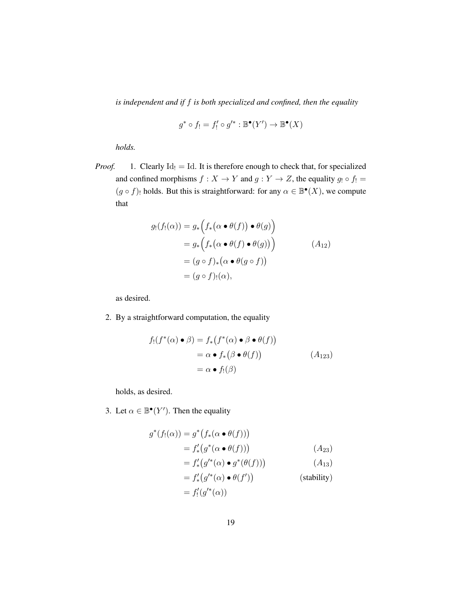*is independent and if* f *is both specialized and confined, then the equality*

$$
g^* \circ f_! = f'_! \circ g'^* : \mathbb{B}^\bullet(Y') \to \mathbb{B}^\bullet(X)
$$

*holds.*

*Proof.* 1. Clearly  $Id_1 = Id$ . It is therefore enough to check that, for specialized and confined morphisms  $f : X \to Y$  and  $g : Y \to Z$ , the equality  $g_1 \circ f_1 =$  $(g \circ f)$ ! holds. But this is straightforward: for any  $\alpha \in \mathbb{B}^{\bullet}(X)$ , we compute that

$$
g_!(f_!(\alpha)) = g_*\Big(f_*\big(\alpha \bullet \theta(f)\big) \bullet \theta(g)\Big)
$$
  
=  $g_*\Big(f_*\big(\alpha \bullet \theta(f) \bullet \theta(g)\big)\Big)$   
=  $(g \circ f)_*\big(\alpha \bullet \theta(g \circ f)\big)$   
=  $(g \circ f)_!(\alpha),$  (A<sub>12</sub>)

as desired.

2. By a straightforward computation, the equality

$$
f_!(f^*(\alpha) \bullet \beta) = f_*(f^*(\alpha) \bullet \beta \bullet \theta(f))
$$
  
=  $\alpha \bullet f_*(\beta \bullet \theta(f))$  (A<sub>123</sub>)  
=  $\alpha \bullet f_!(\beta)$ 

holds, as desired.

3. Let  $\alpha \in \mathbb{B}^{\bullet}(Y')$ . Then the equality

$$
g^*(f_!(\alpha)) = g^*\big(f_*(\alpha \bullet \theta(f))\big)
$$
  
=  $f'_*(g^*(\alpha \bullet \theta(f)))$  (A<sub>23</sub>)

$$
= f'_* \big(g'^*(\alpha) \bullet g^*(\theta(f))\big) \tag{A_{13}}
$$

$$
= f'_*(g'^*(\alpha) \bullet \theta(f'))
$$
 (stability)  

$$
= f'_!(g'^*(\alpha))
$$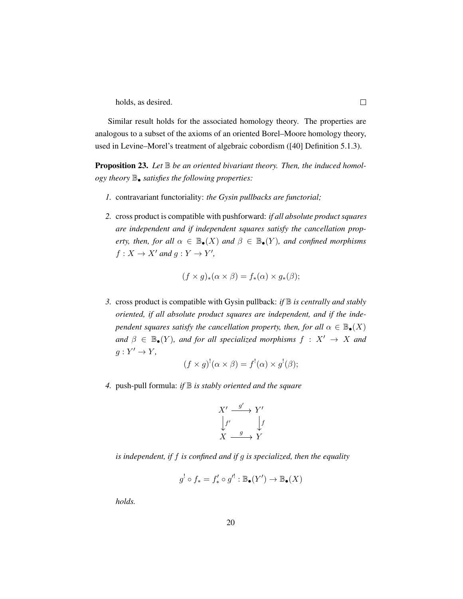holds, as desired.

Similar result holds for the associated homology theory. The properties are analogous to a subset of the axioms of an oriented Borel–Moore homology theory, used in Levine–Morel's treatment of algebraic cobordism ([\[40\]](#page-200-0) Definition 5.1.3).

**Proposition 23.** Let  $\mathbb B$  be an oriented bivariant theory. Then, the induced homol*ogy theory* B• *satisfies the following properties:*

- *1.* contravariant functoriality: *the Gysin pullbacks are functorial;*
- *2.* cross product is compatible with pushforward: *if all absolute product squares are independent and if independent squares satisfy the cancellation property, then, for all*  $\alpha \in \mathbb{B}_{\bullet}(X)$  *and*  $\beta \in \mathbb{B}_{\bullet}(Y)$ *, and confined morphisms*  $f: X \to X'$  and  $g: Y \to Y'$ ,

$$
(f \times g)_*(\alpha \times \beta) = f_*(\alpha) \times g_*(\beta);
$$

*3.* cross product is compatible with Gysin pullback: *if* B *is centrally and stably oriented, if all absolute product squares are independent, and if the independent squares satisfy the cancellation property, then, for all*  $\alpha \in \mathbb{B}_{\bullet}(X)$ *and*  $\beta \in \mathbb{B}_{\bullet}(Y)$ *, and for all specialized morphisms*  $f : X' \rightarrow X$  *and*  $g: Y' \to Y$ ,

$$
(f \times g)^{!}(\alpha \times \beta) = f^{!}(\alpha) \times g^{!}(\beta);
$$

*4.* push-pull formula: *if* B *is stably oriented and the square*

$$
X' \xrightarrow{g'} Y' \downarrow
$$
  
\n
$$
f' \qquad \qquad \downarrow f
$$
  
\n
$$
X \xrightarrow{g} Y
$$

*is independent, if* f *is confined and if* g *is specialized, then the equality*

$$
g^! \circ f_* = f'_* \circ g'^! : \mathbb{B}_{\bullet}(Y') \to \mathbb{B}_{\bullet}(X)
$$

*holds.*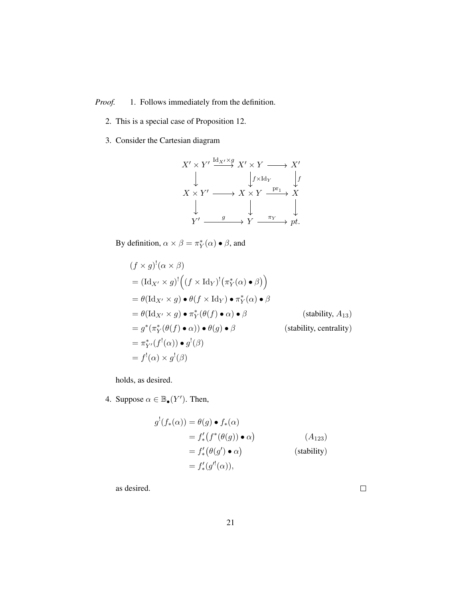*Proof.* 1. Follows immediately from the definition.

- 2. This is a special case of Proposition [12.](#page-22-0)
- 3. Consider the Cartesian diagram

$$
X' \times Y' \xrightarrow{\text{Id}_{X'} \times g} X' \times Y \longrightarrow X'
$$
  
\n
$$
\downarrow \qquad \qquad \downarrow f \times \text{Id}_{Y} \qquad \downarrow f
$$
  
\n
$$
X \times Y' \longrightarrow X \times Y \xrightarrow{\text{pr}_1} X
$$
  
\n
$$
\downarrow \qquad \qquad \downarrow \qquad \qquad \downarrow
$$
  
\n
$$
Y' \xrightarrow{g} Y \xrightarrow{\pi_Y} pt.
$$

By definition,  $\alpha \times \beta = \pi_Y^*(\alpha) \bullet \beta$ , and

$$
(f \times g)^{!}(\alpha \times \beta)
$$
  
=  $(\text{Id}_{X'} \times g)^{!}((f \times \text{Id}_{Y})^{!}(\pi_{Y}^{*}(\alpha) \bullet \beta))$   
=  $\theta(\text{Id}_{X'} \times g) \bullet \theta(f \times \text{Id}_{Y}) \bullet \pi_{Y}^{*}(\alpha) \bullet \beta$   
=  $\theta(\text{Id}_{X'} \times g) \bullet \pi_{Y}^{*}(\theta(f) \bullet \alpha) \bullet \beta$  (stability, A<sub>13</sub>)  
=  $g^{*}(\pi_{Y}^{*}(\theta(f) \bullet \alpha)) \bullet \theta(g) \bullet \beta$  (stability, centrality)  
=  $\pi_{Y'}^{*}(f^{!}(\alpha)) \bullet g^{!}(\beta)$   
=  $f^{!}(\alpha) \times g^{!}(\beta)$ 

holds, as desired.

4. Suppose  $\alpha \in \mathbb{B}_{\bullet}(Y')$ . Then,

$$
g^{!}(f_{*}(\alpha)) = \theta(g) \bullet f_{*}(\alpha)
$$
  
=  $f'_{*}(f^{*}(\theta(g)) \bullet \alpha)$  (A<sub>123</sub>)  
=  $f'_{*}(\theta(g') \bullet \alpha)$  (stability)  
=  $f'_{*}(g'^{!}(\alpha)),$ 

as desired.

 $\Box$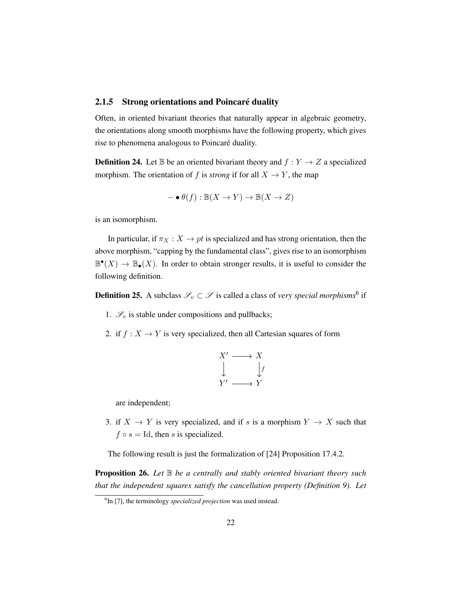#### <span id="page-31-0"></span>2.1.5 Strong orientations and Poincaré duality

Often, in oriented bivariant theories that naturally appear in algebraic geometry, the orientations along smooth morphisms have the following property, which gives rise to phenomena analogous to Poincaré duality.

**Definition 24.** Let  $\mathbb{B}$  be an oriented bivariant theory and  $f: Y \rightarrow Z$  a specialized morphism. The orientation of f is *strong* if for all  $X \to Y$ , the map

$$
- \bullet \theta(f) : \mathbb{B}(X \to Y) \to \mathbb{B}(X \to Z)
$$

is an isomorphism.

In particular, if  $\pi_X : X \to pt$  is specialized and has strong orientation, then the above morphism, "capping by the fundamental class", gives rise to an isomorphism  $\mathbb{B}^{\bullet}(X) \to \mathbb{B}_{\bullet}(X)$ . In order to obtain stronger results, it is useful to consider the following definition.

**Definition 25.** A subclass  $\mathscr{S}_v \subset \mathscr{S}$  is called a class of *very special morphisms*<sup>[6](#page-31-1)</sup> if

- 1.  $\mathcal{S}_v$  is stable under compositions and pullbacks;
- 2. if  $f : X \to Y$  is very specialized, then all Cartesian squares of form

$$
X' \longrightarrow X
$$
  
\n
$$
\downarrow \qquad \qquad \downarrow f
$$
  
\n
$$
Y' \longrightarrow Y
$$

are independent;

3. if  $X \to Y$  is very specialized, and if s is a morphism  $Y \to X$  such that  $f \circ s = \text{Id}$ , then s is specialized.

The following result is just the formalization of [\[24\]](#page-199-1) Proposition 17.4.2.

<span id="page-31-2"></span>**Proposition 26.** Let  $\mathbb B$  be a centrally and stably oriented bivariant theory such *that the independent squares satisfy the cancellation property (Definition [9\)](#page-21-1). Let*

<span id="page-31-1"></span><sup>6</sup> In [\[7\]](#page-197-3), the terminology *specialized projection* was used instead.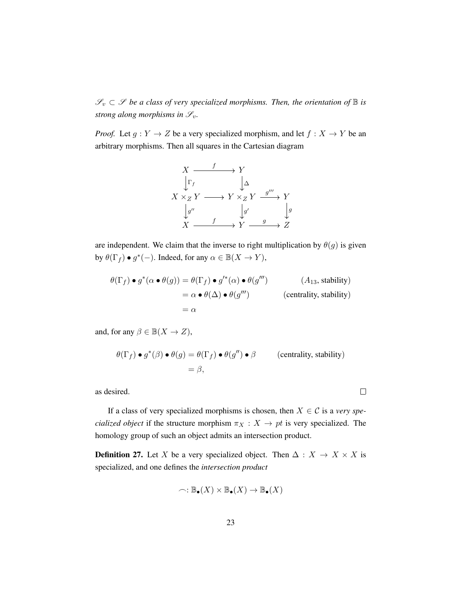$\mathscr{S}_v \subset \mathscr{S}$  *be a class of very specialized morphisms. Then, the orientation of*  $\mathbb B$  *is strong along morphisms in*  $\mathscr{S}_v$ *.* 

*Proof.* Let  $g: Y \to Z$  be a very specialized morphism, and let  $f: X \to Y$  be an arbitrary morphisms. Then all squares in the Cartesian diagram



are independent. We claim that the inverse to right multiplication by  $\theta(g)$  is given by  $\theta(\Gamma_f) \bullet g^*(-)$ . Indeed, for any  $\alpha \in \mathbb{B}(X \to Y)$ ,

$$
\theta(\Gamma_f) \bullet g^*(\alpha \bullet \theta(g)) = \theta(\Gamma_f) \bullet g'^*(\alpha) \bullet \theta(g''')
$$
\n
$$
= \alpha \bullet \theta(\Delta) \bullet \theta(g''')
$$
\n
$$
= \alpha
$$
\n
$$
\theta(\Delta) \bullet \theta(g''')
$$
\n
$$
= \alpha
$$
\n
$$
\theta(\Delta) \bullet \theta(g''')
$$
\n
$$
\theta(\Delta) \bullet \theta(g''')
$$
\n
$$
\theta(\Delta) \bullet \theta(g''')
$$
\n
$$
\theta(\Delta) \bullet \theta(g''')
$$
\n
$$
\theta(\Delta) \bullet \theta(g''')
$$

and, for any  $\beta \in \mathbb{B}(X \to Z)$ ,

$$
\theta(\Gamma_f) \bullet g^*(\beta) \bullet \theta(g) = \theta(\Gamma_f) \bullet \theta(g'') \bullet \beta \qquad \text{(centrality, stability)}
$$

$$
= \beta,
$$

 $\Box$ 

as desired.

If a class of very specialized morphisms is chosen, then  $X \in \mathcal{C}$  is a *very specialized object* if the structure morphism  $\pi_X : X \to pt$  is very specialized. The homology group of such an object admits an intersection product.

**Definition 27.** Let X be a very specialized object. Then  $\Delta : X \to X \times X$  is specialized, and one defines the *intersection product*

$$
\frown: \mathbb{B}_{\bullet}(X) \times \mathbb{B}_{\bullet}(X) \to \mathbb{B}_{\bullet}(X)
$$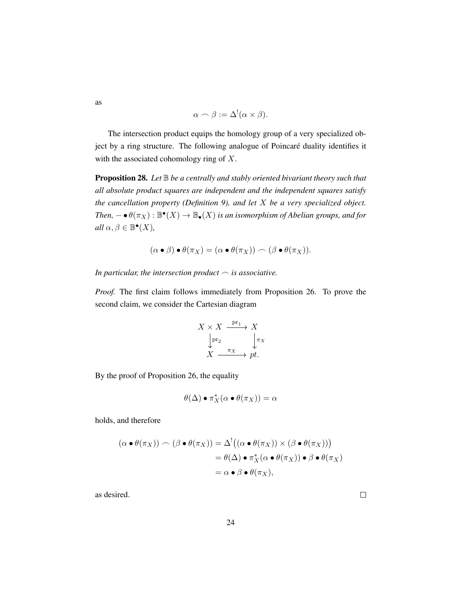$$
\alpha \frown \beta := \Delta^!(\alpha \times \beta).
$$

The intersection product equips the homology group of a very specialized object by a ring structure. The following analogue of Poincaré duality identifies it with the associated cohomology ring of X.

**Proposition 28.** Let  $\mathbb B$  *be a centrally and stably oriented bivariant theory such that all absolute product squares are independent and the independent squares satisfy the cancellation property (Definition [9\)](#page-21-1), and let* X *be a very specialized object.* Then,  $-\bullet \theta(\pi_X): \mathbb{B}^\bullet(X) \to \mathbb{B}_\bullet(X)$  is an isomorphism of Abelian groups, and for  $all \alpha, \beta \in \mathbb{B}^{\bullet}(X)$ ,

$$
(\alpha \bullet \beta) \bullet \theta(\pi_X) = (\alpha \bullet \theta(\pi_X)) \frown (\beta \bullet \theta(\pi_X)).
$$

*In particular, the intersection product*  $\sim$  *is associative.* 

*Proof.* The first claim follows immediately from Proposition [26.](#page-31-2) To prove the second claim, we consider the Cartesian diagram

$$
X \times X \xrightarrow{\text{pr}_1} X
$$

$$
\downarrow^{\text{pr}_2} \qquad \downarrow^{\pi_X}
$$

$$
X \xrightarrow{\pi_X} pt.
$$

By the proof of Proposition [26,](#page-31-2) the equality

$$
\theta(\Delta) \bullet \pi_X^*(\alpha \bullet \theta(\pi_X)) = \alpha
$$

holds, and therefore

$$
(\alpha \bullet \theta(\pi_X)) \frown (\beta \bullet \theta(\pi_X)) = \Delta^! ((\alpha \bullet \theta(\pi_X)) \times (\beta \bullet \theta(\pi_X)))
$$
  
=  $\theta(\Delta) \bullet \pi_X^*(\alpha \bullet \theta(\pi_X)) \bullet \beta \bullet \theta(\pi_X)$   
=  $\alpha \bullet \beta \bullet \theta(\pi_X),$ 

as desired.

 $\Box$ 

as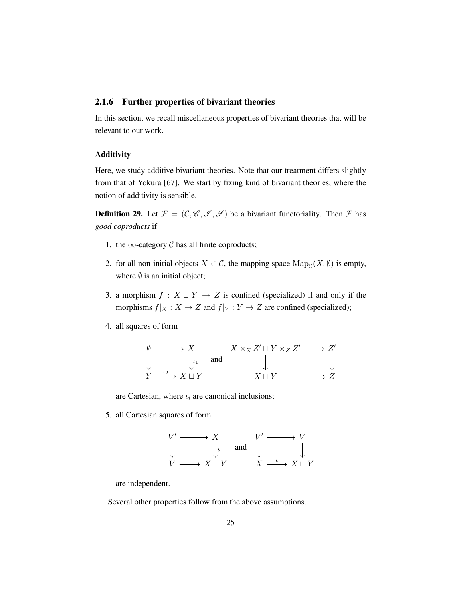#### <span id="page-34-0"></span>2.1.6 Further properties of bivariant theories

In this section, we recall miscellaneous properties of bivariant theories that will be relevant to our work.

### Additivity

Here, we study additive bivariant theories. Note that our treatment differs slightly from that of Yokura [\[67\]](#page-202-3). We start by fixing kind of bivariant theories, where the notion of additivity is sensible.

**Definition 29.** Let  $\mathcal{F} = (\mathcal{C}, \mathcal{C}, \mathcal{I}, \mathcal{S})$  be a bivariant functoriality. Then  $\mathcal{F}$  has *good coproducts* if

- 1. the  $\infty$ -category C has all finite coproducts;
- 2. for all non-initial objects  $X \in \mathcal{C}$ , the mapping space  $\text{Map}_{\mathcal{C}}(X, \emptyset)$  is empty, where  $\emptyset$  is an initial object;
- 3. a morphism  $f : X \sqcup Y \rightarrow Z$  is confined (specialized) if and only if the morphisms  $f|_X : X \to Z$  and  $f|_Y : Y \to Z$  are confined (specialized);
- 4. all squares of form



are Cartesian, where  $\iota_i$  are canonical inclusions;

5. all Cartesian squares of form

$$
\begin{array}{ccc}\nV' \longrightarrow & X & V' \longrightarrow & V \\
\downarrow & & \downarrow & \text{and} & \downarrow & \downarrow \\
V \longrightarrow & X \sqcup Y & & X \longrightarrow & X \sqcup Y\n\end{array}
$$

are independent.

Several other properties follow from the above assumptions.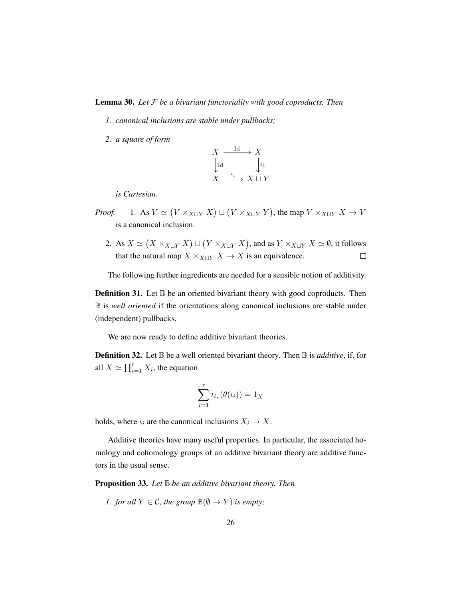### Lemma 30. *Let* F *be a bivariant functoriality with good coproducts. Then*

- *1. canonical inclusions are stable under pullbacks;*
- *2. a square of form*



*is Cartesian.*

- *Proof.* 1. As  $V \simeq (V \times_{X \sqcup Y} X) \sqcup (V \times_{X \sqcup Y} Y)$ , the map  $V \times_{X \sqcup Y} X \to V$ is a canonical inclusion.
	- 2. As  $X \simeq (X \times_{X \sqcup Y} X) \sqcup (Y \times_{X \sqcup Y} X)$ , and as  $Y \times_{X \sqcup Y} X \simeq \emptyset$ , it follows that the natural map  $X \times_{X \sqcup Y} X \to X$  is an equivalence.  $\Box$

The following further ingredients are needed for a sensible notion of additivity.

**Definition 31.** Let  $\mathbb{B}$  be an oriented bivariant theory with good coproducts. Then B is *well oriented* if the orientations along canonical inclusions are stable under (independent) pullbacks.

We are now ready to define additive bivariant theories.

**Definition 32.** Let  $\mathbb{B}$  be a well oriented bivariant theory. Then  $\mathbb{B}$  is *additive*, if, for all  $X \simeq \coprod_{i=1}^r X_i$ , the equation

$$
\sum_{i=1}^r \iota_{i_*}(\theta(\iota_i)) = 1_X
$$

holds, where  $\iota_i$  are the canonical inclusions  $X_i \to X$ .

Additive theories have many useful properties. In particular, the associated homology and cohomology groups of an additive bivariant theory are additive functors in the usual sense.

Proposition 33. *Let* B *be an additive bivariant theory. Then*

*1. for all*  $Y \in \mathcal{C}$ *, the group*  $\mathbb{B}(\emptyset \to Y)$  *is empty*;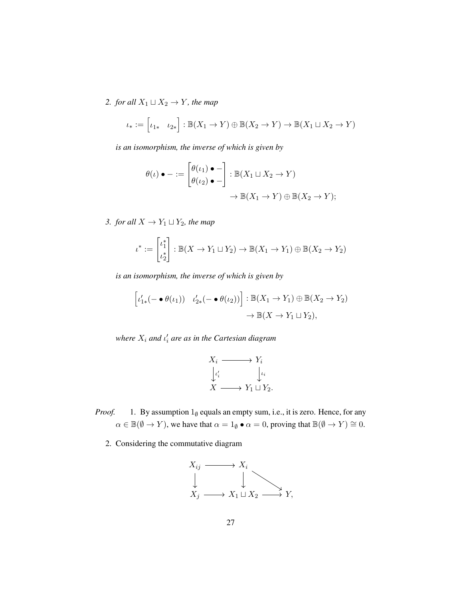*2. for all*  $X_1 \sqcup X_2 \rightarrow Y$ *, the map* 

$$
\iota_* := \begin{bmatrix} \iota_{1*} & \iota_{2*} \end{bmatrix} : \mathbb{B}(X_1 \to Y) \oplus \mathbb{B}(X_2 \to Y) \to \mathbb{B}(X_1 \sqcup X_2 \to Y)
$$

*is an isomorphism, the inverse of which is given by*

$$
\theta(\iota) \bullet - := \begin{bmatrix} \theta(\iota_1) \bullet - \\ \theta(\iota_2) \bullet - \end{bmatrix} : \mathbb{B}(X_1 \sqcup X_2 \to Y) \to \mathbb{B}(X_2 \to Y);
$$

*3. for all*  $X \rightarrow Y_1 \sqcup Y_2$ *, the map* 

$$
\iota^* := \begin{bmatrix} \iota_1^* \\ \iota_2^* \end{bmatrix} : \mathbb{B}(X \to Y_1 \sqcup Y_2) \to \mathbb{B}(X_1 \to Y_1) \oplus \mathbb{B}(X_2 \to Y_2)
$$

*is an isomorphism, the inverse of which is given by*

$$
\[\iota'_{1*}(-\bullet \theta(\iota_1)) \quad \iota'_{2*}(-\bullet \theta(\iota_2))\] : \mathbb{B}(X_1 \to Y_1) \oplus \mathbb{B}(X_2 \to Y_2) \to \mathbb{B}(X \to Y_1 \sqcup Y_2),\
$$

where  $X_i$  and  $\iota'_i$  are as in the Cartesian diagram

$$
X_i \longrightarrow Y_i
$$
  
\n
$$
\downarrow \iota'_i
$$
  
\n
$$
X \longrightarrow Y_1 \sqcup Y_2.
$$

- *Proof.* 1. By assumption  $1_{\emptyset}$  equals an empty sum, i.e., it is zero. Hence, for any  $\alpha \in \mathbb{B}(\emptyset \to Y)$ , we have that  $\alpha = 1_{\emptyset} \bullet \alpha = 0$ , proving that  $\mathbb{B}(\emptyset \to Y) \cong 0$ .
	- 2. Considering the commutative diagram

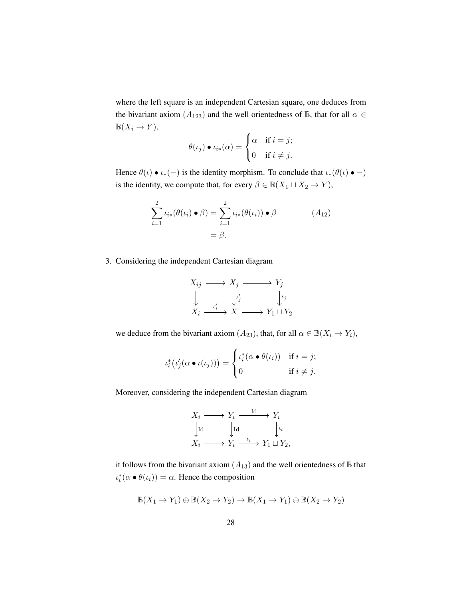where the left square is an independent Cartesian square, one deduces from the bivariant axiom ( $A_{123}$ ) and the well orientedness of B, that for all  $\alpha \in$  $\mathbb{B}(X_i \to Y)$ ,

$$
\theta(\iota_j) \bullet \iota_{i*}(\alpha) = \begin{cases} \alpha & \text{if } i = j; \\ 0 & \text{if } i \neq j. \end{cases}
$$

Hence  $\theta(\iota) \bullet \iota_*(-)$  is the identity morphism. To conclude that  $\iota_*(\theta(\iota) \bullet -)$ is the identity, we compute that, for every  $\beta \in \mathbb{B}(X_1 \sqcup X_2 \to Y)$ ,

$$
\sum_{i=1}^{2} \iota_{i*}(\theta(\iota_{i}) \bullet \beta) = \sum_{i=1}^{2} \iota_{i*}(\theta(\iota_{i})) \bullet \beta
$$
\n
$$
= \beta.
$$
\n(A<sub>12</sub>)

3. Considering the independent Cartesian diagram

$$
X_{ij} \longrightarrow X_j \longrightarrow Y_j
$$
  
\n
$$
\downarrow \qquad \qquad \downarrow \qquad \qquad \downarrow \qquad \downarrow \qquad \downarrow \qquad \downarrow \qquad \downarrow \qquad \downarrow \qquad \downarrow \qquad \downarrow \qquad \downarrow \qquad \downarrow \qquad \downarrow \qquad \downarrow \qquad \downarrow \qquad \downarrow \qquad \downarrow \qquad \downarrow \qquad \downarrow \qquad \downarrow \qquad \downarrow \qquad \downarrow \qquad \downarrow \qquad \downarrow \qquad \downarrow \qquad \downarrow \qquad \downarrow \qquad \downarrow \qquad \downarrow \qquad \downarrow \qquad \downarrow \qquad \downarrow \qquad \downarrow \qquad \downarrow \qquad \downarrow \qquad \downarrow \qquad \downarrow \qquad \downarrow \qquad \downarrow \qquad \downarrow \qquad \downarrow \qquad \downarrow \qquad \downarrow \qquad \downarrow \qquad \downarrow \qquad \downarrow \qquad \downarrow \qquad \downarrow \qquad \downarrow \qquad \downarrow \qquad \downarrow \qquad \downarrow \qquad \downarrow \qquad \downarrow \qquad \downarrow \qquad \downarrow \qquad \downarrow \qquad \downarrow \qquad \downarrow \qquad \downarrow \qquad \downarrow \qquad \downarrow \qquad \downarrow \qquad \downarrow \qquad \downarrow \qquad \downarrow \qquad \downarrow \qquad \downarrow \qquad \downarrow \qquad \downarrow \qquad \downarrow \qquad \downarrow \qquad \downarrow \qquad \downarrow \qquad \downarrow \qquad \downarrow \qquad \downarrow \qquad \downarrow \qquad \downarrow \qquad \downarrow \qquad \downarrow \qquad \downarrow \qquad \downarrow \qquad \downarrow \qquad \downarrow \qquad \downarrow \qquad \downarrow \qquad \downarrow \qquad \downarrow \qquad \downarrow \qquad \downarrow \qquad \downarrow \qquad \downarrow \qquad \downarrow \qquad \downarrow \qquad \downarrow \qquad \downarrow \qquad \downarrow \qquad \downarrow \qquad \downarrow \qquad \downarrow \qquad \downarrow \qquad \downarrow \qquad \downarrow \qquad \downarrow \qquad \downarrow \qquad \downarrow \qquad \downarrow \qquad \downarrow \qquad \downarrow \qquad \downarrow \qquad \downarrow \qquad \downarrow \qquad \downarrow \qquad \downarrow \qquad \downarrow \qquad \downarrow \qquad \downarrow \qquad \downarrow \qquad \downarrow \qquad \downarrow \qquad \downarrow \
$$

we deduce from the bivariant axiom  $(A_{23})$ , that, for all  $\alpha \in \mathbb{B}(X_i \to Y_i)$ ,

$$
\iota_i^*(\iota_j'(\alpha \bullet \iota(\iota_j))) = \begin{cases} \iota_i^*(\alpha \bullet \theta(\iota_i)) & \text{if } i = j; \\ 0 & \text{if } i \neq j. \end{cases}
$$

Moreover, considering the independent Cartesian diagram

$$
X_i \longrightarrow Y_i \xrightarrow{\text{Id}} Y_i
$$
  
\n
$$
\downarrow \text{Id} \qquad \qquad \downarrow \iota_i
$$
  
\n
$$
X_i \longrightarrow Y_i \xrightarrow{\iota_i} Y_1 \sqcup Y_2,
$$

it follows from the bivariant axiom  $(A_{13})$  and the well orientedness of  $\mathbb B$  that  $\iota_i^*(\alpha \bullet \theta(\iota_i)) = \alpha$ . Hence the composition

$$
\mathbb{B}(X_1 \to Y_1) \oplus \mathbb{B}(X_2 \to Y_2) \to \mathbb{B}(X_1 \to Y_1) \oplus \mathbb{B}(X_2 \to Y_2)
$$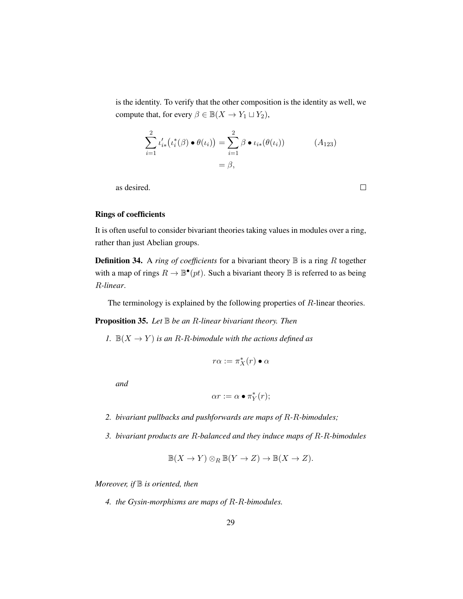is the identity. To verify that the other composition is the identity as well, we compute that, for every  $\beta \in \mathbb{B}(X \to Y_1 \sqcup Y_2)$ ,

$$
\sum_{i=1}^{2} \iota'_{i*} (\iota_i^*(\beta) \bullet \theta(\iota_i)) = \sum_{i=1}^{2} \beta \bullet \iota_{i*}(\theta(\iota_i))
$$
\n
$$
= \beta,
$$
\n(A<sub>123</sub>)

as desired.

 $\Box$ 

#### Rings of coefficients

It is often useful to consider bivariant theories taking values in modules over a ring, rather than just Abelian groups.

**Definition 34.** A *ring of coefficients* for a bivariant theory  $\mathbb{B}$  is a ring R together with a map of rings  $R \to \mathbb{B}^{\bullet}(pt)$ . Such a bivariant theory  $\mathbb B$  is referred to as being R*-linear*.

The terminology is explained by the following properties of R-linear theories.

Proposition 35. *Let* B *be an* R*-linear bivariant theory. Then*

*1.*  $\mathbb{B}(X \to Y)$  *is an R-R-bimodule with the actions defined as* 

$$
r\alpha:=\pi_X^*(r)\bullet\alpha
$$

*and*

$$
\alpha r := \alpha \bullet \pi_Y^*(r);
$$

- *2. bivariant pullbacks and pushforwards are maps of* R*-*R*-bimodules;*
- *3. bivariant products are* R*-balanced and they induce maps of* R*-*R*-bimodules*

$$
\mathbb{B}(X \to Y) \otimes_R \mathbb{B}(Y \to Z) \to \mathbb{B}(X \to Z).
$$

*Moreover, if*  $\mathbb B$  *is oriented, then* 

*4. the Gysin-morphisms are maps of* R*-*R*-bimodules.*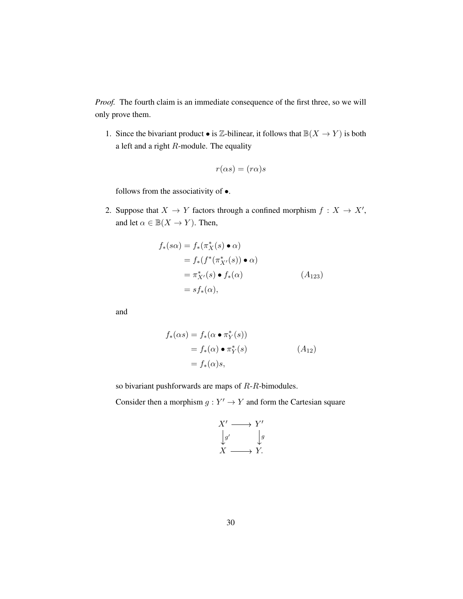*Proof.* The fourth claim is an immediate consequence of the first three, so we will only prove them.

1. Since the bivariant product  $\bullet$  is  $\mathbb{Z}\text{-bilinear}$ , it follows that  $\mathbb{B}(X \to Y)$  is both a left and a right  $R$ -module. The equality

$$
r(\alpha s) = (r\alpha)s
$$

follows from the associativity of •.

2. Suppose that  $X \to Y$  factors through a confined morphism  $f : X \to X'$ , and let  $\alpha \in \mathbb{B}(X \to Y)$ . Then,

$$
f_*(s\alpha) = f_*(\pi_X^*(s) \bullet \alpha)
$$
  
=  $f_*(f^*(\pi_{X'}^*(s)) \bullet \alpha)$   
=  $\pi_{X'}^*(s) \bullet f_*(\alpha)$   
=  $sf_*(\alpha)$ , (A<sub>123</sub>)

and

$$
f_*(\alpha s) = f_*(\alpha \bullet \pi_Y^*(s))
$$
  
=  $f_*(\alpha) \bullet \pi_Y^*(s)$   
=  $f_*(\alpha)s$ , (A<sub>12</sub>)

so bivariant pushforwards are maps of R-R-bimodules.

Consider then a morphism  $g: Y' \to Y$  and form the Cartesian square

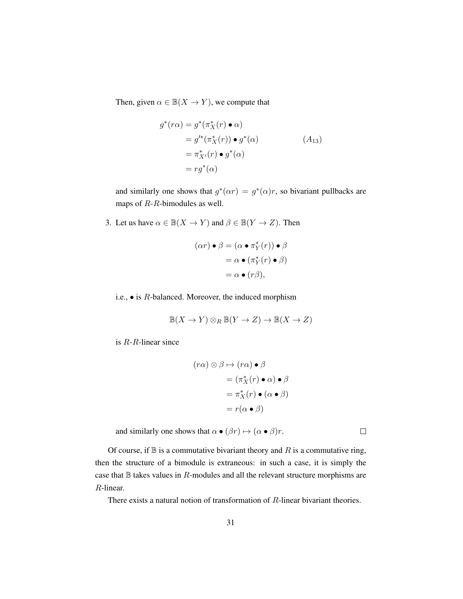Then, given  $\alpha \in \mathbb{B}(X \to Y)$ , we compute that

$$
g^*(r\alpha) = g^*(\pi_X^*(r) \bullet \alpha)
$$
  
=  $g'^*(\pi_X^*(r)) \bullet g^*(\alpha)$   
=  $\pi_{X'}^*(r) \bullet g^*(\alpha)$   
=  $rg^*(\alpha)$  (A<sub>13</sub>)

and similarly one shows that  $g^*(\alpha r) = g^*(\alpha)r$ , so bivariant pullbacks are maps of R-R-bimodules as well.

3. Let us have  $\alpha \in \mathbb{B}(X \to Y)$  and  $\beta \in \mathbb{B}(Y \to Z)$ . Then

$$
(\alpha r) \bullet \beta = (\alpha \bullet \pi_Y^*(r)) \bullet \beta
$$

$$
= \alpha \bullet (\pi_Y^*(r) \bullet \beta)
$$

$$
= \alpha \bullet (r\beta),
$$

i.e.,  $\bullet$  is  $R$ -balanced. Moreover, the induced morphism

$$
\mathbb{B}(X \to Y) \otimes_R \mathbb{B}(Y \to Z) \to \mathbb{B}(X \to Z)
$$

is R-R-linear since

$$
(r\alpha) \otimes \beta \mapsto (r\alpha) \bullet \beta
$$

$$
= (\pi_X^*(r) \bullet \alpha) \bullet \beta
$$

$$
= \pi_X^*(r) \bullet (\alpha \bullet \beta)
$$

$$
= r(\alpha \bullet \beta)
$$

and similarly one shows that  $\alpha \bullet (\beta r) \mapsto (\alpha \bullet \beta)r$ .

Of course, if  $\mathbb B$  is a commutative bivariant theory and R is a commutative ring, then the structure of a bimodule is extraneous: in such a case, it is simply the case that  $\mathbb B$  takes values in  $R$ -modules and all the relevant structure morphisms are R-linear.

There exists a natural notion of transformation of  $R$ -linear bivariant theories.

 $\Box$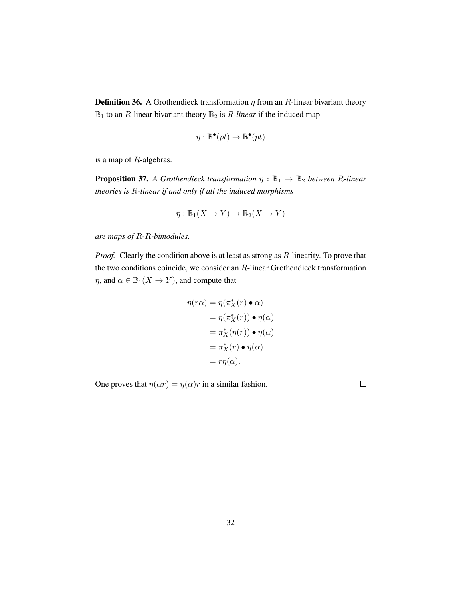**Definition 36.** A Grothendieck transformation  $\eta$  from an R-linear bivariant theory  $\mathbb{B}_1$  to an *R*-linear bivariant theory  $\mathbb{B}_2$  is *R*-linear if the induced map

$$
\eta : \mathbb{B}^{\bullet}(pt) \to \mathbb{B}^{\bullet}(pt)
$$

is a map of R-algebras.

**Proposition 37.** *A Grothendieck transformation*  $\eta : \mathbb{B}_1 \to \mathbb{B}_2$  *between* R-linear *theories is* R*-linear if and only if all the induced morphisms*

$$
\eta: \mathbb{B}_1(X \to Y) \to \mathbb{B}_2(X \to Y)
$$

*are maps of* R*-*R*-bimodules.*

*Proof.* Clearly the condition above is at least as strong as R-linearity. To prove that the two conditions coincide, we consider an R-linear Grothendieck transformation  $\eta$ , and  $\alpha \in \mathbb{B}_1(X \to Y)$ , and compute that

$$
\eta(r\alpha) = \eta(\pi_X^*(r) \bullet \alpha)
$$
  
=  $\eta(\pi_X^*(r)) \bullet \eta(\alpha)$   
=  $\pi_X^*(\eta(r)) \bullet \eta(\alpha)$   
=  $\pi_X^*(r) \bullet \eta(\alpha)$   
=  $r\eta(\alpha)$ .

One proves that  $\eta(\alpha r) = \eta(\alpha)r$  in a similar fashion.

 $\Box$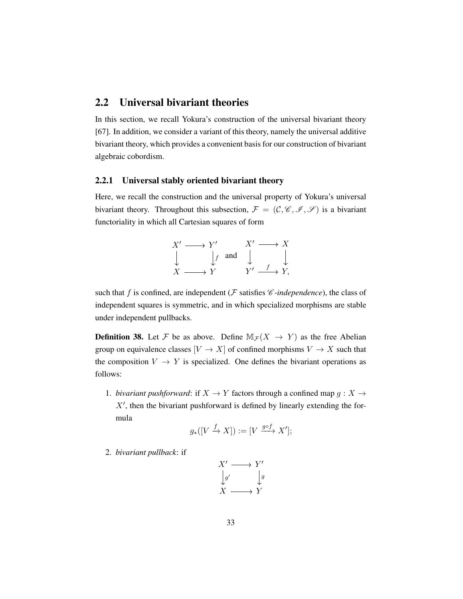## 2.2 Universal bivariant theories

In this section, we recall Yokura's construction of the universal bivariant theory [\[67\]](#page-202-0). In addition, we consider a variant of this theory, namely the universal additive bivariant theory, which provides a convenient basis for our construction of bivariant algebraic cobordism.

#### <span id="page-42-1"></span>2.2.1 Universal stably oriented bivariant theory

Here, we recall the construction and the universal property of Yokura's universal bivariant theory. Throughout this subsection,  $\mathcal{F} = (\mathcal{C}, \mathcal{C}, \mathcal{I}, \mathcal{S})$  is a bivariant functoriality in which all Cartesian squares of form

$$
X' \longrightarrow Y' \qquad X' \longrightarrow X
$$
  
\n
$$
\downarrow f \text{ and } \downarrow \qquad \downarrow f
$$
  
\n
$$
X \longrightarrow Y \qquad Y' \longrightarrow Y,
$$

such that f is confined, are independent ( $\mathcal F$  satisfies  $\mathscr C$ -independence), the class of independent squares is symmetric, and in which specialized morphisms are stable under independent pullbacks.

<span id="page-42-0"></span>**Definition 38.** Let F be as above. Define  $M_{\mathcal{F}}(X \rightarrow Y)$  as the free Abelian group on equivalence classes  $[V \to X]$  of confined morphisms  $V \to X$  such that the composition  $V \to Y$  is specialized. One defines the bivariant operations as follows:

1. *bivariant pushforward*: if  $X \to Y$  factors through a confined map  $g : X \to Y$  $X'$ , then the bivariant pushforward is defined by linearly extending the formula

$$
g_*([V \xrightarrow{f} X]) := [V \xrightarrow{g \circ f} X'];
$$

2. *bivariant pullback*: if

$$
X' \longrightarrow Y' \n\downarrow g' \qquad \downarrow g \nX \longrightarrow Y
$$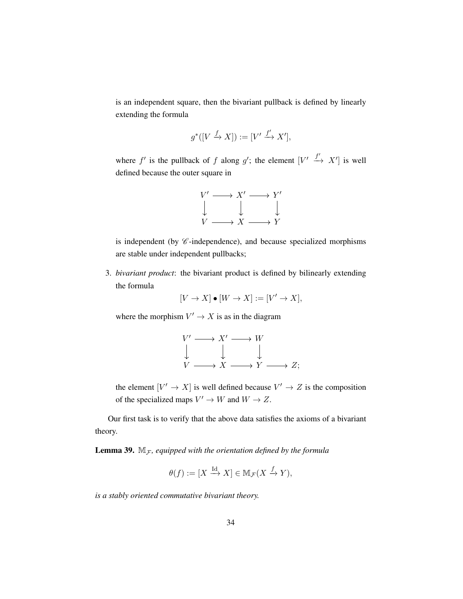is an independent square, then the bivariant pullback is defined by linearly extending the formula

$$
g^*([V \xrightarrow{f} X]) := [V' \xrightarrow{f'} X'],
$$

where f' is the pullback of f along g'; the element  $[V' \xrightarrow{f'} X']$  is well defined because the outer square in



is independent (by  $\mathscr C$ -independence), and because specialized morphisms are stable under independent pullbacks;

3. *bivariant product*: the bivariant product is defined by bilinearly extending the formula

$$
[V \to X] \bullet [W \to X] := [V' \to X],
$$

where the morphism  $V' \to X$  is as in the diagram

$$
\begin{array}{ccc}\nV' \longrightarrow X' \longrightarrow W \\
\downarrow & \downarrow & \downarrow \\
V \longrightarrow X \longrightarrow Y \longrightarrow Z;\n\end{array}
$$

the element  $[V' \to X]$  is well defined because  $V' \to Z$  is the composition of the specialized maps  $V' \to W$  and  $W \to Z$ .

Our first task is to verify that the above data satisfies the axioms of a bivariant theory.

<span id="page-43-0"></span>**Lemma 39.**  $M_F$ , equipped with the orientation defined by the formula

$$
\theta(f) := [X \xrightarrow{\text{Id}} X] \in \mathbb{M}_{\mathcal{F}}(X \xrightarrow{f} Y),
$$

*is a stably oriented commutative bivariant theory.*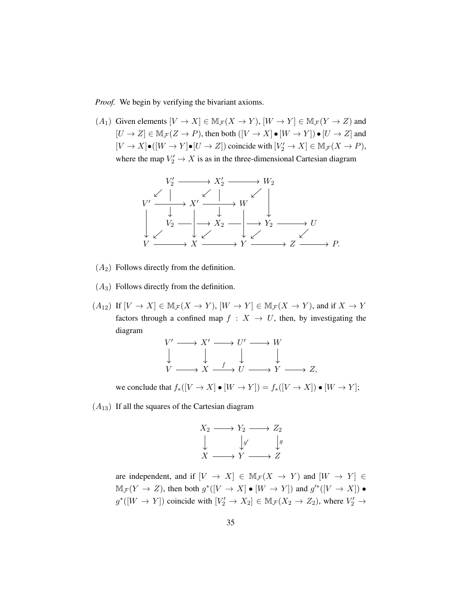*Proof.* We begin by verifying the bivariant axioms.

 $(A_1)$  Given elements  $[V \to X] \in \mathbb{M}_{\mathcal{F}}(X \to Y)$ ,  $[W \to Y] \in \mathbb{M}_{\mathcal{F}}(Y \to Z)$  and  $[U \to Z] \in M_{\mathcal{F}}(Z \to P)$ , then both  $([V \to X] \bullet [W \to Y]) \bullet [U \to Z]$  and  $[V \to X] \bullet ([W \to Y] \bullet [U \to Z])$  coincide with  $[V'_2 \to X] \in M_{\mathcal{F}}(X \to P)$ , where the map  $V_2' \to X$  is as in the three-dimensional Cartesian diagram



- $(A_2)$  Follows directly from the definition.
- $(A_3)$  Follows directly from the definition.
- $(A_{12})$  If  $[V \to X] \in \mathbb{M}_{\mathcal{F}}(X \to Y), [W \to Y] \in \mathbb{M}_{\mathcal{F}}(X \to Y)$ , and if  $X \to Y$ factors through a confined map  $f : X \to U$ , then, by investigating the diagram

$$
\begin{array}{ccc}\nV' \longrightarrow X' \longrightarrow U' \longrightarrow W \\
\downarrow & \downarrow & \downarrow & \downarrow \\
V \longrightarrow X \stackrel{f}{\longrightarrow} U \longrightarrow Y \longrightarrow Z,\n\end{array}
$$

we conclude that  $f_*([V \to X] \bullet [W \to Y]) = f_*([V \to X]) \bullet [W \to Y];$ 

 $(A_{13})$  If all the squares of the Cartesian diagram

$$
X_2 \longrightarrow Y_2 \longrightarrow Z_2
$$
  
\n
$$
\downarrow \qquad \qquad \downarrow g'
$$
  
\n
$$
X \longrightarrow Y \longrightarrow Z
$$

are independent, and if  $[V \to X] \in \mathbb{M}_{\mathcal{F}}(X \to Y)$  and  $[W \to Y] \in$  $\mathbb{M}_{\mathcal{F}}(Y \to Z)$ , then both  $g^*([V \to X] \bullet [W \to Y])$  and  $g'^*([V \to X]) \bullet$  $g^*([W \to Y])$  coincide with  $[V_2' \to X_2] \in \mathbb{M}_{\mathcal{F}}(X_2 \to Z_2)$ , where  $V_2' \to$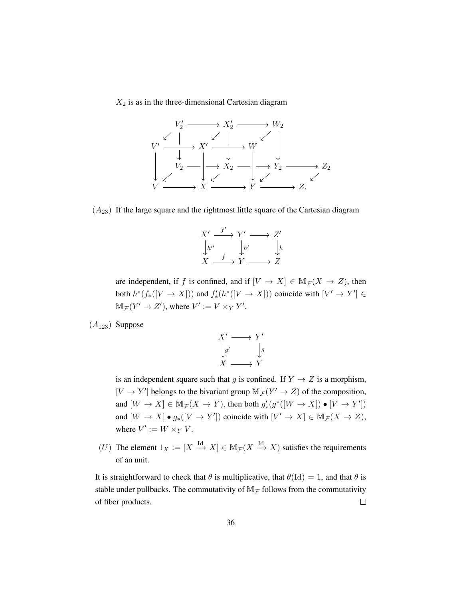$X_2$  is as in the three-dimensional Cartesian diagram



 $(A_{23})$  If the large square and the rightmost little square of the Cartesian diagram

$$
X' \xrightarrow{f'} Y' \longrightarrow Z'
$$
  
\n
$$
\downarrow h'' \qquad \downarrow h' \qquad \downarrow h
$$
  
\n
$$
X \xrightarrow{f} Y \longrightarrow Z
$$

are independent, if f is confined, and if  $[V \to X] \in M_{\mathcal{F}}(X \to Z)$ , then both  $h^*(f_*([V \to X]))$  and  $f'_*(h^*([V \to X]))$  coincide with  $[V' \to Y'] \in$  $\mathbb{M}_{\mathcal{F}}(Y' \to Z'),$  where  $V' := V \times_Y Y'.$ 

 $(A_{123})$  Suppose



is an independent square such that g is confined. If  $Y \rightarrow Z$  is a morphism,  $[V \to Y']$  belongs to the bivariant group  $\mathbb{M}_{\mathcal{F}}(Y' \to Z)$  of the composition, and  $[W \to X] \in \mathbb{M}_{\mathcal{F}}(X \to Y)$ , then both  $g'_{*}(g^{*}([W \to X]) \bullet [V \to Y'])$ and  $[W \to X] \bullet g_*([V \to Y'])$  coincide with  $[V' \to X] \in M_{\mathcal{F}}(X \to Z)$ , where  $V' := W \times_Y V$ .

(U) The element  $1_X := [X \stackrel{\text{Id}}{\longrightarrow} X] \in M_{\mathcal{F}}(X \stackrel{\text{Id}}{\longrightarrow} X)$  satisfies the requirements of an unit.

It is straightforward to check that  $\theta$  is multiplicative, that  $\theta$ (Id) = 1, and that  $\theta$  is stable under pullbacks. The commutativity of  $M<sub>F</sub>$  follows from the commutativity of fiber products.  $\Box$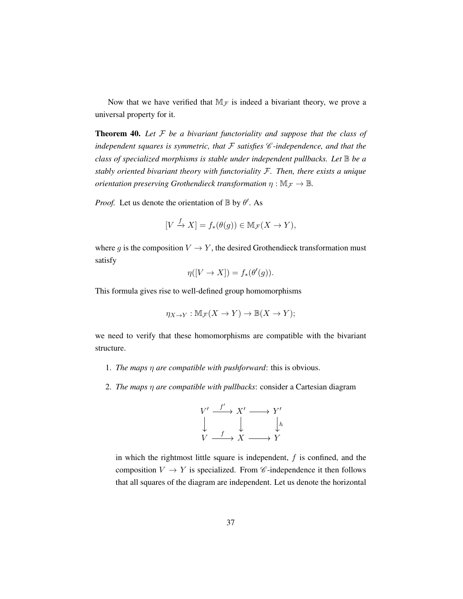Now that we have verified that  $M<sub>F</sub>$  is indeed a bivariant theory, we prove a universal property for it.

<span id="page-46-0"></span>Theorem 40. *Let* F *be a bivariant functoriality and suppose that the class of independent squares is symmetric, that* F *satisfies* C *-independence, and that the class of specialized morphisms is stable under independent pullbacks. Let* B *be a stably oriented bivariant theory with functoriality* F*. Then, there exists a unique orientation preserving Grothendieck transformation*  $\eta : \mathbb{M}_{\mathcal{F}} \to \mathbb{B}$ *.* 

*Proof.* Let us denote the orientation of  $\mathbb{B}$  by  $\theta'$ . As

$$
[V \xrightarrow{f} X] = f_*(\theta(g)) \in \mathbb{M}_{\mathcal{F}}(X \to Y),
$$

where g is the composition  $V \to Y$ , the desired Grothendieck transformation must satisfy

$$
\eta([V \to X]) = f_*(\theta'(g)).
$$

This formula gives rise to well-defined group homomorphisms

$$
\eta_{X \to Y} : \mathbb{M}_{\mathcal{F}}(X \to Y) \to \mathbb{B}(X \to Y);
$$

we need to verify that these homomorphisms are compatible with the bivariant structure.

- 1. *The maps* η *are compatible with pushforward*: this is obvious.
- 2. *The maps* η *are compatible with pullbacks*: consider a Cartesian diagram



in which the rightmost little square is independent,  $f$  is confined, and the composition  $V \to Y$  is specialized. From  $\mathscr C$ -independence it then follows that all squares of the diagram are independent. Let us denote the horizontal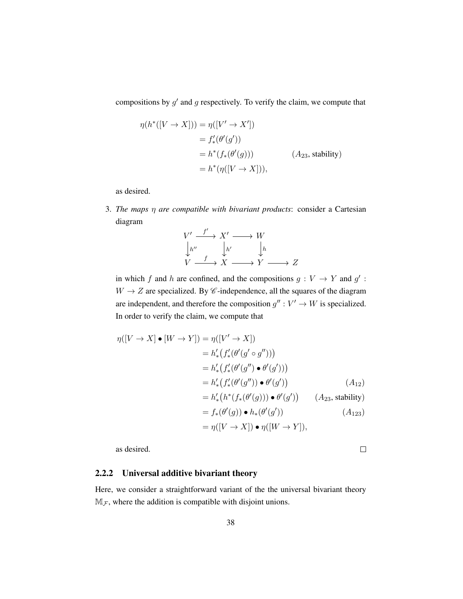compositions by  $g'$  and  $g$  respectively. To verify the claim, we compute that

$$
\eta(h^*([V \to X])) = \eta([V' \to X'])
$$
  
=  $f'_*(\theta'(g'))$   
=  $h^*(f_*(\theta'(g)))$  ( $A_{23}$ , stability)  
=  $h^*(\eta([V \to X])),$ 

as desired.

3. *The maps* η *are compatible with bivariant products*: consider a Cartesian diagram

$$
\begin{array}{ccc}\nV' & \xrightarrow{f'} & X' & \longrightarrow & W \\
\downarrow^{h''} & & \downarrow^{h'} & & \downarrow^{h} \\
V & \xrightarrow{f} & X & \longrightarrow & Y & \longrightarrow & Z\n\end{array}
$$

in which f and h are confined, and the compositions  $g: V \to Y$  and  $g'$ :  $W \rightarrow Z$  are specialized. By  $\mathscr C$ -independence, all the squares of the diagram are independent, and therefore the composition  $g'' : V' \to W$  is specialized. In order to verify the claim, we compute that

$$
\eta([V \to X] \bullet [W \to Y]) = \eta([V' \to X])
$$
  
\n
$$
= h'_{*}(f'_{*}(\theta'(g' \circ g'')))
$$
  
\n
$$
= h'_{*}(f'_{*}(\theta'(g'') \bullet \theta'(g')))
$$
  
\n
$$
= h'_{*}(f'_{*}(\theta'(g'')) \bullet \theta'(g')) \qquad (A_{12})
$$
  
\n
$$
= h'_{*}(h^{*}(f_{*}(\theta'(g))) \bullet \theta'(g')) \qquad (A_{23}, \text{stability})
$$
  
\n
$$
= f_{*}(\theta'(g)) \bullet h_{*}(\theta'(g')) \qquad (A_{123})
$$
  
\n
$$
= \eta([V \to X]) \bullet \eta([W \to Y]),
$$

as desired.

 $\Box$ 

### 2.2.2 Universal additive bivariant theory

Here, we consider a straightforward variant of the the universal bivariant theory  $M_F$ , where the addition is compatible with disjoint unions.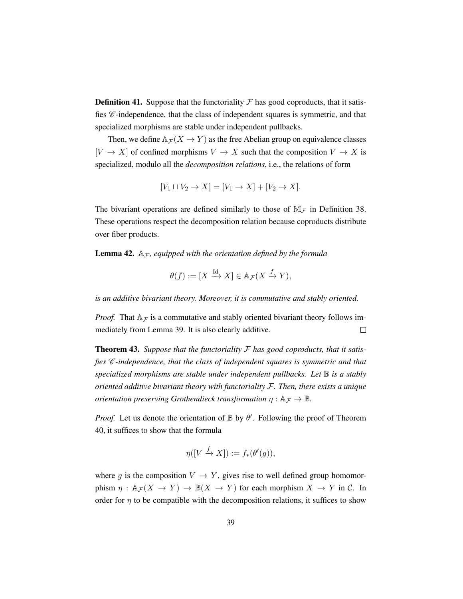**Definition 41.** Suppose that the functoriality  $\mathcal F$  has good coproducts, that it satisfies  $\mathscr{C}\text{-independence},$  that the class of independent squares is symmetric, and that specialized morphisms are stable under independent pullbacks.

Then, we define  $A_{\mathcal{F}}(X \to Y)$  as the free Abelian group on equivalence classes  $[V \to X]$  of confined morphisms  $V \to X$  such that the composition  $V \to X$  is specialized, modulo all the *decomposition relations*, i.e., the relations of form

$$
[V_1 \sqcup V_2 \to X] = [V_1 \to X] + [V_2 \to X].
$$

The bivariant operations are defined similarly to those of  $M<sub>F</sub>$  in Definition [38.](#page-42-0) These operations respect the decomposition relation because coproducts distribute over fiber products.

**Lemma 42.**  $A_{\mathcal{F}}$ , equipped with the orientation defined by the formula

$$
\theta(f) := [X \xrightarrow{\mathrm{Id}} X] \in \mathbb{A}_{\mathcal{F}}(X \xrightarrow{f} Y),
$$

*is an additive bivariant theory. Moreover, it is commutative and stably oriented.*

*Proof.* That  $A_{\mathcal{F}}$  is a commutative and stably oriented bivariant theory follows immediately from Lemma [39.](#page-43-0) It is also clearly additive.  $\Box$ 

Theorem 43. *Suppose that the functoriality* F *has good coproducts, that it satisfies* C *-independence, that the class of independent squares is symmetric and that specialized morphisms are stable under independent pullbacks. Let* B *is a stably oriented additive bivariant theory with functoriality* F*. Then, there exists a unique orientation preserving Grothendieck transformation*  $\eta : \mathbb{A}_{\mathcal{F}} \to \mathbb{B}$ .

*Proof.* Let us denote the orientation of  $\mathbb B$  by  $\theta'$ . Following the proof of Theorem [40,](#page-46-0) it suffices to show that the formula

$$
\eta([V \xrightarrow{f} X]) := f_*(\theta'(g)),
$$

where g is the composition  $V \to Y$ , gives rise to well defined group homomorphism  $\eta : \mathbb{A}_{\mathcal{F}}(X \to Y) \to \mathbb{B}(X \to Y)$  for each morphism  $X \to Y$  in C. In order for  $\eta$  to be compatible with the decomposition relations, it suffices to show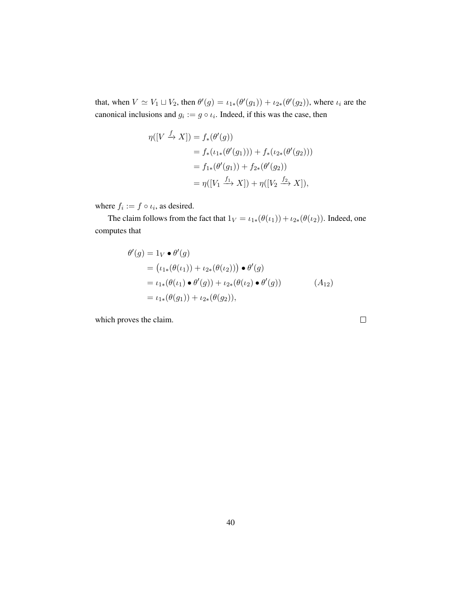that, when  $V \simeq V_1 \sqcup V_2$ , then  $\theta'(g) = \iota_{1*}(\theta'(g_1)) + \iota_{2*}(\theta'(g_2))$ , where  $\iota_i$  are the canonical inclusions and  $g_i := g \circ \iota_i$ . Indeed, if this was the case, then

$$
\eta([V \xrightarrow{f} X]) = f_*(\theta'(g))
$$
  
=  $f_*(\iota_{1*}(\theta'(g_1))) + f_*(\iota_{2*}(\theta'(g_2)))$   
=  $f_{1*}(\theta'(g_1)) + f_{2*}(\theta'(g_2))$   
=  $\eta([V_1 \xrightarrow{f_1} X]) + \eta([V_2 \xrightarrow{f_2} X]),$ 

where  $f_i := f \circ \iota_i$ , as desired.

The claim follows from the fact that  $1_V = \iota_{1*}(\theta(\iota_1)) + \iota_{2*}(\theta(\iota_2))$ . Indeed, one computes that

$$
\theta'(g) = 1_V \bullet \theta'(g)
$$
  
=  $(\iota_{1*}(\theta(\iota_{1})) + \iota_{2*}(\theta(\iota_{2}))) \bullet \theta'(g)$   
=  $\iota_{1*}(\theta(\iota_{1}) \bullet \theta'(g)) + \iota_{2*}(\theta(\iota_{2}) \bullet \theta'(g))$   
=  $\iota_{1*}(\theta(g_{1})) + \iota_{2*}(\theta(g_{2})),$  (A<sub>12</sub>)

which proves the claim.

 $\Box$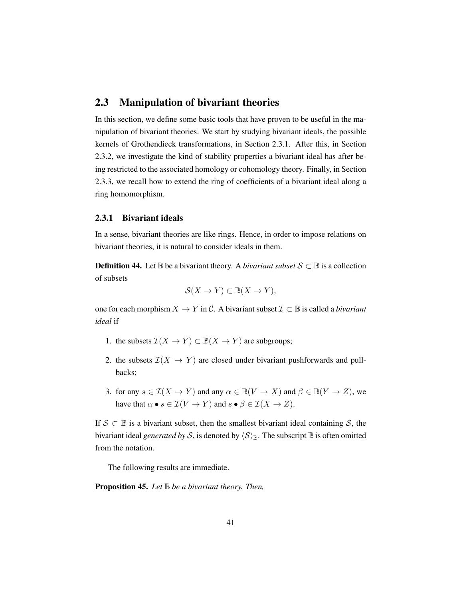## 2.3 Manipulation of bivariant theories

In this section, we define some basic tools that have proven to be useful in the manipulation of bivariant theories. We start by studying bivariant ideals, the possible kernels of Grothendieck transformations, in Section [2.3.1.](#page-50-0) After this, in Section [2.3.2,](#page-53-0) we investigate the kind of stability properties a bivariant ideal has after being restricted to the associated homology or cohomology theory. Finally, in Section [2.3.3,](#page-57-0) we recall how to extend the ring of coefficients of a bivariant ideal along a ring homomorphism.

#### <span id="page-50-0"></span>2.3.1 Bivariant ideals

In a sense, bivariant theories are like rings. Hence, in order to impose relations on bivariant theories, it is natural to consider ideals in them.

**Definition 44.** Let  $\mathbb{B}$  be a bivariant theory. A *bivariant subset*  $S \subset \mathbb{B}$  is a collection of subsets

$$
\mathcal{S}(X \to Y) \subset \mathbb{B}(X \to Y),
$$

one for each morphism  $X \to Y$  in C. A bivariant subset  $\mathcal{I} \subset \mathbb{B}$  is called a *bivariant ideal* if

- 1. the subsets  $\mathcal{I}(X \to Y) \subset \mathbb{B}(X \to Y)$  are subgroups;
- 2. the subsets  $\mathcal{I}(X \to Y)$  are closed under bivariant pushforwards and pullbacks;
- 3. for any  $s \in \mathcal{I}(X \to Y)$  and any  $\alpha \in \mathbb{B}(V \to X)$  and  $\beta \in \mathbb{B}(Y \to Z)$ , we have that  $\alpha \bullet s \in \mathcal{I}(V \to Y)$  and  $s \bullet \beta \in \mathcal{I}(X \to Z)$ .

If  $S \subset \mathbb{B}$  is a bivariant subset, then the smallest bivariant ideal containing S, the bivariant ideal *generated by* S, is denoted by  $\langle S \rangle_{\mathbb{B}}$ . The subscript  $\mathbb{B}$  is often omitted from the notation.

The following results are immediate.

Proposition 45. *Let* B *be a bivariant theory. Then,*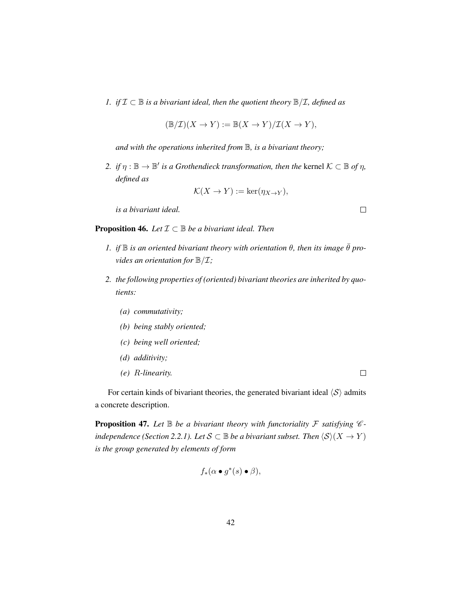*1. if*  $I$  ⊂  $B$  *is a bivariant ideal, then the quotient theory*  $B/I$ *, defined as* 

$$
(\mathbb{B}/\mathcal{I})(X \to Y) := \mathbb{B}(X \to Y)/\mathcal{I}(X \to Y),
$$

*and with the operations inherited from* B*, is a bivariant theory;*

2. *if*  $\eta$  :  $\mathbb{B} \to \mathbb{B}'$  *is a Grothendieck transformation, then the kernel*  $K \subset \mathbb{B}$  *of*  $\eta$ *, defined as*

$$
\mathcal{K}(X \to Y) := \ker(\eta_{X \to Y}),
$$

*is a bivariant ideal.*

**Proposition 46.** *Let*  $\mathcal{I} \subset \mathbb{B}$  *be a bivariant ideal. Then* 

- *1. if*  $\mathbb B$  *is an oriented bivariant theory with orientation*  $\theta$ *, then its image*  $\bar{\theta}$  *provides an orientation for*  $\mathbb{B}/\mathcal{I}$ ;
- *2. the following properties of (oriented) bivariant theories are inherited by quotients:*
	- *(a) commutativity;*
	- *(b) being stably oriented;*
	- *(c) being well oriented;*
	- *(d) additivity;*
	- *(e)* R*-linearity.*

For certain kinds of bivariant theories, the generated bivariant ideal  $\langle S \rangle$  admits a concrete description.

<span id="page-51-0"></span>**Proposition 47.** Let  $\mathbb B$  be a bivariant theory with functoriality  $\mathcal F$  satisfying  $\mathcal C$ *independence (Section* [2.2.1\)](#page-42-1)*.* Let  $S \subset \mathbb{B}$  *be a bivariant subset. Then*  $\langle S \rangle(X \to Y)$ *is the group generated by elements of form*

$$
f_*(\alpha \bullet g^*(s) \bullet \beta),
$$

 $\Box$ 

 $\Box$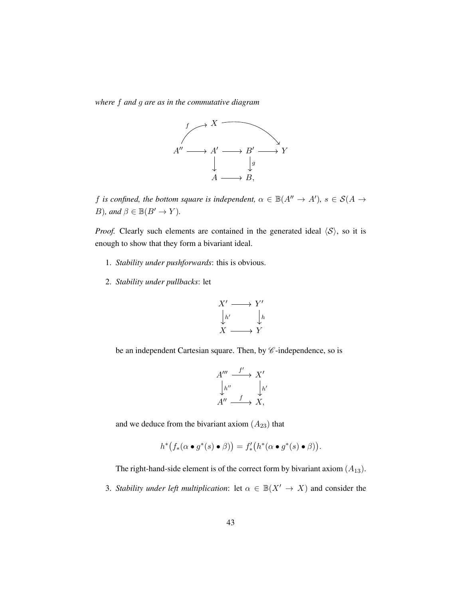*where* f *and* g *are as in the commutative diagram*



f is confined, the bottom square is independent,  $\alpha \in \mathbb{B}(A^{\prime\prime} \to A^{\prime})$ ,  $s \in \mathcal{S}(A \to A^{\prime})$ *B*)*, and*  $\beta \in \mathbb{B}(B' \to Y)$ *.* 

*Proof.* Clearly such elements are contained in the generated ideal  $\langle S \rangle$ , so it is enough to show that they form a bivariant ideal.

- 1. *Stability under pushforwards*: this is obvious.
- 2. *Stability under pullbacks*: let

$$
X' \longrightarrow Y' \downarrow h' \qquad \downarrow h \nX \longrightarrow Y
$$

be an independent Cartesian square. Then, by  $\mathscr C$ -independence, so is

$$
A'''\xrightarrow{f'} X' \downarrow h''
$$
  

$$
A'' \xrightarrow{f} X,
$$
  

$$
A'', \xrightarrow{f} X,
$$

and we deduce from the bivariant axiom  $(A_{23})$  that

$$
h^*\big(f_*(\alpha \bullet g^*(s) \bullet \beta)\big) = f'_*(h^*(\alpha \bullet g^*(s) \bullet \beta)).
$$

The right-hand-side element is of the correct form by bivariant axiom  $(A_{13})$ .

3. *Stability under left multiplication*: let  $\alpha \in \mathbb{B}(X' \to X)$  and consider the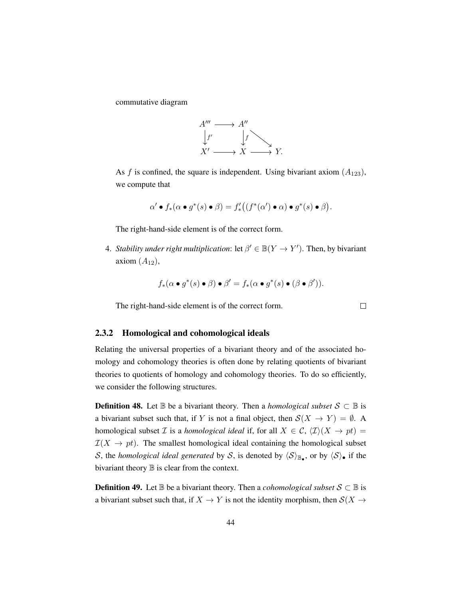commutative diagram



As f is confined, the square is independent. Using bivariant axiom  $(A_{123})$ , we compute that

$$
\alpha' \bullet f_*(\alpha \bullet g^*(s) \bullet \beta) = f'_* \bigl( (f^*(\alpha') \bullet \alpha) \bullet g^*(s) \bullet \beta \bigr).
$$

The right-hand-side element is of the correct form.

4. *Stability under right multiplication*: let  $\beta' \in \mathbb{B}(Y \to Y')$ . Then, by bivariant axiom  $(A_{12})$ ,

$$
f_*(\alpha \bullet g^*(s) \bullet \beta) \bullet \beta' = f_*(\alpha \bullet g^*(s) \bullet (\beta \bullet \beta')).
$$

 $\Box$ 

The right-hand-side element is of the correct form.

#### <span id="page-53-0"></span>2.3.2 Homological and cohomological ideals

Relating the universal properties of a bivariant theory and of the associated homology and cohomology theories is often done by relating quotients of bivariant theories to quotients of homology and cohomology theories. To do so efficiently, we consider the following structures.

**Definition 48.** Let  $\mathbb{B}$  be a bivariant theory. Then a *homological subset*  $S \subset \mathbb{B}$  is a bivariant subset such that, if Y is not a final object, then  $S(X \to Y) = \emptyset$ . A homological subset *I* is a *homological ideal* if, for all  $X \in \mathcal{C}$ ,  $\langle \mathcal{I} \rangle(X \to pt) =$  $\mathcal{I}(X \to pt)$ . The smallest homological ideal containing the homological subset S, the *homological ideal generated* by S, is denoted by  $\langle S \rangle_{\mathbb{B}_{\bullet}}$ , or by  $\langle S \rangle_{\bullet}$  if the bivariant theory  $\mathbb B$  is clear from the context.

**Definition 49.** Let  $\mathbb{B}$  be a bivariant theory. Then a *cohomological subset*  $S \subset \mathbb{B}$  is a bivariant subset such that, if  $X \to Y$  is not the identity morphism, then  $\mathcal{S}(X \to Y)$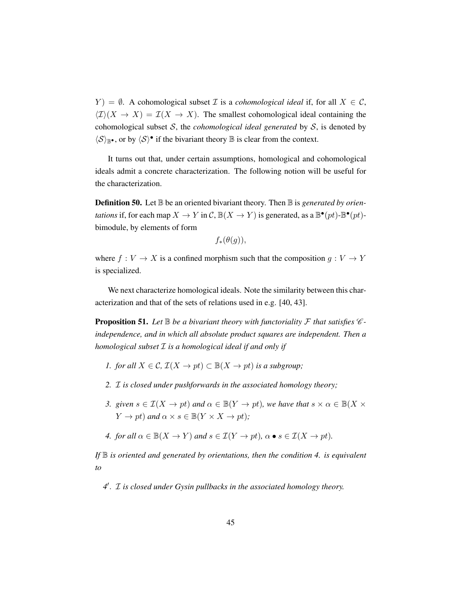$Y$ ) =  $\emptyset$ . A cohomological subset *T* is a *cohomological ideal* if, for all  $X \in \mathcal{C}$ ,  $\langle \mathcal{I} \rangle(X \to X) = \mathcal{I}(X \to X)$ . The smallest cohomological ideal containing the cohomological subset S, the *cohomological ideal generated* by S, is denoted by  $\langle S \rangle_{\mathbb{B}^{\bullet}}$ , or by  $\langle S \rangle^{\bullet}$  if the bivariant theory  $\mathbb B$  is clear from the context.

It turns out that, under certain assumptions, homological and cohomological ideals admit a concrete characterization. The following notion will be useful for the characterization.

**Definition 50.** Let  $\mathbb{B}$  be an oriented bivariant theory. Then  $\mathbb{B}$  is *generated by orientations* if, for each map  $X \to Y$  in  $\mathcal{C}$ ,  $\mathbb{B}(X \to Y)$  is generated, as a  $\mathbb{B}^{\bullet}(pt)$ - $\mathbb{B}^{\bullet}(pt)$ bimodule, by elements of form

$$
f_*(\theta(g)),
$$

where  $f: V \to X$  is a confined morphism such that the composition  $g: V \to Y$ is specialized.

We next characterize homological ideals. Note the similarity between this characterization and that of the sets of relations used in e.g. [\[40,](#page-200-0) [43\]](#page-200-1).

**Proposition 51.** Let  $\mathbb B$  be a bivariant theory with functoriality  $\mathcal F$  that satisfies  $\mathcal C$ *independence, and in which all absolute product squares are independent. Then a homological subset* I *is a homological ideal if and only if*

- *1. for all*  $X \in \mathcal{C}$ ,  $\mathcal{I}(X \to pt) \subset \mathbb{B}(X \to pt)$  *is a subgroup*;
- *2.* I *is closed under pushforwards in the associated homology theory;*
- *3. given*  $s \in I(X \to pt)$  *and*  $\alpha \in B(Y \to pt)$ *, we have that*  $s \times \alpha \in B(X \times$  $Y \to pt$ *)* and  $\alpha \times s \in \mathbb{B}(Y \times X \to pt)$ ;
- *4. for all*  $\alpha \in \mathbb{B}(X \to Y)$  *and*  $s \in \mathcal{I}(Y \to pt)$ *,*  $\alpha \bullet s \in \mathcal{I}(X \to pt)$ *.*

*If* B *is oriented and generated by orientations, then the condition 4. is equivalent to*

4<sup>*d*</sup>. *I* is closed under Gysin pullbacks in the associated homology theory.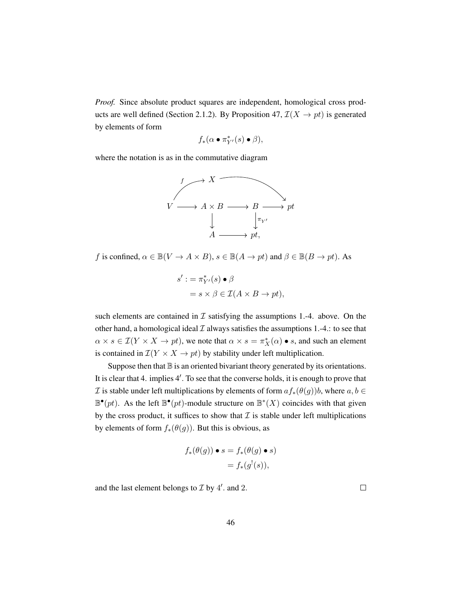*Proof.* Since absolute product squares are independent, homological cross prod-ucts are well defined (Section [2.1.2\)](#page-21-0). By Proposition [47,](#page-51-0)  $\mathcal{I}(X \to pt)$  is generated by elements of form

$$
f_*(\alpha \bullet \pi_{Y'}^*(s) \bullet \beta),
$$

where the notation is as in the commutative diagram



f is confined,  $\alpha \in \mathbb{B}(V \to A \times B)$ ,  $s \in \mathbb{B}(A \to pt)$  and  $\beta \in \mathbb{B}(B \to pt)$ . As

$$
s' := \pi_{Y'}^*(s) \bullet \beta
$$
  
=  $s \times \beta \in \mathcal{I}(A \times B \to pt),$ 

such elements are contained in  $\mathcal I$  satisfying the assumptions 1.-4. above. On the other hand, a homological ideal  $\mathcal I$  always satisfies the assumptions 1.-4.: to see that  $\alpha \times s \in \mathcal{I}(Y \times X \to pt)$ , we note that  $\alpha \times s = \pi_X^*(\alpha) \bullet s$ , and such an element is contained in  $\mathcal{I}(Y \times X \to pt)$  by stability under left multiplication.

Suppose then that  $\mathbb B$  is an oriented bivariant theory generated by its orientations. It is clear that 4. implies 4'. To see that the converse holds, it is enough to prove that *I* is stable under left multiplications by elements of form  $af_*(\theta(g))b$ , where  $a, b \in$  $\mathbb{B}^{\bullet}(pt)$ . As the left  $\mathbb{B}^{\bullet}(pt)$ -module structure on  $\mathbb{B}^*(X)$  coincides with that given by the cross product, it suffices to show that  $I$  is stable under left multiplications by elements of form  $f_*(\theta(g))$ . But this is obvious, as

$$
f_*(\theta(g)) \bullet s = f_*(\theta(g) \bullet s)
$$
  
=  $f_*(g^!(s)),$ 

and the last element belongs to  $\mathcal I$  by  $4'$ . and 2.

 $\Box$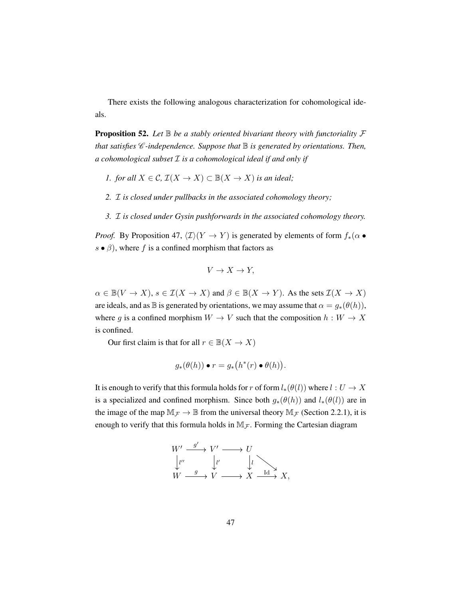There exists the following analogous characterization for cohomological ideals.

**Proposition 52.** Let  $\mathbb B$  be a stably oriented bivariant theory with functoriality  $\mathcal F$ *that satisfies*  $\mathscr C$ -independence. Suppose that  $\mathbb B$  is generated by orientations. Then, *a cohomological subset* I *is a cohomological ideal if and only if*

- *1. for all*  $X \in \mathcal{C}$ ,  $\mathcal{I}(X \to X) \subset \mathbb{B}(X \to X)$  *is an ideal;*
- *2.* I *is closed under pullbacks in the associated cohomology theory;*
- *3.* I *is closed under Gysin pushforwards in the associated cohomology theory.*

*Proof.* By Proposition [47,](#page-51-0)  $\langle \mathcal{I} \rangle(Y \to Y)$  is generated by elements of form  $f_*(\alpha \bullet \mathcal{I})$  $s \bullet \beta$ ), where f is a confined morphism that factors as

$$
V \to X \to Y,
$$

 $\alpha \in \mathbb{B}(V \to X), s \in \mathcal{I}(X \to X)$  and  $\beta \in \mathbb{B}(X \to Y)$ . As the sets  $\mathcal{I}(X \to X)$ are ideals, and as B is generated by orientations, we may assume that  $\alpha = g_*(\theta(h)),$ where g is a confined morphism  $W \to V$  such that the composition  $h : W \to X$ is confined.

Our first claim is that for all  $r \in \mathbb{B}(X \to X)$ 

$$
g_*(\theta(h)) \bullet r = g_*(h^*(r) \bullet \theta(h)).
$$

It is enough to verify that this formula holds for r of form  $l_*(\theta(l))$  where  $l: U \to X$ is a specialized and confined morphism. Since both  $g_*(\theta(h))$  and  $l_*(\theta(l))$  are in the image of the map  $M_F \to \mathbb{B}$  from the universal theory  $M_F$  (Section [2.2.1\)](#page-42-1), it is enough to verify that this formula holds in  $M_{\mathcal{F}}$ . Forming the Cartesian diagram

$$
W' \xrightarrow{g'} V' \longrightarrow U
$$
  
\n
$$
\downarrow l''
$$
  
\n
$$
W \xrightarrow{g} V \longrightarrow X \xrightarrow{Id} X,
$$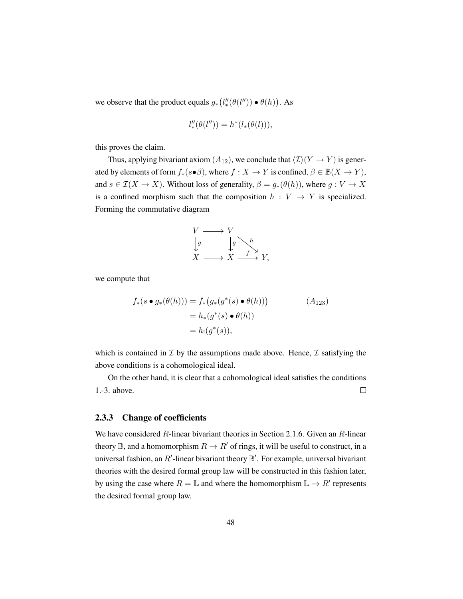we observe that the product equals  $g_*(l''_*(\theta(l'')) \bullet \theta(h))$ . As

$$
l''_* (\theta(l'')) = h^*(l_*(\theta(l))),
$$

this proves the claim.

Thus, applying bivariant axiom  $(A_{12})$ , we conclude that  $\langle \mathcal{I} \rangle(Y \to Y)$  is generated by elements of form  $f_*(s \bullet \beta)$ , where  $f : X \to Y$  is confined,  $\beta \in \mathbb{B}(X \to Y)$ , and  $s \in \mathcal{I}(X \to X)$ . Without loss of generality,  $\beta = g_*(\theta(h))$ , where  $g: V \to X$ is a confined morphism such that the composition  $h : V \to Y$  is specialized. Forming the commutative diagram

$$
\begin{array}{ccc}\nV & \longrightarrow & V \\
\downarrow g & & \downarrow g \\
X & \longrightarrow & X \xrightarrow{f} & Y,\n\end{array}
$$

we compute that

$$
f_*(s \bullet g_*(\theta(h))) = f_*(g_*(g^*(s) \bullet \theta(h)))
$$
  
=  $h_*(g^*(s) \bullet \theta(h))$   
=  $h_!(g^*(s)),$  (A<sub>123</sub>)

which is contained in  $\mathcal I$  by the assumptions made above. Hence,  $\mathcal I$  satisfying the above conditions is a cohomological ideal.

On the other hand, it is clear that a cohomological ideal satisfies the conditions 1.-3. above.  $\Box$ 

#### <span id="page-57-0"></span>2.3.3 Change of coefficients

We have considered R-linear bivariant theories in Section [2.1.6.](#page-34-0) Given an R-linear theory  $\mathbb B$ , and a homomorphism  $R \to R'$  of rings, it will be useful to construct, in a universal fashion, an R'-linear bivariant theory  $\mathbb{B}'$ . For example, universal bivariant theories with the desired formal group law will be constructed in this fashion later, by using the case where  $R = \mathbb{L}$  and where the homomorphism  $\mathbb{L} \to R'$  represents the desired formal group law.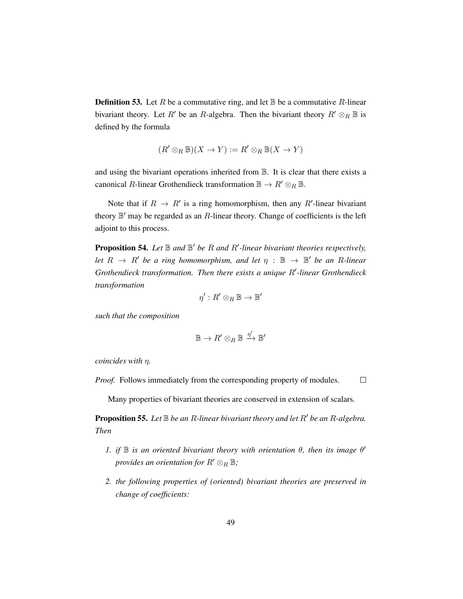**Definition 53.** Let R be a commutative ring, and let  $\mathbb{B}$  be a commutative R-linear bivariant theory. Let R' be an R-algebra. Then the bivariant theory  $R' \otimes_R \mathbb{B}$  is defined by the formula

$$
(R' \otimes_R \mathbb{B})(X \to Y) := R' \otimes_R \mathbb{B}(X \to Y)
$$

and using the bivariant operations inherited from B. It is clear that there exists a canonical R-linear Grothendieck transformation  $\mathbb{B} \to R' \otimes_R \mathbb{B}$ .

Note that if  $R \to R'$  is a ring homomorphism, then any R'-linear bivariant theory  $\mathbb{B}'$  may be regarded as an  $R$ -linear theory. Change of coefficients is the left adjoint to this process.

**Proposition 54.** Let  $\mathbb B$  and  $\mathbb B'$  be R and R'-linear bivariant theories respectively, *let*  $R \rightarrow R'$  *be a ring homomorphism, and let*  $\eta : \mathbb{B} \rightarrow \mathbb{B}'$  *be an R-linear* Grothendieck transformation. Then there exists a unique R'-linear Grothendieck *transformation*

$$
\eta': R' \otimes_R \mathbb{B} \to \mathbb{B}'
$$

*such that the composition*

$$
\mathbb{B} \to R' \otimes_R \mathbb{B} \xrightarrow{\eta'} \mathbb{B}'
$$

*coincides with* η*.*

 $\Box$ *Proof.* Follows immediately from the corresponding property of modules.

Many properties of bivariant theories are conserved in extension of scalars.

**Proposition 55.** Let  $\mathbb B$  *be an R*-linear *bivariant theory and let*  $R'$  *be an R-algebra. Then*

- *1.* if  $\mathbb B$  is an oriented bivariant theory with orientation  $\theta$ , then its image  $\theta'$ *provides an orientation for*  $R' \otimes_R \mathbb{B}$ *;*
- *2. the following properties of (oriented) bivariant theories are preserved in change of coefficients:*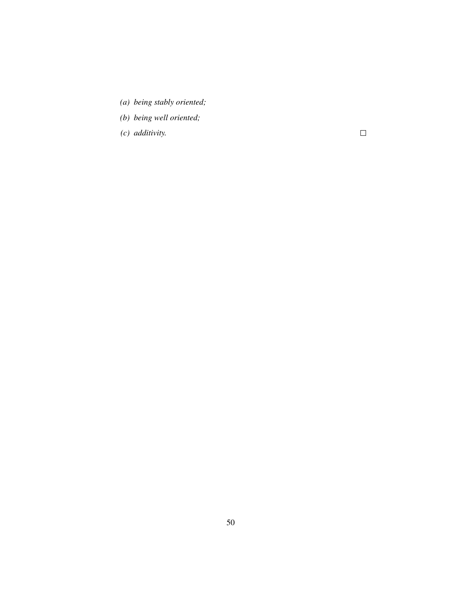- *(a) being stably oriented;*
- *(b) being well oriented;*
- *(c) additivity.*

 $\Box$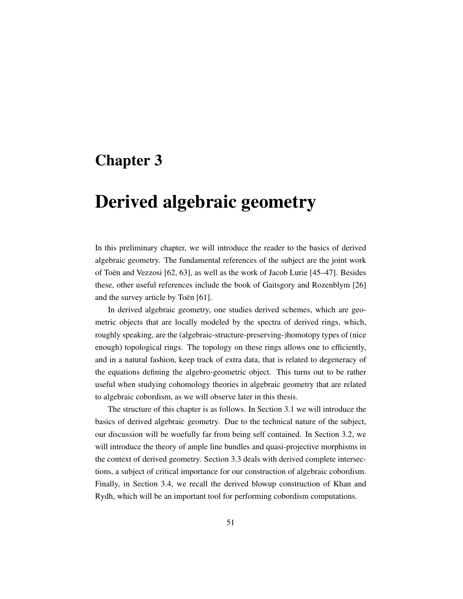## Chapter 3

# Derived algebraic geometry

In this preliminary chapter, we will introduce the reader to the basics of derived algebraic geometry. The fundamental references of the subject are the joint work of Toën and Vezzosi  $[62, 63]$  $[62, 63]$  $[62, 63]$  $[62, 63]$ , as well as the work of Jacob Lurie  $[45-47]$  $[45-47]$ . Besides these, other useful references include the book of Gaitsgory and Rozenblym [\[26\]](#page-199-0) and the survey article by Toen  $[61]$  $[61]$ .

In derived algebraic geometry, one studies derived schemes, which are geometric objects that are locally modeled by the spectra of derived rings, which, roughly speaking, are the (algebraic-structure-preserving-)homotopy types of (nice enough) topological rings. The topology on these rings allows one to efficiently, and in a natural fashion, keep track of extra data, that is related to degeneracy of the equations defining the algebro-geometric object. This turns out to be rather useful when studying cohomology theories in algebraic geometry that are related to algebraic cobordism, as we will observe later in this thesis.

The structure of this chapter is as follows. In Section [3.1](#page-61-0) we will introduce the basics of derived algebraic geometry. Due to the technical nature of the subject, our discussion will be woefully far from being self contained. In Section [3.2,](#page-75-0) we will introduce the theory of ample line bundles and quasi-projective morphisms in the context of derived geometry. Section [3.3](#page-82-0) deals with derived complete intersections, a subject of critical importance for our construction of algebraic cobordism. Finally, in Section [3.4,](#page-87-0) we recall the derived blowup construction of Khan and Rydh, which will be an important tool for performing cobordism computations.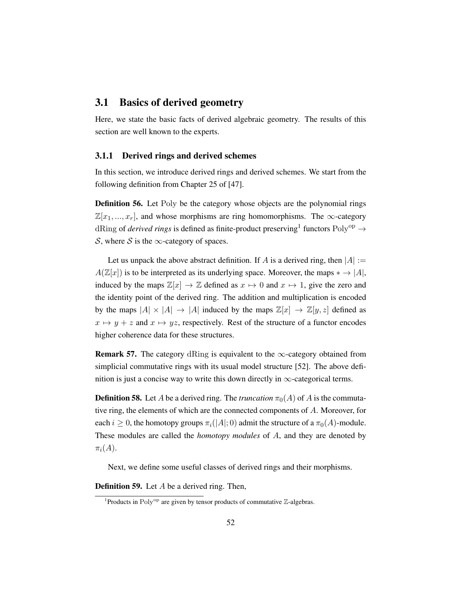## <span id="page-61-0"></span>3.1 Basics of derived geometry

Here, we state the basic facts of derived algebraic geometry. The results of this section are well known to the experts.

#### 3.1.1 Derived rings and derived schemes

In this section, we introduce derived rings and derived schemes. We start from the following definition from Chapter 25 of [\[47\]](#page-201-1).

Definition 56. Let Poly be the category whose objects are the polynomial rings  $\mathbb{Z}[x_1, ..., x_r]$ , and whose morphisms are ring homomorphisms. The  $\infty$ -category dRing of *derived rings* is defined as finite-product preserving<sup>[1](#page-61-1)</sup> functors  $Poly^{op} \rightarrow$ S, where S is the  $\infty$ -category of spaces.

Let us unpack the above abstract definition. If A is a derived ring, then  $|A| :=$  $A(\mathbb{Z}[x])$  is to be interpreted as its underlying space. Moreover, the maps  $* \to |A|$ , induced by the maps  $\mathbb{Z}[x] \to \mathbb{Z}$  defined as  $x \mapsto 0$  and  $x \mapsto 1$ , give the zero and the identity point of the derived ring. The addition and multiplication is encoded by the maps  $|A| \times |A| \rightarrow |A|$  induced by the maps  $\mathbb{Z}[x] \rightarrow \mathbb{Z}[y, z]$  defined as  $x \mapsto y + z$  and  $x \mapsto yz$ , respectively. Rest of the structure of a functor encodes higher coherence data for these structures.

**Remark 57.** The category dRing is equivalent to the  $\infty$ -category obtained from simplicial commutative rings with its usual model structure [\[52\]](#page-201-2). The above definition is just a concise way to write this down directly in  $\infty$ -categorical terms.

**Definition 58.** Let A be a derived ring. The *truncation*  $\pi_0(A)$  of A is the commutative ring, the elements of which are the connected components of A. Moreover, for each  $i \geq 0$ , the homotopy groups  $\pi_i(|A|; 0)$  admit the structure of a  $\pi_0(A)$ -module. These modules are called the *homotopy modules* of A, and they are denoted by  $\pi_i(A)$ .

Next, we define some useful classes of derived rings and their morphisms.

**Definition 59.** Let  $A$  be a derived ring. Then,

<span id="page-61-1"></span><sup>&</sup>lt;sup>1</sup>Products in Poly<sup>op</sup> are given by tensor products of commutative  $\mathbb{Z}$ -algebras.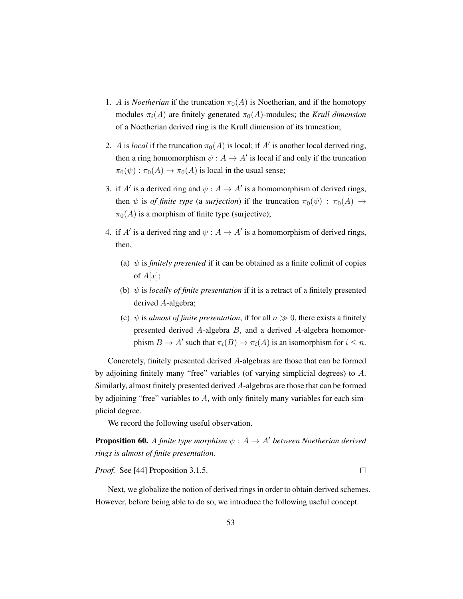- 1. A is *Noetherian* if the truncation  $\pi_0(A)$  is Noetherian, and if the homotopy modules  $\pi_i(A)$  are finitely generated  $\pi_0(A)$ -modules; the *Krull dimension* of a Noetherian derived ring is the Krull dimension of its truncation;
- 2. A is *local* if the truncation  $\pi_0(A)$  is local; if A' is another local derived ring, then a ring homomorphism  $\psi : A \to A'$  is local if and only if the truncation  $\pi_0(\psi) : \pi_0(A) \to \pi_0(A)$  is local in the usual sense;
- 3. if A' is a derived ring and  $\psi : A \to A'$  is a homomorphism of derived rings, then  $\psi$  is *of finite type* (a *surjection*) if the truncation  $\pi_0(\psi)$  :  $\pi_0(A) \rightarrow$  $\pi_0(A)$  is a morphism of finite type (surjective);
- 4. if A' is a derived ring and  $\psi : A \to A'$  is a homomorphism of derived rings, then,
	- (a)  $\psi$  is *finitely presented* if it can be obtained as a finite colimit of copies of  $A[x]$ ;
	- (b)  $\psi$  is *locally of finite presentation* if it is a retract of a finitely presented derived A-algebra;
	- (c)  $\psi$  is *almost of finite presentation*, if for all  $n \gg 0$ , there exists a finitely presented derived A-algebra B, and a derived A-algebra homomorphism  $B \to A'$  such that  $\pi_i(B) \to \pi_i(A)$  is an isomorphism for  $i \leq n$ .

Concretely, finitely presented derived A-algebras are those that can be formed by adjoining finitely many "free" variables (of varying simplicial degrees) to A. Similarly, almost finitely presented derived A-algebras are those that can be formed by adjoining "free" variables to A, with only finitely many variables for each simplicial degree.

We record the following useful observation.

**Proposition 60.** A finite type morphism  $\psi : A \rightarrow A'$  between Noetherian derived *rings is almost of finite presentation.*

*Proof.* See [\[44\]](#page-200-2) Proposition 3.1.5.

 $\Box$ 

Next, we globalize the notion of derived rings in order to obtain derived schemes. However, before being able to do so, we introduce the following useful concept.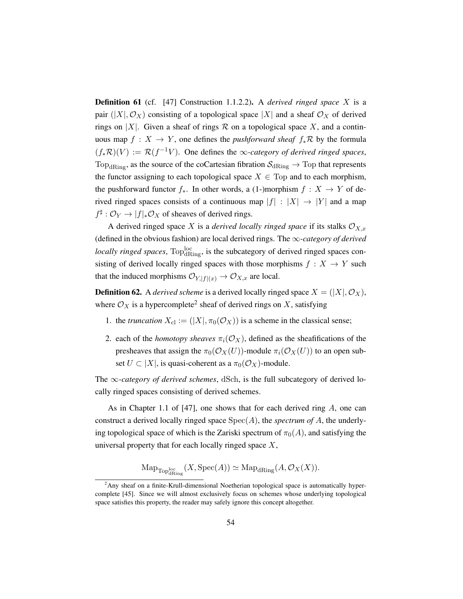Definition 61 (cf. [\[47\]](#page-201-1) Construction 1.1.2.2). A *derived ringed space* X is a pair  $(|X|, \mathcal{O}_X)$  consisting of a topological space  $|X|$  and a sheaf  $\mathcal{O}_X$  of derived rings on |X|. Given a sheaf of rings  $\mathcal R$  on a topological space X, and a continuous map  $f : X \to Y$ , one defines the *pushforward sheaf*  $f_* R$  by the formula  $(f_*\mathcal{R})(V) := \mathcal{R}(f^{-1}V)$ . One defines the  $\infty$ -category of derived ringed spaces, Top<sub>dRing</sub>, as the source of the coCartesian fibration  $S_{dRing} \rightarrow$  Top that represents the functor assigning to each topological space  $X \in Top$  and to each morphism, the pushforward functor  $f_*$ . In other words, a (1-)morphism  $f : X \to Y$  of derived ringed spaces consists of a continuous map  $|f| : |X| \to |Y|$  and a map  $f^{\sharp}: \mathcal{O}_Y \to |f|_* \mathcal{O}_X$  of sheaves of derived rings.

A derived ringed space X is a *derived locally ringed space* if its stalks  $\mathcal{O}_{X,x}$ (defined in the obvious fashion) are local derived rings. The ∞*-category of derived locally ringed spaces*,  $Top<sup>loc</sup><sub>dRing</sub>$ , is the subcategory of derived ringed spaces consisting of derived locally ringed spaces with those morphisms  $f : X \rightarrow Y$  such that the induced morphisms  $\mathcal{O}_{Y,|f|(x)} \to \mathcal{O}_{X,x}$  are local.

**Definition 62.** A *derived scheme* is a derived locally ringed space  $X = (X|, \mathcal{O}_X)$ , where  $\mathcal{O}_X$  is a hypercomplete<sup>[2](#page-63-0)</sup> sheaf of derived rings on X, satisfying

- 1. the *truncation*  $X_{\text{cl}} := (|X|, \pi_0(\mathcal{O}_X))$  is a scheme in the classical sense;
- 2. each of the *homotopy sheaves*  $\pi_i(\mathcal{O}_X)$ , defined as the sheafifications of the presheaves that assign the  $\pi_0(\mathcal{O}_X(U))$ -module  $\pi_i(\mathcal{O}_X(U))$  to an open subset  $U \subset |X|$ , is quasi-coherent as a  $\pi_0(\mathcal{O}_X)$ -module.

The ∞*-category of derived schemes*, dSch, is the full subcategory of derived locally ringed spaces consisting of derived schemes.

As in Chapter 1.1 of  $[47]$ , one shows that for each derived ring A, one can construct a derived locally ringed space Spec(A), the *spectrum of* A, the underlying topological space of which is the Zariski spectrum of  $\pi_0(A)$ , and satisfying the universal property that for each locally ringed space  $X$ ,

$$
\mathrm{Map}_{\mathrm{Top}^{\mathrm{loc}}_{\mathrm{dRing}}}(X, \mathrm{Spec}(A)) \simeq \mathrm{Map}_{\mathrm{dRing}}(A, \mathcal{O}_X(X)).
$$

<span id="page-63-0"></span> ${}^{2}$ Any sheaf on a finite-Krull-dimensional Noetherian topological space is automatically hypercomplete [\[45\]](#page-201-0). Since we will almost exclusively focus on schemes whose underlying topological space satisfies this property, the reader may safely ignore this concept altogether.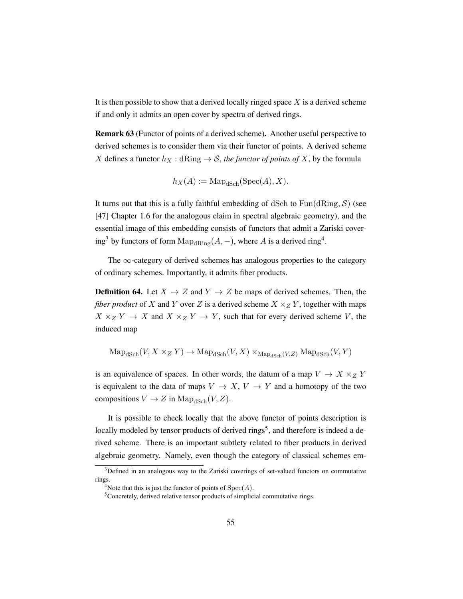It is then possible to show that a derived locally ringed space  $X$  is a derived scheme if and only it admits an open cover by spectra of derived rings.

Remark 63 (Functor of points of a derived scheme). Another useful perspective to derived schemes is to consider them via their functor of points. A derived scheme X defines a functor  $h_X : dRing \to S$ , *the functor of points of* X, by the formula

$$
h_X(A) := \mathrm{Map}_{\mathrm{dSch}}(\mathrm{Spec}(A), X).
$$

It turns out that this is a fully faithful embedding of dSch to  $Fun(dRing, S)$  (see [\[47\]](#page-201-1) Chapter 1.6 for the analogous claim in spectral algebraic geometry), and the essential image of this embedding consists of functors that admit a Zariski cover-ing<sup>[3](#page-64-0)</sup> by functors of form  $\text{Map}_{d\text{Ring}}(A, -)$ , where A is a derived ring<sup>[4](#page-64-1)</sup>.

The  $\infty$ -category of derived schemes has analogous properties to the category of ordinary schemes. Importantly, it admits fiber products.

**Definition 64.** Let  $X \to Z$  and  $Y \to Z$  be maps of derived schemes. Then, the *fiber product* of X and Y over Z is a derived scheme  $X \times Z$  Y, together with maps  $X \times_Z Y \to X$  and  $X \times_Z Y \to Y$ , such that for every derived scheme V, the induced map

$$
\mathrm{Map}_{\text{dSch}}(V, X \times_Z Y) \to \mathrm{Map}_{\text{dSch}}(V, X) \times_{\mathrm{Map}_{\text{dSch}}(V, Z)} \mathrm{Map}_{\text{dSch}}(V, Y)
$$

is an equivalence of spaces. In other words, the datum of a map  $V \to X \times_Z Y$ is equivalent to the data of maps  $V \to X$ ,  $V \to Y$  and a homotopy of the two compositions  $V \to Z$  in  $\text{Map}_{\text{dSch}}(V, Z)$ .

It is possible to check locally that the above functor of points description is locally modeled by tensor products of derived rings<sup>[5](#page-64-2)</sup>, and therefore is indeed a derived scheme. There is an important subtlety related to fiber products in derived algebraic geometry. Namely, even though the category of classical schemes em-

<span id="page-64-0"></span><sup>&</sup>lt;sup>3</sup>Defined in an analogous way to the Zariski coverings of set-valued functors on commutative rings.

<span id="page-64-1"></span><sup>&</sup>lt;sup>4</sup>Note that this is just the functor of points of  $Spec(A)$ .

<span id="page-64-2"></span><sup>&</sup>lt;sup>5</sup>Concretely, derived relative tensor products of simplicial commutative rings.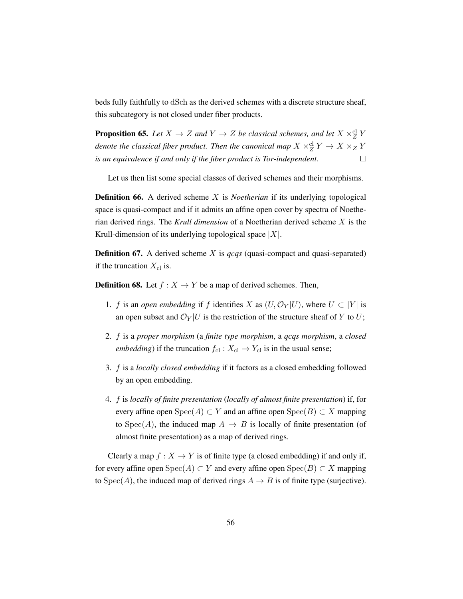beds fully faithfully to dSch as the derived schemes with a discrete structure sheaf, this subcategory is not closed under fiber products.

**Proposition 65.** Let  $X \to Z$  and  $Y \to Z$  be classical schemes, and let  $X \times_Z^{\text{cl}} Y$ denote the classical fiber product. Then the canonical map  $X \times_Z^\mathrm{cl} Y \to X \times_Z Y$ *is an equivalence if and only if the fiber product is Tor-independent.*  $\Box$ 

Let us then list some special classes of derived schemes and their morphisms.

**Definition 66.** A derived scheme X is *Noetherian* if its underlying topological space is quasi-compact and if it admits an affine open cover by spectra of Noetherian derived rings. The *Krull dimension* of a Noetherian derived scheme X is the Krull-dimension of its underlying topological space  $|X|$ .

Definition 67. A derived scheme X is *qcqs* (quasi-compact and quasi-separated) if the truncation  $X_{\text{cl}}$  is.

**Definition 68.** Let  $f : X \to Y$  be a map of derived schemes. Then,

- 1. f is an *open embedding* if f identifies X as  $(U, \mathcal{O}_Y | U)$ , where  $U \subset |Y|$  is an open subset and  $\mathcal{O}_Y | U$  is the restriction of the structure sheaf of Y to U;
- 2. f is a *proper morphism* (a *finite type morphism*, a *qcqs morphism*, a *closed embedding*) if the truncation  $f_{\text{cl}}$  :  $X_{\text{cl}} \rightarrow Y_{\text{cl}}$  is in the usual sense;
- 3. f is a *locally closed embedding* if it factors as a closed embedding followed by an open embedding.
- 4. f is *locally of finite presentation* (*locally of almost finite presentation*) if, for every affine open  $Spec(A) \subset Y$  and an affine open  $Spec(B) \subset X$  mapping to Spec(A), the induced map  $A \rightarrow B$  is locally of finite presentation (of almost finite presentation) as a map of derived rings.

Clearly a map  $f: X \to Y$  is of finite type (a closed embedding) if and only if, for every affine open  $Spec(A) \subset Y$  and every affine open  $Spec(B) \subset X$  mapping to  $Spec(A)$ , the induced map of derived rings  $A \rightarrow B$  is of finite type (surjective).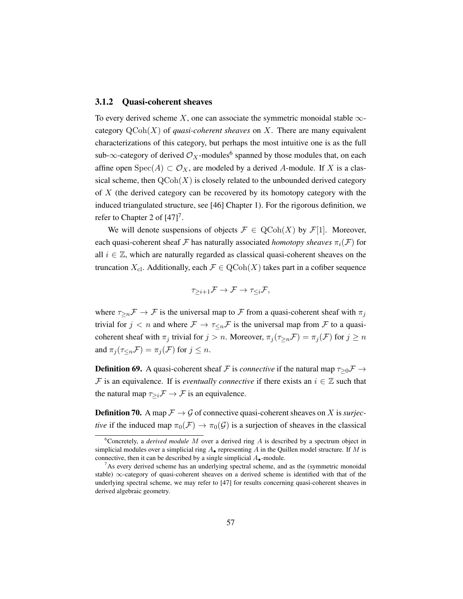#### 3.1.2 Quasi-coherent sheaves

To every derived scheme X, one can associate the symmetric monoidal stable  $\infty$ category  $\mathrm{QCoh}(X)$  of *quasi-coherent sheaves* on X. There are many equivalent characterizations of this category, but perhaps the most intuitive one is as the full sub- $\infty$ -category of derived  $\mathcal{O}_X$ -modules<sup>[6](#page-66-0)</sup> spanned by those modules that, on each affine open  $Spec(A) \subset \mathcal{O}_X$ , are modeled by a derived A-module. If X is a classical scheme, then  $\mathrm{QCoh}(X)$  is closely related to the unbounded derived category of  $X$  (the derived category can be recovered by its homotopy category with the induced triangulated structure, see [\[46\]](#page-201-3) Chapter 1). For the rigorous definition, we refer to Chapter 2 of  $[47]$ <sup>[7](#page-66-1)</sup>.

We will denote suspensions of objects  $\mathcal{F} \in \text{QCoh}(X)$  by  $\mathcal{F}[1]$ . Moreover, each quasi-coherent sheaf F has naturally associated *homotopy sheaves*  $\pi_i(\mathcal{F})$  for all  $i \in \mathbb{Z}$ , which are naturally regarded as classical quasi-coherent sheaves on the truncation  $X_{\text{cl}}$ . Additionally, each  $\mathcal{F} \in \text{QCoh}(X)$  takes part in a cofiber sequence

$$
\tau_{\geq i+1}\mathcal{F} \to \mathcal{F} \to \tau_{\leq i}\mathcal{F},
$$

where  $\tau_{\geq n} \mathcal{F} \to \mathcal{F}$  is the universal map to  $\mathcal F$  from a quasi-coherent sheaf with  $\pi_i$ trivial for  $j < n$  and where  $\mathcal{F} \to \tau <sub>n</sub> \mathcal{F}$  is the universal map from  $\mathcal F$  to a quasicoherent sheaf with  $\pi_j$  trivial for  $j > n$ . Moreover,  $\pi_j(\tau_{>n}F) = \pi_j(F)$  for  $j \geq n$ and  $\pi_i(\tau_{\leq n}F) = \pi_i(F)$  for  $j \leq n$ .

**Definition 69.** A quasi-coherent sheaf F is *connective* if the natural map  $\tau_{\geq 0}$ F  $\rightarrow$ F is an equivalence. If is *eventually connective* if there exists an  $i \in \mathbb{Z}$  such that the natural map  $\tau_{\geq i} \mathcal{F} \to \mathcal{F}$  is an equivalence.

**Definition 70.** A map  $\mathcal{F} \to \mathcal{G}$  of connective quasi-coherent sheaves on X is *surjective* if the induced map  $\pi_0(\mathcal{F}) \to \pi_0(\mathcal{G})$  is a surjection of sheaves in the classical

<span id="page-66-0"></span><sup>6</sup>Concretely, a *derived module* M over a derived ring A is described by a spectrum object in simplicial modules over a simplicial ring  $A_{\bullet}$  representing A in the Quillen model structure. If M is connective, then it can be described by a single simplicial  $A_{\bullet}$ -module.

<span id="page-66-1"></span> $7$ As every derived scheme has an underlying spectral scheme, and as the (symmetric monoidal stable)  $\infty$ -category of quasi-coherent sheaves on a derived scheme is identified with that of the underlying spectral scheme, we may refer to [\[47\]](#page-201-1) for results concerning quasi-coherent sheaves in derived algebraic geometry.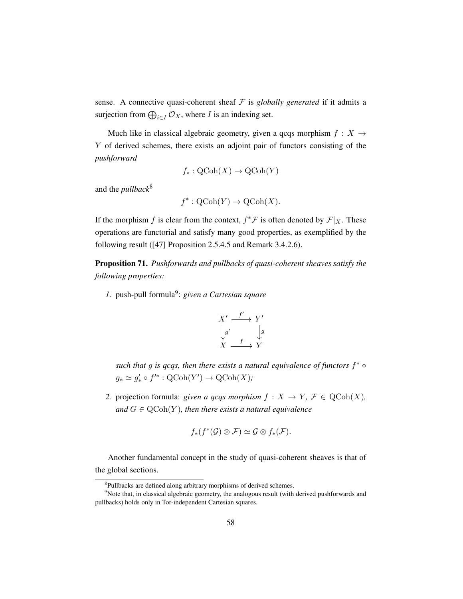sense. A connective quasi-coherent sheaf  $F$  is *globally generated* if it admits a surjection from  $\bigoplus_{i \in I} \mathcal{O}_X$ , where *I* is an indexing set.

Much like in classical algebraic geometry, given a qcqs morphism  $f : X \rightarrow$ Y of derived schemes, there exists an adjoint pair of functors consisting of the *pushforward*

$$
f_*: \mathrm{QCoh}(X) \to \mathrm{QCoh}(Y)
$$

and the *pullback*[8](#page-67-0)

$$
f^* : \mathrm{QCoh}(Y) \to \mathrm{QCoh}(X).
$$

If the morphism f is clear from the context,  $f^* \mathcal{F}$  is often denoted by  $\mathcal{F}|_X$ . These operations are functorial and satisfy many good properties, as exemplified by the following result ([\[47\]](#page-201-1) Proposition 2.5.4.5 and Remark 3.4.2.6).

Proposition 71. *Pushforwards and pullbacks of quasi-coherent sheaves satisfy the following properties:*

1. push-pull formula<sup>[9](#page-67-1)</sup>: given a Cartesian square

$$
X' \xrightarrow{f'} Y' \n\downarrow g' \qquad \downarrow g \nX \xrightarrow{f} Y
$$

*such that* g *is qcqs, then there exists a natural equivalence of functors* f <sup>∗</sup> ◦  $g_* \simeq g'_* \circ f'^* : \mathrm{QCoh}(Y') \to \mathrm{QCoh}(X);$ 

*2.* projection formula: *given a qcqs morphism*  $f : X \to Y, \mathcal{F} \in \text{QCoh}(X)$ , and  $G \in \text{QCoh}(Y)$ , then there exists a natural equivalence

$$
f_*(f^*(\mathcal{G}) \otimes \mathcal{F}) \simeq \mathcal{G} \otimes f_*(\mathcal{F}).
$$

Another fundamental concept in the study of quasi-coherent sheaves is that of the global sections.

<span id="page-67-1"></span><span id="page-67-0"></span><sup>&</sup>lt;sup>8</sup>Pullbacks are defined along arbitrary morphisms of derived schemes.

<sup>&</sup>lt;sup>9</sup>Note that, in classical algebraic geometry, the analogous result (with derived pushforwards and pullbacks) holds only in Tor-independent Cartesian squares.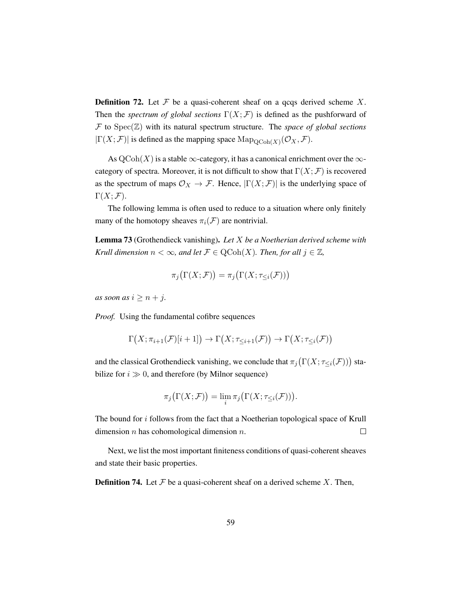**Definition 72.** Let  $\mathcal F$  be a quasi-coherent sheaf on a qcqs derived scheme X. Then the *spectrum of global sections*  $\Gamma(X; \mathcal{F})$  is defined as the pushforward of F to Spec(Z) with its natural spectrum structure. The *space of global sections*  $|\Gamma(X;\mathcal{F})|$  is defined as the mapping space  $\text{Map}_{\text{QCoh}(X)}(\mathcal{O}_X,\mathcal{F})$ .

As  $\operatorname{QCoh}(X)$  is a stable  $\infty$ -category, it has a canonical enrichment over the  $\infty$ category of spectra. Moreover, it is not difficult to show that  $\Gamma(X; \mathcal{F})$  is recovered as the spectrum of maps  $\mathcal{O}_X \to \mathcal{F}$ . Hence,  $|\Gamma(X; \mathcal{F})|$  is the underlying space of  $\Gamma(X; \mathcal{F}).$ 

The following lemma is often used to reduce to a situation where only finitely many of the homotopy sheaves  $\pi_i(\mathcal{F})$  are nontrivial.

Lemma 73 (Grothendieck vanishing). *Let* X *be a Noetherian derived scheme with Krull dimension*  $n < \infty$ *, and let*  $\mathcal{F} \in \mathrm{QCoh}(X)$ *. Then, for all*  $j \in \mathbb{Z}$ *,* 

$$
\pi_j\big(\Gamma(X;\mathcal{F})\big)=\pi_j\big(\Gamma(X;\tau_{\leq i}(\mathcal{F}))\big)
$$

*as soon as*  $i \geq n + j$ .

*Proof.* Using the fundamental cofibre sequences

$$
\Gamma(X; \pi_{i+1}(\mathcal{F})[i+1]) \to \Gamma(X; \tau_{\leq i+1}(\mathcal{F})) \to \Gamma(X; \tau_{\leq i}(\mathcal{F}))
$$

and the classical Grothendieck vanishing, we conclude that  $\pi_j(\Gamma(X; \tau_{\leq i}(\mathcal{F})))$  stabilize for  $i \gg 0$ , and therefore (by Milnor sequence)

$$
\pi_j\big(\Gamma(X;\mathcal{F})\big)=\lim_i\pi_j\big(\Gamma(X;\tau_{\leq i}(\mathcal{F}))\big).
$$

The bound for i follows from the fact that a Noetherian topological space of Krull dimension  $n$  has cohomological dimension  $n$ .  $\Box$ 

Next, we list the most important finiteness conditions of quasi-coherent sheaves and state their basic properties.

**Definition 74.** Let  $\mathcal F$  be a quasi-coherent sheaf on a derived scheme  $X$ . Then,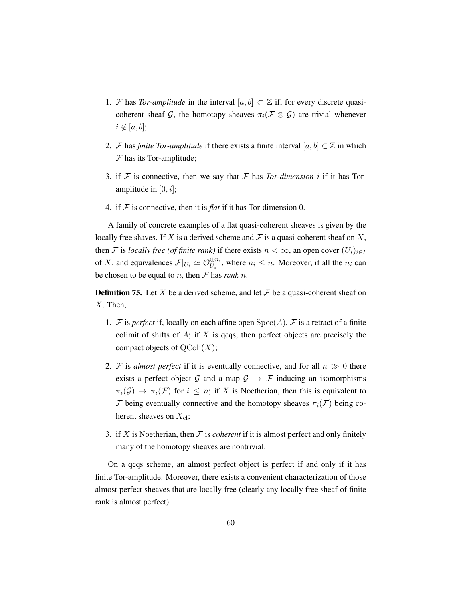- 1. F has *Tor-amplitude* in the interval  $[a, b] \subset \mathbb{Z}$  if, for every discrete quasicoherent sheaf G, the homotopy sheaves  $\pi_i(\mathcal{F} \otimes \mathcal{G})$  are trivial whenever  $i \notin [a, b]$ ;
- 2. *F* has *finite Tor-amplitude* if there exists a finite interval  $[a, b] \subset \mathbb{Z}$  in which  $F$  has its Tor-amplitude;
- 3. if  $F$  is connective, then we say that  $F$  has *Tor-dimension* i if it has *Tor*amplitude in  $[0, i]$ ;
- 4. if  $F$  is connective, then it is *flat* if it has Tor-dimension 0.

A family of concrete examples of a flat quasi-coherent sheaves is given by the locally free shaves. If X is a derived scheme and  $\mathcal F$  is a quasi-coherent sheaf on X, then F is *locally free (of finite rank)* if there exists  $n < \infty$ , an open cover  $(U_i)_{i \in I}$ of X, and equivalences  $\mathcal{F}|_{U_i} \simeq \mathcal{O}_{U_i}^{\oplus n_i}$ , where  $n_i \leq n$ . Moreover, if all the  $n_i$  can be chosen to be equal to *n*, then  $\mathcal F$  has *rank n*.

**Definition 75.** Let X be a derived scheme, and let  $\mathcal F$  be a quasi-coherent sheaf on  $X$ . Then,

- 1. F is *perfect* if, locally on each affine open  $Spec(A)$ , F is a retract of a finite colimit of shifts of  $A$ ; if  $X$  is qcqs, then perfect objects are precisely the compact objects of  $\mathrm{QCoh}(X)$ ;
- 2. F is *almost perfect* if it is eventually connective, and for all  $n \gg 0$  there exists a perfect object G and a map  $G \rightarrow \mathcal{F}$  inducing an isomorphisms  $\pi_i(\mathcal{G}) \to \pi_i(\mathcal{F})$  for  $i \leq n$ ; if X is Noetherian, then this is equivalent to F being eventually connective and the homotopy sheaves  $\pi_i(\mathcal{F})$  being coherent sheaves on  $X_{\text{cl}}$ ;
- 3. if  $X$  is Noetherian, then  $\mathcal F$  is *coherent* if it is almost perfect and only finitely many of the homotopy sheaves are nontrivial.

On a qcqs scheme, an almost perfect object is perfect if and only if it has finite Tor-amplitude. Moreover, there exists a convenient characterization of those almost perfect sheaves that are locally free (clearly any locally free sheaf of finite rank is almost perfect).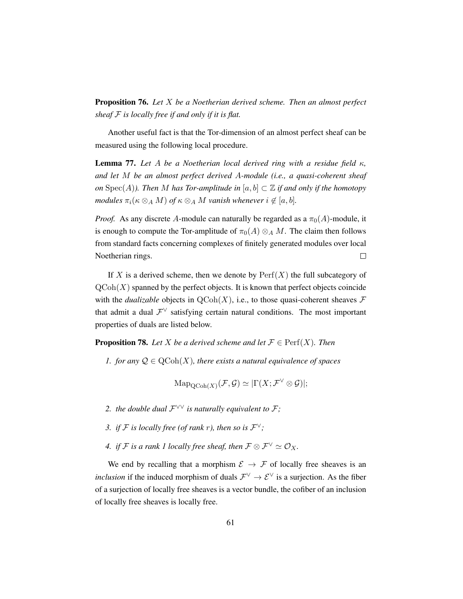Proposition 76. *Let* X *be a Noetherian derived scheme. Then an almost perfect sheaf* F *is locally free if and only if it is flat.*

Another useful fact is that the Tor-dimension of an almost perfect sheaf can be measured using the following local procedure.

**Lemma 77.** Let A be a Noetherian local derived ring with a residue field  $\kappa$ , *and let* M *be an almost perfect derived* A*-module (i.e., a quasi-coherent sheaf on* Spec(A)). Then M has Tor-amplitude in  $[a, b] \subset \mathbb{Z}$  if and only if the homotopy *modules*  $\pi_i(\kappa \otimes_A M)$  *of*  $\kappa \otimes_A M$  *vanish whenever*  $i \notin [a, b]$ *.* 

*Proof.* As any discrete A-module can naturally be regarded as a  $\pi_0(A)$ -module, it is enough to compute the Tor-amplitude of  $\pi_0(A) \otimes_A M$ . The claim then follows from standard facts concerning complexes of finitely generated modules over local  $\Box$ Noetherian rings.

If X is a derived scheme, then we denote by  $\text{Perf}(X)$  the full subcategory of  $\mathrm{QCoh}(X)$  spanned by the perfect objects. It is known that perfect objects coincide with the *dualizable* objects in  $QCoh(X)$ , i.e., to those quasi-coherent sheaves  $\mathcal F$ that admit a dual  $\mathcal{F}^{\vee}$  satisfying certain natural conditions. The most important properties of duals are listed below.

**Proposition 78.** Let X be a derived scheme and let  $\mathcal{F} \in \text{Perf}(X)$ . Then

*1. for any*  $\mathcal{Q} \in \text{QCoh}(X)$ *, there exists a natural equivalence of spaces* 

 $\text{Map}_{\text{QCoh}(X)}(\mathcal{F}, \mathcal{G}) \simeq |\Gamma(X; \mathcal{F}^{\vee} \otimes \mathcal{G})|;$ 

- 2. the double dual  $\mathcal{F}^{\vee\vee}$  is naturally equivalent to  $\mathcal{F}$ ;
- 3. *if*  $\mathcal{F}$  *is locally free (of rank r), then so is*  $\mathcal{F}^{\vee}$ ;
- *4. if*  $\mathcal{F}$  *is a rank 1 locally free sheaf, then*  $\mathcal{F} \otimes \mathcal{F}^{\vee} \simeq \mathcal{O}_X$ *.*

We end by recalling that a morphism  $\mathcal{E} \to \mathcal{F}$  of locally free sheaves is an *inclusion* if the induced morphism of duals  $\mathcal{F}^{\vee} \to \mathcal{E}^{\vee}$  is a surjection. As the fiber of a surjection of locally free sheaves is a vector bundle, the cofiber of an inclusion of locally free sheaves is locally free.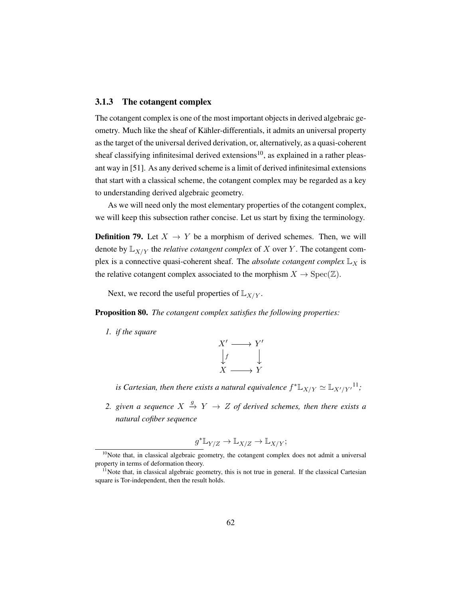## 3.1.3 The cotangent complex

The cotangent complex is one of the most important objects in derived algebraic geometry. Much like the sheaf of Kähler-differentials, it admits an universal property as the target of the universal derived derivation, or, alternatively, as a quasi-coherent sheaf classifying infinitesimal derived extensions<sup>[10](#page-71-0)</sup>, as explained in a rather pleasant way in [\[51\]](#page-201-4). As any derived scheme is a limit of derived infinitesimal extensions that start with a classical scheme, the cotangent complex may be regarded as a key to understanding derived algebraic geometry.

As we will need only the most elementary properties of the cotangent complex, we will keep this subsection rather concise. Let us start by fixing the terminology.

**Definition 79.** Let  $X \rightarrow Y$  be a morphism of derived schemes. Then, we will denote by  $\mathbb{L}_{X/Y}$  the *relative cotangent complex* of X over Y. The cotangent complex is a connective quasi-coherent sheaf. The *absolute cotangent complex*  $\mathbb{L}_X$  is the relative cotangent complex associated to the morphism  $X \to \text{Spec}(\mathbb{Z})$ .

Next, we record the useful properties of  $\mathbb{L}_{X/Y}$ .

Proposition 80. *The cotangent complex satisfies the following properties:*

*1. if the square*



is Cartesian, then there exists a natural equivalence  $f^* \mathbb{L}_{X/Y} \simeq \mathbb{L}_{X'/Y'}{}^{11};$  $f^* \mathbb{L}_{X/Y} \simeq \mathbb{L}_{X'/Y'}{}^{11};$  $f^* \mathbb{L}_{X/Y} \simeq \mathbb{L}_{X'/Y'}{}^{11};$ 

2. given a sequence  $X \stackrel{g}{\rightarrow} Y \rightarrow Z$  of derived schemes, then there exists a *natural cofiber sequence*

$$
g^* \mathbb{L}_{Y/Z} \to \mathbb{L}_{X/Z} \to \mathbb{L}_{X/Y};
$$

<span id="page-71-0"></span> $10$ Note that, in classical algebraic geometry, the cotangent complex does not admit a universal property in terms of deformation theory.

<span id="page-71-1"></span> $11$ Note that, in classical algebraic geometry, this is not true in general. If the classical Cartesian square is Tor-independent, then the result holds.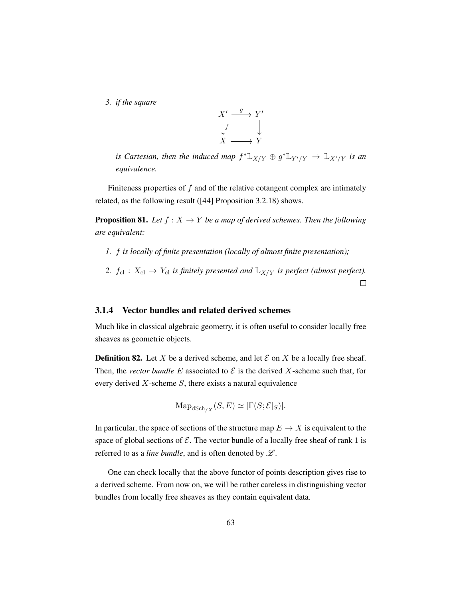*3. if the square*



*is Cartesian, then the induced map*  $f^* \mathbb{L}_{X/Y} \oplus g^* \mathbb{L}_{Y'/Y} \to \mathbb{L}_{X'/Y}$  *is an equivalence.*

Finiteness properties of  $f$  and of the relative cotangent complex are intimately related, as the following result ([\[44\]](#page-200-0) Proposition 3.2.18) shows.

**Proposition 81.** Let  $f : X \to Y$  be a map of derived schemes. Then the following *are equivalent:*

- *1.* f *is locally of finite presentation (locally of almost finite presentation);*
- 2.  $f_{\text{cl}}$  :  $X_{\text{cl}} \rightarrow Y_{\text{cl}}$  *is finitely presented and*  $\mathbb{L}_{X/Y}$  *is perfect (almost perfect).*  $\Box$

### 3.1.4 Vector bundles and related derived schemes

Much like in classical algebraic geometry, it is often useful to consider locally free sheaves as geometric objects.

**Definition 82.** Let X be a derived scheme, and let  $\mathcal E$  on X be a locally free sheaf. Then, the *vector bundle* E associated to  $\mathcal E$  is the derived X-scheme such that, for every derived  $X$ -scheme  $S$ , there exists a natural equivalence

$$
\mathrm{Map}_{\mathrm{dSch}_{/X}}(S,E) \simeq |\Gamma(S;\mathcal{E}|_S)|.
$$

In particular, the space of sections of the structure map  $E \to X$  is equivalent to the space of global sections of  $\mathcal E$ . The vector bundle of a locally free sheaf of rank 1 is referred to as a *line bundle*, and is often denoted by  $\mathcal{L}$ .

One can check locally that the above functor of points description gives rise to a derived scheme. From now on, we will be rather careless in distinguishing vector bundles from locally free sheaves as they contain equivalent data.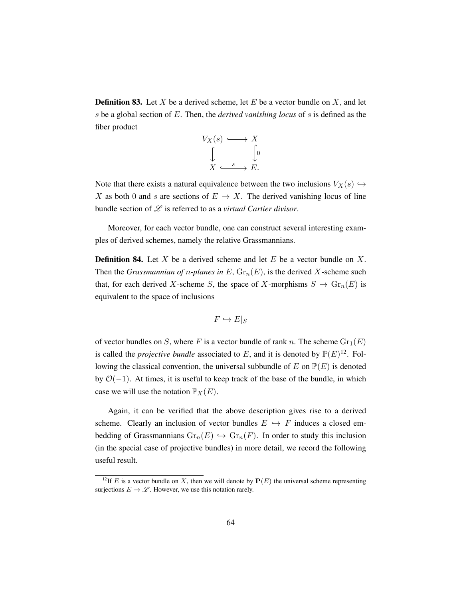**Definition 83.** Let X be a derived scheme, let E be a vector bundle on X, and let s be a global section of E. Then, the *derived vanishing locus* of s is defined as the fiber product

$$
V_X(s) \longleftrightarrow X
$$
  
\n
$$
\downarrow \qquad \qquad \downarrow 0
$$
  
\n
$$
X \xrightarrow{s} E.
$$

Note that there exists a natural equivalence between the two inclusions  $V_X(s) \hookrightarrow$ X as both 0 and s are sections of  $E \to X$ . The derived vanishing locus of line bundle section of L is referred to as a *virtual Cartier divisor*.

Moreover, for each vector bundle, one can construct several interesting examples of derived schemes, namely the relative Grassmannians.

**Definition 84.** Let X be a derived scheme and let E be a vector bundle on X. Then the *Grassmannian of n-planes in*  $E$ ,  $Gr_n(E)$ , is the derived X-scheme such that, for each derived X-scheme S, the space of X-morphisms  $S \to \text{Gr}_n(E)$  is equivalent to the space of inclusions

$$
F \hookrightarrow E|_S
$$

of vector bundles on S, where F is a vector bundle of rank n. The scheme  $\text{Gr}_1(E)$ is called the *projective bundle* associated to E, and it is denoted by  $P(E)^{12}$  $P(E)^{12}$  $P(E)^{12}$ . Following the classical convention, the universal subbundle of E on  $\mathbb{P}(E)$  is denoted by  $O(-1)$ . At times, it is useful to keep track of the base of the bundle, in which case we will use the notation  $\mathbb{P}_X(E)$ .

Again, it can be verified that the above description gives rise to a derived scheme. Clearly an inclusion of vector bundles  $E \leftrightarrow F$  induces a closed embedding of Grassmannians  $\text{Gr}_n(E) \hookrightarrow \text{Gr}_n(F)$ . In order to study this inclusion (in the special case of projective bundles) in more detail, we record the following useful result.

<span id="page-73-0"></span><sup>&</sup>lt;sup>12</sup>If E is a vector bundle on X, then we will denote by  $P(E)$  the universal scheme representing surjections  $E \to \mathscr{L}$ . However, we use this notation rarely.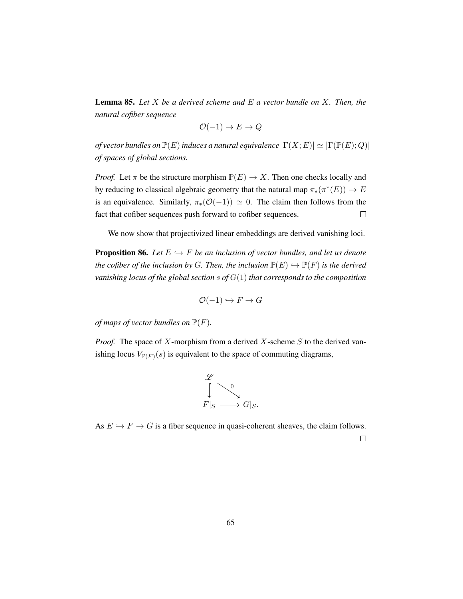<span id="page-74-0"></span>Lemma 85. *Let* X *be a derived scheme and* E *a vector bundle on* X*. Then, the natural cofiber sequence*

$$
\mathcal{O}(-1) \to E \to Q
$$

*of vector bundles on*  $\mathbb{P}(E)$  *induces a natural equivalence*  $|\Gamma(X; E)| \simeq |\Gamma(\mathbb{P}(E); Q)|$ *of spaces of global sections.*

*Proof.* Let  $\pi$  be the structure morphism  $\mathbb{P}(E) \to X$ . Then one checks locally and by reducing to classical algebraic geometry that the natural map  $\pi_*(\pi^*(E)) \to E$ is an equivalence. Similarly,  $\pi_*(\mathcal{O}(-1)) \simeq 0$ . The claim then follows from the fact that cofiber sequences push forward to cofiber sequences.  $\Box$ 

We now show that projectivized linear embeddings are derived vanishing loci.

**Proposition 86.** Let  $E \hookrightarrow F$  *be an inclusion of vector bundles, and let us denote the cofiber of the inclusion by G. Then, the inclusion*  $\mathbb{P}(E) \hookrightarrow \mathbb{P}(F)$  *is the derived vanishing locus of the global section* s *of* G(1) *that corresponds to the composition*

$$
\mathcal{O}(-1) \hookrightarrow F \to G
$$

*of maps of vector bundles on*  $\mathbb{P}(F)$ *.* 

*Proof.* The space of X-morphism from a derived X-scheme S to the derived vanishing locus  $V_{\mathbb{P}(F)}(s)$  is equivalent to the space of commuting diagrams,

$$
\begin{array}{ccc}\n\mathscr{L} & & 0 \\
\downarrow & & \searrow & \\
F|_{S} & \longrightarrow & G|_{S}.\n\end{array}
$$

As  $E \hookrightarrow F \to G$  is a fiber sequence in quasi-coherent sheaves, the claim follows.  $\Box$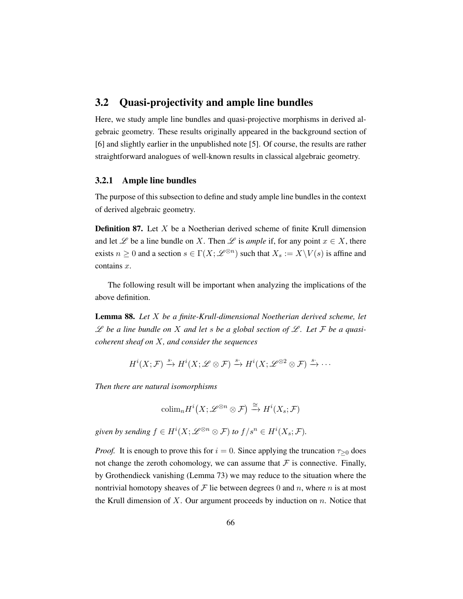# 3.2 Quasi-projectivity and ample line bundles

Here, we study ample line bundles and quasi-projective morphisms in derived algebraic geometry. These results originally appeared in the background section of [\[6\]](#page-197-0) and slightly earlier in the unpublished note [\[5\]](#page-197-1). Of course, the results are rather straightforward analogues of well-known results in classical algebraic geometry.

### 3.2.1 Ample line bundles

The purpose of this subsection to define and study ample line bundles in the context of derived algebraic geometry.

**Definition 87.** Let  $X$  be a Noetherian derived scheme of finite Krull dimension and let  $\mathscr L$  be a line bundle on X. Then  $\mathscr L$  is *ample* if, for any point  $x \in X$ , there exists  $n \geq 0$  and a section  $s \in \Gamma(X; \mathscr{L}^{\otimes n})$  such that  $X_s := X \setminus V(s)$  is affine and contains  $x$ .

The following result will be important when analyzing the implications of the above definition.

<span id="page-75-0"></span>Lemma 88. *Let* X *be a finite-Krull-dimensional Noetherian derived scheme, let*  $\mathscr L$  be a line bundle on X and let s be a global section of  $\mathscr L$ . Let F be a quasi*coherent sheaf on* X*, and consider the sequences*

$$
H^i(X; \mathcal{F}) \xrightarrow{s} H^i(X; \mathscr{L} \otimes \mathcal{F}) \xrightarrow{s} H^i(X; \mathscr{L}^{\otimes 2} \otimes \mathcal{F}) \xrightarrow{s} \cdots
$$

*Then there are natural isomorphisms*

$$
\mathrm{colim}_n H^i\big(X; \mathscr{L}^{\otimes n} \otimes \mathcal{F}\big) \xrightarrow{\cong} H^i(X_s; \mathcal{F})
$$

given by sending  $f \in H^i(X; \mathscr{L}^{\otimes n} \otimes \mathcal{F})$  to  $f/s^n \in H^i(X_s; \mathcal{F})$ .

*Proof.* It is enough to prove this for  $i = 0$ . Since applying the truncation  $\tau_{\geq 0}$  does not change the zeroth cohomology, we can assume that  $\mathcal F$  is connective. Finally, by Grothendieck vanishing (Lemma [73\)](#page-68-0) we may reduce to the situation where the nontrivial homotopy sheaves of  $\mathcal F$  lie between degrees 0 and n, where n is at most the Krull dimension of X. Our argument proceeds by induction on  $n$ . Notice that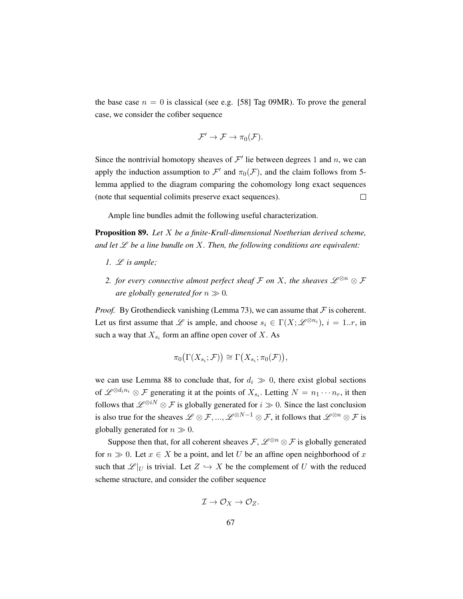the base case  $n = 0$  is classical (see e.g. [\[58\]](#page-202-0) Tag 09MR). To prove the general case, we consider the cofiber sequence

$$
\mathcal{F}' \to \mathcal{F} \to \pi_0(\mathcal{F}).
$$

Since the nontrivial homotopy sheaves of  $\mathcal{F}'$  lie between degrees 1 and n, we can apply the induction assumption to  $\mathcal{F}'$  and  $\pi_0(\mathcal{F})$ , and the claim follows from 5lemma applied to the diagram comparing the cohomology long exact sequences  $\Box$ (note that sequential colimits preserve exact sequences).

Ample line bundles admit the following useful characterization.

Proposition 89. *Let* X *be a finite-Krull-dimensional Noetherian derived scheme,* and let  $\mathscr L$  be a line bundle on  $X$ . Then, the following conditions are equivalent:

- 1.  $L$  *is ample;*
- *2. for every connective almost perfect sheaf*  $\mathcal F$  *on*  $X$ *, the sheaves*  $\mathscr L^{\otimes n} \otimes \mathcal F$ *are globally generated for*  $n \gg 0$ *.*

*Proof.* By Grothendieck vanishing (Lemma [73\)](#page-68-0), we can assume that  $F$  is coherent. Let us first assume that L is ample, and choose  $s_i \in \Gamma(X; \mathscr{L}^{\otimes n_i}), i = 1..r$ , in such a way that  $X_{s_i}$  form an affine open cover of X. As

$$
\pi_0\big(\Gamma(X_{s_i};\mathcal{F})\big) \cong \Gamma\big(X_{s_i};\pi_0(\mathcal{F})\big),\,
$$

we can use Lemma [88](#page-75-0) to conclude that, for  $d_i \gg 0$ , there exist global sections of  $\mathscr{L}^{\otimes d_i n_i} \otimes \mathscr{F}$  generating it at the points of  $X_{s_i}$ . Letting  $N = n_1 \cdots n_r$ , it then follows that  $\mathscr{L}^{\otimes iN} \otimes \mathcal{F}$  is globally generated for  $i \gg 0$ . Since the last conclusion is also true for the sheaves  $\mathscr{L} \otimes \mathcal{F}, ..., \mathscr{L}^{\otimes N-1} \otimes \mathcal{F}$ , it follows that  $\mathscr{L}^{\otimes n} \otimes \mathcal{F}$  is globally generated for  $n \gg 0$ .

Suppose then that, for all coherent sheaves  $\mathcal{F}, \mathcal{L}^{\otimes n} \otimes \mathcal{F}$  is globally generated for  $n \gg 0$ . Let  $x \in X$  be a point, and let U be an affine open neighborhood of x such that  $\mathscr{L}|_U$  is trivial. Let  $Z \hookrightarrow X$  be the complement of U with the reduced scheme structure, and consider the cofiber sequence

$$
\mathcal{I} \to \mathcal{O}_X \to \mathcal{O}_Z.
$$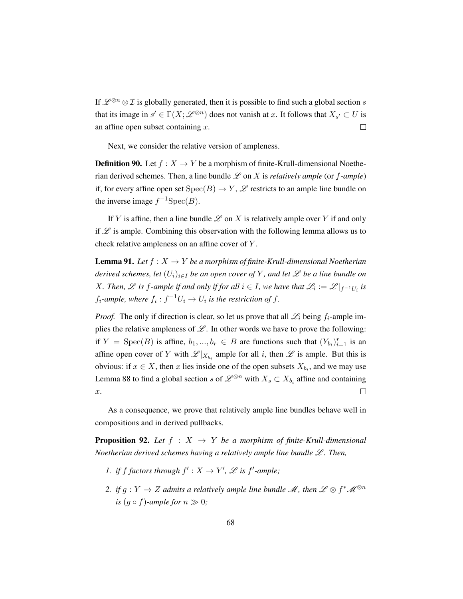If  $\mathscr{L}^{\otimes n} \otimes \mathcal{I}$  is globally generated, then it is possible to find such a global section s that its image in  $s' \in \Gamma(X; \mathscr{L}^{\otimes n})$  does not vanish at x. It follows that  $X_{s'} \subset U$  is an affine open subset containing  $x$ .  $\Box$ 

Next, we consider the relative version of ampleness.

**Definition 90.** Let  $f : X \to Y$  be a morphism of finite-Krull-dimensional Noetherian derived schemes. Then, a line bundle  $\mathscr L$  on X is *relatively ample* (or *f-ample*) if, for every affine open set  $Spec(B) \to Y$ ,  $\mathscr L$  restricts to an ample line bundle on the inverse image  $f^{-1}Spec(B)$ .

If Y is affine, then a line bundle  $\mathscr L$  on X is relatively ample over Y if and only if  $\mathscr L$  is ample. Combining this observation with the following lemma allows us to check relative ampleness on an affine cover of Y .

<span id="page-77-0"></span>**Lemma 91.** Let  $f: X \to Y$  be a morphism of finite-Krull-dimensional Noetherian *derived schemes, let*  $(U_i)_{i \in I}$  *be an open cover of* Y, and let  $\mathcal L$  *be a line bundle on* X. Then,  $\mathscr L$  is  $f$ -ample if and only if for all  $i \in I$ , we have that  $\mathscr L_i := \mathscr L \vert_{f^{-1}U_i}$  is  $f_i$ -ample, where  $f_i: f^{-1}U_i \to U_i$  is the restriction of  $f$ .

*Proof.* The only if direction is clear, so let us prove that all  $\mathcal{L}_i$  being  $f_i$ -ample implies the relative ampleness of  $\mathcal{L}$ . In other words we have to prove the following: if  $Y = \text{Spec}(B)$  is affine,  $b_1, ..., b_r \in B$  are functions such that  $(Y_{b_i})_{i=1}^r$  is an affine open cover of Y with  $\mathscr{L}|_{X_{b_i}}$  ample for all i, then  $\mathscr L$  is ample. But this is obvious: if  $x \in X$ , then x lies inside one of the open subsets  $X_{b_i}$ , and we may use Lemma [88](#page-75-0) to find a global section s of  $\mathscr{L}^{\otimes n}$  with  $X_s \subset X_{b_i}$  affine and containing  $\Box$  $x$ .

As a consequence, we prove that relatively ample line bundles behave well in compositions and in derived pullbacks.

<span id="page-77-1"></span>**Proposition 92.** Let  $f : X \rightarrow Y$  be a morphism of finite-Krull-dimensional *Noetherian derived schemes having a relatively ample line bundle*  $L$ *. Then,* 

- *1. if f factors through*  $f' : X \to Y'$ ,  $\mathscr L$  *is f'*-*ample*;
- 2. *if*  $g: Y \to Z$  admits a relatively ample line bundle  $\mathscr{M}$ , then  $\mathscr{L} \otimes f^* \mathscr{M}^{\otimes n}$ *is*  $(q \circ f)$ *-ample for*  $n \gg 0$ *;*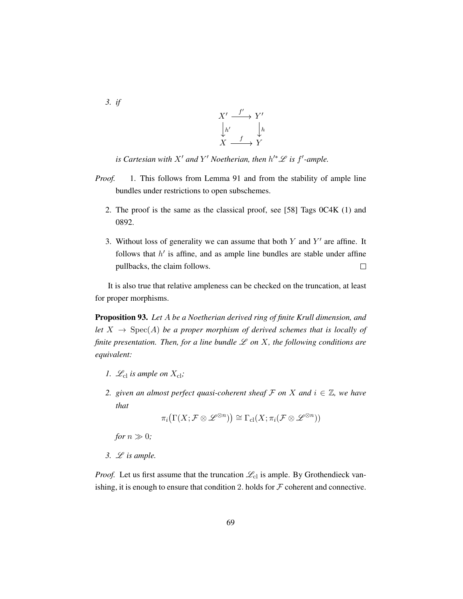*3. if*



*is Cartesian with*  $X'$  *and*  $Y'$  *Noetherian, then*  $h'^*L$  *is*  $f'$ -*ample.* 

- *Proof.* 1. This follows from Lemma [91](#page-77-0) and from the stability of ample line bundles under restrictions to open subschemes.
	- 2. The proof is the same as the classical proof, see [\[58\]](#page-202-0) Tags 0C4K (1) and 0892.
	- 3. Without loss of generality we can assume that both  $Y$  and  $Y'$  are affine. It follows that  $h'$  is affine, and as ample line bundles are stable under affine pullbacks, the claim follows.  $\Box$

It is also true that relative ampleness can be checked on the truncation, at least for proper morphisms.

<span id="page-78-0"></span>Proposition 93. *Let* A *be a Noetherian derived ring of finite Krull dimension, and let*  $X \rightarrow \text{Spec}(A)$  *be a proper morphism of derived schemes that is locally of finite presentation. Then, for a line bundle*  $\mathscr L$  *on*  $X$ *, the following conditions are equivalent:*

- *1.*  $\mathcal{L}_{\text{cl}}$  *is ample on*  $X_{\text{cl}}$ *;*
- *2.* given an almost perfect quasi-coherent sheaf  $\mathcal F$  on  $X$  and  $i \in \mathbb{Z}$ , we have *that*

$$
\pi_i\big(\Gamma(X;\mathcal{F}\otimes\mathscr{L}^{\otimes n})\big)\cong\Gamma_{\text{cl}}(X;\pi_i(\mathcal{F}\otimes\mathscr{L}^{\otimes n}))
$$

*for*  $n \gg 0$ *;* 

*3.* L *is ample.*

*Proof.* Let us first assume that the truncation  $\mathcal{L}_{\text{cl}}$  is ample. By Grothendieck vanishing, it is enough to ensure that condition 2. holds for  $\mathcal F$  coherent and connective.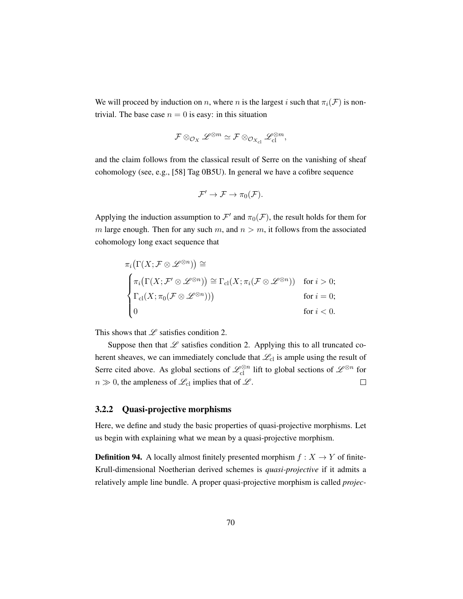We will proceed by induction on n, where n is the largest i such that  $\pi_i(\mathcal{F})$  is nontrivial. The base case  $n = 0$  is easy: in this situation

$$
\mathcal{F} \otimes_{\mathcal{O}_{X}} \mathscr{L}^{\otimes m} \simeq \mathcal{F} \otimes_{\mathcal{O}_{X_{\text{cl}}}} \mathscr{L}_{\text{cl}}^{\otimes m},
$$

and the claim follows from the classical result of Serre on the vanishing of sheaf cohomology (see, e.g., [\[58\]](#page-202-0) Tag 0B5U). In general we have a cofibre sequence

$$
\mathcal{F}'\to\mathcal{F}\to\pi_0(\mathcal{F}).
$$

Applying the induction assumption to  $\mathcal{F}'$  and  $\pi_0(\mathcal{F})$ , the result holds for them for m large enough. Then for any such m, and  $n > m$ , it follows from the associated cohomology long exact sequence that

$$
\pi_i(\Gamma(X; \mathcal{F} \otimes \mathscr{L}^{\otimes n})) \cong
$$
\n
$$
\begin{cases}\n\pi_i(\Gamma(X; \mathcal{F}' \otimes \mathscr{L}^{\otimes n})) \cong \Gamma_{\text{cl}}(X; \pi_i(\mathcal{F} \otimes \mathscr{L}^{\otimes n})) & \text{for } i > 0; \\
\Gamma_{\text{cl}}(X; \pi_0(\mathcal{F} \otimes \mathscr{L}^{\otimes n}))) & \text{for } i = 0; \\
0 & \text{for } i < 0.\n\end{cases}
$$

This shows that  $L$  satisfies condition 2.

Suppose then that  $L$  satisfies condition 2. Applying this to all truncated coherent sheaves, we can immediately conclude that  $\mathcal{L}_{cl}$  is ample using the result of Serre cited above. As global sections of  $\mathscr{L}_{\text{cl}}^{\otimes n}$  lift to global sections of  $\mathscr{L}^{\otimes n}$  for  $n \gg 0$ , the ampleness of  $\mathcal{L}_{\text{cl}}$  implies that of  $\mathcal{L}$ .  $\Box$ 

### 3.2.2 Quasi-projective morphisms

Here, we define and study the basic properties of quasi-projective morphisms. Let us begin with explaining what we mean by a quasi-projective morphism.

**Definition 94.** A locally almost finitely presented morphism  $f : X \to Y$  of finite-Krull-dimensional Noetherian derived schemes is *quasi-projective* if it admits a relatively ample line bundle. A proper quasi-projective morphism is called *projec-*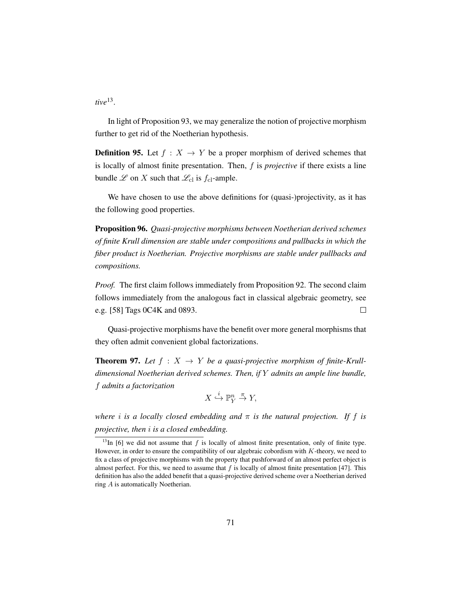*tive*[13](#page-80-0) .

In light of Proposition [93,](#page-78-0) we may generalize the notion of projective morphism further to get rid of the Noetherian hypothesis.

**Definition 95.** Let  $f : X \to Y$  be a proper morphism of derived schemes that is locally of almost finite presentation. Then, f is *projective* if there exists a line bundle  $\mathscr L$  on  $X$  such that  $\mathscr L_{\text{cl}}$  is  $f_{\text{cl}}$ -ample.

We have chosen to use the above definitions for (quasi-)projectivity, as it has the following good properties.

Proposition 96. *Quasi-projective morphisms between Noetherian derived schemes of finite Krull dimension are stable under compositions and pullbacks in which the fiber product is Noetherian. Projective morphisms are stable under pullbacks and compositions.*

*Proof.* The first claim follows immediately from Proposition [92.](#page-77-1) The second claim follows immediately from the analogous fact in classical algebraic geometry, see e.g. [\[58\]](#page-202-0) Tags 0C4K and 0893.  $\Box$ 

Quasi-projective morphisms have the benefit over more general morphisms that they often admit convenient global factorizations.

**Theorem 97.** Let  $f : X \rightarrow Y$  be a quasi-projective morphism of finite-Krull*dimensional Noetherian derived schemes. Then, if* Y *admits an ample line bundle,* f *admits a factorization*

$$
X \stackrel{i}{\hookrightarrow} \mathbb{P}^n_Y \stackrel{\pi}{\to} Y,
$$

*where* i *is a locally closed embedding and* π *is the natural projection. If* f *is projective, then* i *is a closed embedding.*

<span id="page-80-0"></span><sup>&</sup>lt;sup>13</sup>In [\[6\]](#page-197-0) we did not assume that f is locally of almost finite presentation, only of finite type. However, in order to ensure the compatibility of our algebraic cobordism with  $K$ -theory, we need to fix a class of projective morphisms with the property that pushforward of an almost perfect object is almost perfect. For this, we need to assume that  $f$  is locally of almost finite presentation [\[47\]](#page-201-0). This definition has also the added benefit that a quasi-projective derived scheme over a Noetherian derived ring A is automatically Noetherian.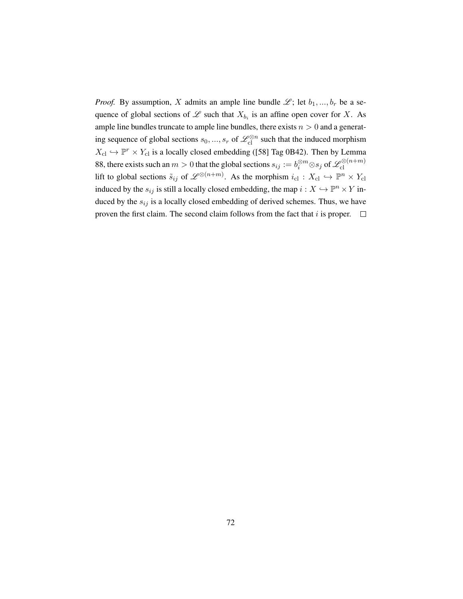*Proof.* By assumption, X admits an ample line bundle  $\mathcal{L}$ ; let  $b_1, ..., b_r$  be a sequence of global sections of  $\mathscr L$  such that  $X_{b_i}$  is an affine open cover for X. As ample line bundles truncate to ample line bundles, there exists  $n > 0$  and a generating sequence of global sections  $s_0, ..., s_r$  of  $\mathcal{L}_{\text{cl}}^{\otimes n}$  such that the induced morphism  $X_{\text{cl}} \hookrightarrow \mathbb{P}^r \times Y_{\text{cl}}$  is a locally closed embedding ([\[58\]](#page-202-0) Tag 0B42). Then by Lemma [88,](#page-75-0) there exists such an  $m>0$  that the global sections  $s_{ij} := b_i^{\otimes m} \otimes s_j$  of  $\mathscr{L}^{ \otimes (n+m)}_{\text{cl}}$ cl lift to global sections  $\tilde{s}_{ij}$  of  $\mathscr{L}^{\otimes (n+m)}$ . As the morphism  $i_{\text{cl}} : X_{\text{cl}} \hookrightarrow \mathbb{P}^n \times Y_{\text{cl}}$ induced by the  $s_{ij}$  is still a locally closed embedding, the map  $i : X \hookrightarrow \mathbb{P}^n \times Y$  induced by the  $s_{ij}$  is a locally closed embedding of derived schemes. Thus, we have proven the first claim. The second claim follows from the fact that i is proper.  $\Box$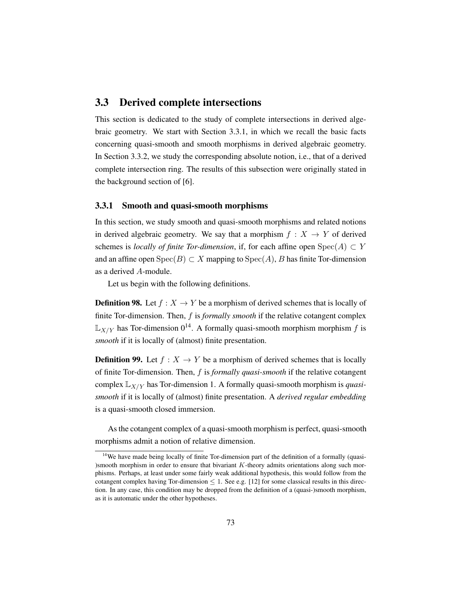### 3.3 Derived complete intersections

This section is dedicated to the study of complete intersections in derived algebraic geometry. We start with Section [3.3.1,](#page-82-0) in which we recall the basic facts concerning quasi-smooth and smooth morphisms in derived algebraic geometry. In Section [3.3.2,](#page-84-0) we study the corresponding absolute notion, i.e., that of a derived complete intersection ring. The results of this subsection were originally stated in the background section of [\[6\]](#page-197-0).

### <span id="page-82-0"></span>3.3.1 Smooth and quasi-smooth morphisms

In this section, we study smooth and quasi-smooth morphisms and related notions in derived algebraic geometry. We say that a morphism  $f : X \rightarrow Y$  of derived schemes is *locally of finite Tor-dimension*, if, for each affine open  $Spec(A) \subset Y$ and an affine open  $Spec(B) \subset X$  mapping to  $Spec(A)$ , B has finite Tor-dimension as a derived A-module.

Let us begin with the following definitions.

**Definition 98.** Let  $f : X \to Y$  be a morphism of derived schemes that is locally of finite Tor-dimension. Then, f is *formally smooth* if the relative cotangent complex  $\mathbb{L}_{X/Y}$  has Tor-dimension  $0^{14}$  $0^{14}$  $0^{14}$ . A formally quasi-smooth morphism morphism f is *smooth* if it is locally of (almost) finite presentation.

**Definition 99.** Let  $f : X \to Y$  be a morphism of derived schemes that is locally of finite Tor-dimension. Then, f is *formally quasi-smooth* if the relative cotangent complex  $\mathbb{L}_{X/Y}$  has Tor-dimension 1. A formally quasi-smooth morphism is *quasismooth* if it is locally of (almost) finite presentation. A *derived regular embedding* is a quasi-smooth closed immersion.

As the cotangent complex of a quasi-smooth morphism is perfect, quasi-smooth morphisms admit a notion of relative dimension.

<span id="page-82-1"></span><sup>&</sup>lt;sup>14</sup>We have made being locally of finite Tor-dimension part of the definition of a formally (quasi-)smooth morphism in order to ensure that bivariant  $K$ -theory admits orientations along such morphisms. Perhaps, at least under some fairly weak additional hypothesis, this would follow from the cotangent complex having Tor-dimension  $\leq 1$ . See e.g. [\[12\]](#page-198-0) for some classical results in this direction. In any case, this condition may be dropped from the definition of a (quasi-)smooth morphism, as it is automatic under the other hypotheses.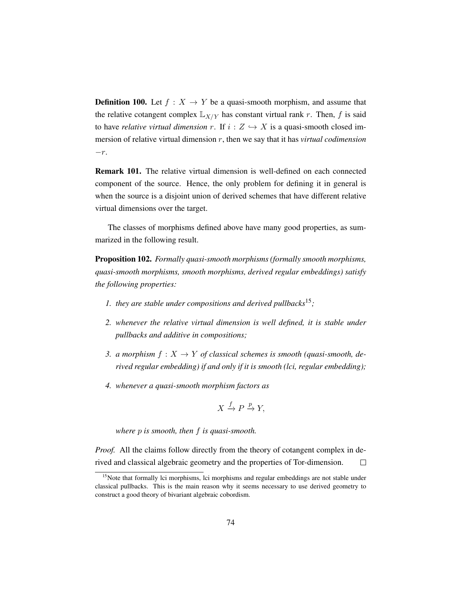**Definition 100.** Let  $f : X \to Y$  be a quasi-smooth morphism, and assume that the relative cotangent complex  $\mathbb{L}_{X/Y}$  has constant virtual rank r. Then, f is said to have *relative virtual dimension* r. If  $i : Z \hookrightarrow X$  is a quasi-smooth closed immersion of relative virtual dimension r, then we say that it has *virtual codimension*  $-r.$ 

Remark 101. The relative virtual dimension is well-defined on each connected component of the source. Hence, the only problem for defining it in general is when the source is a disjoint union of derived schemes that have different relative virtual dimensions over the target.

The classes of morphisms defined above have many good properties, as summarized in the following result.

<span id="page-83-1"></span>Proposition 102. *Formally quasi-smooth morphisms (formally smooth morphisms, quasi-smooth morphisms, smooth morphisms, derived regular embeddings) satisfy the following properties:*

- *1. they are stable under compositions and derived pullbacks*[15](#page-83-0)*;*
- *2. whenever the relative virtual dimension is well defined, it is stable under pullbacks and additive in compositions;*
- *3. a morphism*  $f: X \to Y$  *of classical schemes is smooth (quasi-smooth, derived regular embedding) if and only if it is smooth (lci, regular embedding);*
- *4. whenever a quasi-smooth morphism factors as*

$$
X \xrightarrow{f} P \xrightarrow{p} Y,
$$

*where* p *is smooth, then* f *is quasi-smooth.*

*Proof.* All the claims follow directly from the theory of cotangent complex in derived and classical algebraic geometry and the properties of Tor-dimension.  $\Box$ 

<span id="page-83-0"></span><sup>&</sup>lt;sup>15</sup>Note that formally lci morphisms, lci morphisms and regular embeddings are not stable under classical pullbacks. This is the main reason why it seems necessary to use derived geometry to construct a good theory of bivariant algebraic cobordism.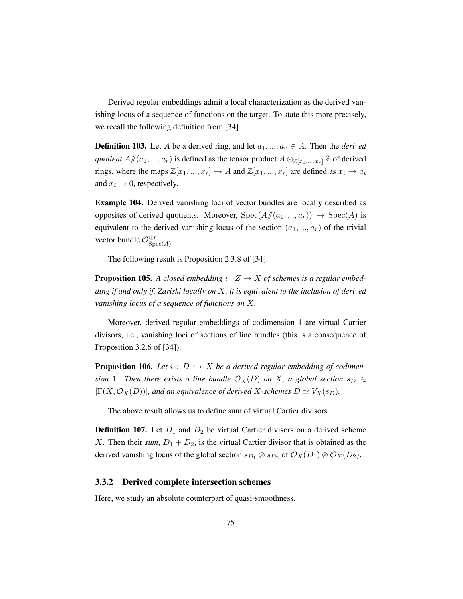Derived regular embeddings admit a local characterization as the derived vanishing locus of a sequence of functions on the target. To state this more precisely, we recall the following definition from [\[34\]](#page-200-1).

**Definition 103.** Let A be a derived ring, and let  $a_1, ..., a_r \in A$ . Then the *derived quotient*  $A/(a_1, ..., a_r)$  is defined as the tensor product  $A \otimes_{\mathbb{Z}[x_1,...,x_r]} \mathbb{Z}$  of derived rings, where the maps  $\mathbb{Z}[x_1, ..., x_r] \to A$  and  $\mathbb{Z}[x_1, ..., x_r]$  are defined as  $x_i \mapsto a_i$ and  $x_i \mapsto 0$ , respectively.

Example 104. Derived vanishing loci of vector bundles are locally described as opposites of derived quotients. Moreover,  $Spec(A/(a_1, ..., a_r)) \rightarrow Spec(A)$  is equivalent to the derived vanishing locus of the section  $(a_1, ..., a_r)$  of the trivial vector bundle  $\mathcal{O}_{\text{Sn}}^{\oplus r}$  $\mathop{\rm Spec}\nolimits(A)^*$ 

The following result is Proposition 2.3.8 of [\[34\]](#page-200-1).

<span id="page-84-1"></span>**Proposition 105.** A closed embedding  $i: Z \rightarrow X$  of schemes is a regular embed*ding if and only if, Zariski locally on* X*, it is equivalent to the inclusion of derived vanishing locus of a sequence of functions on* X*.*

Moreover, derived regular embeddings of codimension 1 are virtual Cartier divisors, i.e., vanishing loci of sections of line bundles (this is a consequence of Proposition 3.2.6 of [\[34\]](#page-200-1)).

**Proposition 106.** Let  $i : D \hookrightarrow X$  be a derived regular embedding of codimen*sion* 1*.* Then there exists a line bundle  $\mathcal{O}_X(D)$  on X, a global section  $s_D \in$  $|\Gamma(X, \mathcal{O}_X(D))|$ , and an equivalence of derived X-schemes  $D \simeq V_X(s_D)$ .

The above result allows us to define sum of virtual Cartier divisors.

**Definition 107.** Let  $D_1$  and  $D_2$  be virtual Cartier divisors on a derived scheme X. Then their *sum*,  $D_1 + D_2$ , is the virtual Cartier divisor that is obtained as the derived vanishing locus of the global section  $s_{D_1} \otimes s_{D_2}$  of  $\mathcal{O}_X(D_1) \otimes \mathcal{O}_X(D_2)$ .

### <span id="page-84-0"></span>3.3.2 Derived complete intersection schemes

Here, we study an absolute counterpart of quasi-smoothness.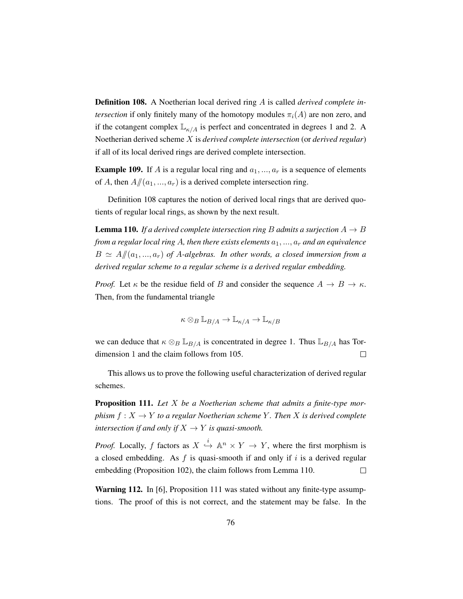<span id="page-85-0"></span>Definition 108. A Noetherian local derived ring A is called *derived complete intersection* if only finitely many of the homotopy modules  $\pi_i(A)$  are non zero, and if the cotangent complex  $\mathbb{L}_{\kappa/A}$  is perfect and concentrated in degrees 1 and 2. A Noetherian derived scheme X is *derived complete intersection* (or *derived regular*) if all of its local derived rings are derived complete intersection.

**Example 109.** If A is a regular local ring and  $a_1, ..., a_r$  is a sequence of elements of A, then  $A/(a_1, ..., a_r)$  is a derived complete intersection ring.

Definition [108](#page-85-0) captures the notion of derived local rings that are derived quotients of regular local rings, as shown by the next result.

<span id="page-85-1"></span>**Lemma 110.** If a derived complete intersection ring B admits a surjection  $A \rightarrow B$ *from a regular local ring A, then there exists elements*  $a_1, ..., a_r$  *and an equivalence*  $B \simeq A/(a_1, ..., a_r)$  of A-algebras. In other words, a closed immersion from a *derived regular scheme to a regular scheme is a derived regular embedding.*

*Proof.* Let  $\kappa$  be the residue field of B and consider the sequence  $A \to B \to \kappa$ . Then, from the fundamental triangle

$$
\kappa \otimes_B \mathbb{L}_{B/A} \to \mathbb{L}_{\kappa/A} \to \mathbb{L}_{\kappa/B}
$$

we can deduce that  $\kappa \otimes_B \mathbb{L}_{B/A}$  is concentrated in degree 1. Thus  $\mathbb{L}_{B/A}$  has Tordimension 1 and the claim follows from [105.](#page-84-1)  $\Box$ 

This allows us to prove the following useful characterization of derived regular schemes.

<span id="page-85-2"></span>Proposition 111. *Let* X *be a Noetherian scheme that admits a finite-type morphism*  $f: X \to Y$  *to a regular Noetherian scheme* Y. Then X *is derived complete intersection if and only if*  $X \rightarrow Y$  *is quasi-smooth.* 

*Proof.* Locally, f factors as  $X \stackrel{i}{\hookrightarrow} \mathbb{A}^n \times Y \to Y$ , where the first morphism is a closed embedding. As  $f$  is quasi-smooth if and only if i is a derived regular embedding (Proposition [102\)](#page-83-1), the claim follows from Lemma [110.](#page-85-1)  $\Box$ 

**Warning 112.** In [\[6\]](#page-197-0), Proposition [111](#page-85-2) was stated without any finite-type assumptions. The proof of this is not correct, and the statement may be false. In the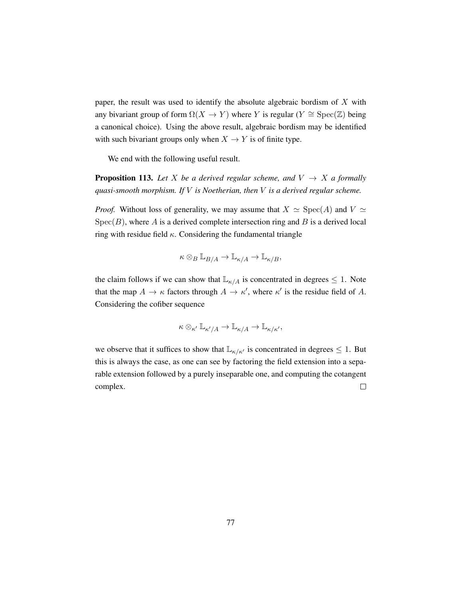paper, the result was used to identify the absolute algebraic bordism of  $X$  with any bivariant group of form  $\Omega(X \to Y)$  where Y is regular (Y ≅ Spec(Z) being a canonical choice). Using the above result, algebraic bordism may be identified with such bivariant groups only when  $X \to Y$  is of finite type.

We end with the following useful result.

**Proposition 113.** Let X be a derived regular scheme, and  $V \rightarrow X$  a formally *quasi-smooth morphism. If* V *is Noetherian, then* V *is a derived regular scheme.*

*Proof.* Without loss of generality, we may assume that  $X \simeq \text{Spec}(A)$  and  $V \simeq$  $Spec(B)$ , where A is a derived complete intersection ring and B is a derived local ring with residue field  $\kappa$ . Considering the fundamental triangle

$$
\kappa \otimes_B \mathbb{L}_{B/A} \to \mathbb{L}_{\kappa/A} \to \mathbb{L}_{\kappa/B},
$$

the claim follows if we can show that  $\mathbb{L}_{\kappa/A}$  is concentrated in degrees  $\leq 1$ . Note that the map  $A \to \kappa$  factors through  $A \to \kappa'$ , where  $\kappa'$  is the residue field of A. Considering the cofiber sequence

$$
\kappa \otimes_{\kappa'} \mathbb{L}_{\kappa'/A} \to \mathbb{L}_{\kappa/A} \to \mathbb{L}_{\kappa/\kappa'},
$$

we observe that it suffices to show that  $\mathbb{L}_{\kappa/\kappa'}$  is concentrated in degrees  $\leq 1$ . But this is always the case, as one can see by factoring the field extension into a separable extension followed by a purely inseparable one, and computing the cotangent complex.  $\Box$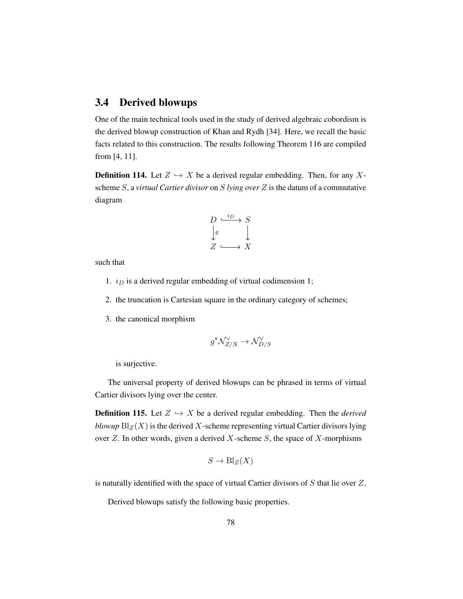# 3.4 Derived blowups

One of the main technical tools used in the study of derived algebraic cobordism is the derived blowup construction of Khan and Rydh [\[34\]](#page-200-1). Here, we recall the basic facts related to this construction. The results following Theorem [116](#page-88-0) are compiled from [\[4,](#page-197-2) [11\]](#page-198-1).

**Definition 114.** Let  $Z \hookrightarrow X$  be a derived regular embedding. Then, for any Xscheme S, a *virtual Cartier divisor* on S *lying over* Z is the datum of a commutative diagram

$$
D \xrightarrow{i_D} S
$$
  

$$
\downarrow g
$$
  

$$
Z \xrightarrow{X} X
$$

such that

- 1.  $i_D$  is a derived regular embedding of virtual codimension 1;
- 2. the truncation is Cartesian square in the ordinary category of schemes;
- 3. the canonical morphism

$$
g^* \mathcal N^\vee_{Z/X} \to \mathcal N^\vee_{D/S}
$$

is surjective.

The universal property of derived blowups can be phrased in terms of virtual Cartier divisors lying over the center.

**Definition 115.** Let  $Z \hookrightarrow X$  be a derived regular embedding. Then the *derived blowup*  $\text{Bl}_Z(X)$  is the derived X-scheme representing virtual Cartier divisors lying over  $Z$ . In other words, given a derived  $X$ -scheme  $S$ , the space of  $X$ -morphisms

$$
S \to \mathrm{Bl}_Z(X)
$$

is naturally identified with the space of virtual Cartier divisors of S that lie over Z.

Derived blowups satisfy the following basic properties.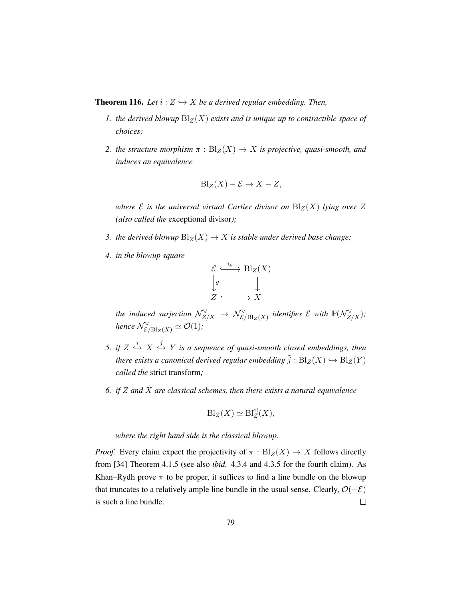<span id="page-88-0"></span>**Theorem 116.** Let  $i: Z \hookrightarrow X$  be a derived regular embedding. Then,

- *1. the derived blowup*  $\text{Bl}_Z(X)$  *exists and is unique up to contractible space of choices;*
- *2. the structure morphism*  $\pi$  :  $Bl_Z(X) \to X$  *is projective, quasi-smooth, and induces an equivalence*

$$
Bl_Z(X) - \mathcal{E} \to X - Z,
$$

*where*  $\mathcal E$  *is the universal virtual Cartier divisor on*  $\text{Bl}_Z(X)$  *lying over*  $Z$ *(also called the* exceptional divisor*);*

- *3. the derived blowup*  $Bl_Z(X) \to X$  *is stable under derived base change;*
- *4. in the blowup square*

$$
\mathcal{E} \xrightarrow{i_{\mathcal{E}}} \text{Bl}_Z(X)
$$
  

$$
\downarrow g \qquad \qquad \downarrow \qquad \downarrow
$$
  

$$
Z \xrightarrow{X} X
$$

the induced surjection  $\mathcal{N}_{Z/X}^{\vee} \to \mathcal{N}_{\mathcal{E}/\mathrm{Bl}_Z(X)}^{\vee}$  identifies  $\mathcal E$  with  $\mathbb P(\mathcal{N}_{Z/X}^{\vee})$ ; *hence*  $\mathcal{N}_{\mathcal{E}/\mathrm{Bl}_Z(X)}^{\vee} \simeq \mathcal{O}(1)$ *;* 

- 5. if  $Z \stackrel{i}{\hookrightarrow} X \stackrel{j}{\hookrightarrow} Y$  is a sequence of quasi-smooth closed embeddings, then *there exists a canonical derived regular embedding*  $\tilde{j}: \text{Bl}_Z(X) \hookrightarrow \text{Bl}_Z(Y)$ *called the* strict transform*;*
- *6. if* Z *and* X *are classical schemes, then there exists a natural equivalence*

$$
Bl_Z(X) \simeq Bl_Z^{cl}(X),
$$

*where the right hand side is the classical blowup.*

*Proof.* Every claim expect the projectivity of  $\pi : Bl_Z(X) \to X$  follows directly from [\[34\]](#page-200-1) Theorem 4.1.5 (see also *ibid.* 4.3.4 and 4.3.5 for the fourth claim). As Khan–Rydh prove  $\pi$  to be proper, it suffices to find a line bundle on the blowup that truncates to a relatively ample line bundle in the usual sense. Clearly,  $O(-\mathcal{E})$ is such a line bundle.  $\Box$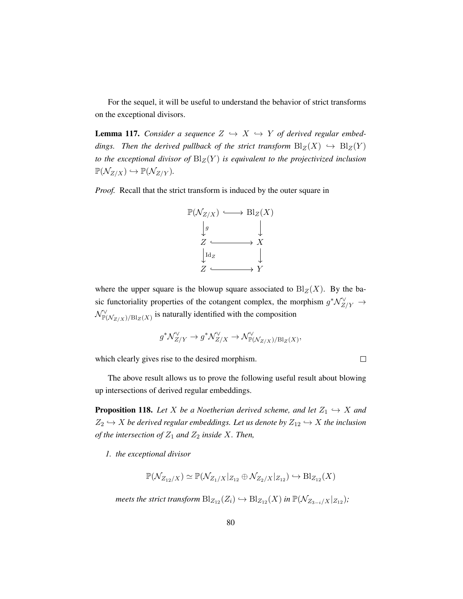For the sequel, it will be useful to understand the behavior of strict transforms on the exceptional divisors.

<span id="page-89-0"></span>**Lemma 117.** *Consider a sequence*  $Z \leftrightarrow X \leftrightarrow Y$  *of derived regular embeddings. Then the derived pullback of the strict transform*  $\text{Bl}_Z(X) \hookrightarrow \text{Bl}_Z(Y)$ *to the exceptional divisor of*  $Bl_Z(Y)$  *is equivalent to the projectivized inclusion*  $\mathbb{P}(\mathcal{N}_{Z/X}) \hookrightarrow \mathbb{P}(\mathcal{N}_{Z/Y}).$ 

*Proof.* Recall that the strict transform is induced by the outer square in



where the upper square is the blowup square associated to  $\text{Bl}_Z(X)$ . By the basic functoriality properties of the cotangent complex, the morphism  $g^* \mathcal{N}_{Z/Y}^{\vee} \rightarrow$  $\mathcal{N}_{\mathbb{P}(\mathcal{N}_{Z/X})/\mathrm{Bl}_Z(X)}^{\vee}$  is naturally identified with the composition

$$
g^* \mathcal{N}_{Z/Y}^{\vee} \to g^* \mathcal{N}_{Z/X}^{\vee} \to \mathcal{N}_{\mathbb{P}(\mathcal{N}_{Z/X})/\mathrm{Bl}_Z(X)}^{\vee},
$$

which clearly gives rise to the desired morphism.

 $\Box$ 

The above result allows us to prove the following useful result about blowing up intersections of derived regular embeddings.

**Proposition 118.** Let X be a Noetherian derived scheme, and let  $Z_1 \hookrightarrow X$  and  $Z_2 \hookrightarrow X$  *be derived regular embeddings. Let us denote by*  $Z_{12} \hookrightarrow X$  *the inclusion of the intersection of*  $Z_1$  *and*  $Z_2$  *inside* X. Then,

*1. the exceptional divisor*

$$
\mathbb{P}(\mathcal{N}_{Z_{12}/X}) \simeq \mathbb{P}(\mathcal{N}_{Z_1/X}|_{Z_{12}} \oplus \mathcal{N}_{Z_2/X}|_{Z_{12}}) \hookrightarrow \text{Bl}_{Z_{12}}(X)
$$

*meets the strict transform*  $\text{Bl}_{Z_{12}}(Z_i) \hookrightarrow \text{Bl}_{Z_{12}}(X)$  *in*  $\mathbb{P}(\mathcal{N}_{Z_{3-i}/X}|_{Z_{12}})$ *;*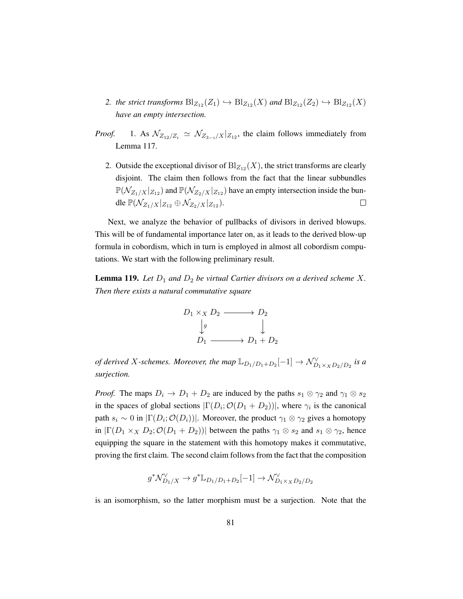- 2. *the strict transforms*  $\text{Bl}_{Z_{12}}(Z_1) \hookrightarrow \text{Bl}_{Z_{12}}(X)$  *and*  $\text{Bl}_{Z_{12}}(Z_2) \hookrightarrow \text{Bl}_{Z_{12}}(X)$ *have an empty intersection.*
- *Proof.* 1. As  $\mathcal{N}_{Z_{12}/Z_i} \simeq \mathcal{N}_{Z_{3-i}/X}|_{Z_{12}}$ , the claim follows immediately from Lemma [117.](#page-89-0)
	- 2. Outside the exceptional divisor of  $\text{Bl}_{Z_{12}}(X)$ , the strict transforms are clearly disjoint. The claim then follows from the fact that the linear subbundles  $\mathbb{P}(\mathcal{N}_{Z_1/X}|_{Z_{12}})$  and  $\mathbb{P}(\mathcal{N}_{Z_2/X}|_{Z_{12}})$  have an empty intersection inside the bundle  $\mathbb{P}(\mathcal{N}_{Z_1/X}|_{Z_{12}} \oplus \mathcal{N}_{Z_2/X}|_{Z_{12}}).$  $\Box$

Next, we analyze the behavior of pullbacks of divisors in derived blowups. This will be of fundamental importance later on, as it leads to the derived blow-up formula in cobordism, which in turn is employed in almost all cobordism computations. We start with the following preliminary result.

<span id="page-90-0"></span>**Lemma 119.** Let  $D_1$  and  $D_2$  be virtual Cartier divisors on a derived scheme X. *Then there exists a natural commutative square*



*of derived* X-schemes. Moreover, the map  $\mathbb{L}_{D_1/D_1+D_2}[-1] \to \mathcal{N}^{\vee}_{D_1 \times_X D_2/D_2}$  is a *surjection.*

*Proof.* The maps  $D_i \to D_1 + D_2$  are induced by the paths  $s_1 \otimes \gamma_2$  and  $\gamma_1 \otimes s_2$ in the spaces of global sections  $|\Gamma(D_i; O(D_1 + D_2))|$ , where  $\gamma_i$  is the canonical path  $s_i \sim 0$  in  $|\Gamma(D_i; \mathcal{O}(D_i))|$ . Moreover, the product  $\gamma_1 \otimes \gamma_2$  gives a homotopy in  $|\Gamma(D_1 \times_X D_2; \mathcal{O}(D_1 + D_2))|$  between the paths  $\gamma_1 \otimes s_2$  and  $s_1 \otimes \gamma_2$ , hence equipping the square in the statement with this homotopy makes it commutative, proving the first claim. The second claim follows from the fact that the composition

$$
g^* \mathcal N^\vee_{D_1/X} \to g^* \mathbb L_{D_1/D_1 + D_2}[-1] \to \mathcal N^\vee_{D_1 \times_X D_2/D_2}
$$

is an isomorphism, so the latter morphism must be a surjection. Note that the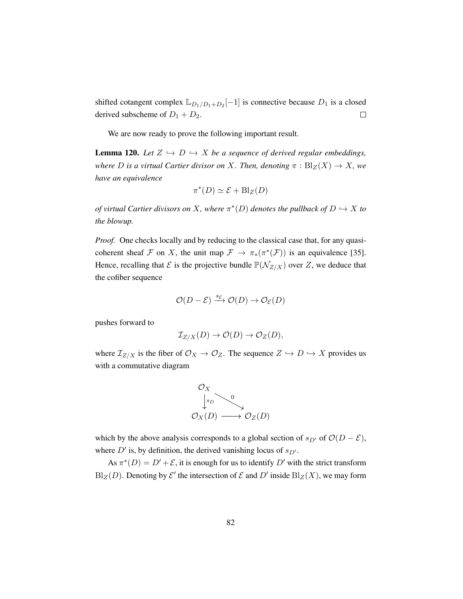shifted cotangent complex  $\mathbb{L}_{D_1/D_1+D_2}[-1]$  is connective because  $D_1$  is a closed derived subscheme of  $D_1 + D_2$ .  $\Box$ 

We are now ready to prove the following important result.

<span id="page-91-0"></span>**Lemma 120.** Let  $Z \leftrightarrow D \leftrightarrow X$  be a sequence of derived regular embeddings, *where D is a virtual Cartier divisor on X. Then, denoting*  $\pi$  :  $\text{Bl}_Z(X) \to X$ *, we have an equivalence*

$$
\pi^*(D) \simeq \mathcal{E} + \mathrm{Bl}_Z(D)
$$

*of virtual Cartier divisors on* X, where  $\pi^*(D)$  *denotes the pullback of*  $D \hookrightarrow X$  *to the blowup.*

*Proof.* One checks locally and by reducing to the classical case that, for any quasicoherent sheaf F on X, the unit map  $\mathcal{F} \to \pi_*(\pi^*(\mathcal{F}))$  is an equivalence [\[35\]](#page-200-2). Hence, recalling that  $\mathcal E$  is the projective bundle  $\mathbb P(\mathcal N_{Z/X})$  over  $Z$ , we deduce that the cofiber sequence

$$
\mathcal{O}(D-\mathcal{E}) \xrightarrow{s_{\mathcal{E}}} \mathcal{O}(D) \to \mathcal{O}_{\mathcal{E}}(D)
$$

pushes forward to

$$
\mathcal{I}_{Z/X}(D) \to \mathcal{O}(D) \to \mathcal{O}_Z(D),
$$

where  $\mathcal{I}_{Z/X}$  is the fiber of  $\mathcal{O}_X \to \mathcal{O}_Z$ . The sequence  $Z \hookrightarrow D \hookrightarrow X$  provides us with a commutative diagram



which by the above analysis corresponds to a global section of  $s_{D'}$  of  $O(D - \mathcal{E})$ , where  $D'$  is, by definition, the derived vanishing locus of  $s_{D'}$ .

As  $\pi^*(D) = D' + \mathcal{E}$ , it is enough for us to identify  $D'$  with the strict transform  $Bl_Z(D)$ . Denoting by  $\mathcal{E}'$  the intersection of  $\mathcal E$  and  $D'$  inside  $Bl_Z(X)$ , we may form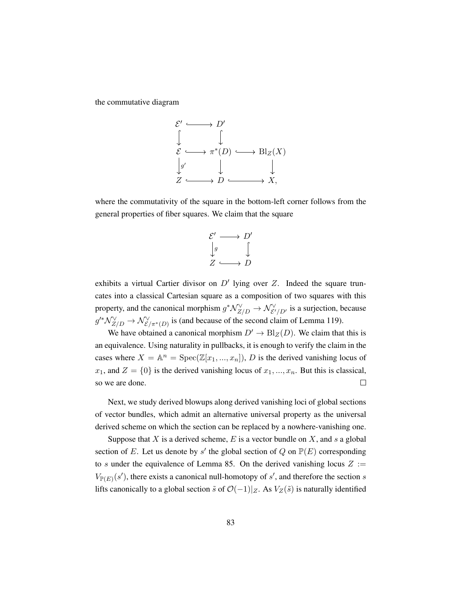the commutative diagram



where the commutativity of the square in the bottom-left corner follows from the general properties of fiber squares. We claim that the square

$$
\begin{array}{ccc}\n{\mathcal{E}}' & \longrightarrow & D' \\
\downarrow_g & & \downarrow \\
Z & \longrightarrow & D\n\end{array}
$$

exhibits a virtual Cartier divisor on  $D'$  lying over Z. Indeed the square truncates into a classical Cartesian square as a composition of two squares with this property, and the canonical morphism  $g^* \mathcal{N}_{Z/D}^{\vee} \to \mathcal{N}_{\mathcal{E}'/D'}^{\vee}$  is a surjection, because  $g'^*\mathcal{N}_{Z/D}^{\vee} \to \mathcal{N}_{\mathcal{E}/\pi^*(D)}^{\vee}$  is (and because of the second claim of Lemma [119\)](#page-90-0).

We have obtained a canonical morphism  $D' \to B\vert_Z(D)$ . We claim that this is an equivalence. Using naturality in pullbacks, it is enough to verify the claim in the cases where  $X = \mathbb{A}^n = \text{Spec}(\mathbb{Z}[x_1, ..., x_n]), D$  is the derived vanishing locus of  $x_1$ , and  $Z = \{0\}$  is the derived vanishing locus of  $x_1, ..., x_n$ . But this is classical, so we are done.  $\Box$ 

Next, we study derived blowups along derived vanishing loci of global sections of vector bundles, which admit an alternative universal property as the universal derived scheme on which the section can be replaced by a nowhere-vanishing one.

Suppose that X is a derived scheme, E is a vector bundle on X, and s a global section of E. Let us denote by s' the global section of Q on  $\mathbb{P}(E)$  corresponding to s under the equivalence of Lemma [85.](#page-74-0) On the derived vanishing locus  $Z :=$  $V_{\mathbb{P}(E)}(s')$ , there exists a canonical null-homotopy of s', and therefore the section s lifts canonically to a global section  $\tilde{s}$  of  $\mathcal{O}(-1)|_Z$ . As  $V_Z(\tilde{s})$  is naturally identified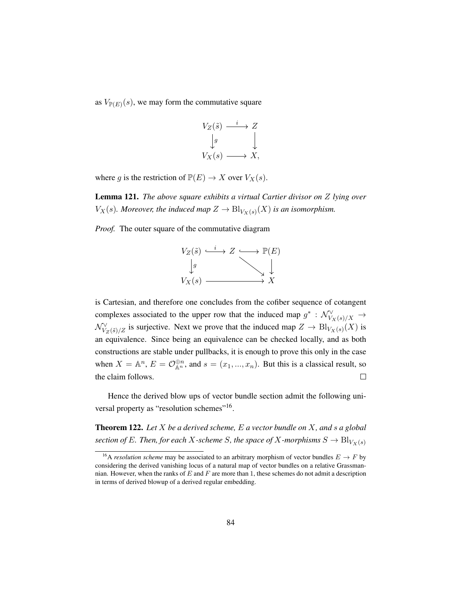as  $V_{\mathbb{P}(E)}(s)$ , we may form the commutative square

$$
V_Z(\tilde{s}) \xrightarrow{i} Z
$$
  
\n
$$
\downarrow g
$$
  
\n
$$
V_X(s) \longrightarrow X,
$$

where g is the restriction of  $\mathbb{P}(E) \to X$  over  $V_X(s)$ .

Lemma 121. *The above square exhibits a virtual Cartier divisor on* Z *lying over*  $V_X(s)$ . Moreover, the induced map  $Z \to \text{Bl}_{V_X(s)}(X)$  is an isomorphism.

*Proof.* The outer square of the commutative diagram



is Cartesian, and therefore one concludes from the cofiber sequence of cotangent complexes associated to the upper row that the induced map  $g^* : \mathcal{N}_{V_X(s)/X}^{\vee} \to$  $\mathcal{N}_{V_Z(\tilde{s})/Z}^{\vee}$  is surjective. Next we prove that the induced map  $Z \to \text{Bl}_{V_X(s)}(X)$  is an equivalence. Since being an equivalence can be checked locally, and as both constructions are stable under pullbacks, it is enough to prove this only in the case when  $X = \mathbb{A}^n$ ,  $E = \mathcal{O}_{\mathbb{A}^n}^{\oplus n}$ , and  $s = (x_1, ..., x_n)$ . But this is a classical result, so the claim follows.  $\Box$ 

Hence the derived blow ups of vector bundle section admit the following uni-versal property as "resolution schemes"<sup>[16](#page-93-0)</sup>.

Theorem 122. *Let* X *be a derived scheme,* E *a vector bundle on* X*, and* s *a global section of* E*. Then, for each* X-scheme S, the space of X-morphisms  $S \to \text{Bl}_{V_X(s)}$ 

<span id="page-93-0"></span><sup>&</sup>lt;sup>16</sup>A *resolution scheme* may be associated to an arbitrary morphism of vector bundles  $E \to F$  by considering the derived vanishing locus of a natural map of vector bundles on a relative Grassmannian. However, when the ranks of  $E$  and  $F$  are more than 1, these schemes do not admit a description in terms of derived blowup of a derived regular embedding.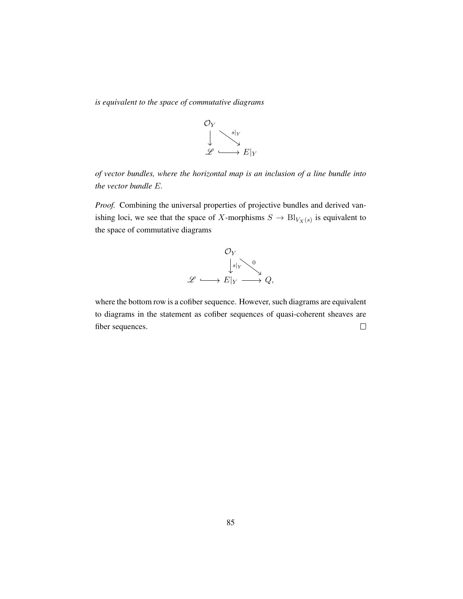*is equivalent to the space of commutative diagrams*



*of vector bundles, where the horizontal map is an inclusion of a line bundle into the vector bundle* E*.*

*Proof.* Combining the universal properties of projective bundles and derived vanishing loci, we see that the space of X-morphisms  $S \to \text{Bl}_{V_X(s)}$  is equivalent to the space of commutative diagrams



where the bottom row is a cofiber sequence. However, such diagrams are equivalent to diagrams in the statement as cofiber sequences of quasi-coherent sheaves are fiber sequences.  $\Box$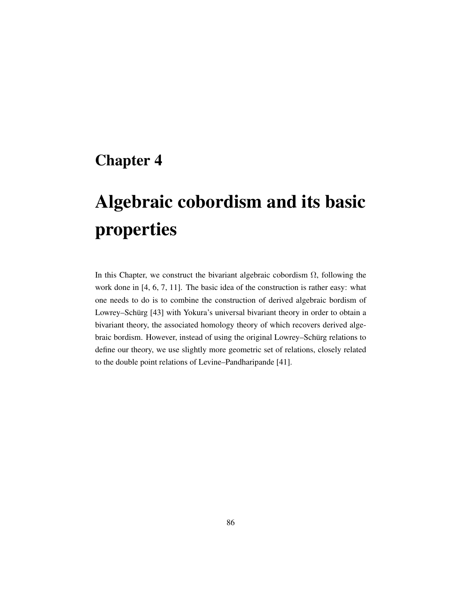# Chapter 4

# Algebraic cobordism and its basic properties

In this Chapter, we construct the bivariant algebraic cobordism  $\Omega$ , following the work done in [\[4,](#page-197-2) [6,](#page-197-0) [7,](#page-197-3) [11\]](#page-198-1). The basic idea of the construction is rather easy: what one needs to do is to combine the construction of derived algebraic bordism of Lowrey–Schürg [[43\]](#page-200-3) with Yokura's universal bivariant theory in order to obtain a bivariant theory, the associated homology theory of which recovers derived algebraic bordism. However, instead of using the original Lowrey–Schürg relations to define our theory, we use slightly more geometric set of relations, closely related to the double point relations of Levine–Pandharipande [\[41\]](#page-200-4).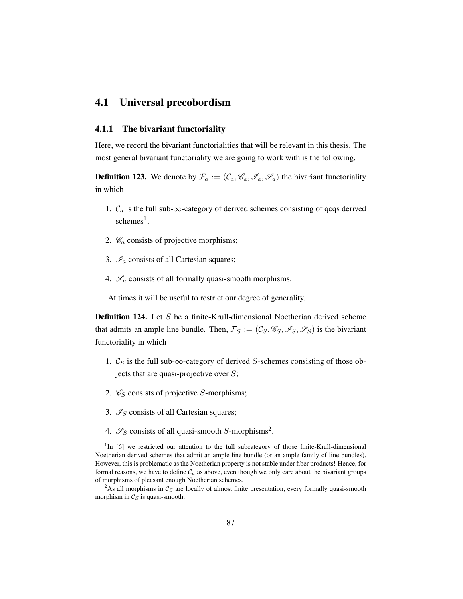## 4.1 Universal precobordism

### 4.1.1 The bivariant functoriality

Here, we record the bivariant functorialities that will be relevant in this thesis. The most general bivariant functoriality we are going to work with is the following.

**Definition 123.** We denote by  $\mathcal{F}_a := (\mathcal{C}_a, \mathcal{C}_a, \mathcal{I}_a, \mathcal{I}_a)$  the bivariant functoriality in which

- 1.  $\mathcal{C}_a$  is the full sub- $\infty$ -category of derived schemes consisting of qcqs derived  $s$ chemes<sup>[1](#page-96-0)</sup>;
- 2.  $\mathcal{C}_a$  consists of projective morphisms;
- 3.  $\mathcal{I}_a$  consists of all Cartesian squares;
- 4.  $\mathscr{S}_a$  consists of all formally quasi-smooth morphisms.

At times it will be useful to restrict our degree of generality.

**Definition 124.** Let  $S$  be a finite-Krull-dimensional Noetherian derived scheme that admits an ample line bundle. Then,  $\mathcal{F}_S := (\mathcal{C}_S, \mathcal{C}_S, \mathcal{I}_S, \mathcal{S}_S)$  is the bivariant functoriality in which

- 1.  $\mathcal{C}_S$  is the full sub- $\infty$ -category of derived S-schemes consisting of those objects that are quasi-projective over  $S$ ;
- 2.  $\mathcal{C}_S$  consists of projective S-morphisms;
- 3.  $\mathcal{I}_S$  consists of all Cartesian squares;
- 4.  $\mathcal{S}_S$  consists of all quasi-smooth S-morphisms<sup>[2](#page-96-1)</sup>.

<span id="page-96-0"></span><sup>&</sup>lt;sup>1</sup>In [\[6\]](#page-197-0) we restricted our attention to the full subcategory of those finite-Krull-dimensional Noetherian derived schemes that admit an ample line bundle (or an ample family of line bundles). However, this is problematic as the Noetherian property is not stable under fiber products! Hence, for formal reasons, we have to define  $C_a$  as above, even though we only care about the bivariant groups of morphisms of pleasant enough Noetherian schemes.

<span id="page-96-1"></span><sup>&</sup>lt;sup>2</sup>As all morphisms in  $\mathcal{C}_S$  are locally of almost finite presentation, every formally quasi-smooth morphism in  $\mathcal{C}_S$  is quasi-smooth.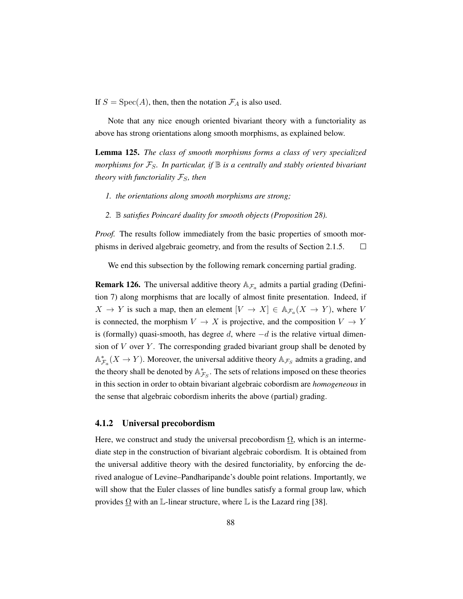If  $S = \text{Spec}(A)$ , then, then the notation  $\mathcal{F}_A$  is also used.

Note that any nice enough oriented bivariant theory with a functoriality as above has strong orientations along smooth morphisms, as explained below.

Lemma 125. *The class of smooth morphisms forms a class of very specialized morphisms for* FS*. In particular, if* B *is a centrally and stably oriented bivariant theory with functoriality*  $\mathcal{F}_S$ *, then* 

- *1. the orientations along smooth morphisms are strong;*
- *2.* B *satisfies Poincare duality for smooth objects (Proposition ´ [28\)](#page-33-0).*

*Proof.* The results follow immediately from the basic properties of smooth morphisms in derived algebraic geometry, and from the results of Section [2.1.5.](#page-31-0)  $\Box$ 

We end this subsection by the following remark concerning partial grading.

**Remark 126.** The universal additive theory  $A_{\mathcal{F}_a}$  admits a partial grading (Definition [7\)](#page-19-0) along morphisms that are locally of almost finite presentation. Indeed, if  $X \to Y$  is such a map, then an element  $[V \to X] \in A_{\mathcal{F}_a}(X \to Y)$ , where V is connected, the morphism  $V \to X$  is projective, and the composition  $V \to Y$ is (formally) quasi-smooth, has degree d, where  $-d$  is the relative virtual dimension of  $V$  over  $Y$ . The corresponding graded bivariant group shall be denoted by  $\mathbb{A}_{\mathcal{F}_a}^*(X \to Y)$ . Moreover, the universal additive theory  $\mathbb{A}_{\mathcal{F}_S}$  admits a grading, and the theory shall be denoted by  $\mathbb{A}_{\mathcal{F}_S}^*$ . The sets of relations imposed on these theories in this section in order to obtain bivariant algebraic cobordism are *homogeneous* in the sense that algebraic cobordism inherits the above (partial) grading.

### 4.1.2 Universal precobordism

Here, we construct and study the universal precobordism  $\Omega$ , which is an intermediate step in the construction of bivariant algebraic cobordism. It is obtained from the universal additive theory with the desired functoriality, by enforcing the derived analogue of Levine–Pandharipande's double point relations. Importantly, we will show that the Euler classes of line bundles satisfy a formal group law, which provides  $\Omega$  with an L-linear structure, where L is the Lazard ring [\[38\]](#page-200-5).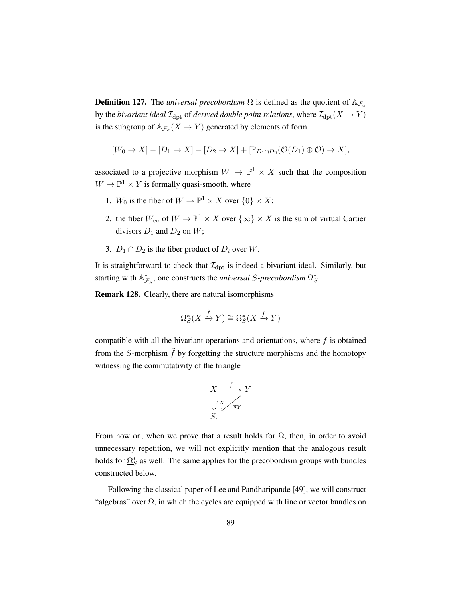**Definition 127.** The *universal precobordism*  $\Omega$  is defined as the quotient of  $A_{\mathcal{F}_a}$ by the *bivariant ideal*  $\mathcal{I}_{\mathrm{dpt}}$  of *derived double point relations*, where  $\mathcal{I}_{\mathrm{dpt}}(X \to Y)$ is the subgroup of  $\mathbb{A}_{\mathcal{F}_a}(X \to Y)$  generated by elements of form

$$
[W_0 \to X] - [D_1 \to X] - [D_2 \to X] + [\mathbb{P}_{D_1 \cap D_2}(\mathcal{O}(D_1) \oplus \mathcal{O}) \to X],
$$

associated to a projective morphism  $W \to \mathbb{P}^1 \times X$  such that the composition  $W \to \mathbb{P}^1 \times Y$  is formally quasi-smooth, where

- 1.  $W_0$  is the fiber of  $W \to \mathbb{P}^1 \times X$  over  $\{0\} \times X$ ;
- 2. the fiber  $W_{\infty}$  of  $W \to \mathbb{P}^1 \times X$  over  $\{\infty\} \times X$  is the sum of virtual Cartier divisors  $D_1$  and  $D_2$  on  $W$ ;
- 3.  $D_1 \cap D_2$  is the fiber product of  $D_i$  over W.

It is straightforward to check that  $\mathcal{I}_{\text{dpt}}$  is indeed a bivariant ideal. Similarly, but starting with  $\mathbb{A}_{\mathcal{F}_S}^*$ , one constructs the *universal S-precobordism*  $\Omega_S^*$ .

Remark 128. Clearly, there are natural isomorphisms

$$
\underline{\Omega}_S^*(X \xrightarrow{\tilde{f}} Y) \cong \underline{\Omega}_S^*(X \xrightarrow{f} Y)
$$

compatible with all the bivariant operations and orientations, where  $f$  is obtained from the S-morphism  $\tilde{f}$  by forgetting the structure morphisms and the homotopy witnessing the commutativity of the triangle

$$
X \xrightarrow{\qquad f} Y
$$
  
\n
$$
\downarrow \pi_X
$$
  
\n
$$
S.
$$

From now on, when we prove that a result holds for  $\Omega$ , then, in order to avoid unnecessary repetition, we will not explicitly mention that the analogous result holds for  $\Omega_S^*$  as well. The same applies for the precobordism groups with bundles constructed below.

Following the classical paper of Lee and Pandharipande [\[49\]](#page-201-1), we will construct "algebras" over  $\Omega$ , in which the cycles are equipped with line or vector bundles on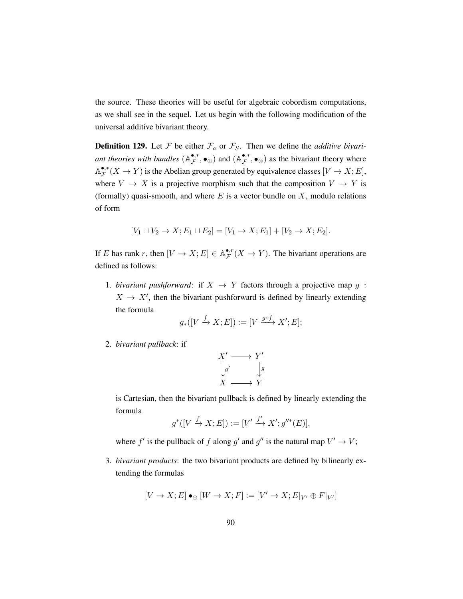the source. These theories will be useful for algebraic cobordism computations, as we shall see in the sequel. Let us begin with the following modification of the universal additive bivariant theory.

**Definition 129.** Let  $\mathcal F$  be either  $\mathcal F_a$  or  $\mathcal F_S$ . Then we define the *additive bivari*ant theories with bundles  $(\mathbb{A}_{\mathcal{F}}^{\bullet,*})$  $(\mathbb{A}_{\mathcal{F}}^{\bullet,*},\bullet_{\oplus})$  and  $(\mathbb{A}_{\mathcal{F}}^{\bullet,*})$  $(\mathbf{F}, \mathbf{F}, \mathbf{F})$  as the bivariant theory where A •,∗  $\mathbf{F}_{\mathcal{F}}^{\bullet,*}(X \to Y)$  is the Abelian group generated by equivalence classes  $[V \to X; E]$ , where  $V \to X$  is a projective morphism such that the composition  $V \to Y$  is (formally) quasi-smooth, and where  $E$  is a vector bundle on  $X$ , modulo relations of form

$$
[V_1 \sqcup V_2 \to X; E_1 \sqcup E_2] = [V_1 \to X; E_1] + [V_2 \to X; E_2].
$$

If E has rank r, then  $[V \to X; E] \in \mathbb{A}_{\mathcal{F}}^{\bullet,r}$  $\mathcal{F}^{(r)}(X \to Y)$ . The bivariant operations are defined as follows:

1. *bivariant pushforward*: if  $X \rightarrow Y$  factors through a projective map g:  $X \rightarrow X'$ , then the bivariant pushforward is defined by linearly extending the formula

$$
g_*([V \xrightarrow{f} X; E]) := [V \xrightarrow{g \circ f} X'; E];
$$

2. *bivariant pullback*: if

$$
X' \longrightarrow Y' \n\downarrow g' \qquad \downarrow g \nX \longrightarrow Y
$$

is Cartesian, then the bivariant pullback is defined by linearly extending the formula

$$
g^*([V \xrightarrow{f} X; E]) := [V' \xrightarrow{f'} X'; g''^*(E)],
$$

where  $f'$  is the pullback of f along g' and g'' is the natural map  $V' \to V$ ;

3. *bivariant products*: the two bivariant products are defined by bilinearly extending the formulas

$$
[V \to X; E] \bullet_\oplus [W \to X; F] := [V' \to X; E|_{V'} \oplus F|_{V'}]
$$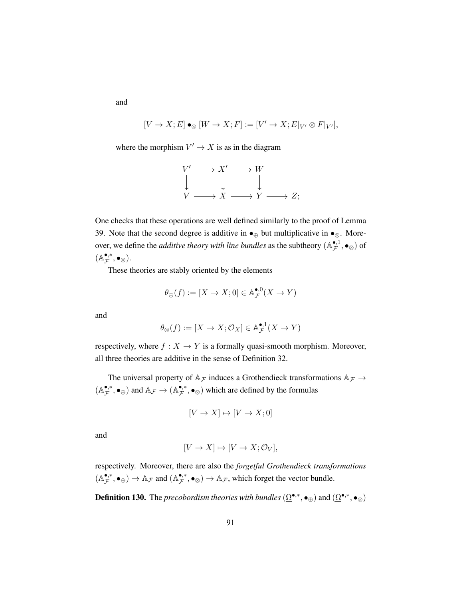and

$$
[V \to X; E] \bullet_{\otimes} [W \to X; F] := [V' \to X; E|_{V'} \otimes F|_{V'}],
$$

where the morphism  $V' \to X$  is as in the diagram

$$
\begin{array}{ccc}\nV' \longrightarrow X' \longrightarrow W \\
\downarrow & \downarrow & \downarrow \\
V \longrightarrow X \longrightarrow Y \longrightarrow Z;\n\end{array}
$$

One checks that these operations are well defined similarly to the proof of Lemma [39.](#page-43-0) Note that the second degree is additive in  $\bullet_{\oplus}$  but multiplicative in  $\bullet_{\otimes}$ . Moreover, we define the *additive theory with line bundles* as the subtheory  $(A_{\mathcal{F}}^{\bullet,1})$  $\mathcal{F}^{1}, \bullet_{\otimes}$  of  $(A^{\bullet,*}_{\mathcal{F}}$  $_{\mathcal{F}}^{\bullet,\ast},\bullet_{\otimes}).$ 

These theories are stably oriented by the elements

$$
\theta_{\oplus}(f) := [X \to X; 0] \in \mathbb{A}_{\mathcal{F}}^{\bullet,0}(X \to Y)
$$

and

$$
\theta_\otimes(f):=[X\to X;\mathcal{O}_X]\in\mathbb{A}_\mathcal{F}^{\bullet,1}(X\to Y)
$$

respectively, where  $f : X \to Y$  is a formally quasi-smooth morphism. Moreover, all three theories are additive in the sense of Definition [32.](#page-35-0)

The universal property of  $A_{\mathcal{F}}$  induces a Grothendieck transformations  $A_{\mathcal{F}} \rightarrow$  $(A^{\bullet,*}_{\mathcal{F}}$  $(\mathcal{A}_{\mathcal{F}}^{\bullet,*},\bullet_{\oplus})$  and  $\mathbb{A}_{\mathcal{F}} \to (\mathbb{A}_{\mathcal{F}}^{\bullet,*})$ •,•,•  $\bullet_{\otimes}$ ) which are defined by the formulas

$$
[V \to X] \mapsto [V \to X; 0]
$$

and

$$
[V \to X] \mapsto [V \to X; \mathcal{O}_V],
$$

respectively. Moreover, there are also the *forgetful Grothendieck transformations*  $(A^{\bullet,*}_{\mathcal{F}}$  $(\mathcal{A}_{\mathcal{F}}^{\bullet,*}, \bullet_{\oplus}) \to \mathbb{A}_{\mathcal{F}}$  and  $(\mathbb{A}_{\mathcal{F}}^{\bullet,*})$  $(\mathbf{F}_{\mathcal{F}}^*, \bullet_{\otimes}) \to \mathbb{A}_{\mathcal{F}}$ , which forget the vector bundle.

**Definition 130.** The *precobordism theories with bundles*  $(\underline{\Omega}^{\bullet,*}, \bullet_{\oplus})$  and  $(\underline{\Omega}^{\bullet,*}, \bullet_{\otimes})$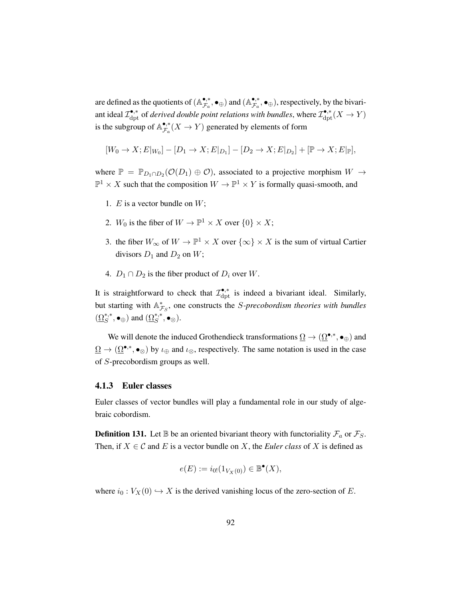are defined as the quotients of  $(A_{\mathcal{F}_c}^{\bullet,*})$  $(\mathbb{A}_{\mathcal{F}_a}^{\bullet,*},\bullet_{\oplus})$  and  $(\mathbb{A}_{\mathcal{F}_a}^{\bullet,*})$  $\mathbf{F}_a^{\bullet,*}$ ,  $\bullet_{\oplus}$ ), respectively, by the bivariant ideal  $\mathcal{I}_{\rm{dpt}}^{\bullet,*}$  of *derived double point relations with bundles*, where  $\mathcal{I}_{\rm{dpt}}^{\bullet,*}(X \to Y)$ is the subgroup of  $\mathbb{A}_{\mathcal{F}_c}^{\bullet,*}$  $\mathcal{F}_{\mathcal{F}_{a}}^{*}(X \to Y)$  generated by elements of form

$$
[W_0 \to X; E|_{W_0}] - [D_1 \to X; E|_{D_1}] - [D_2 \to X; E|_{D_2}] + [\mathbb{P} \to X; E|_{\mathbb{P}}],
$$

where  $\mathbb{P} = \mathbb{P}_{D_1 \cap D_2}(\mathcal{O}(D_1) \oplus \mathcal{O})$ , associated to a projective morphism  $W \to$  $\mathbb{P}^1 \times X$  such that the composition  $W \to \mathbb{P}^1 \times Y$  is formally quasi-smooth, and

- 1.  $E$  is a vector bundle on  $W$ ;
- 2.  $W_0$  is the fiber of  $W \to \mathbb{P}^1 \times X$  over  $\{0\} \times X$ ;
- 3. the fiber  $W_{\infty}$  of  $W \to \mathbb{P}^1 \times X$  over  $\{\infty\} \times X$  is the sum of virtual Cartier divisors  $D_1$  and  $D_2$  on W;
- 4.  $D_1 \cap D_2$  is the fiber product of  $D_i$  over W.

It is straightforward to check that  $\mathcal{I}_{\text{dpt}}^{\bullet,*}$  is indeed a bivariant ideal. Similarly, but starting with  $\mathbb{A}_{\mathcal{F}_S}^*$ , one constructs the *S-precobordism theories with bundles*  $(\underline{\Omega}_{S}^{*,*},\bullet_{\oplus})$  and  $(\underline{\Omega}_{S}^{*,*},\bullet_{\otimes})$ .

We will denote the induced Grothendieck transformations  $\Omega \to (\Omega^{\bullet,*}, \bullet_{\oplus})$  and  $\underline{\Omega} \to (\underline{\Omega}^{\bullet,*}, \bullet_{\otimes})$  by  $\iota_{\oplus}$  and  $\iota_{\otimes}$ , respectively. The same notation is used in the case of S-precobordism groups as well.

### 4.1.3 Euler classes

Euler classes of vector bundles will play a fundamental role in our study of algebraic cobordism.

**Definition 131.** Let  $\mathbb B$  be an oriented bivariant theory with functoriality  $\mathcal F_a$  or  $\mathcal F_S$ . Then, if  $X \in \mathcal{C}$  and E is a vector bundle on X, the *Euler class* of X is defined as

$$
e(E) := i_{0!}(1_{V_X(0)}) \in \mathbb{B}^{\bullet}(X),
$$

where  $i_0 : V_X(0) \hookrightarrow X$  is the derived vanishing locus of the zero-section of E.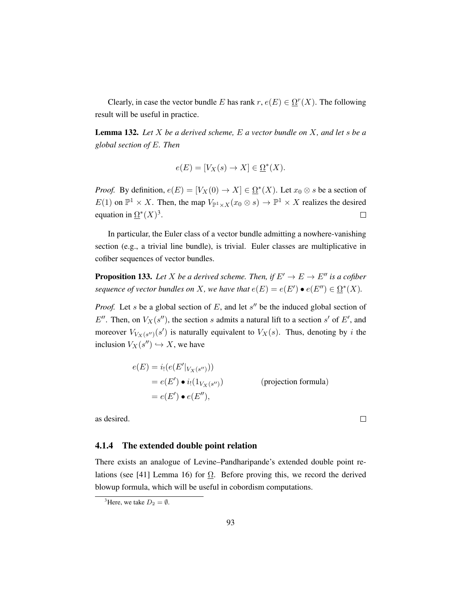Clearly, in case the vector bundle E has rank  $r, e(E) \in \Omega^r(X)$ . The following result will be useful in practice.

Lemma 132. *Let* X *be a derived scheme,* E *a vector bundle on* X*, and let* s *be a global section of* E*. Then*

$$
e(E) = [V_X(s) \to X] \in \Omega^*(X).
$$

*Proof.* By definition,  $e(E) = [V_X(0) \to X] \in \Omega^*(X)$ . Let  $x_0 \otimes s$  be a section of  $E(1)$  on  $\mathbb{P}^1 \times X$ . Then, the map  $V_{\mathbb{P}^1 \times X}(x_0 \otimes s) \to \mathbb{P}^1 \times X$  realizes the desired equation in  $\Omega^*(X)^3$  $\Omega^*(X)^3$ .  $\Box$ 

In particular, the Euler class of a vector bundle admitting a nowhere-vanishing section (e.g., a trivial line bundle), is trivial. Euler classes are multiplicative in cofiber sequences of vector bundles.

**Proposition 133.** Let X be a derived scheme. Then, if  $E' \to E \to E''$  is a cofiber *sequence of vector bundles on* X, we have that  $e(E) = e(E') \bullet e(E'') \in \Omega^*(X)$ .

*Proof.* Let s be a global section of  $E$ , and let  $s''$  be the induced global section of E''. Then, on  $V_X(s'')$ , the section s admits a natural lift to a section s' of E', and moreover  $V_{V_X(s'')}(s')$  is naturally equivalent to  $V_X(s)$ . Thus, denoting by i the inclusion  $V_X(s'') \hookrightarrow X$ , we have

$$
e(E) = i_! (e(E'|_{V_X(s'')}))
$$
  
=  $e(E') \bullet i_! (1_{V_X(s'')})$  (projection formula)  
=  $e(E') \bullet e(E'')$ ,

 $\Box$ 

as desired.

### 4.1.4 The extended double point relation

There exists an analogue of Levine–Pandharipande's extended double point re-lations (see [\[41\]](#page-200-4) Lemma 16) for  $\Omega$ . Before proving this, we record the derived blowup formula, which will be useful in cobordism computations.

<span id="page-102-0"></span><sup>&</sup>lt;sup>3</sup>Here, we take  $D_2 = \emptyset$ .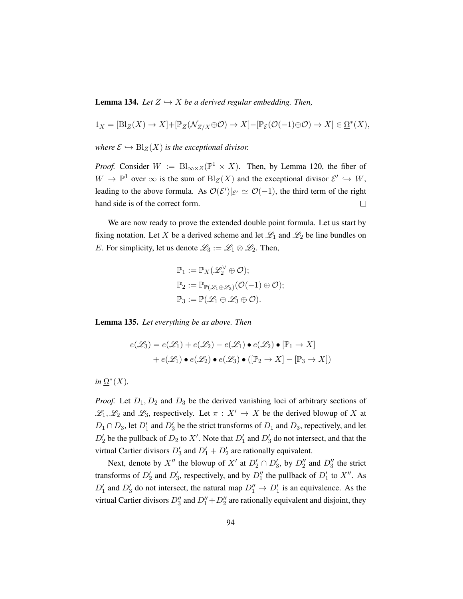**Lemma 134.** *Let*  $Z \hookrightarrow X$  *be a derived regular embedding. Then,* 

$$
1_X = [\text{Bl}_Z(X) \to X] + [\mathbb{P}_Z(\mathcal{N}_{Z/X} \oplus \mathcal{O}) \to X] - [\mathbb{P}_\mathcal{E}(\mathcal{O}(-1) \oplus \mathcal{O}) \to X] \in \underline{\Omega}^*(X),
$$

*where*  $\mathcal{E} \hookrightarrow \text{Bl}_Z(X)$  *is the exceptional divisor.* 

*Proof.* Consider  $W := \text{Bl}_{\infty \times Z}(\mathbb{P}^1 \times X)$ . Then, by Lemma [120,](#page-91-0) the fiber of  $W \to \mathbb{P}^1$  over  $\infty$  is the sum of  $\text{Bl}_Z(X)$  and the exceptional divisor  $\mathcal{E}' \hookrightarrow W$ , leading to the above formula. As  $\mathcal{O}(\mathcal{E}')|_{\mathcal{E}'} \simeq \mathcal{O}(-1)$ , the third term of the right hand side is of the correct form.  $\Box$ 

We are now ready to prove the extended double point formula. Let us start by fixing notation. Let X be a derived scheme and let  $\mathcal{L}_1$  and  $\mathcal{L}_2$  be line bundles on E. For simplicity, let us denote  $\mathcal{L}_3 := \mathcal{L}_1 \otimes \mathcal{L}_2$ . Then,

$$
\mathbb{P}_1 := \mathbb{P}_X(\mathscr{L}_2^{\vee} \oplus \mathcal{O});
$$
  
\n
$$
\mathbb{P}_2 := \mathbb{P}_{\mathbb{P}(\mathscr{L}_1 \oplus \mathscr{L}_3)}(\mathcal{O}(-1) \oplus \mathcal{O});
$$
  
\n
$$
\mathbb{P}_3 := \mathbb{P}(\mathscr{L}_1 \oplus \mathscr{L}_3 \oplus \mathcal{O}).
$$

<span id="page-103-0"></span>Lemma 135. *Let everything be as above. Then*

$$
e(\mathcal{L}_3) = e(\mathcal{L}_1) + e(\mathcal{L}_2) - e(\mathcal{L}_1) \bullet e(\mathcal{L}_2) \bullet [\mathbb{P}_1 \to X]
$$

$$
+ e(\mathcal{L}_1) \bullet e(\mathcal{L}_2) \bullet e(\mathcal{L}_3) \bullet ([\mathbb{P}_2 \to X] - [\mathbb{P}_3 \to X])
$$

 $in \underline{\Omega}^*(X)$ .

*Proof.* Let  $D_1, D_2$  and  $D_3$  be the derived vanishing loci of arbitrary sections of  $\mathscr{L}_1, \mathscr{L}_2$  and  $\mathscr{L}_3$ , respectively. Let  $\pi : X' \to X$  be the derived blowup of X at  $D_1 \cap D_3$ , let  $D'_1$  and  $D'_3$  be the strict transforms of  $D_1$  and  $D_3$ , repectively, and let  $D_2'$  be the pullback of  $D_2$  to  $X'$ . Note that  $D_1'$  and  $D_3'$  do not intersect, and that the virtual Cartier divisors  $D'_3$  and  $D'_1 + D'_2$  are rationally equivalent.

Next, denote by X<sup>*n*</sup> the blowup of X<sup>*i*</sup> at  $D'_2 \cap D'_3$ , by  $D''_2$  and  $D''_3$  the strict transforms of  $D'_2$  and  $D'_3$ , respectively, and by  $D''_1$  the pullback of  $D'_1$  to  $X''$ . As  $D'_1$  and  $D'_3$  do not intersect, the natural map  $D''_1 \rightarrow D'_1$  is an equivalence. As the virtual Cartier divisors  $D_3''$  and  $D_1'' + D_2''$  are rationally equivalent and disjoint, they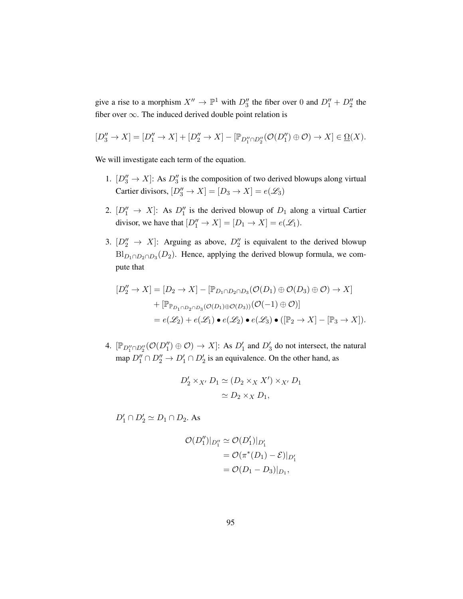give a rise to a morphism  $X'' \to \mathbb{P}^1$  with  $D''_3$  the fiber over 0 and  $D''_1 + D''_2$  the fiber over  $\infty$ . The induced derived double point relation is

$$
[D_3'' \to X] = [D_1'' \to X] + [D_2'' \to X] - [\mathbb{P}_{D_1'' \cap D_2''}(\mathcal{O}(D_1'') \oplus \mathcal{O}) \to X] \in \underline{\Omega}(X).
$$

We will investigate each term of the equation.

- 1.  $[D_3'' \rightarrow X]$ : As  $D_3''$  is the composition of two derived blowups along virtual Cartier divisors,  $[D_3'' \to X] = [D_3 \to X] = e(\mathcal{L}_3)$
- 2.  $[D_1'' \rightarrow X]$ : As  $D_1''$  is the derived blowup of  $D_1$  along a virtual Cartier divisor, we have that  $[D''_1 \to X] = [D_1 \to X] = e(\mathcal{L}_1)$ .
- 3.  $[D_2'' \rightarrow X]$ : Arguing as above,  $D_2''$  is equivalent to the derived blowup  $Bl_{D_1 \cap D_2 \cap D_3}(D_2)$ . Hence, applying the derived blowup formula, we compute that

$$
[D_2'' \to X] = [D_2 \to X] - [\mathbb{P}_{D_1 \cap D_2 \cap D_3}(\mathcal{O}(D_1) \oplus \mathcal{O}(D_3) \oplus \mathcal{O}) \to X] + [\mathbb{P}_{\mathbb{P}_{D_1 \cap D_2 \cap D_3}(\mathcal{O}(D_1) \oplus \mathcal{O}(D_3))}(\mathcal{O}(-1) \oplus \mathcal{O})] = e(\mathscr{L}_2) + e(\mathscr{L}_1) \bullet e(\mathscr{L}_2) \bullet e(\mathscr{L}_3) \bullet ([\mathbb{P}_2 \to X] - [\mathbb{P}_3 \to X]).
$$

4.  $[\mathbb{P}_{D''_1 \cap D''_2}(\mathcal{O}(D''_1) \oplus \mathcal{O}) \to X]$ : As  $D'_1$  and  $D'_3$  do not intersect, the natural map  $D_1'' \cap D_2'' \to D_1' \cap D_2'$  is an equivalence. On the other hand, as

$$
D'_2 \times_{X'} D_1 \simeq (D_2 \times_X X') \times_{X'} D_1
$$
  

$$
\simeq D_2 \times_X D_1,
$$

 $D'_1 \cap D'_2 \simeq D_1 \cap D_2$ . As

$$
\mathcal{O}(D_1'')|_{D_1''} \simeq \mathcal{O}(D_1')|_{D_1'}
$$
  
=  $\mathcal{O}(\pi^*(D_1) - \mathcal{E})|_{D_1'}$   
=  $\mathcal{O}(D_1 - D_3)|_{D_1}$ ,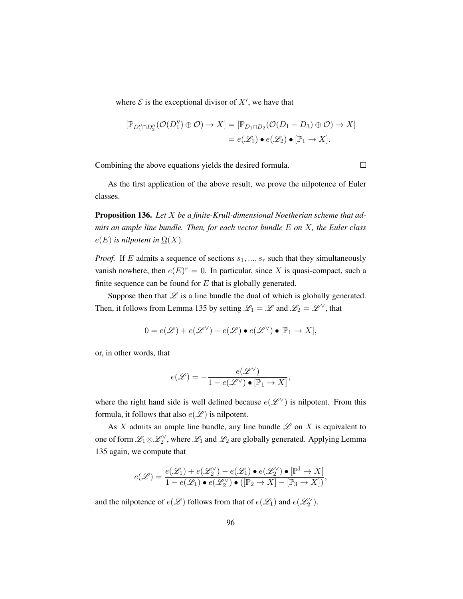where  $\mathcal E$  is the exceptional divisor of  $X'$ , we have that

$$
[\mathbb{P}_{D''_1 \cap D''_2}(\mathcal{O}(D''_1) \oplus \mathcal{O}) \to X] = [\mathbb{P}_{D_1 \cap D_2}(\mathcal{O}(D_1 - D_3) \oplus \mathcal{O}) \to X]
$$
  
=  $e(\mathscr{L}_1) \bullet e(\mathscr{L}_2) \bullet [\mathbb{P}_1 \to X].$ 

Combining the above equations yields the desired formula.

 $\Box$ 

As the first application of the above result, we prove the nilpotence of Euler classes.

Proposition 136. *Let* X *be a finite-Krull-dimensional Noetherian scheme that admits an ample line bundle. Then, for each vector bundle* E *on* X*, the Euler class*  $e(E)$  *is nilpotent in*  $\Omega(X)$ .

*Proof.* If E admits a sequence of sections  $s_1, ..., s_r$  such that they simultaneously vanish nowhere, then  $e(E)^r = 0$ . In particular, since X is quasi-compact, such a finite sequence can be found for  $E$  that is globally generated.

Suppose then that  $\mathscr L$  is a line bundle the dual of which is globally generated. Then, it follows from Lemma [135](#page-103-0) by setting  $\mathcal{L}_1 = \mathcal{L}$  and  $\mathcal{L}_2 = \mathcal{L}^{\vee}$ , that

$$
0 = e(\mathscr{L}) + e(\mathscr{L}^{\vee}) - e(\mathscr{L}) \bullet e(\mathscr{L}^{\vee}) \bullet [\mathbb{P}_1 \to X],
$$

or, in other words, that

$$
e(\mathscr{L}) = -\frac{e(\mathscr{L}^\vee)}{1 - e(\mathscr{L}^\vee) \bullet [\mathbb{P}_1 \to X]},
$$

where the right hand side is well defined because  $e(\mathscr{L}^{\vee})$  is nilpotent. From this formula, it follows that also  $e(\mathscr{L})$  is nilpotent.

As X admits an ample line bundle, any line bundle  $\mathscr L$  on X is equivalent to one of form  $\mathscr{L}_1 \otimes \mathscr{L}_2^{\vee}$ , where  $\mathscr{L}_1$  and  $\mathscr{L}_2$  are globally generated. Applying Lemma [135](#page-103-0) again, we compute that

$$
e(\mathscr{L}) = \frac{e(\mathscr{L}_1) + e(\mathscr{L}_2^{\vee}) - e(\mathscr{L}_1) \bullet e(\mathscr{L}_2^{\vee}) \bullet [\mathbb{P}^1 \to X]}{1 - e(\mathscr{L}_1) \bullet e(\mathscr{L}_2^{\vee}) \bullet ([\mathbb{P}_2 \to X] - [\mathbb{P}_3 \to X])},
$$

and the nilpotence of  $e(\mathcal{L})$  follows from that of  $e(\mathcal{L}_1)$  and  $e(\mathcal{L}_2^{\vee})$ .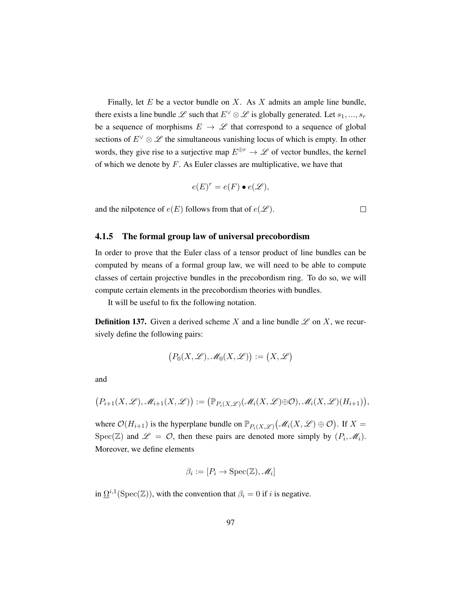Finally, let  $E$  be a vector bundle on  $X$ . As  $X$  admits an ample line bundle, there exists a line bundle L such that  $E^\vee \otimes \mathscr{L}$  is globally generated. Let  $s_1, ..., s_r$ be a sequence of morphisms  $E \rightarrow \mathscr{L}$  that correspond to a sequence of global sections of  $E^{\vee} \otimes \mathscr{L}$  the simultaneous vanishing locus of which is empty. In other words, they give rise to a surjective map  $E^{\oplus r} \to \mathscr{L}$  of vector bundles, the kernel of which we denote by  $F$ . As Euler classes are multiplicative, we have that

$$
e(E)^r = e(F) \bullet e(\mathscr{L}),
$$

 $\Box$ 

and the nilpotence of  $e(E)$  follows from that of  $e(\mathcal{L})$ .

### 4.1.5 The formal group law of universal precobordism

In order to prove that the Euler class of a tensor product of line bundles can be computed by means of a formal group law, we will need to be able to compute classes of certain projective bundles in the precobordism ring. To do so, we will compute certain elements in the precobordism theories with bundles.

It will be useful to fix the following notation.

**Definition 137.** Given a derived scheme X and a line bundle  $\mathscr L$  on X, we recursively define the following pairs:

$$
(P_0(X, \mathcal{L}), \mathcal{M}_0(X, \mathcal{L})) := (X, \mathcal{L})
$$

and

$$
(P_{i+1}(X,\mathscr{L}),\mathscr{M}_{i+1}(X,\mathscr{L})) := (\mathbb{P}_{P_i(X,\mathscr{L})}(\mathscr{M}_i(X,\mathscr{L}) \oplus \mathcal{O}), \mathscr{M}_i(X,\mathscr{L})(H_{i+1})),
$$

where  $\mathcal{O}(H_{i+1})$  is the hyperplane bundle on  $\mathbb{P}_{P_i(X,\mathscr{L})}(\mathscr{M}_i(X,\mathscr{L})\oplus \mathcal{O})$ . If  $X =$ Spec( $\mathbb{Z}$ ) and  $\mathscr{L} = \mathcal{O}$ , then these pairs are denoted more simply by  $(P_i, \mathscr{M}_i)$ . Moreover, we define elements

$$
\beta_i := [P_i \to \text{Spec}(\mathbb{Z}), \mathscr{M}_i]
$$

in  $\Omega^{i,1}(\text{Spec}(\mathbb{Z}))$ , with the convention that  $\beta_i = 0$  if i is negative.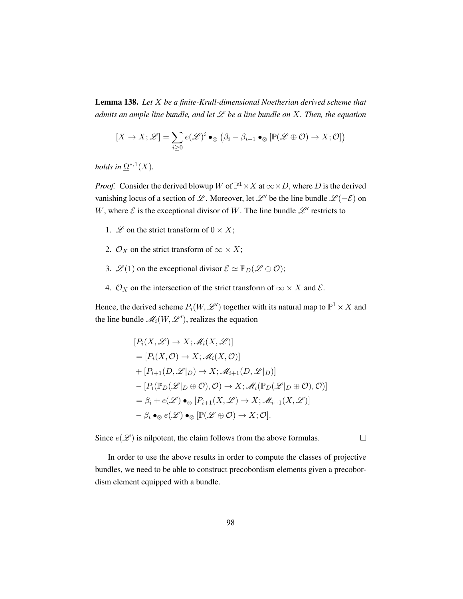Lemma 138. *Let* X *be a finite-Krull-dimensional Noetherian derived scheme that admits an ample line bundle, and let* L *be a line bundle on* X*. Then, the equation*

$$
[X \to X; \mathscr{L}] = \sum_{i \geq 0} e(\mathscr{L})^i \bullet_{\otimes} (\beta_i - \beta_{i-1} \bullet_{\otimes} [\mathbb{P}(\mathscr{L} \oplus \mathcal{O}) \to X; \mathcal{O}])
$$

*holds in*  $\Omega^{*,1}(X)$ .

*Proof.* Consider the derived blowup W of  $\mathbb{P}^1 \times X$  at  $\infty \times D$ , where D is the derived vanishing locus of a section of L. Moreover, let L' be the line bundle  $\mathcal{L}(-\mathcal{E})$  on W, where  $\mathcal E$  is the exceptional divisor of W. The line bundle  $\mathcal L'$  restricts to

- 1.  $\mathscr L$  on the strict transform of  $0 \times X$ ;
- 2.  $\mathcal{O}_X$  on the strict transform of  $\infty \times X$ ;
- 3.  $\mathscr{L}(1)$  on the exceptional divisor  $\mathscr{E} \simeq \mathbb{P}_D(\mathscr{L} \oplus \mathcal{O});$
- 4.  $\mathcal{O}_X$  on the intersection of the strict transform of  $\infty \times X$  and  $\mathcal{E}$ .

Hence, the derived scheme  $P_i(W, \mathscr{L}')$  together with its natural map to  $\mathbb{P}^1 \times X$  and the line bundle  $\mathcal{M}_i(W, \mathcal{L}'),$  realizes the equation

$$
[P_i(X, \mathcal{L}) \to X; \mathcal{M}_i(X, \mathcal{L})]
$$
  
=  $[P_i(X, O) \to X; \mathcal{M}_i(X, O)]$   
+  $[P_{i+1}(D, \mathcal{L}|_D) \to X; \mathcal{M}_{i+1}(D, \mathcal{L}|_D)]$   
-  $[P_i(\mathbb{P}_D(\mathcal{L}|_D \oplus O), O) \to X; \mathcal{M}_i(\mathbb{P}_D(\mathcal{L}|_D \oplus O), O)]$   
=  $\beta_i + e(\mathcal{L}) \bullet \otimes [P_{i+1}(X, \mathcal{L}) \to X; \mathcal{M}_{i+1}(X, \mathcal{L})]$   
-  $\beta_i \bullet \otimes e(\mathcal{L}) \bullet \otimes [\mathbb{P}(\mathcal{L} \oplus O) \to X; O].$ 

Since  $e(\mathcal{L})$  is nilpotent, the claim follows from the above formulas.

 $\Box$ 

In order to use the above results in order to compute the classes of projective bundles, we need to be able to construct precobordism elements given a precobordism element equipped with a bundle.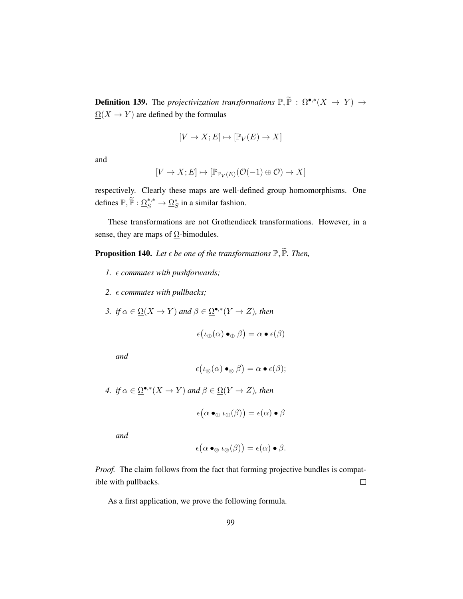**Definition 139.** The *projectivization transformations*  $\mathbb{P}, \widetilde{\mathbb{P}}$  :  $\Omega^{\bullet,*}(X \to Y) \to$  $\Omega(X \to Y)$  are defined by the formulas

$$
[V \to X; E] \mapsto [\mathbb{P}_V(E) \to X]
$$

and

$$
[V \to X; E] \mapsto [\mathbb{P}_{\mathbb{P}_V(E)}(\mathcal{O}(-1) \oplus \mathcal{O}) \to X]
$$

respectively. Clearly these maps are well-defined group homomorphisms. One defines  $\mathbb{P}, \widetilde{\mathbb{P}} : \underline{\Omega}_S^{*,*} \to \underline{\Omega}_S^*$  in a similar fashion.

These transformations are not Grothendieck transformations. However, in a sense, they are maps of  $\Omega$ -bimodules.

**Proposition 140.** Let  $\epsilon$  be one of the transformations  $\mathbb{P}, \widetilde{\mathbb{P}}$ . Then,

- *1. commutes with pushforwards;*
- *2. commutes with pullbacks;*
- *3. if*  $\alpha \in \Omega(X \to Y)$  *and*  $\beta \in \Omega^{\bullet,*}(Y \to Z)$ *, then*

$$
\epsilon(\iota_{\oplus}(\alpha) \bullet_{\oplus} \beta) = \alpha \bullet \epsilon(\beta)
$$

*and*

$$
\epsilon\bigl(\iota_\otimes(\alpha)\bullet_\otimes\beta\bigr)=\alpha\bullet\epsilon(\beta);
$$

*4. if*  $\alpha \in \Omega^{\bullet,*}(X \to Y)$  *and*  $\beta \in \Omega(Y \to Z)$ *, then* 

$$
\epsilon(\alpha \bullet_{\oplus} \iota_{\oplus}(\beta)) = \epsilon(\alpha) \bullet \beta
$$

*and*

$$
\epsilon(\alpha \bullet_{\otimes} \iota_{\otimes}(\beta)) = \epsilon(\alpha) \bullet \beta.
$$

*Proof.* The claim follows from the fact that forming projective bundles is compatible with pullbacks.  $\Box$ 

As a first application, we prove the following formula.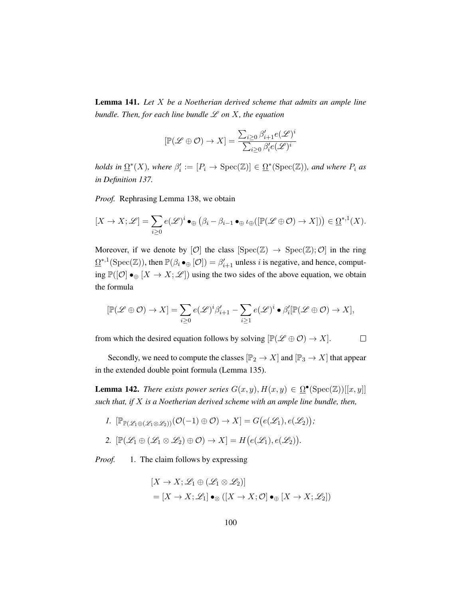<span id="page-109-0"></span>Lemma 141. *Let* X *be a Noetherian derived scheme that admits an ample line bundle. Then, for each line bundle* L *on* X*, the equation*

$$
[\mathbb{P}(\mathscr{L} \oplus \mathcal{O}) \to X] = \frac{\sum_{i \geq 0} \beta'_{i+1} e(\mathscr{L})^i}{\sum_{i \geq 0} \beta'_{i} e(\mathscr{L})^i}
$$

*holds in*  $\Omega^*(X)$ *, where*  $\beta'_i := [P_i \to \text{Spec}(\mathbb{Z})] \in \Omega^*(\text{Spec}(\mathbb{Z}))$ *, and where*  $P_i$  *as in Definition [137.](#page-106-0)*

*Proof.* Rephrasing Lemma [138,](#page-107-0) we obtain

$$
[X \to X; \mathscr{L}] = \sum_{i \geq 0} e(\mathscr{L})^i \bullet_{\oplus} (\beta_i - \beta_{i-1} \bullet_{\oplus} \iota_{\oplus}([\mathbb{P}(\mathscr{L} \oplus \mathcal{O}) \to X])) \in \underline{\Omega}^{*,1}(X).
$$

Moreover, if we denote by  $[O]$  the class  $[\text{Spec}(\mathbb{Z}) \to \text{Spec}(\mathbb{Z}); O]$  in the ring  $\underline{\Omega}^{*,1}(\text{Spec}(\mathbb{Z}))$ , then  $\mathbb{P}(\beta_i \bullet_{\bigoplus} [\mathcal{O}]) = \beta'_{i+1}$  unless i is negative, and hence, computing  $\mathbb{P}(|\mathcal{O}| \bullet_{\oplus} [X \to X; \mathcal{L}])$  using the two sides of the above equation, we obtain the formula

$$
[\mathbb{P}(\mathscr{L} \oplus \mathcal{O}) \to X] = \sum_{i \geq 0} e(\mathscr{L})^i \beta'_{i+1} - \sum_{i \geq 1} e(\mathscr{L})^i \bullet \beta'_i [\mathbb{P}(\mathscr{L} \oplus \mathcal{O}) \to X],
$$

 $\Box$ 

from which the desired equation follows by solving  $[\mathbb{P}(\mathscr{L} \oplus \mathcal{O}) \to X]$ .

Secondly, we need to compute the classes  $[\mathbb{P}_2 \to X]$  and  $[\mathbb{P}_3 \to X]$  that appear in the extended double point formula (Lemma [135\)](#page-103-0).

<span id="page-109-1"></span>**Lemma 142.** *There exists power series*  $G(x, y)$ ,  $H(x, y) \in \Omega^{\bullet}(\text{Spec}(\mathbb{Z}))[[x, y]]$ *such that, if* X *is a Noetherian derived scheme with an ample line bundle, then,*

*1.*  $[\mathbb{P}_{\mathbb{P}(\mathscr{L}_1 \oplus (\mathscr{L}_1 \otimes \mathscr{L}_2))}(\mathcal{O}(-1) \oplus \mathcal{O}) \to X] = G(e(\mathscr{L}_1), e(\mathscr{L}_2));$ 2.  $[\mathbb{P}(\mathscr{L}_1 \oplus (\mathscr{L}_1 \otimes \mathscr{L}_2) \oplus \mathcal{O}) \to X] = H(e(\mathscr{L}_1), e(\mathscr{L}_2)).$ 

*Proof.* 1. The claim follows by expressing

$$
[X \to X; \mathcal{L}_1 \oplus (\mathcal{L}_1 \otimes \mathcal{L}_2)]
$$
  
=  $[X \to X; \mathcal{L}_1] \bullet_{\otimes} ([X \to X; \mathcal{O}] \bullet_{\oplus} [X \to X; \mathcal{L}_2])$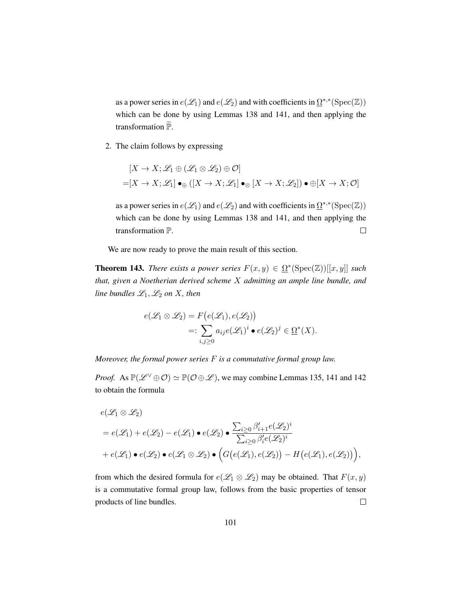as a power series in  $e(\mathcal{L}_1)$  and  $e(\mathcal{L}_2)$  and with coefficients in  $\Omega^{*,*}(\mathrm{Spec}(\mathbb{Z}))$ which can be done by using Lemmas [138](#page-107-0) and [141,](#page-109-0) and then applying the transformation  $P$ .

2. The claim follows by expressing

$$
[X \to X; \mathcal{L}_1 \oplus (\mathcal{L}_1 \otimes \mathcal{L}_2) \oplus \mathcal{O}]
$$
  
=  $[X \to X; \mathcal{L}_1] \bullet_{\oplus} ([X \to X; \mathcal{L}_1] \bullet_{\otimes} [X \to X; \mathcal{L}_2]) \bullet \oplus [X \to X; \mathcal{O}]$ 

as a power series in  $e(\mathcal{L}_1)$  and  $e(\mathcal{L}_2)$  and with coefficients in  $\Omega^{*,*}(\mathrm{Spec}(\mathbb{Z}))$ which can be done by using Lemmas [138](#page-107-0) and [141,](#page-109-0) and then applying the transformation P.  $\Box$ 

We are now ready to prove the main result of this section.

<span id="page-110-0"></span>**Theorem 143.** *There exists a power series*  $F(x, y) \in \Omega^*(\text{Spec}(\mathbb{Z}))[[x, y]]$  *such that, given a Noetherian derived scheme* X *admitting an ample line bundle, and line bundles*  $\mathcal{L}_1, \mathcal{L}_2$  *on* X*, then* 

$$
e(\mathcal{L}_1 \otimes \mathcal{L}_2) = F(e(\mathcal{L}_1), e(\mathcal{L}_2))
$$
  
=: 
$$
\sum_{i,j \geq 0} a_{ij} e(\mathcal{L}_1)^i \bullet e(\mathcal{L}_2)^j \in \underline{\Omega}^*(X).
$$

*Moreover, the formal power series* F *is a commutative formal group law.*

*Proof.* As  $\mathbb{P}(\mathscr{L}^{\vee} \oplus \mathcal{O}) \simeq \mathbb{P}(\mathcal{O} \oplus \mathcal{L})$ , we may combine Lemmas [135,](#page-103-0) [141](#page-109-0) and [142](#page-109-1) to obtain the formula

$$
e(\mathcal{L}_1 \otimes \mathcal{L}_2)
$$
  
=  $e(\mathcal{L}_1) + e(\mathcal{L}_2) - e(\mathcal{L}_1) \bullet e(\mathcal{L}_2) \bullet \frac{\sum_{i \geq 0} \beta'_{i+1} e(\mathcal{L}_2)^i}{\sum_{i \geq 0} \beta'_{i} e(\mathcal{L}_2)^i}$   
+  $e(\mathcal{L}_1) \bullet e(\mathcal{L}_2) \bullet e(\mathcal{L}_1 \otimes \mathcal{L}_2) \bullet (G(e(\mathcal{L}_1), e(\mathcal{L}_2)) - H(e(\mathcal{L}_1), e(\mathcal{L}_2)))$ ,

from which the desired formula for  $e(\mathscr{L}_1 \otimes \mathscr{L}_2)$  may be obtained. That  $F(x, y)$ is a commutative formal group law, follows from the basic properties of tensor products of line bundles.  $\Box$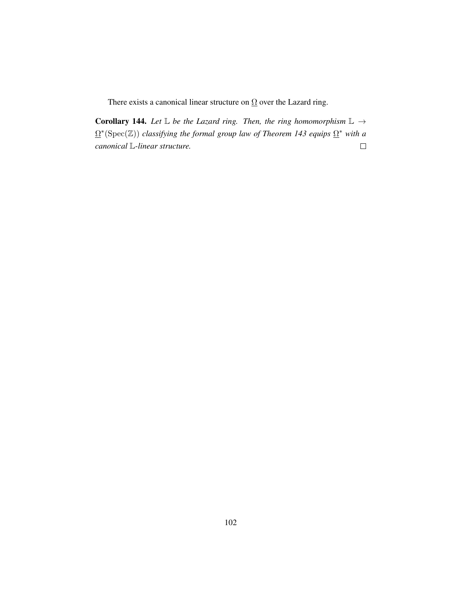There exists a canonical linear structure on  $\Omega$  over the Lazard ring.

Corollary 144. Let  $\mathbb L$  *be the Lazard ring. Then, the ring homomorphism*  $\mathbb L \rightarrow$ Ω ∗ (Spec(Z)) *classifying the formal group law of Theorem [143](#page-110-0) equips* Ω <sup>∗</sup> *with a*  $\Box$ *canonical* L*-linear structure.*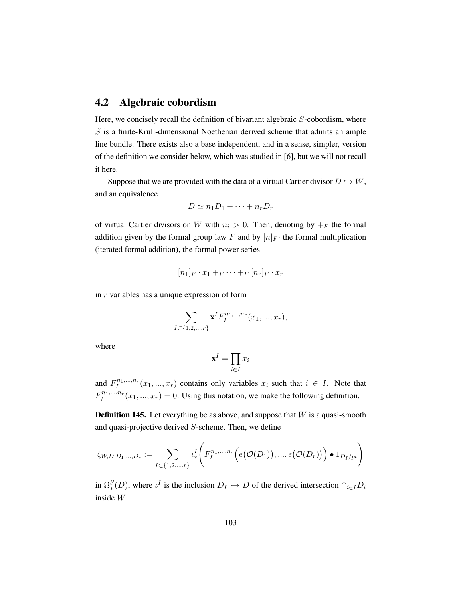# 4.2 Algebraic cobordism

Here, we concisely recall the definition of bivariant algebraic S-cobordism, where S is a finite-Krull-dimensional Noetherian derived scheme that admits an ample line bundle. There exists also a base independent, and in a sense, simpler, version of the definition we consider below, which was studied in [\[6\]](#page-197-0), but we will not recall it here.

Suppose that we are provided with the data of a virtual Cartier divisor  $D \hookrightarrow W$ , and an equivalence

$$
D \simeq n_1 D_1 + \cdots + n_r D_r
$$

of virtual Cartier divisors on W with  $n_i > 0$ . Then, denoting by  $+_F$  the formal addition given by the formal group law F and by  $[n]_F$  the formal multiplication (iterated formal addition), the formal power series

$$
[n_1]_F \cdot x_1 +_F \cdots +_F [n_r]_F \cdot x_r
$$

in r variables has a unique expression of form

$$
\sum_{I \subset \{1,2,\ldots,r\}} \mathbf{x}^I F_I^{n_1,\ldots,n_r}(x_1,...,x_r),
$$

where

$$
\mathbf{x}^I = \prod_{i \in I} x_i
$$

and  $F_I^{n_1,\ldots,n_r}$  $I_I^{n_1,...,n_r}(x_1,...,x_r)$  contains only variables  $x_i$  such that  $i \in I$ . Note that  $F_{\emptyset}^{n_1,\dots,n_r}$  $\binom{n_1,\ldots,n_r}{\emptyset}(x_1,\ldots,x_r)=0.$  Using this notation, we make the following definition.

**Definition 145.** Let everything be as above, and suppose that  $W$  is a quasi-smooth and quasi-projective derived S-scheme. Then, we define

$$
\zeta_{W,D,D_1,...,D_r} := \sum_{I \subset \{1,2,...,r\}} \iota^I_* \Biggl(F^{n_1,...,n_r}_{I} \Bigl( e\bigl(\mathcal{O}(D_1)\bigr), ..., e\bigl(\mathcal{O}(D_r)\bigr) \Bigr) \bullet 1_{D_I/pt} \Biggr)
$$

in  $\underline{\Omega}^S_*(D)$ , where  $\iota^I$  is the inclusion  $D_I \hookrightarrow D$  of the derived intersection  $\cap_{i \in I} D_i$ inside W.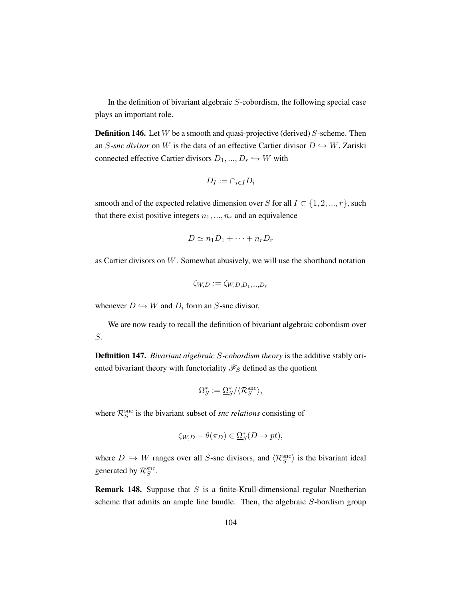In the definition of bivariant algebraic  $S$ -cobordism, the following special case plays an important role.

**Definition 146.** Let  $W$  be a smooth and quasi-projective (derived)  $S$ -scheme. Then an S-snc divisor on W is the data of an effective Cartier divisor  $D \hookrightarrow W$ , Zariski connected effective Cartier divisors  $D_1, ..., D_r \hookrightarrow W$  with

$$
D_I := \cap_{i \in I} D_i
$$

smooth and of the expected relative dimension over S for all  $I \subset \{1, 2, ..., r\}$ , such that there exist positive integers  $n_1, ..., n_r$  and an equivalence

$$
D \simeq n_1 D_1 + \cdots + n_r D_r
$$

as Cartier divisors on  $W$ . Somewhat abusively, we will use the shorthand notation

$$
\zeta_{W,D} := \zeta_{W,D,D_1,\ldots,D_r}
$$

whenever  $D \hookrightarrow W$  and  $D_i$  form an S-snc divisor.

We are now ready to recall the definition of bivariant algebraic cobordism over S.

Definition 147. *Bivariant algebraic* S*-cobordism theory* is the additive stably oriented bivariant theory with functoriality  $\mathcal{F}_S$  defined as the quotient

$$
\Omega_S^* := \underline{\Omega}_S^* / \langle \mathcal{R}_S^{\rm src} \rangle,
$$

where  $\mathcal{R}_S^{\text{src}}$  is the bivariant subset of *snc relations* consisting of

$$
\zeta_{W,D} - \theta(\pi_D) \in \underline{\Omega}_S^*(D \to pt),
$$

where  $D \hookrightarrow W$  ranges over all S-snc divisors, and  $\langle \mathcal{R}_S^{\text{src}} \rangle$  is the bivariant ideal generated by  $\mathcal{R}_S^{\text{snc}}$ .

**Remark 148.** Suppose that  $S$  is a finite-Krull-dimensional regular Noetherian scheme that admits an ample line bundle. Then, the algebraic S-bordism group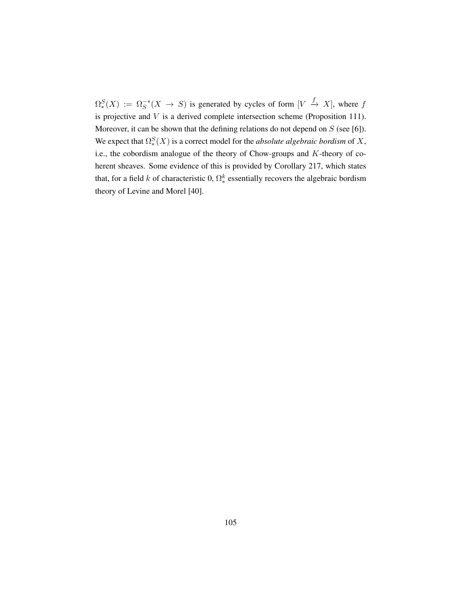$\Omega_*^S(X) := \Omega_S^{-*}(X \to S)$  is generated by cycles of form  $[V \to X]$ , where f is projective and V is a derived complete intersection scheme (Proposition [111\)](#page-85-0). Moreover, it can be shown that the defining relations do not depend on  $S$  (see [\[6\]](#page-197-0)). We expect that  $\Omega_*^S(X)$  is a correct model for the *absolute algebraic bordism* of X, i.e., the cobordism analogue of the theory of Chow-groups and K-theory of coherent sheaves. Some evidence of this is provided by Corollary [217,](#page-174-0) which states that, for a field k of characteristic 0,  $\Omega^k_*$  essentially recovers the algebraic bordism theory of Levine and Morel [\[40\]](#page-200-0).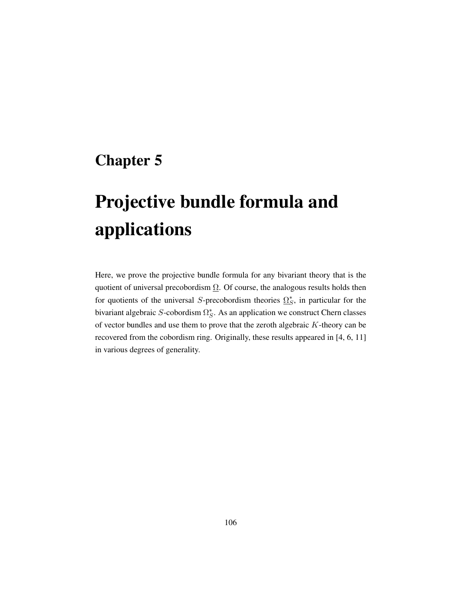# Chapter 5

# Projective bundle formula and applications

Here, we prove the projective bundle formula for any bivariant theory that is the quotient of universal precobordism  $\Omega$ . Of course, the analogous results holds then for quotients of the universal S-precobordism theories  $\Omega_S^*$ , in particular for the bivariant algebraic S-cobordism  $\Omega_S^*$ . As an application we construct Chern classes of vector bundles and use them to prove that the zeroth algebraic  $K$ -theory can be recovered from the cobordism ring. Originally, these results appeared in [\[4,](#page-197-1) [6,](#page-197-0) [11\]](#page-198-0) in various degrees of generality.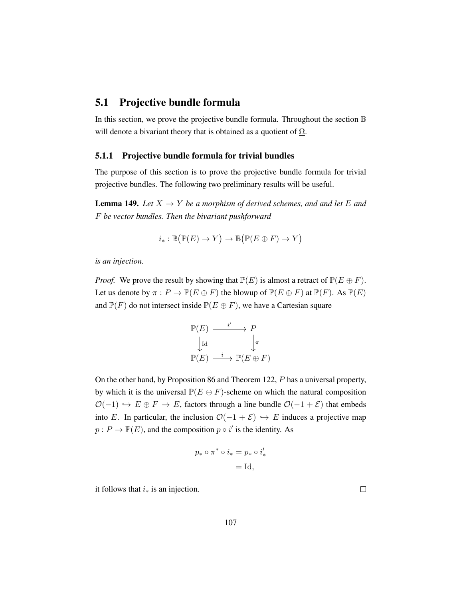# 5.1 Projective bundle formula

In this section, we prove the projective bundle formula. Throughout the section B will denote a bivariant theory that is obtained as a quotient of  $\Omega$ .

### 5.1.1 Projective bundle formula for trivial bundles

The purpose of this section is to prove the projective bundle formula for trivial projective bundles. The following two preliminary results will be useful.

<span id="page-116-0"></span>**Lemma 149.** Let  $X \to Y$  be a morphism of derived schemes, and and let E and F *be vector bundles. Then the bivariant pushforward*

$$
i_*: \mathbb{B}\big(\mathbb{P}(E) \to Y\big) \to \mathbb{B}\big(\mathbb{P}(E \oplus F) \to Y\big)
$$

*is an injection.*

*Proof.* We prove the result by showing that  $\mathbb{P}(E)$  is almost a retract of  $\mathbb{P}(E \oplus F)$ . Let us denote by  $\pi : P \to \mathbb{P}(E \oplus F)$  the blowup of  $\mathbb{P}(E \oplus F)$  at  $\mathbb{P}(F)$ . As  $\mathbb{P}(E)$ and  $\mathbb{P}(F)$  do not intersect inside  $\mathbb{P}(E \oplus F)$ , we have a Cartesian square

$$
\mathbb{P}(E) \longrightarrow \begin{array}{c} i' \to P \\ \downarrow \text{Id} \end{array}
$$

$$
\mathbb{P}(E) \longrightarrow \mathbb{P}(E \oplus F)
$$

On the other hand, by Proposition [86](#page-74-0) and Theorem [122,](#page-93-0) P has a universal property, by which it is the universal  $\mathbb{P}(E \oplus F)$ -scheme on which the natural composition  $\mathcal{O}(-1) \hookrightarrow E \oplus F \rightarrow E$ , factors through a line bundle  $\mathcal{O}(-1 + \mathcal{E})$  that embeds into E. In particular, the inclusion  $\mathcal{O}(-1 + \mathcal{E}) \hookrightarrow E$  induces a projective map  $p: P \to \mathbb{P}(E)$ , and the composition  $p \circ i'$  is the identity. As

$$
p_* \circ \pi^* \circ i_* = p_* \circ i'_*
$$
  
= Id,

it follows that  $i_*$  is an injection.

 $\Box$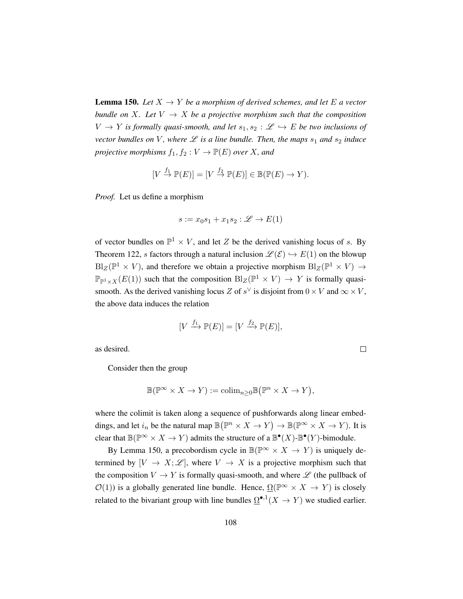<span id="page-117-0"></span>**Lemma 150.** Let  $X \to Y$  be a morphism of derived schemes, and let E a vector *bundle on* X. Let  $V \rightarrow X$  *be a projective morphism such that the composition*  $V \to Y$  *is formally quasi-smooth, and let*  $s_1, s_2 : \mathscr{L} \hookrightarrow E$  *be two inclusions of vector bundles on* V, where  $\mathscr L$  *is a line bundle. Then, the maps*  $s_1$  *and*  $s_2$  *induce projective morphisms*  $f_1, f_2 : V \to \mathbb{P}(E)$  *over X, and* 

$$
[V \stackrel{f_1}{\to} \mathbb{P}(E)] = [V \stackrel{f_2}{\to} \mathbb{P}(E)] \in \mathbb{B}(\mathbb{P}(E) \to Y).
$$

*Proof.* Let us define a morphism

$$
s := x_0 s_1 + x_1 s_2 : \mathcal{L} \to E(1)
$$

of vector bundles on  $\mathbb{P}^1 \times V$ , and let Z be the derived vanishing locus of s. By Theorem [122,](#page-93-0) s factors through a natural inclusion  $\mathcal{L}(\mathcal{E}) \hookrightarrow E(1)$  on the blowup  $Bl_Z(\mathbb{P}^1 \times V)$ , and therefore we obtain a projective morphism  $Bl_Z(\mathbb{P}^1 \times V) \to$  $\mathbb{P}_{\mathbb{P}^1 \times X}(E(1))$  such that the composition  $\text{Bl}_Z(\mathbb{P}^1 \times V) \to Y$  is formally quasismooth. As the derived vanishing locus Z of  $s^{\vee}$  is disjoint from  $0 \times V$  and  $\infty \times V$ , the above data induces the relation

$$
[V \xrightarrow{f_1} \mathbb{P}(E)] = [V \xrightarrow{f_2} \mathbb{P}(E)],
$$

 $\Box$ 

as desired.

Consider then the group

$$
\mathbb{B}(\mathbb{P}^{\infty} \times X \to Y) := \mathrm{colim}_{n \geq 0} \mathbb{B}(\mathbb{P}^n \times X \to Y),
$$

where the colimit is taken along a sequence of pushforwards along linear embeddings, and let  $i_n$  be the natural map  $\mathbb{B}(\mathbb{P}^n \times X \to Y) \to \mathbb{B}(\mathbb{P}^\infty \times X \to Y)$ . It is clear that  $\mathbb{B}(\mathbb{P}^{\infty} \times X \to Y)$  admits the structure of a  $\mathbb{B}^{\bullet}(X)$ - $\mathbb{B}^{\bullet}(Y)$ -bimodule.

By Lemma [150,](#page-117-0) a precobordism cycle in  $\mathbb{B}(\mathbb{P}^{\infty} \times X \to Y)$  is uniquely determined by  $[V \to X; \mathcal{L}]$ , where  $V \to X$  is a projective morphism such that the composition  $V \to Y$  is formally quasi-smooth, and where  $\mathscr L$  (the pullback of  $\mathcal{O}(1)$ ) is a globally generated line bundle. Hence,  $\Omega(\mathbb{P}^{\infty} \times X \to Y)$  is closely related to the bivariant group with line bundles  $\Omega^{\bullet,1}(X \to Y)$  we studied earlier.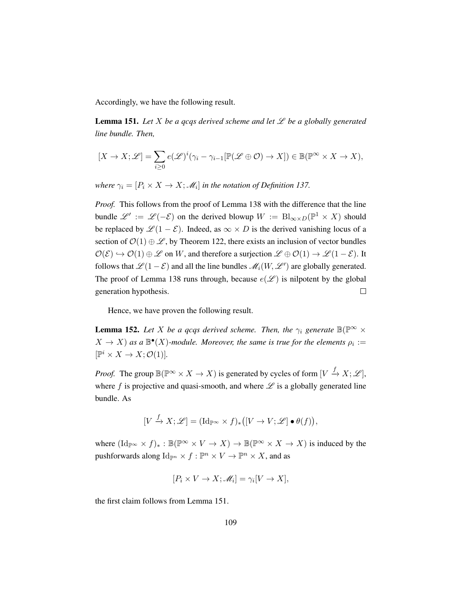Accordingly, we have the following result.

<span id="page-118-0"></span>**Lemma 151.** Let X be a gcgs derived scheme and let  $\mathcal{L}$  be a globally generated *line bundle. Then,*

$$
[X \to X; \mathscr{L}] = \sum_{i \geq 0} e(\mathscr{L})^i (\gamma_i - \gamma_{i-1} [\mathbb{P}(\mathscr{L} \oplus \mathcal{O}) \to X]) \in \mathbb{B}(\mathbb{P}^\infty \times X \to X),
$$

*where*  $\gamma_i = [P_i \times X \to X; \mathcal{M}_i]$  *in the notation of Definition [137.](#page-106-0)* 

*Proof.* This follows from the proof of Lemma [138](#page-107-0) with the difference that the line bundle  $\mathscr{L}' := \mathscr{L}(-\mathcal{E})$  on the derived blowup  $W := \text{Bl}_{\infty \times D}(\mathbb{P}^1 \times X)$  should be replaced by  $\mathscr{L}(1 - \mathscr{E})$ . Indeed, as  $\infty \times D$  is the derived vanishing locus of a section of  $\mathcal{O}(1) \oplus \mathcal{L}$ , by Theorem [122,](#page-93-0) there exists an inclusion of vector bundles  $\mathcal{O}(\mathcal{E}) \hookrightarrow \mathcal{O}(1) \oplus \mathcal{L}$  on W, and therefore a surjection  $\mathcal{L} \oplus \mathcal{O}(1) \to \mathcal{L} (1-\mathcal{E})$ . It follows that  $\mathscr{L}(1-\mathcal{E})$  and all the line bundles  $\mathscr{M}_i(W, \mathscr{L}')$  are globally generated. The proof of Lemma [138](#page-107-0) runs through, because  $e(\mathscr{L})$  is nilpotent by the global generation hypothesis.  $\Box$ 

Hence, we have proven the following result.

<span id="page-118-1"></span>**Lemma 152.** Let X be a gcqs derived scheme. Then, the  $\gamma_i$  generate  $\mathbb{B}(\mathbb{P}^{\infty} \times$  $(X \to X)$  as a  $\mathbb{B}^{\bullet}(X)$ -module. Moreover, the same is true for the elements  $\rho_i :=$  $[\mathbb{P}^i \times X \to X; \mathcal{O}(1)].$ 

*Proof.* The group  $\mathbb{B}(\mathbb{P}^{\infty} \times X \to X)$  is generated by cycles of form  $[V \xrightarrow{f} X; \mathscr{L}]$ , where f is projective and quasi-smooth, and where  $\mathscr L$  is a globally generated line bundle. As

$$
[V \xrightarrow{f} X; \mathscr{L}] = (\mathrm{Id}_{\mathbb{P}^\infty} \times f)_* ([V \to V; \mathscr{L}] \bullet \theta(f)),
$$

where  $(\mathrm{Id}_{\mathbb{P}^\infty} \times f)_* : \mathbb{B}(\mathbb{P}^\infty \times V \to X) \to \mathbb{B}(\mathbb{P}^\infty \times X \to X)$  is induced by the pushforwards along  $\mathrm{Id}_{\mathbb{P}^n} \times f : \mathbb{P}^n \times V \to \mathbb{P}^n \times X$ , and as

$$
[P_i \times V \to X; \mathcal{M}_i] = \gamma_i [V \to X],
$$

the first claim follows from Lemma [151.](#page-118-0)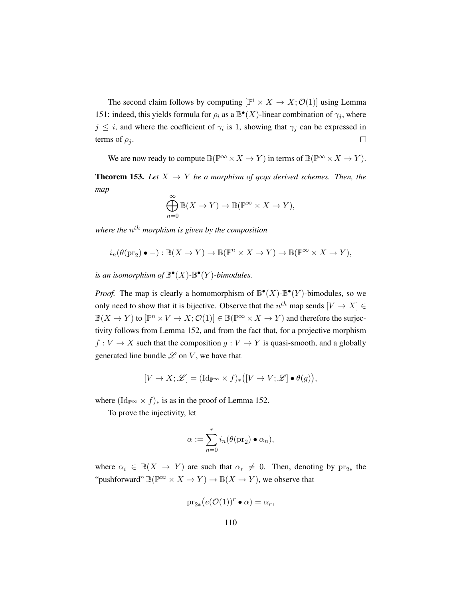The second claim follows by computing  $[\mathbb{P}^i \times X \to X; \mathcal{O}(1)]$  using Lemma [151:](#page-118-0) indeed, this yields formula for  $\rho_i$  as a  $\mathbb{B}^{\bullet}(X)$ -linear combination of  $\gamma_j$ , where  $j \leq i$ , and where the coefficient of  $\gamma_i$  is 1, showing that  $\gamma_j$  can be expressed in terms of  $\rho_i$ .  $\Box$ 

We are now ready to compute  $\mathbb{B}(\mathbb{P}^{\infty} \times X \to Y)$  in terms of  $\mathbb{B}(\mathbb{P}^{\infty} \times X \to Y)$ .

<span id="page-119-0"></span>**Theorem 153.** Let  $X \rightarrow Y$  be a morphism of gcqs derived schemes. Then, the *map*  $\infty$ 

$$
\bigoplus_{n=0}^{\infty} \mathbb{B}(X \to Y) \to \mathbb{B}(\mathbb{P}^{\infty} \times X \to Y),
$$

where the  $n^{th}$  morphism is given by the composition

$$
i_n(\theta(\mathrm{pr}_2) \bullet -): \mathbb{B}(X \to Y) \to \mathbb{B}(\mathbb{P}^n \times X \to Y) \to \mathbb{B}(\mathbb{P}^\infty \times X \to Y),
$$

is an isomorphism of  $\mathbb{B}^{\bullet}(X)$ - $\mathbb{B}^{\bullet}(Y)$ -bimodules.

*Proof.* The map is clearly a homomorphism of  $\mathbb{B}^{\bullet}(X)$ - $\mathbb{B}^{\bullet}(Y)$ -bimodules, so we only need to show that it is bijective. Observe that the  $n^{th}$  map sends  $[V \to X] \in$  $\mathbb{B}(X \to Y)$  to  $[\mathbb{P}^n \times V \to X; \mathcal{O}(1)] \in \mathbb{B}(\mathbb{P}^\infty \times X \to Y)$  and therefore the surjectivity follows from Lemma [152,](#page-118-1) and from the fact that, for a projective morphism  $f: V \to X$  such that the composition  $g: V \to Y$  is quasi-smooth, and a globally generated line bundle  $\mathscr L$  on  $V$ , we have that

$$
[V \to X; \mathscr{L}] = (\mathrm{Id}_{\mathbb{P}^{\infty}} \times f)_{*} ([V \to V; \mathscr{L}] \bullet \theta(g)),
$$

where  $(\text{Id}_{\mathbb{P}^\infty} \times f)_*$  is as in the proof of Lemma [152.](#page-118-1)

To prove the injectivity, let

$$
\alpha := \sum_{n=0}^r i_n(\theta(\text{pr}_2) \bullet \alpha_n),
$$

where  $\alpha_i \in \mathbb{B}(X \to Y)$  are such that  $\alpha_r \neq 0$ . Then, denoting by  $\text{pr}_{2*}$  the "pushforward"  $\mathbb{B}(\mathbb{P}^{\infty} \times X \to Y) \to \mathbb{B}(X \to Y)$ , we observe that

$$
\mathrm{pr}_{2*}(e(\mathcal{O}(1))^r \bullet \alpha) = \alpha_r,
$$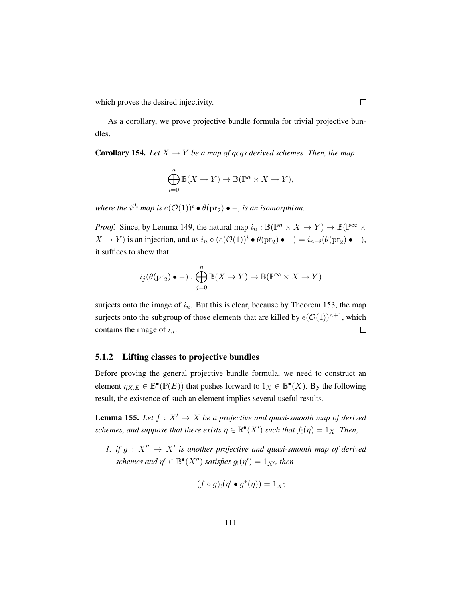which proves the desired injectivity.

As a corollary, we prove projective bundle formula for trivial projective bundles.

**Corollary 154.** *Let*  $X \to Y$  *be a map of gcgs derived schemes. Then, the map* 

$$
\bigoplus_{i=0}^{n} \mathbb{B}(X \to Y) \to \mathbb{B}(\mathbb{P}^n \times X \to Y),
$$

where the  $i^{th}$  map is  $e(\mathcal{O}(1))^i \bullet \theta(\text{pr}_2) \bullet -$ , is an isomorphism.

*Proof.* Since, by Lemma [149,](#page-116-0) the natural map  $i_n : \mathbb{B}(\mathbb{P}^n \times X \to Y) \to \mathbb{B}(\mathbb{P}^\infty \times Y)$  $X \to Y$ ) is an injection, and as  $i_n \circ (e(\mathcal{O}(1))^i \bullet \theta(\text{pr}_2) \bullet -) = i_{n-i}(\theta(\text{pr}_2) \bullet -)$ , it suffices to show that

$$
i_j(\theta(\mathrm{pr}_2) \bullet -): \bigoplus_{j=0}^n \mathbb{B}(X \to Y) \to \mathbb{B}(\mathbb{P}^\infty \times X \to Y)
$$

surjects onto the image of  $i_n$ . But this is clear, because by Theorem [153,](#page-119-0) the map surjects onto the subgroup of those elements that are killed by  $e(\mathcal{O}(1))^{n+1}$ , which contains the image of  $i_n$ .  $\Box$ 

#### 5.1.2 Lifting classes to projective bundles

Before proving the general projective bundle formula, we need to construct an element  $\eta_{X,E} \in \mathbb{B}^{\bullet}(\mathbb{P}(E))$  that pushes forward to  $1_X \in \mathbb{B}^{\bullet}(X)$ . By the following result, the existence of such an element implies several useful results.

<span id="page-120-0"></span>**Lemma 155.** Let  $f : X' \to X$  be a projective and quasi-smooth map of derived *schemes, and suppose that there exists*  $\eta \in \mathbb{B}^{\bullet}(X')$  *such that*  $f_!(\eta) = 1_X$ *. Then,* 

*1. if*  $g: X'' \to X'$  is another projective and quasi-smooth map of derived schemes and  $\eta' \in \mathbb{B}^\bullet(X'')$  satisfies  $g_!(\eta') = 1_{X'}$ , then

$$
(f \circ g)_{!}(\eta' \bullet g^*(\eta)) = 1_X;
$$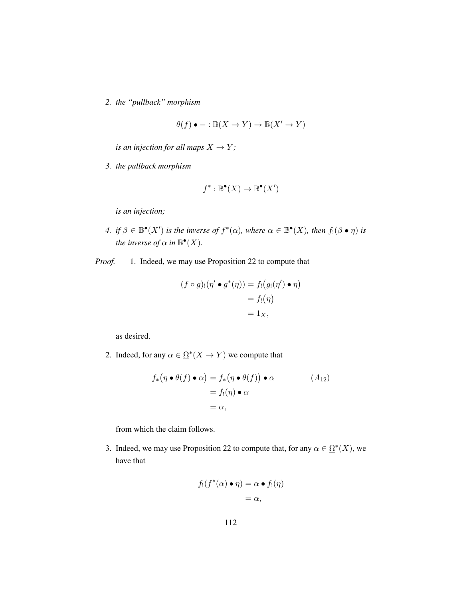*2. the "pullback" morphism*

$$
\theta(f) \bullet - : \mathbb{B}(X \to Y) \to \mathbb{B}(X' \to Y)
$$

*is an injection for all maps*  $X \to Y$ ;

*3. the pullback morphism*

$$
f^* : \mathbb{B}^\bullet(X) \to \mathbb{B}^\bullet(X')
$$

*is an injection;*

- *4. if*  $\beta \in \mathbb{B}^{\bullet}(X')$  *is the inverse of*  $f^*(\alpha)$ *, where*  $\alpha \in \mathbb{B}^{\bullet}(X)$ *, then*  $f_!(\beta \bullet \eta)$  *is the inverse of*  $\alpha$  *in*  $\mathbb{B}^{\bullet}(X)$ *.*
- *Proof.* 1. Indeed, we may use Proposition [22](#page-27-0) to compute that

$$
(f \circ g)_{!}(\eta' \bullet g^{*}(\eta)) = f_{!}(g_{!}(\eta') \bullet \eta)
$$

$$
= f_{!}(\eta)
$$

$$
= 1_{X},
$$

as desired.

2. Indeed, for any  $\alpha \in \Omega^*(X \to Y)$  we compute that

$$
f_* (\eta \bullet \theta(f) \bullet \alpha) = f_* (\eta \bullet \theta(f)) \bullet \alpha
$$
  
=  $f_!(\eta) \bullet \alpha$   
=  $\alpha$ , (A<sub>12</sub>)

from which the claim follows.

3. Indeed, we may use Proposition [22](#page-27-0) to compute that, for any  $\alpha \in \Omega^*(X)$ , we have that

$$
f_!(f^*(\alpha) \bullet \eta) = \alpha \bullet f_!(\eta)
$$
  
=  $\alpha$ ,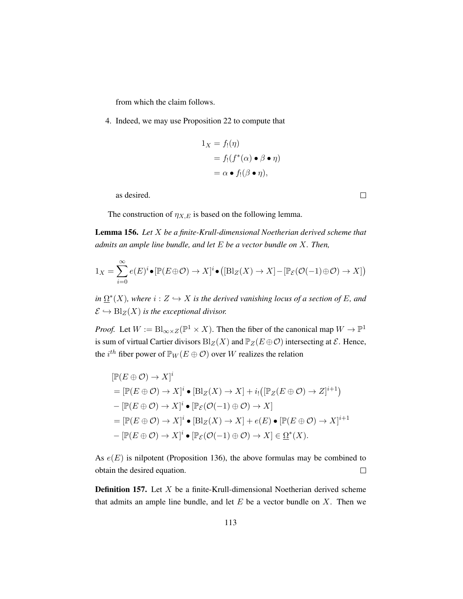from which the claim follows.

4. Indeed, we may use Proposition [22](#page-27-0) to compute that

$$
1_X = f_!(\eta)
$$
  
=  $f_!(f^*(\alpha) \bullet \beta \bullet \eta)$   
=  $\alpha \bullet f_!(\beta \bullet \eta)$ ,

as desired.

The construction of  $\eta_{X,E}$  is based on the following lemma.

<span id="page-122-0"></span>Lemma 156. *Let* X *be a finite-Krull-dimensional Noetherian derived scheme that admits an ample line bundle, and let* E *be a vector bundle on* X*. Then,*

$$
1_X = \sum_{i=0}^{\infty} e(E)^i \bullet [\mathbb{P}(E \oplus \mathcal{O}) \to X]^i \bullet ([\mathrm{Bl}_Z(X) \to X] - [\mathbb{P}_{\mathcal{E}}(\mathcal{O}(-1) \oplus \mathcal{O}) \to X])
$$

 $\lim \Omega^*(X)$ , where  $i: Z \hookrightarrow X$  is the derived vanishing locus of a section of E, and  $\mathcal{E} \hookrightarrow \text{Bl}_{Z}(X)$  *is the exceptional divisor.* 

*Proof.* Let  $W := \text{Bl}_{\infty \times Z}(\mathbb{P}^1 \times X)$ . Then the fiber of the canonical map  $W \to \mathbb{P}^1$ is sum of virtual Cartier divisors  $Bl_Z(X)$  and  $\mathbb{P}_Z(E \oplus \mathcal{O})$  intersecting at  $\mathcal{E}$ . Hence, the  $i^{th}$  fiber power of  $\mathbb{P}_W(E \oplus \mathcal{O})$  over W realizes the relation

$$
[\mathbb{P}(E \oplus \mathcal{O}) \to X]^i
$$
  
=  $[\mathbb{P}(E \oplus \mathcal{O}) \to X]^i \bullet [\text{Bl}_Z(X) \to X] + i_!([\mathbb{P}_Z(E \oplus \mathcal{O}) \to Z]^{i+1})$   

$$
-[\mathbb{P}(E \oplus \mathcal{O}) \to X]^i \bullet [\mathbb{P}_E(\mathcal{O}(-1) \oplus \mathcal{O}) \to X]
$$
  
=  $[\mathbb{P}(E \oplus \mathcal{O}) \to X]^i \bullet [\text{Bl}_Z(X) \to X] + e(E) \bullet [\mathbb{P}(E \oplus \mathcal{O}) \to X]^{i+1}$   

$$
-[\mathbb{P}(E \oplus \mathcal{O}) \to X]^i \bullet [\mathbb{P}_E(\mathcal{O}(-1) \oplus \mathcal{O}) \to X] \in \Omega^*(X).
$$

As  $e(E)$  is nilpotent (Proposition [136\)](#page-105-0), the above formulas may be combined to obtain the desired equation.  $\Box$ 

**Definition 157.** Let  $X$  be a finite-Krull-dimensional Noetherian derived scheme that admits an ample line bundle, and let  $E$  be a vector bundle on  $X$ . Then we

 $\Box$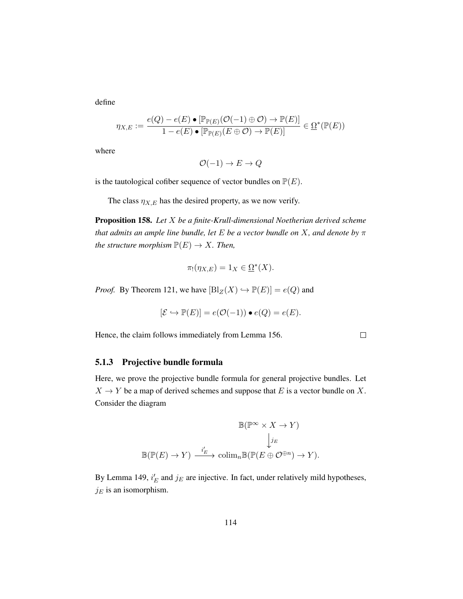define

$$
\eta_{X,E} := \frac{e(Q) - e(E) \bullet [\mathbb{P}_{\mathbb{P}(E)}(\mathcal{O}(-1) \oplus \mathcal{O}) \to \mathbb{P}(E)]}{1 - e(E) \bullet [\mathbb{P}_{\mathbb{P}(E)}(E \oplus \mathcal{O}) \to \mathbb{P}(E)]} \in \underline{\Omega}^*(\mathbb{P}(E))
$$

where

$$
\mathcal{O}(-1) \to E \to Q
$$

is the tautological cofiber sequence of vector bundles on  $\mathbb{P}(E)$ .

The class  $\eta_{X,E}$  has the desired property, as we now verify.

<span id="page-123-0"></span>Proposition 158. *Let* X *be a finite-Krull-dimensional Noetherian derived scheme that admits an ample line bundle, let* E *be a vector bundle on* X*, and denote by* π *the structure morphism*  $\mathbb{P}(E) \to X$ *. Then,* 

$$
\pi_!(\eta_{X,E}) = 1_X \in \underline{\Omega}^*(X).
$$

*Proof.* By Theorem [121,](#page-93-1) we have  $[Bl_Z(X) \hookrightarrow \mathbb{P}(E)] = e(Q)$  and

$$
[\mathcal{E} \hookrightarrow \mathbb{P}(E)] = e(\mathcal{O}(-1)) \bullet e(Q) = e(E).
$$

Hence, the claim follows immediately from Lemma [156.](#page-122-0)

## $\Box$

#### 5.1.3 Projective bundle formula

Here, we prove the projective bundle formula for general projective bundles. Let  $X \to Y$  be a map of derived schemes and suppose that E is a vector bundle on X. Consider the diagram

$$
\mathbb{B}(\mathbb{P}^{\infty} \times X \to Y)
$$

$$
\downarrow_{jE}
$$

$$
\mathbb{B}(\mathbb{P}(E) \to Y) \xrightarrow{i'_{E}} \text{colim}_{n} \mathbb{B}(\mathbb{P}(E \oplus \mathcal{O}^{\oplus n}) \to Y).
$$

By Lemma [149,](#page-116-0)  $i_E'$  and  $j_E$  are injective. In fact, under relatively mild hypotheses,  $j_E$  is an isomorphism.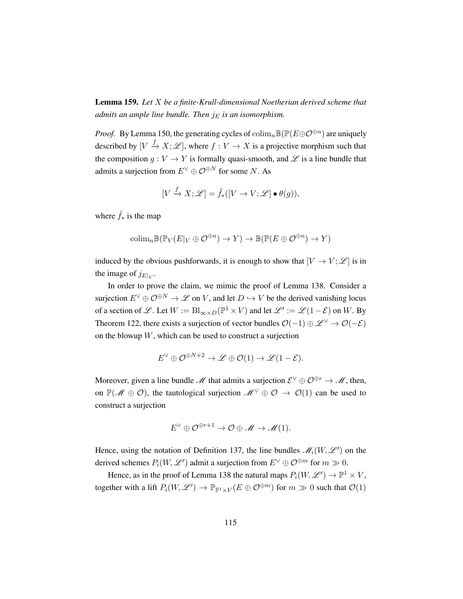Lemma 159. *Let* X *be a finite-Krull-dimensional Noetherian derived scheme that admits an ample line bundle. Then*  $j_E$  *is an isomorphism.* 

*Proof.* By Lemma [150,](#page-117-0) the generating cycles of  $\text{colim}_n \mathbb{B}(\mathbb{P}(E \oplus \mathcal{O}^{\oplus n})$  are uniquely described by  $[V \xrightarrow{f} X; \mathcal{L}]$ , where  $f: V \to X$  is a projective morphism such that the composition  $g: V \to Y$  is formally quasi-smooth, and  $\mathscr L$  is a line bundle that admits a surjection from  $E^{\vee} \oplus \mathcal{O}^{\oplus N}$  for some N. As

$$
[V \xrightarrow{f} X; \mathscr{L}] = \tilde{f}_*([V \to V; \mathscr{L}] \bullet \theta(g)),
$$

where  $\tilde{f}_*$  is the map

$$
\mathrm{colim}_{n} \mathbb{B}(\mathbb{P}_{V}(E|_{V} \oplus \mathcal{O}^{\oplus n}) \to Y) \to \mathbb{B}(\mathbb{P}(E \oplus \mathcal{O}^{\oplus n}) \to Y)
$$

induced by the obvious pushforwards, it is enough to show that  $[V \to V; \mathcal{L}]$  is in the image of  $j_{E|V}$ .

In order to prove the claim, we mimic the proof of Lemma [138.](#page-107-0) Consider a surjection  $E^{\vee} \oplus \mathcal{O}^{\oplus N} \to \mathscr{L}$  on V, and let  $D \hookrightarrow V$  be the derived vanishing locus of a section of L. Let  $W := \text{Bl}_{\infty \times D}(\mathbb{P}^1 \times V)$  and let  $\mathscr{L}' := \mathscr{L}(1-\mathcal{E})$  on W. By Theorem [122,](#page-93-0) there exists a surjection of vector bundles  $\mathcal{O}(-1) \oplus \mathcal{L}^{\vee} \rightarrow \mathcal{O}(-\mathcal{E})$ on the blowup  $W$ , which can be used to construct a surjection

$$
E^{\vee} \oplus \mathcal{O}^{\oplus N+2} \to \mathscr{L} \oplus \mathcal{O}(1) \to \mathscr{L}(1-\mathcal{E}).
$$

Moreover, given a line bundle M that admits a surjection  $\mathcal{E}^{\vee} \oplus \mathcal{O}^{\oplus r} \to \mathcal{M}$ , then, on  $\mathbb{P}(\mathcal{M} \oplus \mathcal{O})$ , the tautological surjection  $\mathcal{M}^{\vee} \oplus \mathcal{O} \to \mathcal{O}(1)$  can be used to construct a surjection

$$
E^{\vee} \oplus \mathcal{O}^{\oplus r+1} \to \mathcal{O} \oplus \mathscr{M} \to \mathscr{M}(1).
$$

Hence, using the notation of Definition [137,](#page-106-0) the line bundles  $\mathcal{M}_i(W, \mathcal{L}')$  on the derived schemes  $P_i(W, \mathscr{L}')$  admit a surjection from  $E^{\vee} \oplus \mathcal{O}^{\oplus m}$  for  $m \gg 0$ .

Hence, as in the proof of Lemma [138](#page-107-0) the natural maps  $P_i(W, \mathscr{L}') \to \mathbb{P}^1 \times V$ , together with a lift  $P_i(W, \mathscr{L}') \to \mathbb{P}_{\mathbb{P}^1 \times V}(E \oplus \mathcal{O}^{\oplus m})$  for  $m \gg 0$  such that  $\mathcal{O}(1)$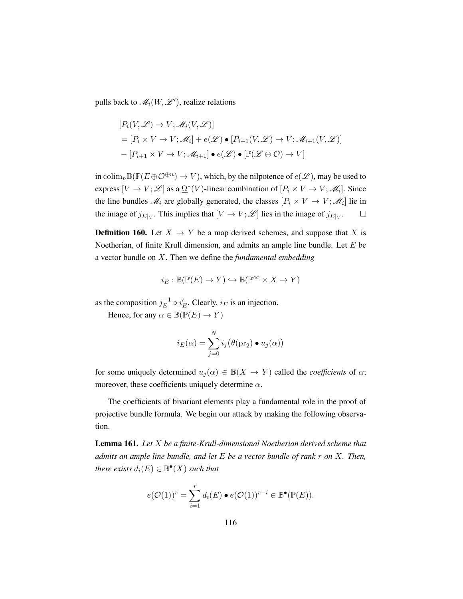pulls back to  $\mathscr{M}_i(W, \mathscr{L}'),$  realize relations

$$
[P_i(V, \mathcal{L}) \to V; \mathcal{M}_i(V, \mathcal{L})]
$$
  
=  $[P_i \times V \to V; \mathcal{M}_i] + e(\mathcal{L}) \bullet [P_{i+1}(V, \mathcal{L}) \to V; \mathcal{M}_{i+1}(V, \mathcal{L})]$   
-  $[P_{i+1} \times V \to V; \mathcal{M}_{i+1}] \bullet e(\mathcal{L}) \bullet [\mathbb{P}(\mathcal{L} \oplus \mathcal{O}) \to V]$ 

in colim<sub>n</sub> $\mathbb{B}(\mathbb{P}(E \oplus \mathcal{O}^{\oplus n}) \to V)$ , which, by the nilpotence of  $e(\mathscr{L})$ , may be used to express  $[V \to V; \mathcal{L}]$  as a  $\Omega^*(V)$ -linear combination of  $[P_i \times V \to V; \mathcal{M}_i]$ . Since the line bundles  $\mathcal{M}_i$  are globally generated, the classes  $[P_i \times V \to V; \mathcal{M}_i]$  lie in the image of  $j_{E|_V}$ . This implies that  $[V \to V; \mathcal{L}]$  lies in the image of  $j_{E|_V}$ .  $\Box$ 

**Definition 160.** Let  $X \rightarrow Y$  be a map derived schemes, and suppose that X is Noetherian, of finite Krull dimension, and admits an ample line bundle. Let  $E$  be a vector bundle on X. Then we define the *fundamental embedding*

$$
i_E : \mathbb{B}(\mathbb{P}(E) \to Y) \hookrightarrow \mathbb{B}(\mathbb{P}^{\infty} \times X \to Y)
$$

as the composition  $j_E^{-1}$  $E^{-1} \circ i_E'$ . Clearly,  $i_E$  is an injection.

Hence, for any  $\alpha \in \mathbb{B}(\mathbb{P}(E) \to Y)$ 

$$
i_E(\alpha) = \sum_{j=0}^{N} i_j (\theta(\text{pr}_2) \bullet u_j(\alpha))
$$

for some uniquely determined  $u_i(\alpha) \in \mathbb{B}(X \to Y)$  called the *coefficients* of  $\alpha$ ; moreover, these coefficients uniquely determine  $\alpha$ .

The coefficients of bivariant elements play a fundamental role in the proof of projective bundle formula. We begin our attack by making the following observation.

<span id="page-125-0"></span>Lemma 161. *Let* X *be a finite-Krull-dimensional Noetherian derived scheme that admits an ample line bundle, and let* E *be a vector bundle of rank* r *on* X*. Then, there exists*  $d_i(E) \in \mathbb{B}^{\bullet}(X)$  *such that* 

$$
e(\mathcal{O}(1))^r = \sum_{i=1}^r d_i(E) \bullet e(\mathcal{O}(1))^{r-i} \in \mathbb{B}^\bullet(\mathbb{P}(E)).
$$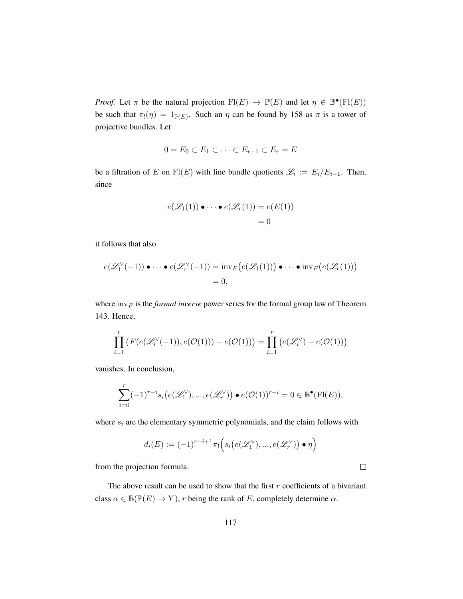*Proof.* Let  $\pi$  be the natural projection  $\text{Fl}(E) \to \mathbb{P}(E)$  and let  $\eta \in \mathbb{B}^{\bullet}(\text{Fl}(E))$ be such that  $\pi_!(\eta) = 1_{\mathbb{P}(E)}$ . Such an  $\eta$  can be found by [158](#page-123-0) as  $\pi$  is a tower of projective bundles. Let

$$
0 = E_0 \subset E_1 \subset \cdots \subset E_{r-1} \subset E_r = E
$$

be a filtration of E on Fl(E) with line bundle quotients  $\mathscr{L}_i := E_i/E_{i-1}$ . Then, since

$$
e(\mathscr{L}_1(1)) \bullet \cdots \bullet e(\mathscr{L}_r(1)) = e(E(1))
$$
  
= 0

it follows that also

$$
e(\mathscr{L}_1^{\vee}(-1)) \bullet \cdots \bullet e(\mathscr{L}_r^{\vee}(-1)) = \operatorname{inv}_F\big(e(\mathscr{L}_1(1))\big) \bullet \cdots \bullet \operatorname{inv}_F\big(e(\mathscr{L}_r(1))\big)
$$
  
= 0,

where  $\text{inv}_F$  is the *formal inverse* power series for the formal group law of Theorem [143.](#page-110-0) Hence,

$$
\prod_{i=1}^r \left( F(e(\mathcal{L}_i^{\vee}(-1)), e(\mathcal{O}(1))) - e(\mathcal{O}(1)) \right) = \prod_{i=1}^r \left( e(\mathcal{L}_i^{\vee}) - e(\mathcal{O}(1)) \right)
$$

vanishes. In conclusion,

$$
\sum_{i=0}^r (-1)^{r-i} s_i \big( e(\mathscr{L}_1^{\vee}), ..., e(\mathscr{L}_r^{\vee}) \big) \bullet e(\mathcal{O}(1))^{r-i} = 0 \in \mathbb{B}^{\bullet}(\mathrm{Fl}(E)),
$$

where  $s_i$  are the elementary symmetric polynomials, and the claim follows with

$$
d_i(E) := (-1)^{r-i+1} \pi_! \Big( s_i \big( e(\mathscr{L}_1^{\vee}), ..., e(\mathscr{L}_r^{\vee}) \big) \bullet \eta \Big)
$$

from the projection formula.

The above result can be used to show that the first  $r$  coefficients of a bivariant class  $\alpha \in \mathbb{B}(\mathbb{P}(E) \to Y)$ , r being the rank of E, completely determine  $\alpha$ .

 $\Box$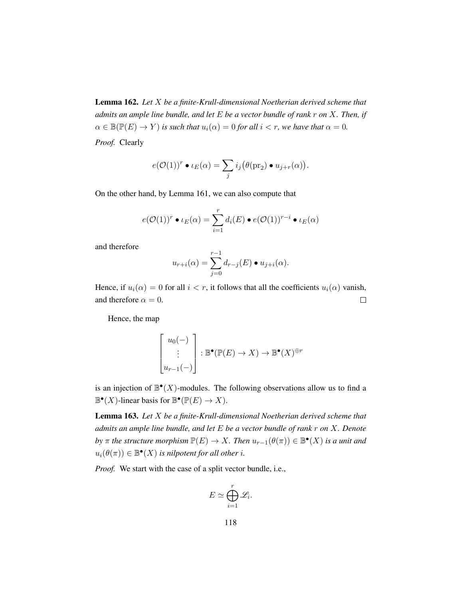Lemma 162. *Let* X *be a finite-Krull-dimensional Noetherian derived scheme that admits an ample line bundle, and let* E *be a vector bundle of rank* r *on* X*. Then, if*  $\alpha \in \mathbb{B}(\mathbb{P}(E) \to Y)$  *is such that*  $u_i(\alpha) = 0$  *for all*  $i < r$ *, we have that*  $\alpha = 0$ *. Proof.* Clearly

$$
e(\mathcal{O}(1))^r \bullet \iota_E(\alpha) = \sum_j i_j (\theta(\mathrm{pr}_2) \bullet u_{j+r}(\alpha)).
$$

On the other hand, by Lemma [161,](#page-125-0) we can also compute that

$$
e(\mathcal{O}(1))^r \bullet \iota_E(\alpha) = \sum_{i=1}^r d_i(E) \bullet e(\mathcal{O}(1))^{r-i} \bullet \iota_E(\alpha)
$$

and therefore

$$
u_{r+i}(\alpha) = \sum_{j=0}^{r-1} d_{r-j}(E) \bullet u_{j+i}(\alpha).
$$

Hence, if  $u_i(\alpha) = 0$  for all  $i < r$ , it follows that all the coefficients  $u_i(\alpha)$  vanish, and therefore  $\alpha = 0$ .  $\Box$ 

Hence, the map

$$
\begin{bmatrix} u_0(-) \\ \vdots \\ u_{r-1}(-) \end{bmatrix} : \mathbb{B}^\bullet(\mathbb{P}(E) \to X) \to \mathbb{B}^\bullet(X)^{\oplus r}
$$

is an injection of  $\mathbb{B}^{\bullet}(X)$ -modules. The following observations allow us to find a  $\mathbb{B}^{\bullet}(X)$ -linear basis for  $\mathbb{B}^{\bullet}(\mathbb{P}(E) \to X)$ .

<span id="page-127-0"></span>Lemma 163. *Let* X *be a finite-Krull-dimensional Noetherian derived scheme that admits an ample line bundle, and let* E *be a vector bundle of rank* r *on* X*. Denote by*  $\pi$  *the structure morphism*  $\mathbb{P}(E) \to X$ *. Then*  $u_{r-1}(\theta(\pi)) \in \mathbb{B}^{\bullet}(X)$  *is a unit and*  $u_i(\theta(\pi)) \in \mathbb{B}^{\bullet}(X)$  *is nilpotent for all other i.* 

*Proof.* We start with the case of a split vector bundle, i.e.,

$$
E \simeq \bigoplus_{i=1}^r \mathscr{L}_i
$$

.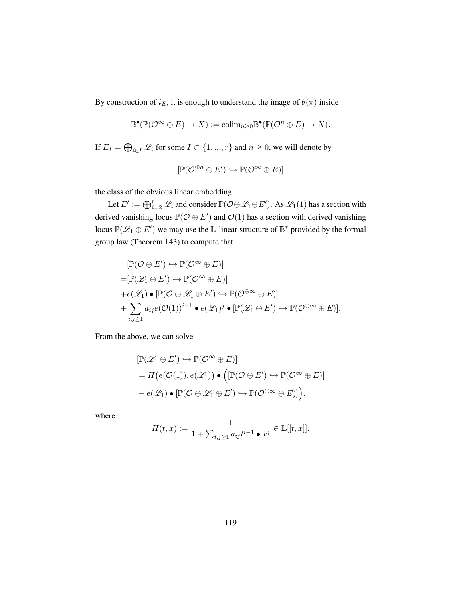By construction of  $i_E$ , it is enough to understand the image of  $\theta(\pi)$  inside

$$
\mathbb{B}^{\bullet}(\mathbb{P}(\mathcal{O}^{\infty} \oplus E) \to X) := \mathrm{colim}_{n \geq 0} \mathbb{B}^{\bullet}(\mathbb{P}(\mathcal{O}^n \oplus E) \to X).
$$

If  $E_I = \bigoplus_{i \in I} \mathcal{L}_i$  for some  $I \subset \{1, ..., r\}$  and  $n \geq 0$ , we will denote by

$$
[\mathbb{P}(\mathcal{O}^{\oplus n} \oplus E') \hookrightarrow \mathbb{P}(\mathcal{O}^{\infty} \oplus E)]
$$

the class of the obvious linear embedding.

Let  $E' := \bigoplus_{i=2}^r \mathscr{L}_i$  and consider  $\mathbb{P}(\mathcal{O} \oplus \mathscr{L}_1 \oplus E')$ . As  $\mathscr{L}_1(1)$  has a section with derived vanishing locus  $\mathbb{P}(\mathcal{O} \oplus E')$  and  $\mathcal{O}(1)$  has a section with derived vanishing locus  $\mathbb{P}(\mathscr{L}_1 \oplus E')$  we may use the L-linear structure of  $\mathbb{B}^*$  provided by the formal group law (Theorem [143\)](#page-110-0) to compute that

$$
[\mathbb{P}(\mathcal{O} \oplus E') \hookrightarrow \mathbb{P}(\mathcal{O}^{\infty} \oplus E)]
$$
  
\n
$$
= [\mathbb{P}(\mathscr{L}_1 \oplus E') \hookrightarrow \mathbb{P}(\mathcal{O}^{\infty} \oplus E)]
$$
  
\n
$$
+e(\mathscr{L}_1) \bullet [\mathbb{P}(\mathcal{O} \oplus \mathscr{L}_1 \oplus E') \hookrightarrow \mathbb{P}(\mathcal{O}^{\oplus \infty} \oplus E)]
$$
  
\n
$$
+ \sum_{i,j \geq 1} a_{ij} e(\mathcal{O}(1))^{i-1} \bullet e(\mathscr{L}_1)^j \bullet [\mathbb{P}(\mathscr{L}_1 \oplus E') \hookrightarrow \mathbb{P}(\mathcal{O}^{\oplus \infty} \oplus E)].
$$

From the above, we can solve

$$
\begin{aligned} [\mathbb{P}(\mathscr{L}_1 \oplus E') &\hookrightarrow \mathbb{P}(\mathcal{O}^\infty \oplus E)] \\ &= H\big(e(\mathcal{O}(1)), e(\mathscr{L}_1)\big) \bullet \Big([\mathbb{P}(\mathcal{O} \oplus E') \hookrightarrow \mathbb{P}(\mathcal{O}^\infty \oplus E)] \\ &- e(\mathscr{L}_1) \bullet [\mathbb{P}(\mathcal{O} \oplus \mathscr{L}_1 \oplus E') \hookrightarrow \mathbb{P}(\mathcal{O}^{\oplus \infty} \oplus E)]\Big), \end{aligned}
$$

where

$$
H(t,x) := \frac{1}{1 + \sum_{i,j \ge 1} a_{ij} t^{i-1} \bullet x^j} \in \mathbb{L}[[t,x]].
$$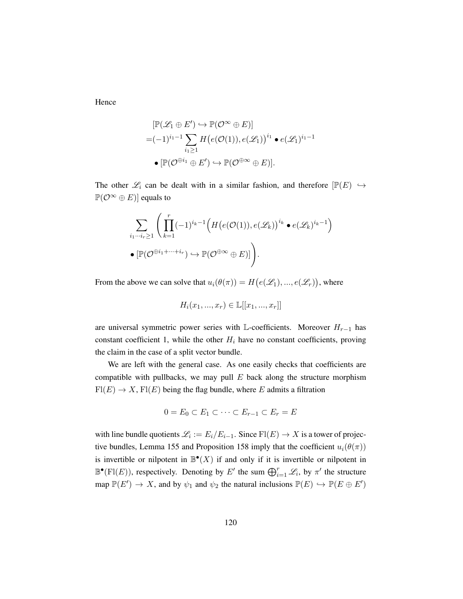Hence

$$
[\mathbb{P}(\mathcal{L}_1 \oplus E') \hookrightarrow \mathbb{P}(\mathcal{O}^{\infty} \oplus E)]
$$
  
=  $(-1)^{i_1-1} \sum_{i_1 \ge 1} H(e(\mathcal{O}(1)), e(\mathcal{L}_1))^{i_1} \bullet e(\mathcal{L}_1)^{i_1-1}$   

$$
\bullet [\mathbb{P}(\mathcal{O}^{\oplus i_1} \oplus E') \hookrightarrow \mathbb{P}(\mathcal{O}^{\oplus \infty} \oplus E)].
$$

The other  $\mathcal{L}_i$  can be dealt with in a similar fashion, and therefore  $[\mathbb{P}(E) \hookrightarrow$  $\mathbb{P}(\mathcal{O}^{\infty} \oplus E)$  equals to

$$
\sum_{i_1\cdots i_r\geq 1} \left( \prod_{k=1}^r (-1)^{i_k-1} \Big( H\big(e(\mathcal{O}(1)), e(\mathcal{L}_k)\big)^{i_k} \bullet e(\mathcal{L}_k)^{i_k-1} \Big) \right)
$$
  
 
$$
\bullet \left[ \mathbb{P}(\mathcal{O}^{\oplus i_1 + \cdots + i_r}) \hookrightarrow \mathbb{P}(\mathcal{O}^{\oplus \infty} \oplus E) \right] \right).
$$

From the above we can solve that  $u_i(\theta(\pi)) = H(e(\mathcal{L}_1), ..., e(\mathcal{L}_r))$ , where

$$
H_i(x_1, ..., x_r) \in \mathbb{L}[[x_1, ..., x_r]]
$$

are universal symmetric power series with L-coefficients. Moreover  $H_{r-1}$  has constant coefficient 1, while the other  $H_i$  have no constant coefficients, proving the claim in the case of a split vector bundle.

We are left with the general case. As one easily checks that coefficients are compatible with pullbacks, we may pull  $E$  back along the structure morphism  $\text{Fl}(E) \to X$ ,  $\text{Fl}(E)$  being the flag bundle, where E admits a filtration

$$
0 = E_0 \subset E_1 \subset \cdots \subset E_{r-1} \subset E_r = E
$$

with line bundle quotients  $\mathscr{L}_i := E_i/E_{i-1}$ . Since  $\text{Fl}(E) \to X$  is a tower of projec-tive bundles, Lemma [155](#page-120-0) and Proposition [158](#page-123-0) imply that the coefficient  $u_i(\theta(\pi))$ is invertible or nilpotent in  $\mathbb{B}^{\bullet}(X)$  if and only if it is invertible or nilpotent in  $\mathbb{B}^{\bullet}(\mathrm{Fl}(E))$ , respectively. Denoting by E' the sum  $\bigoplus_{i=1}^r \mathscr{L}_i$ , by  $\pi'$  the structure map  $\mathbb{P}(E') \to X$ , and by  $\psi_1$  and  $\psi_2$  the natural inclusions  $\mathbb{P}(E) \hookrightarrow \mathbb{P}(E \oplus E')$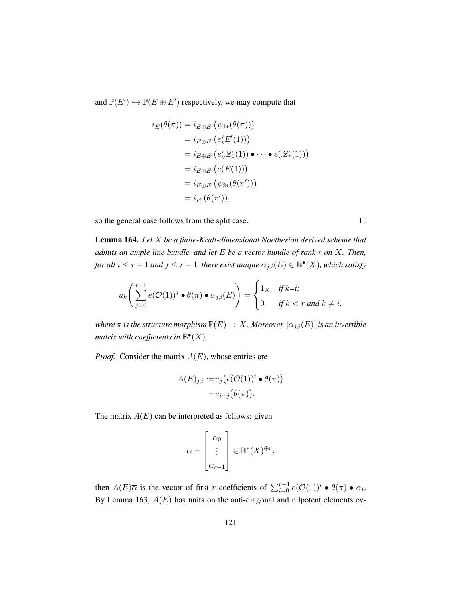and  $\mathbb{P}(E') \hookrightarrow \mathbb{P}(E \oplus E')$  respectively, we may compute that

$$
i_E(\theta(\pi)) = i_{E \oplus E'}(\psi_{1*}(\theta(\pi)))
$$
  
=  $i_{E \oplus E'}(e(E'(1)))$   
=  $i_{E \oplus E'}(e(\mathcal{L}_1(1)) \bullet \cdots \bullet e(\mathcal{L}_r(1)))$   
=  $i_{E \oplus E'}(e(E(1)))$   
=  $i_{E \oplus E'}(\psi_{2*}(\theta(\pi')))$   
=  $i_{E'}(\theta(\pi')),$ 

so the general case follows from the split case.

<span id="page-130-0"></span>Lemma 164. *Let* X *be a finite-Krull-dimensional Noetherian derived scheme that admits an ample line bundle, and let* E *be a vector bundle of rank* r *on* X*. Then,* for all  $i \leq r - 1$  and  $j \leq r - 1$ , there exist unique  $\alpha_{j,i}(E) \in \mathbb{B}^{\bullet}(X)$ , which satisfy

$$
u_k\left(\sum_{j=0}^{r-1}e(\mathcal{O}(1))^j\bullet\theta(\pi)\bullet\alpha_{j,i}(E)\right)=\begin{cases}1_X&\text{if }k=i;\\0&\text{if }k
$$

*where*  $\pi$  *is the structure morphism*  $\mathbb{P}(E) \to X$ *. Moreover,*  $[\alpha_{j,i}(E)]$  *is an invertible matrix with coefficients in*  $\mathbb{B}^{\bullet}(X)$ *.* 

*Proof.* Consider the matrix  $A(E)$ , whose entries are

$$
A(E)_{j,i} := u_j(e(O(1))^i \bullet \theta(\pi))
$$
  
=  $u_{i+j}(\theta(\pi)).$ 

The matrix  $A(E)$  can be interpreted as follows: given

$$
\overline{\alpha} = \begin{bmatrix} \alpha_0 \\ \vdots \\ \alpha_{r-1} \end{bmatrix} \in \mathbb{B}^*(X)^{\oplus r},
$$

then  $A(E)\overline{\alpha}$  is the vector of first r coefficients of  $\sum_{i=0}^{r-1} e(O(1))^i \bullet \theta(\pi) \bullet \alpha_i$ . By Lemma [163,](#page-127-0)  $A(E)$  has units on the anti-diagonal and nilpotent elements ev-

 $\hfill \square$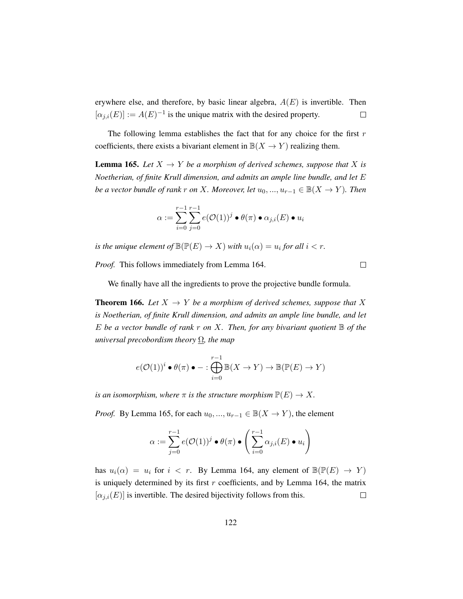erywhere else, and therefore, by basic linear algebra,  $A(E)$  is invertible. Then  $[\alpha_{j,i}(E)] := A(E)^{-1}$  is the unique matrix with the desired property.  $\Box$ 

The following lemma establishes the fact that for any choice for the first  $r$ coefficients, there exists a bivariant element in  $\mathbb{B}(X \to Y)$  realizing them.

<span id="page-131-0"></span>**Lemma 165.** Let  $X \to Y$  be a morphism of derived schemes, suppose that X is *Noetherian, of finite Krull dimension, and admits an ample line bundle, and let* E *be a vector bundle of rank r on* X*. Moreover, let*  $u_0, ..., u_{r-1} \in B(X \to Y)$ *. Then* 

$$
\alpha := \sum_{i=0}^{r-1} \sum_{j=0}^{r-1} e(\mathcal{O}(1))^j \bullet \theta(\pi) \bullet \alpha_{j,i}(E) \bullet u_i
$$

*is the unique element of*  $\mathbb{B}(\mathbb{P}(E) \to X)$  *with*  $u_i(\alpha) = u_i$  *for all*  $i < r$ *.* 

*Proof.* This follows immediately from Lemma [164.](#page-130-0)

 $\Box$ 

We finally have all the ingredients to prove the projective bundle formula.

<span id="page-131-1"></span>**Theorem 166.** Let  $X \to Y$  be a morphism of derived schemes, suppose that X *is Noetherian, of finite Krull dimension, and admits an ample line bundle, and let* E *be a vector bundle of rank* r *on* X*. Then, for any bivariant quotient* B *of the universal precobordism theory* Ω*, the map*

$$
e(\mathcal{O}(1))^i \bullet \theta(\pi) \bullet - : \bigoplus_{i=0}^{r-1} \mathbb{B}(X \to Y) \to \mathbb{B}(\mathbb{P}(E) \to Y)
$$

*is an isomorphism, where*  $\pi$  *is the structure morphism*  $\mathbb{P}(E) \to X$ *.* 

*Proof.* By Lemma [165,](#page-131-0) for each  $u_0, ..., u_{r-1} \in \mathbb{B}(X \to Y)$ , the element

$$
\alpha := \sum_{j=0}^{r-1} e(\mathcal{O}(1))^j \bullet \theta(\pi) \bullet \left( \sum_{i=0}^{r-1} \alpha_{j,i}(E) \bullet u_i \right)
$$

has  $u_i(\alpha) = u_i$  for  $i \leq r$ . By Lemma [164,](#page-130-0) any element of  $\mathbb{B}(\mathbb{P}(E) \to Y)$ is uniquely determined by its first  $r$  coefficients, and by Lemma [164,](#page-130-0) the matrix  $[\alpha_{i,i}(E)]$  is invertible. The desired bijectivity follows from this.  $\Box$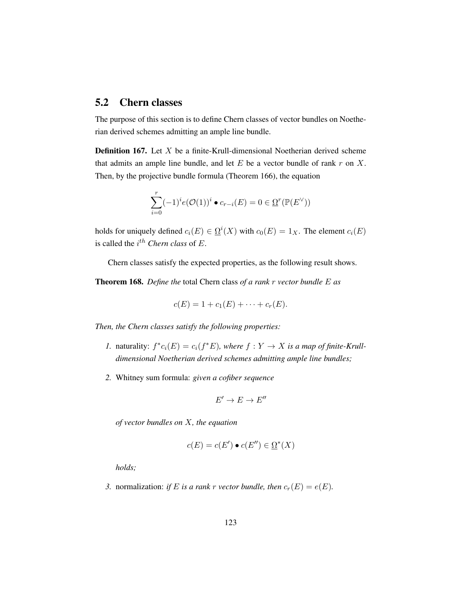# 5.2 Chern classes

The purpose of this section is to define Chern classes of vector bundles on Noetherian derived schemes admitting an ample line bundle.

**Definition 167.** Let  $X$  be a finite-Krull-dimensional Noetherian derived scheme that admits an ample line bundle, and let  $E$  be a vector bundle of rank  $r$  on  $X$ . Then, by the projective bundle formula (Theorem [166\)](#page-131-1), the equation

$$
\sum_{i=0}^r (-1)^i e(\mathcal{O}(1))^i \bullet c_{r-i}(E) = 0 \in \underline{\Omega}^r(\mathbb{P}(E^\vee))
$$

holds for uniquely defined  $c_i(E) \in \Omega^i(X)$  with  $c_0(E) = 1_X$ . The element  $c_i(E)$ is called the  $i^{th}$  *Chern class* of  $E$ .

Chern classes satisfy the expected properties, as the following result shows.

Theorem 168. *Define the* total Chern class *of a rank* r *vector bundle* E *as*

$$
c(E) = 1 + c_1(E) + \cdots + c_r(E).
$$

*Then, the Chern classes satisfy the following properties:*

- *1.* naturality:  $f^*c_i(E) = c_i(f^*E)$ , where  $f: Y \to X$  is a map of finite-Krull*dimensional Noetherian derived schemes admitting ample line bundles;*
- *2.* Whitney sum formula: *given a cofiber sequence*

$$
E'\to E\to E''
$$

*of vector bundles on* X*, the equation*

$$
c(E) = c(E') \bullet c(E'') \in \Omega^*(X)
$$

*holds;*

*3.* normalization: *if* E *is a rank r vector bundle, then*  $c_r(E) = e(E)$ *.*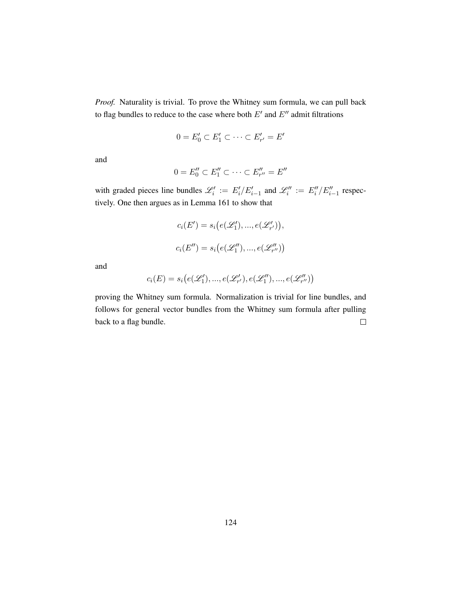*Proof.* Naturality is trivial. To prove the Whitney sum formula, we can pull back to flag bundles to reduce to the case where both  $E'$  and  $E''$  admit filtrations

$$
0 = E'_0 \subset E'_1 \subset \cdots \subset E'_{r'} = E'
$$

and

$$
0 = E_0'' \subset E_1'' \subset \cdots \subset E_{r''}'' = E''
$$

with graded pieces line bundles  $\mathcal{L}'_i := E'_i / E'_{i-1}$  and  $\mathcal{L}''_i := E''_i / E''_{i-1}$  respectively. One then argues as in Lemma [161](#page-125-0) to show that

$$
c_i(E') = s_i(e(\mathcal{L}'_1), ..., e(\mathcal{L}'_{r'})),
$$
  

$$
c_i(E'') = s_i(e(\mathcal{L}''_1), ..., e(\mathcal{L}''_{r''}))
$$

and

$$
c_i(E) = s_i(e(\mathcal{L}'_1), ..., e(\mathcal{L}'_{r'}), e(\mathcal{L}''_1), ..., e(\mathcal{L}''_{r''})
$$

proving the Whitney sum formula. Normalization is trivial for line bundles, and follows for general vector bundles from the Whitney sum formula after pulling back to a flag bundle.  $\Box$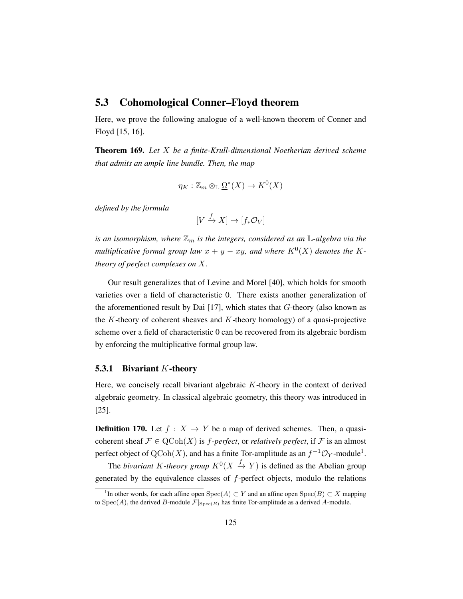## 5.3 Cohomological Conner–Floyd theorem

Here, we prove the following analogue of a well-known theorem of Conner and Floyd [\[15,](#page-198-1) [16\]](#page-198-2).

<span id="page-134-1"></span>Theorem 169. *Let* X *be a finite-Krull-dimensional Noetherian derived scheme that admits an ample line bundle. Then, the map*

$$
\eta_K : \mathbb{Z}_m \otimes_{\mathbb{L}} \Omega^*(X) \to K^0(X)
$$

*defined by the formula*

$$
[V \xrightarrow{f} X] \mapsto [f_* \mathcal{O}_V]
$$

*is an isomorphism, where*  $\mathbb{Z}_m$  *is the integers, considered as an* L-algebra via the *multiplicative formal group law*  $x + y - xy$ , and where  $K^0(X)$  denotes the K*theory of perfect complexes on* X*.*

Our result generalizes that of Levine and Morel [\[40\]](#page-200-0), which holds for smooth varieties over a field of characteristic 0. There exists another generalization of the aforementioned result by Dai  $[17]$ , which states that  $G$ -theory (also known as the  $K$ -theory of coherent sheaves and  $K$ -theory homology) of a quasi-projective scheme over a field of characteristic 0 can be recovered from its algebraic bordism by enforcing the multiplicative formal group law.

#### **5.3.1 Bivariant K-theory**

Here, we concisely recall bivariant algebraic  $K$ -theory in the context of derived algebraic geometry. In classical algebraic geometry, this theory was introduced in [\[25\]](#page-199-0).

**Definition 170.** Let  $f : X \to Y$  be a map of derived schemes. Then, a quasicoherent sheaf  $\mathcal{F} \in \text{QCoh}(X)$  is *f-perfect*, or *relatively perfect*, if  $\mathcal{F}$  is an almost perfect object of  $\operatorname{QCoh}(X)$ , and has a finite Tor-amplitude as an  $f^{-1}\mathcal{O}_Y$  $f^{-1}\mathcal{O}_Y$  $f^{-1}\mathcal{O}_Y$ -module<sup>1</sup>.

The *bivariant* K-theory group  $K^0(X \xrightarrow{f} Y)$  is defined as the Abelian group generated by the equivalence classes of f-perfect objects, modulo the relations

<span id="page-134-0"></span><sup>&</sup>lt;sup>1</sup>In other words, for each affine open Spec(A)  $\subset Y$  and an affine open Spec(B)  $\subset X$  mapping to  $Spec(A)$ , the derived B-module  $\mathcal{F}|_{Spec(B)}$  has finite Tor-amplitude as a derived A-module.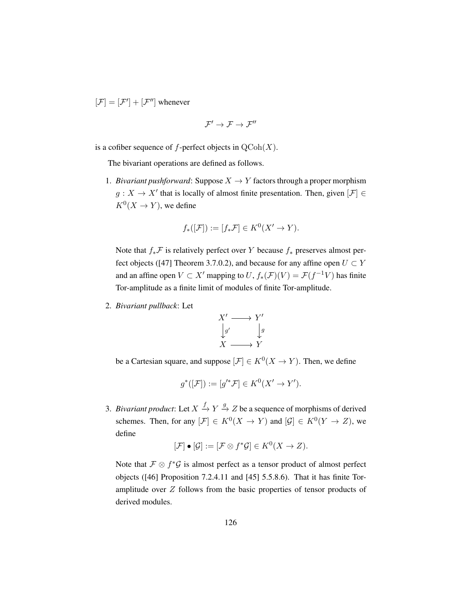$[\mathcal{F}] = [\mathcal{F}'] + [\mathcal{F}'']$  whenever

$$
\mathcal{F}'\to\mathcal{F}\to\mathcal{F}''
$$

is a cofiber sequence of  $f$ -perfect objects in  $\mathrm{QCoh}(X)$ .

The bivariant operations are defined as follows.

1. *Bivariant pushforward*: Suppose  $X \to Y$  factors through a proper morphism  $g: X \to X'$  that is locally of almost finite presentation. Then, given  $[\mathcal{F}] \in$  $K^0(X \to Y)$ , we define

$$
f_*([\mathcal{F}]):=[f_*\mathcal{F}]\in K^0(X'\to Y).
$$

Note that  $f_*\mathcal{F}$  is relatively perfect over Y because  $f_*$  preserves almost per-fect objects ([\[47\]](#page-201-0) Theorem 3.7.0.2), and because for any affine open  $U \subset Y$ and an affine open  $V \subset X'$  mapping to  $U, f_*(\mathcal{F})(V) = \mathcal{F}(f^{-1}V)$  has finite Tor-amplitude as a finite limit of modules of finite Tor-amplitude.

2. *Bivariant pullback*: Let



be a Cartesian square, and suppose  $[\mathcal{F}] \in K^0(X \to Y)$ . Then, we define

$$
g^*([\mathcal{F}]):=[g'^*\mathcal{F}]\in K^0(X'\to Y').
$$

3. *Bivariant product*: Let  $X \xrightarrow{f} Y \xrightarrow{g} Z$  be a sequence of morphisms of derived schemes. Then, for any  $[\mathcal{F}] \in K^0(X \to Y)$  and  $[\mathcal{G}] \in K^0(Y \to Z)$ , we define

$$
[\mathcal{F}]\bullet[\mathcal{G}] := [\mathcal{F}\otimes f^*\mathcal{G}] \in K^0(X \to Z).
$$

Note that  $\mathcal{F} \otimes f^* \mathcal{G}$  is almost perfect as a tensor product of almost perfect objects ([\[46\]](#page-201-1) Proposition 7.2.4.11 and [\[45\]](#page-201-2) 5.5.8.6). That it has finite Toramplitude over  $Z$  follows from the basic properties of tensor products of derived modules.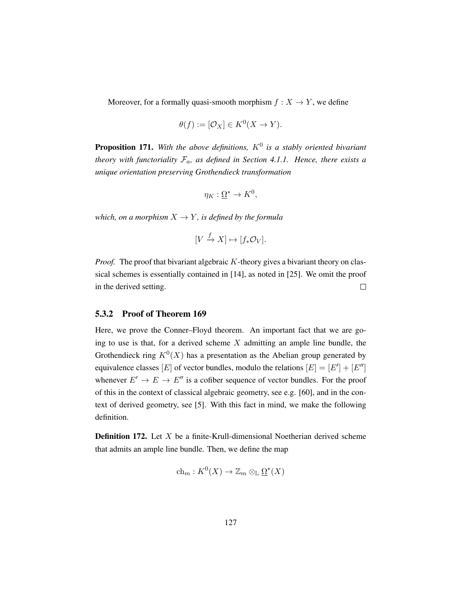Moreover, for a formally quasi-smooth morphism  $f : X \to Y$ , we define

$$
\theta(f) := [\mathcal{O}_X] \in K^0(X \to Y).
$$

**Proposition 171.** With the above definitions,  $K^0$  is a stably oriented bivariant *theory with functoriality*  $\mathcal{F}_a$ *, as defined in Section [4.1.1.](#page-96-0) Hence, there exists a unique orientation preserving Grothendieck transformation*

$$
\eta_K:\underline{\Omega}^*\to K^0,
$$

*which, on a morphism*  $X \to Y$ *, is defined by the formula* 

$$
[V \xrightarrow{f} X] \mapsto [f_* \mathcal{O}_V].
$$

*Proof.* The proof that bivariant algebraic K-theory gives a bivariant theory on classical schemes is essentially contained in [\[14\]](#page-198-4), as noted in [\[25\]](#page-199-0). We omit the proof in the derived setting.  $\Box$ 

#### 5.3.2 Proof of Theorem [169](#page-134-1)

Here, we prove the Conner–Floyd theorem. An important fact that we are going to use is that, for a derived scheme  $X$  admitting an ample line bundle, the Grothendieck ring  $K^0(X)$  has a presentation as the Abelian group generated by equivalence classes [E] of vector bundles, modulo the relations  $[E] = [E'] + [E'']$ whenever  $E' \rightarrow E \rightarrow E''$  is a cofiber sequence of vector bundles. For the proof of this in the context of classical algebraic geometry, see e.g. [\[60\]](#page-202-0), and in the context of derived geometry, see [\[5\]](#page-197-2). With this fact in mind, we make the following definition.

**Definition 172.** Let  $X$  be a finite-Krull-dimensional Noetherian derived scheme that admits an ample line bundle. Then, we define the map

$$
\mathrm{ch}_m: K^0(X) \to \mathbb{Z}_m \otimes_{\mathbb{L}} \underline{\Omega}^*(X)
$$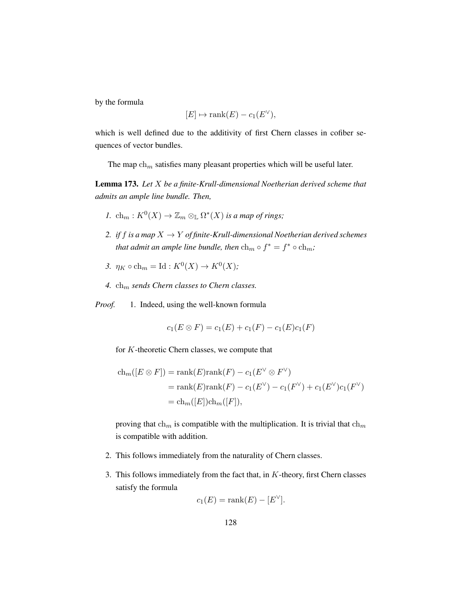by the formula

$$
[E] \mapsto \text{rank}(E) - c_1(E^{\vee}),
$$

which is well defined due to the additivity of first Chern classes in cofiber sequences of vector bundles.

The map  $\ch_m$  satisfies many pleasant properties which will be useful later.

Lemma 173. *Let* X *be a finite-Krull-dimensional Noetherian derived scheme that admits an ample line bundle. Then,*

- *1.*  $\operatorname{ch}_m : K^0(X) \to \mathbb{Z}_m \otimes_{\mathbb{L}} \Omega^*(X)$  *is a map of rings;*
- 2. *if* f *is a map*  $X \rightarrow Y$  *of finite-Krull-dimensional Noetherian derived schemes that admit an ample line bundle, then*  $\ch_m \circ f^* = f^* \circ \ch_m$ ;
- 3.  $\eta_K \circ \text{ch}_m = \text{Id} : K^0(X) \to K^0(X);$
- $4.$   $\ch_m$  *sends Chern classes to Chern classes.*

*Proof.* 1. Indeed, using the well-known formula

$$
c_1(E \otimes F) = c_1(E) + c_1(F) - c_1(E)c_1(F)
$$

for K-theoretic Chern classes, we compute that

$$
ch_m([E \otimes F]) = rank(E)rank(F) - c_1(E^{\vee} \otimes F^{\vee})
$$
  
= rank(E)rank(F) - c\_1(E^{\vee}) - c\_1(F^{\vee}) + c\_1(E^{\vee})c\_1(F^{\vee})  
= ch\_m([E])ch\_m([F]),

proving that  $\ch_m$  is compatible with the multiplication. It is trivial that  $\ch_m$ is compatible with addition.

- 2. This follows immediately from the naturality of Chern classes.
- 3. This follows immediately from the fact that, in  $K$ -theory, first Chern classes satisfy the formula

$$
c_1(E) = \text{rank}(E) - [E^{\vee}].
$$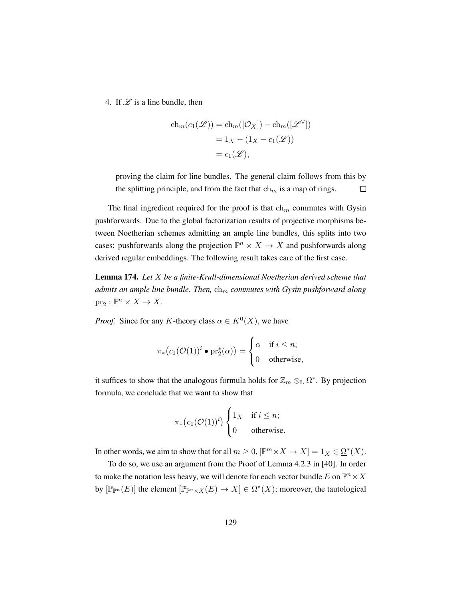4. If  $\mathscr L$  is a line bundle, then

$$
ch_m(c_1(\mathcal{L})) = ch_m([\mathcal{O}_X]) - ch_m([\mathcal{L}^\vee])
$$
  
= 1<sub>X</sub> - (1<sub>X</sub> - c<sub>1</sub>(\mathcal{L}))  
= c<sub>1</sub>(\mathcal{L}),

proving the claim for line bundles. The general claim follows from this by the splitting principle, and from the fact that  $\ch_m$  is a map of rings.  $\Box$ 

The final ingredient required for the proof is that  $\ch_m$  commutes with Gysin pushforwards. Due to the global factorization results of projective morphisms between Noetherian schemes admitting an ample line bundles, this splits into two cases: pushforwards along the projection  $\mathbb{P}^n \times X \to X$  and pushforwards along derived regular embeddings. The following result takes care of the first case.

Lemma 174. *Let* X *be a finite-Krull-dimensional Noetherian derived scheme that admits an ample line bundle. Then,*  $ch_m$  *commutes with Gysin pushforward along*  $\text{pr}_2 : \mathbb{P}^n \times X \to X.$ 

*Proof.* Since for any K-theory class  $\alpha \in K^0(X)$ , we have

$$
\pi_*\big(c_1(\mathcal{O}(1))^i \bullet \mathrm{pr}_2^*(\alpha)\big) = \begin{cases} \alpha & \text{if } i \leq n; \\ 0 & \text{otherwise,} \end{cases}
$$

it suffices to show that the analogous formula holds for  $\mathbb{Z}_m \otimes_{\mathbb{L}} \Omega^*$ . By projection formula, we conclude that we want to show that

$$
\pi_*\big(c_1(\mathcal{O}(1))^i\big) \begin{cases} 1_X & \text{if } i \leq n; \\ 0 & \text{otherwise.} \end{cases}
$$

In other words, we aim to show that for all  $m \geq 0$ ,  $[\mathbb{P}^m \times X \to X] = 1_X \in \Omega^*(X)$ .

To do so, we use an argument from the Proof of Lemma 4.2.3 in [\[40\]](#page-200-0). In order to make the notation less heavy, we will denote for each vector bundle E on  $\mathbb{P}^n \times X$ by  $[\mathbb{P}_{\mathbb{P}^n}(E)]$  the element  $[\mathbb{P}_{\mathbb{P}^n \times X}(E) \to X] \in \Omega^*(X)$ ; moreover, the tautological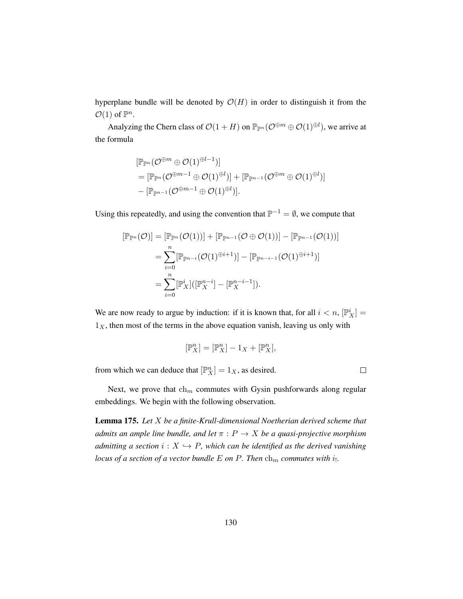hyperplane bundle will be denoted by  $\mathcal{O}(H)$  in order to distinguish it from the  $\mathcal{O}(1)$  of  $\mathbb{P}^n$ .

Analyzing the Chern class of  $\mathcal{O}(1 + H)$  on  $\mathbb{P}_{\mathbb{P}^n}(\mathcal{O}^{\oplus m} \oplus \mathcal{O}(1)^{\oplus l})$ , we arrive at the formula

$$
\begin{aligned} &[\mathbb{P}_{\mathbb{P}^n}(\mathcal{O}^{\oplus m}\oplus \mathcal{O}(1)^{\oplus l-1})] \\ &= [\mathbb{P}_{\mathbb{P}^n}(\mathcal{O}^{\oplus m-1}\oplus \mathcal{O}(1)^{\oplus l})]+ [\mathbb{P}_{\mathbb{P}^{n-1}}(\mathcal{O}^{\oplus m}\oplus \mathcal{O}(1)^{\oplus l})] \\ &- [\mathbb{P}_{\mathbb{P}^{n-1}}(\mathcal{O}^{\oplus m-1}\oplus \mathcal{O}(1)^{\oplus l})]. \end{aligned}
$$

Using this repeatedly, and using the convention that  $\mathbb{P}^{-1} = \emptyset$ , we compute that

$$
[\mathbb{P}_{\mathbb{P}^n}(\mathcal{O})] = [\mathbb{P}_{\mathbb{P}^n}(\mathcal{O}(1))] + [\mathbb{P}_{\mathbb{P}^{n-1}}(\mathcal{O} \oplus \mathcal{O}(1))] - [\mathbb{P}_{\mathbb{P}^{n-1}}(\mathcal{O}(1))] = \sum_{i=0}^n [\mathbb{P}_{\mathbb{P}^{n-i}}(\mathcal{O}(1)^{\oplus i+1})] - [\mathbb{P}_{\mathbb{P}^{n-i-1}}(\mathcal{O}(1)^{\oplus i+1})] = \sum_{i=0}^n [\mathbb{P}_X^i] ([\mathbb{P}_X^{n-i}] - [\mathbb{P}_X^{n-i-1}]).
$$

We are now ready to argue by induction: if it is known that, for all  $i < n$ ,  $[\mathbb{P}_X^i] =$  $1<sub>X</sub>$ , then most of the terms in the above equation vanish, leaving us only with

$$
[\mathbb{P}^n_X]=[\mathbb{P}^n_X]-1_X+[\mathbb{P}^n_X],
$$

from which we can deduce that  $[\mathbb{P}_{X}^{n}] = 1_{X}$ , as desired.

 $\Box$ 

Next, we prove that  $\ch_m$  commutes with Gysin pushforwards along regular embeddings. We begin with the following observation.

<span id="page-139-0"></span>Lemma 175. *Let* X *be a finite-Krull-dimensional Noetherian derived scheme that admits an ample line bundle, and let*  $\pi$  :  $P \rightarrow X$  *be a quasi-projective morphism admitting a section*  $i : X \hookrightarrow P$ *, which can be identified as the derived vanishing locus of a section of a vector bundle*  $E$  *on P. Then*  $\ch_m$  *commutes with i<sub>1</sub>.*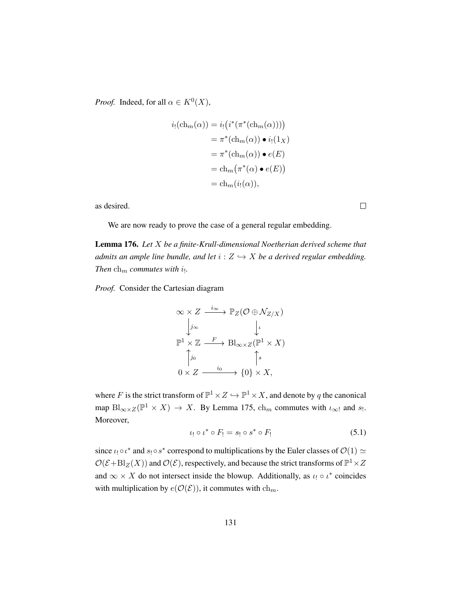*Proof.* Indeed, for all  $\alpha \in K^0(X)$ ,

$$
i_! (ch_m(\alpha)) = i_! (i^* (\pi^* (ch_m(\alpha))))
$$
  
=  $\pi^* (ch_m(\alpha)) \bullet i_! (1_X)$   
=  $\pi^* (ch_m(\alpha)) \bullet e(E)$   
=  $ch_m (\pi^* (\alpha) \bullet e(E))$   
=  $ch_m (i_! (\alpha)),$ 

as desired.

We are now ready to prove the case of a general regular embedding.

Lemma 176. *Let* X *be a finite-Krull-dimensional Noetherian derived scheme that admits an ample line bundle, and let*  $i : Z \hookrightarrow X$  *be a derived regular embedding. Then*  $\ch_m$  *commutes with i<sub>1</sub>.* 

*Proof.* Consider the Cartesian diagram

$$
\begin{aligned}\n&\infty \times Z \xrightarrow{i_{\infty}} \mathbb{P}_Z(\mathcal{O} \oplus \mathcal{N}_{Z/X}) \\
&\downarrow j_{\infty} &\downarrow \iota \\
&\mathbb{P}^1 \times \mathbb{Z} \xrightarrow{F} \text{Bl}_{\infty \times Z}(\mathbb{P}^1 \times X) \\
&\uparrow j_0 &\uparrow s \\
&0 \times Z \xrightarrow{i_0} \{0\} \times X,\n\end{aligned}
$$

<span id="page-140-0"></span>where F is the strict transform of  $\mathbb{P}^1 \times Z \hookrightarrow \mathbb{P}^1 \times X$ , and denote by q the canonical map  $\text{Bl}_{\infty \times Z}(\mathbb{P}^1 \times X) \to X$ . By Lemma [175,](#page-139-0)  $\text{ch}_m$  commutes with  $\iota_{\infty}$ ! and  $s$ ! Moreover,

$$
\iota_! \circ \iota^* \circ F_! = s_! \circ s^* \circ F_! \tag{5.1}
$$

since  $\iota_! \circ \iota^*$  and  $s_! \circ s^*$  correspond to multiplications by the Euler classes of  $\mathcal{O}(1) \simeq$  $\mathcal{O}(\mathcal{E} + \text{Bl}_{Z}(X))$  and  $\mathcal{O}(\mathcal{E})$ , respectively, and because the strict transforms of  $\mathbb{P}^1 \times Z$ and  $\infty \times X$  do not intersect inside the blowup. Additionally, as  $\iota_! \circ \iota^*$  coincides with multiplication by  $e(\mathcal{O}(\mathcal{E}))$ , it commutes with  $\ch_m$ .

131

 $\Box$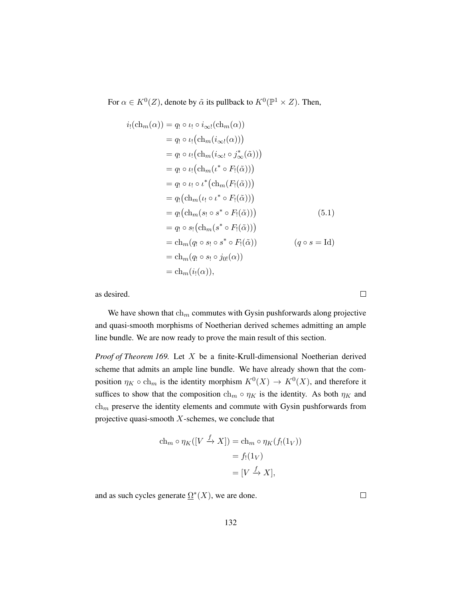For  $\alpha \in K^0(Z)$ , denote by  $\tilde{\alpha}$  its pullback to  $K^0(\mathbb{P}^1 \times Z)$ . Then,

$$
i_!(\mathrm{ch}_m(\alpha)) = q_!\circ \iota_!\circ i_{\infty!}(\mathrm{ch}_m(\alpha))
$$
  
\n
$$
= q_!\circ \iota_!\big(\mathrm{ch}_m(i_{\infty!}(\alpha))\big)
$$
  
\n
$$
= q_!\circ \iota_!\big(\mathrm{ch}_m(i_{\infty!} \circ j_{\infty}^*(\tilde{\alpha}))\big)
$$
  
\n
$$
= q_!\circ \iota_!\big(\mathrm{ch}_m(\iota^* \circ F_!(\tilde{\alpha}))\big)
$$
  
\n
$$
= q_!\circ \iota_!\circ \iota^*\big(\mathrm{ch}_m(F_!(\tilde{\alpha}))\big)
$$
  
\n
$$
= q_!\circ \iota_!\circ \iota^*\big(\mathrm{ch}_m(F_!(\tilde{\alpha}))\big)
$$
  
\n
$$
= q_!\big(\mathrm{ch}_m(\iota_!\circ \iota^* \circ F_!(\tilde{\alpha}))\big)
$$
  
\n
$$
= q_!\big(\mathrm{ch}_m(s_!\circ s^* \circ F_!(\tilde{\alpha}))\big)
$$
  
\n
$$
= q_!\circ s_!\big(\mathrm{ch}_m(s^* \circ F_!(\tilde{\alpha}))\big)
$$
  
\n
$$
= \mathrm{ch}_m(q_!\circ s_!\circ s^* \circ F_!(\tilde{\alpha}))
$$
  
\n
$$
= \mathrm{ch}_m(q_!\circ s_!\circ j_0!(\alpha))
$$
  
\n
$$
= \mathrm{ch}_m(i_!(\alpha)),
$$
 (q \circ s = Id)

as desired.

We have shown that  $\ch_m$  commutes with Gysin pushforwards along projective and quasi-smooth morphisms of Noetherian derived schemes admitting an ample line bundle. We are now ready to prove the main result of this section.

*Proof of Theorem [169.](#page-134-1)* Let X be a finite-Krull-dimensional Noetherian derived scheme that admits an ample line bundle. We have already shown that the composition  $\eta_K \circ \text{ch}_m$  is the identity morphism  $K^0(X) \to K^0(X)$ , and therefore it suffices to show that the composition  $\ch_m \circ \eta_K$  is the identity. As both  $\eta_K$  and  $\ch_m$  preserve the identity elements and commute with Gysin pushforwards from projective quasi-smooth  $X$ -schemes, we conclude that

$$
ch_m \circ \eta_K([V \xrightarrow{f} X]) = ch_m \circ \eta_K(f_!(1_V))
$$

$$
= f_!(1_V)
$$

$$
= [V \xrightarrow{f} X],
$$

and as such cycles generate  $\Omega^*(X)$ , we are done.

 $\Box$ 

 $\Box$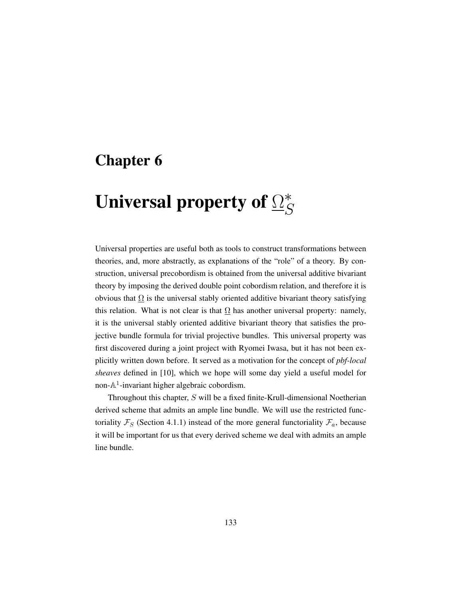# Chapter 6

# Universal property of  $\Omega_{\leq}^*$  $\mathcal{S}_{0}$

Universal properties are useful both as tools to construct transformations between theories, and, more abstractly, as explanations of the "role" of a theory. By construction, universal precobordism is obtained from the universal additive bivariant theory by imposing the derived double point cobordism relation, and therefore it is obvious that  $\Omega$  is the universal stably oriented additive bivariant theory satisfying this relation. What is not clear is that  $\Omega$  has another universal property: namely, it is the universal stably oriented additive bivariant theory that satisfies the projective bundle formula for trivial projective bundles. This universal property was first discovered during a joint project with Ryomei Iwasa, but it has not been explicitly written down before. It served as a motivation for the concept of *pbf-local sheaves* defined in [\[10\]](#page-197-3), which we hope will some day yield a useful model for non- $\mathbb{A}^1$ -invariant higher algebraic cobordism.

Throughout this chapter, S will be a fixed finite-Krull-dimensional Noetherian derived scheme that admits an ample line bundle. We will use the restricted functoriality  $\mathcal{F}_S$  (Section [4.1.1\)](#page-96-0) instead of the more general functoriality  $\mathcal{F}_a$ , because it will be important for us that every derived scheme we deal with admits an ample line bundle.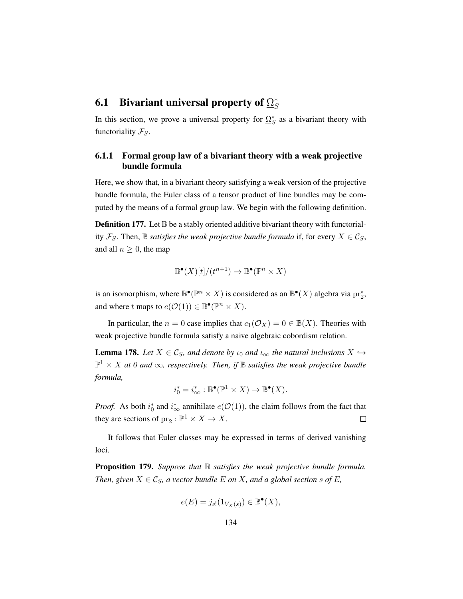#### 6.1 Bivariant universal property of  $\Omega_S^*$ S

In this section, we prove a universal property for  $\Omega_S^*$  as a bivariant theory with functoriality  $\mathcal{F}_S$ .

## 6.1.1 Formal group law of a bivariant theory with a weak projective bundle formula

Here, we show that, in a bivariant theory satisfying a weak version of the projective bundle formula, the Euler class of a tensor product of line bundles may be computed by the means of a formal group law. We begin with the following definition.

**Definition 177.** Let  $\mathbb B$  be a stably oriented additive bivariant theory with functoriality  $\mathcal{F}_S$ . Then,  $\mathbb B$  *satisfies the weak projective bundle formula* if, for every  $X \in \mathcal{C}_S$ , and all  $n \geq 0$ , the map

$$
\mathbb{B}^{\bullet}(X)[t]/(t^{n+1}) \to \mathbb{B}^{\bullet}(\mathbb{P}^n \times X)
$$

is an isomorphism, where  $\mathbb{B}^{\bullet}(\mathbb{P}^n \times X)$  is considered as an  $\mathbb{B}^{\bullet}(X)$  algebra via  $\mathrm{pr}_2^*$ , and where t maps to  $e(\mathcal{O}(1)) \in \mathbb{B}^{\bullet}(\mathbb{P}^n \times X)$ .

In particular, the  $n = 0$  case implies that  $c_1(\mathcal{O}_X) = 0 \in \mathbb{B}(X)$ . Theories with weak projective bundle formula satisfy a naive algebraic cobordism relation.

**Lemma 178.** Let  $X \in \mathcal{C}_S$ , and denote by  $\iota_0$  and  $\iota_\infty$  the natural inclusions  $X \hookrightarrow$  $\mathbb{P}^1 \times X$  at 0 and  $\infty$ , respectively. Then, if  $\mathbb B$  satisfies the weak projective bundle *formula,*

$$
i_0^* = i_{\infty}^* : \mathbb{B}^\bullet(\mathbb{P}^1 \times X) \to \mathbb{B}^\bullet(X).
$$

*Proof.* As both  $i_0^*$  and  $i_{\infty}^*$  annihilate  $e(\mathcal{O}(1))$ , the claim follows from the fact that they are sections of  $pr_2 : \mathbb{P}^1 \times X \to X$ .  $\Box$ 

It follows that Euler classes may be expressed in terms of derived vanishing loci.

Proposition 179. *Suppose that* B *satisfies the weak projective bundle formula. Then, given*  $X \in \mathcal{C}_S$ *, a vector bundle*  $E$  *on*  $X$ *, and a global section*  $s$  *of*  $E$ *,* 

$$
e(E) = j_{s!}(1_{V_X(s)}) \in \mathbb{B}^{\bullet}(X),
$$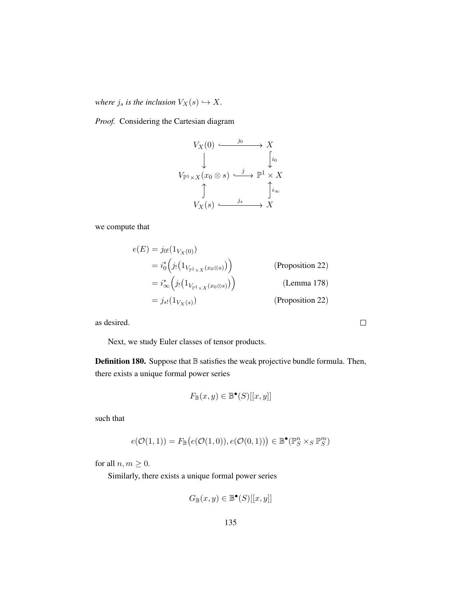*where*  $j_s$  *is the inclusion*  $V_X(s) \hookrightarrow X$ *.* 

*Proof.* Considering the Cartesian diagram

$$
V_X(0) \xrightarrow{j_0} X
$$
  
\n
$$
V_{\mathbb{P}^1 \times X}(x_0 \otimes s) \xrightarrow{j} \mathbb{P}^1 \times X
$$
  
\n
$$
\updownarrow
$$
  
\n
$$
V_X(s) \xrightarrow{j_s} X
$$

we compute that

$$
e(E) = j_{0!}(1_{V_X(0)})
$$
  
\n
$$
= i_{0}^{*} (j_{!}(1_{V_{\mathbb{P}^{1}\times X}(x_{0}\otimes s)}))
$$
 (Proposition 22)  
\n
$$
= i_{\infty}^{*} (j_{!}(1_{V_{\mathbb{P}^{1}\times X}(x_{0}\otimes s)}))
$$
 (Lemma 178)  
\n
$$
= j_{s!}(1_{V_X(s)})
$$
 (Proposition 22)

 $\hfill \square$ 

as desired.

Next, we study Euler classes of tensor products.

Definition 180. Suppose that  $\mathbb B$  satisfies the weak projective bundle formula. Then, there exists a unique formal power series

$$
F_{\mathbb{B}}(x,y) \in \mathbb{B}^{\bullet}(S)[[x,y]]
$$

such that

$$
e(\mathcal{O}(1,1)) = F_{\mathbb{B}}\big(e(\mathcal{O}(1,0)), e(\mathcal{O}(0,1))\big) \in \mathbb{B}^{\bullet}(\mathbb{P}^n_S \times_S \mathbb{P}^m_S)
$$

for all  $n, m \geq 0$ .

Similarly, there exists a unique formal power series

$$
G_{\mathbb{B}}(x,y) \in \mathbb{B}^{\bullet}(S)[[x,y]]
$$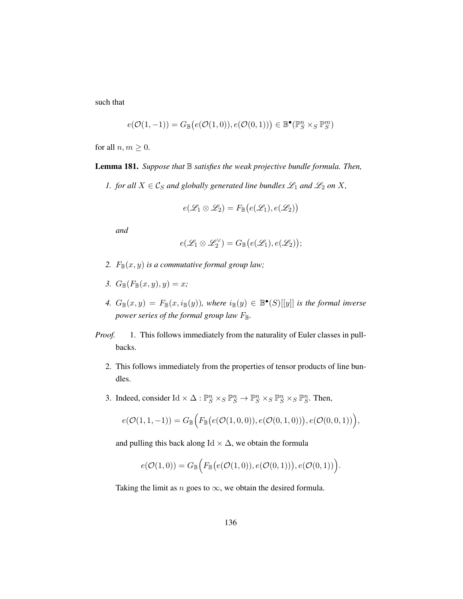such that

$$
e(\mathcal{O}(1,-1)) = G_{\mathbb{B}}\big(e(\mathcal{O}(1,0)), e(\mathcal{O}(0,1))\big) \in \mathbb{B}^\bullet(\mathbb{P}^n_S \times_S \mathbb{P}^m_S)
$$

for all  $n, m \geq 0$ .

<span id="page-145-0"></span>Lemma 181. *Suppose that* B *satisfies the weak projective bundle formula. Then,*

*1. for all*  $X \in \mathcal{C}_S$  *and globally generated line bundles*  $\mathcal{L}_1$  *and*  $\mathcal{L}_2$  *on* X*,* 

$$
e(\mathscr{L}_1 \otimes \mathscr{L}_2) = F_{\mathbb{B}}\big(e(\mathscr{L}_1), e(\mathscr{L}_2)\big)
$$

*and*

$$
e(\mathscr{L}_1 \otimes \mathscr{L}_2^{\vee}) = G_{\mathbb{B}}(e(\mathscr{L}_1), e(\mathscr{L}_2));
$$

- 2.  $F_{\mathbb{B}}(x, y)$  *is a commutative formal group law;*
- 3.  $G_{\mathbb{B}}(F_{\mathbb{B}}(x,y),y) = x;$
- 4.  $G_{\mathbb{B}}(x,y) = F_{\mathbb{B}}(x,i_{\mathbb{B}}(y)),$  where  $i_{\mathbb{B}}(y) \in \mathbb{B}^{\bullet}(S)[[y]]$  *is the formal inverse power series of the formal group law F*<sub>B</sub>.
- *Proof.* 1. This follows immediately from the naturality of Euler classes in pullbacks.
	- 2. This follows immediately from the properties of tensor products of line bundles.
	- 3. Indeed, consider Id  $\times \Delta : \mathbb{P}^n_S \times_S \mathbb{P}^n_S \to \mathbb{P}^n_S \times_S \mathbb{P}^n_S \times_S \mathbb{P}^n_S$ . Then,

$$
e(\mathcal{O}(1,1,-1)) = G_{\mathbb{B}}(F_{\mathbb{B}}(e(\mathcal{O}(1,0,0)),e(\mathcal{O}(0,1,0))),e(\mathcal{O}(0,0,1)))
$$

and pulling this back along Id  $\times \Delta$ , we obtain the formula

$$
e(\mathcal{O}(1,0))=G_{\mathbb{B}}\Big( F_{\mathbb{B}}\big(e(\mathcal{O}(1,0)), e(\mathcal{O}(0,1))\big), e(\mathcal{O}(0,1))\Big).
$$

Taking the limit as *n* goes to  $\infty$ , we obtain the desired formula.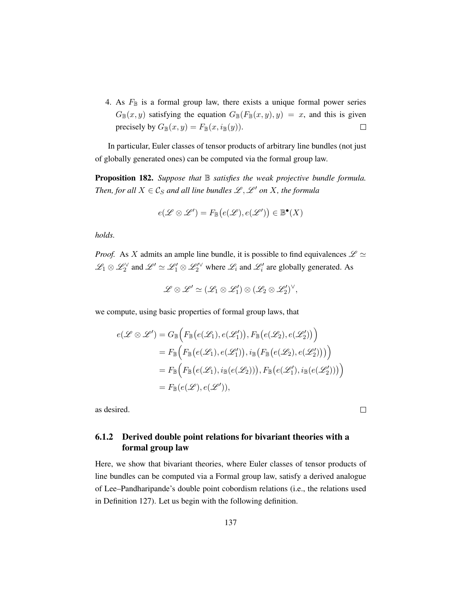4. As  $F_{\mathbb{B}}$  is a formal group law, there exists a unique formal power series  $G_{\mathbb{B}}(x, y)$  satisfying the equation  $G_{\mathbb{B}}(F_{\mathbb{B}}(x, y), y) = x$ , and this is given precisely by  $G_{\mathbb{B}}(x, y) = F_{\mathbb{B}}(x, i_{\mathbb{B}}(y)).$  $\Box$ 

In particular, Euler classes of tensor products of arbitrary line bundles (not just of globally generated ones) can be computed via the formal group law.

<span id="page-146-0"></span>Proposition 182. *Suppose that* B *satisfies the weak projective bundle formula. Then, for all*  $X \in \mathcal{C}_S$  *and all line bundles*  $\mathcal{L}, \mathcal{L}'$  *on* X*, the formula* 

$$
e(\mathscr{L} \otimes \mathscr{L}') = F_{\mathbb{B}}\big(e(\mathscr{L}), e(\mathscr{L}')\big) \in \mathbb{B}^\bullet(X)
$$

*holds.*

*Proof.* As X admits an ample line bundle, it is possible to find equivalences  $\mathscr{L} \simeq$  $\mathscr{L}_1 \otimes \mathscr{L}_2^{\vee}$  and  $\mathscr{L}' \simeq \mathscr{L}'_1 \otimes \mathscr{L}'_2^{\vee}$  where  $\mathscr{L}_i$  and  $\mathscr{L}'_i$  are globally generated. As

$$
\mathscr{L} \otimes \mathscr{L}' \simeq (\mathscr{L}_1 \otimes \mathscr{L}'_1) \otimes (\mathscr{L}_2 \otimes \mathscr{L}'_2)^\vee,
$$

we compute, using basic properties of formal group laws, that

$$
e(\mathcal{L} \otimes \mathcal{L}') = G_{\mathbb{B}}\Big(F_{\mathbb{B}}\big(e(\mathcal{L}_1), e(\mathcal{L}'_1)\big), F_{\mathbb{B}}\big(e(\mathcal{L}_2), e(\mathcal{L}'_2)\big)\Big)
$$
  
\n
$$
= F_{\mathbb{B}}\Big(F_{\mathbb{B}}\big(e(\mathcal{L}_1), e(\mathcal{L}'_1)\big), i_{\mathbb{B}}\big(F_{\mathbb{B}}\big(e(\mathcal{L}_2), e(\mathcal{L}'_2)\big)\big)\Big)
$$
  
\n
$$
= F_{\mathbb{B}}\Big(F_{\mathbb{B}}\big(e(\mathcal{L}_1), i_{\mathbb{B}}(e(\mathcal{L}_2))\big), F_{\mathbb{B}}\big(e(\mathcal{L}'_1), i_{\mathbb{B}}(e(\mathcal{L}'_2))\big)\Big)
$$
  
\n
$$
= F_{\mathbb{B}}\big(e(\mathcal{L}), e(\mathcal{L}')\big),
$$

 $\Box$ 

<span id="page-146-1"></span>as desired.

### 6.1.2 Derived double point relations for bivariant theories with a formal group law

Here, we show that bivariant theories, where Euler classes of tensor products of line bundles can be computed via a Formal group law, satisfy a derived analogue of Lee–Pandharipande's double point cobordism relations (i.e., the relations used in Definition [127\)](#page-98-0). Let us begin with the following definition.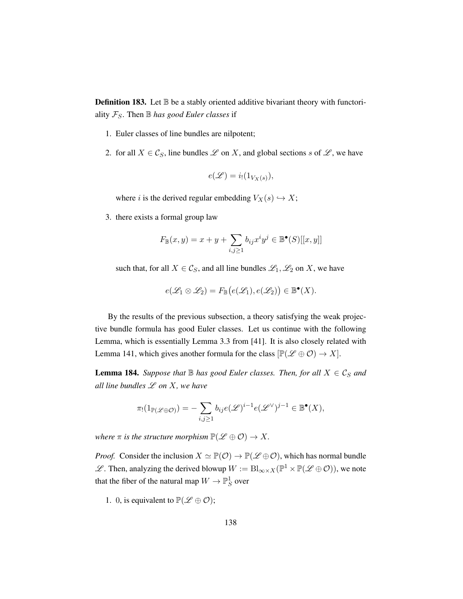<span id="page-147-0"></span>**Definition 183.** Let  $\mathbb B$  be a stably oriented additive bivariant theory with functoriality  $\mathcal{F}_S$ . Then  $\mathbb B$  *has good Euler classes* if

- 1. Euler classes of line bundles are nilpotent;
- 2. for all  $X \in \mathcal{C}_S$ , line bundles  $\mathcal L$  on X, and global sections s of  $\mathcal L$ , we have

$$
e(\mathscr{L}) = i_!(1_{V_X(s)}),
$$

where i is the derived regular embedding  $V_X(s) \hookrightarrow X;$ 

3. there exists a formal group law

$$
F_{\mathbb{B}}(x,y) = x + y + \sum_{i,j \ge 1} b_{ij} x^i y^j \in \mathbb{B}^\bullet(S)[[x,y]]
$$

such that, for all  $X \in \mathcal{C}_S$ , and all line bundles  $\mathcal{L}_1, \mathcal{L}_2$  on X, we have

$$
e(\mathscr{L}_1 \otimes \mathscr{L}_2) = F_{\mathbb{B}}\big(e(\mathscr{L}_1), e(\mathscr{L}_2)\big) \in \mathbb{B}^\bullet(X).
$$

By the results of the previous subsection, a theory satisfying the weak projective bundle formula has good Euler classes. Let us continue with the following Lemma, which is essentially Lemma 3.3 from [\[41\]](#page-200-0). It is also closely related with Lemma [141,](#page-109-0) which gives another formula for the class  $[\mathbb{P}(\mathscr{L} \oplus \mathcal{O}) \to X]$ .

**Lemma 184.** *Suppose that*  $\mathbb B$  *has good Euler classes. Then, for all*  $X \in \mathcal C_S$  *and all line bundles* L *on* X*, we have*

$$
\pi_! (1_{\mathbb{P}(\mathscr{L} \oplus \mathcal{O})}) = -\sum_{i,j \geq 1} b_{ij} e(\mathscr{L})^{i-1} e(\mathscr{L}^{\vee})^{j-1} \in \mathbb{B}^\bullet(X),
$$

*where*  $\pi$  *is the structure morphism*  $\mathbb{P}(\mathscr{L} \oplus \mathcal{O}) \to X$ .

*Proof.* Consider the inclusion  $X \simeq \mathbb{P}(\mathcal{O}) \to \mathbb{P}(\mathcal{L} \oplus \mathcal{O})$ , which has normal bundle  $\mathscr{L}$ . Then, analyzing the derived blowup  $W := \text{Bl}_{\infty \times X}(\mathbb{P}^1 \times \mathbb{P}(\mathscr{L} \oplus \mathcal{O}))$ , we note that the fiber of the natural map  $W \to \mathbb{P}^1_S$  over

1. 0, is equivalent to  $\mathbb{P}(\mathscr{L} \oplus \mathcal{O})$ ;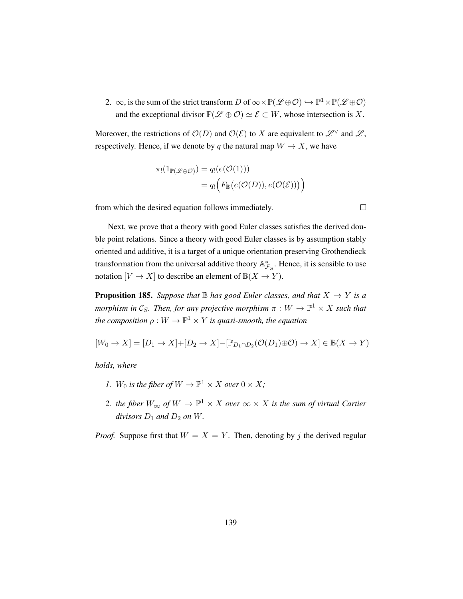2.  $\infty$ , is the sum of the strict transform D of  $\infty \times \mathbb{P}(\mathscr{L} \oplus \mathcal{O}) \hookrightarrow \mathbb{P}^1 \times \mathbb{P}(\mathscr{L} \oplus \mathcal{O})$ and the exceptional divisor  $\mathbb{P}(\mathscr{L} \oplus \mathcal{O}) \simeq \mathscr{E} \subset W$ , whose intersection is X.

Moreover, the restrictions of  $\mathcal{O}(D)$  and  $\mathcal{O}(\mathcal{E})$  to X are equivalent to  $\mathcal{L}^{\vee}$  and  $\mathcal{L}$ , respectively. Hence, if we denote by q the natural map  $W \to X$ , we have

$$
\pi_!(1_{\mathbb{P}(\mathscr{L}\oplus\mathcal{O})}) = q_!(e(\mathcal{O}(1)))
$$
  
=  $q_!\Big(F_{\mathbb{B}}\big(e(\mathcal{O}(D)), e(\mathcal{O}(\mathcal{E}))\big)\Big)$ 

from which the desired equation follows immediately.

Next, we prove that a theory with good Euler classes satisfies the derived double point relations. Since a theory with good Euler classes is by assumption stably oriented and additive, it is a target of a unique orientation preserving Grothendieck transformation from the universal additive theory  $\mathbb{A}_{\mathcal{F}_S}^*$ . Hence, it is sensible to use notation  $[V \to X]$  to describe an element of  $\mathbb{B}(X \to Y)$ .

<span id="page-148-0"></span>**Proposition 185.** *Suppose that*  $\mathbb B$  *has good Euler classes, and that*  $X \to Y$  *is a morphism in*  $\mathcal{C}_S$ *. Then, for any projective morphism*  $\pi : W \to \mathbb{P}^1 \times X$  such that *the composition*  $\rho: W \to \mathbb{P}^1 \times Y$  *is quasi-smooth, the equation* 

$$
[W_0 \to X] = [D_1 \to X] + [D_2 \to X] - [\mathbb{P}_{D_1 \cap D_2}(\mathcal{O}(D_1) \oplus \mathcal{O}) \to X] \in \mathbb{B}(X \to Y)
$$

*holds, where*

- *1.*  $W_0$  *is the fiber of*  $W \to \mathbb{P}^1 \times X$  *over*  $0 \times X$ *;*
- 2. *the fiber*  $W_{\infty}$  of  $W \to \mathbb{P}^1 \times X$  over  $\infty \times X$  is the sum of virtual Cartier *divisors*  $D_1$  *and*  $D_2$  *on*  $W$ *.*

*Proof.* Suppose first that  $W = X = Y$ . Then, denoting by j the derived regular

 $\Box$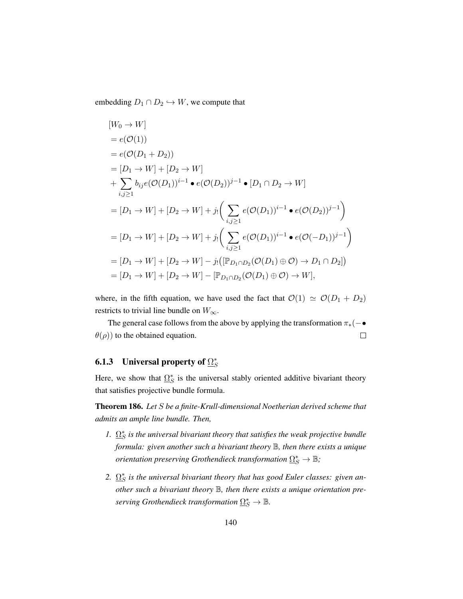embedding  $D_1 \cap D_2 \hookrightarrow W$ , we compute that

$$
[W_0 \to W]
$$
  
\n=  $e(\mathcal{O}(1))$   
\n=  $e(\mathcal{O}(D_1 + D_2))$   
\n=  $[D_1 \to W] + [D_2 \to W]$   
\n+  $\sum_{i,j \ge 1} b_{ij}e(\mathcal{O}(D_1))^{i-1} \cdot e(\mathcal{O}(D_2))^{j-1} \cdot [D_1 \cap D_2 \to W]$   
\n=  $[D_1 \to W] + [D_2 \to W] + j_1 \left( \sum_{i,j \ge 1} e(\mathcal{O}(D_1))^{i-1} \cdot e(\mathcal{O}(D_2))^{j-1} \right)$   
\n=  $[D_1 \to W] + [D_2 \to W] + j_1 \left( \sum_{i,j \ge 1} e(\mathcal{O}(D_1))^{i-1} \cdot e(\mathcal{O}(-D_1))^{j-1} \right)$   
\n=  $[D_1 \to W] + [D_2 \to W] - j_1 \left( [\mathbb{P}_{D_1 \cap D_2}(\mathcal{O}(D_1) \oplus \mathcal{O}) \to D_1 \cap D_2] \right)$   
\n=  $[D_1 \to W] + [D_2 \to W] - [\mathbb{P}_{D_1 \cap D_2}(\mathcal{O}(D_1) \oplus \mathcal{O}) \to W],$ 

where, in the fifth equation, we have used the fact that  $\mathcal{O}(1) \simeq \mathcal{O}(D_1 + D_2)$ restricts to trivial line bundle on  $W_{\infty}$ .

The general case follows from the above by applying the transformation  $\pi_*(-\bullet)$  $\theta(\rho)$ ) to the obtained equation.  $\Box$ 

### 6.1.3 Universal property of  $\Omega_{\mathcal{S}}^*$ S

Here, we show that  $\Omega_S^*$  is the universal stably oriented additive bivariant theory that satisfies projective bundle formula.

<span id="page-149-0"></span>Theorem 186. *Let* S *be a finite-Krull-dimensional Noetherian derived scheme that admits an ample line bundle. Then,*

- *1.*  $\Omega_S^*$  is the universal bivariant theory that satisfies the weak projective bundle *formula: given another such a bivariant theory* B*, then there exists a unique*  $\vec{O}$  orientation preserving Grothendieck transformation  $\Omega_S^*\to\mathbb B;$
- 2.  $\Omega_{S}^{*}$  is the universal bivariant theory that has good Euler classes: given an*other such a bivariant theory* B*, then there exists a unique orientation pre* $serving$  Grothendieck transformation  $\Omega_S^* \to \mathbb B.$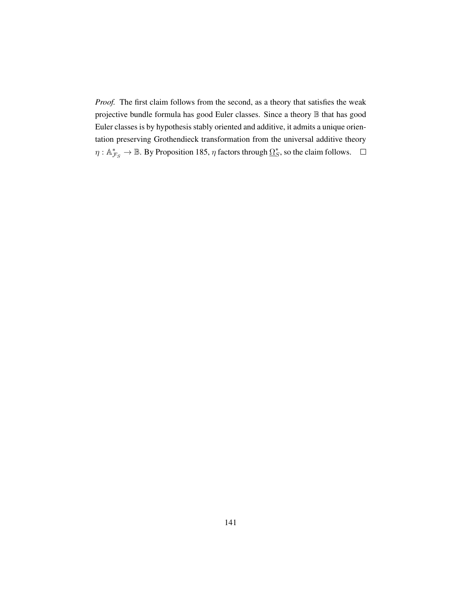*Proof.* The first claim follows from the second, as a theory that satisfies the weak projective bundle formula has good Euler classes. Since a theory B that has good Euler classes is by hypothesis stably oriented and additive, it admits a unique orientation preserving Grothendieck transformation from the universal additive theory  $\eta : \mathbb{A}_{\mathcal{F}_S}^* \to \mathbb{B}$ . By Proposition [185,](#page-148-0)  $\eta$  factors through  $\Omega_S^*$ , so the claim follows.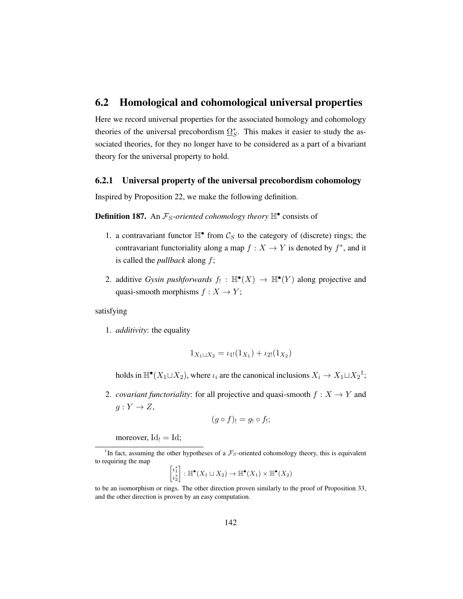### 6.2 Homological and cohomological universal properties

Here we record universal properties for the associated homology and cohomology theories of the universal precobordism  $\Omega_S^*$ . This makes it easier to study the associated theories, for they no longer have to be considered as a part of a bivariant theory for the universal property to hold.

### 6.2.1 Universal property of the universal precobordism cohomology

Inspired by Proposition [22,](#page-27-0) we make the following definition.

**Definition 187.** An  $\mathcal{F}_S$ -oriented cohomology theory  $\mathbb{H}^{\bullet}$  consists of

- 1. a contravariant functor  $\mathbb{H}^{\bullet}$  from  $\mathcal{C}_S$  to the category of (discrete) rings; the contravariant functoriality along a map  $f : X \to Y$  is denoted by  $f^*$ , and it is called the *pullback* along f;
- 2. additive *Gysin pushforwards*  $f_! : \mathbb{H}^{\bullet}(X) \to \mathbb{H}^{\bullet}(Y)$  along projective and quasi-smooth morphisms  $f : X \to Y$ ;

satisfying

1. *additivity*: the equality

$$
1_{X_1 \sqcup X_2} = \iota_{1!}(1_{X_1}) + \iota_{2!}(1_{X_2})
$$

holds in  $\mathbb{H}^{\bullet}(X_1 \sqcup X_2)$  $\mathbb{H}^{\bullet}(X_1 \sqcup X_2)$  $\mathbb{H}^{\bullet}(X_1 \sqcup X_2)$ , where  $\iota_i$  are the canonical inclusions  $X_i \to X_1 \sqcup X_2^1$ ;

2. *covariant functoriality*: for all projective and quasi-smooth  $f: X \to Y$  and  $g: Y \to Z$ ,

$$
(g \circ f)_! = g_! \circ f_!;
$$

moreover,  $Id_1 = Id$ ;

$$
\begin{bmatrix} \iota_1^* \\ \iota_2^* \end{bmatrix} : \mathbb{H}^\bullet(X_1 \sqcup X_2) \to \mathbb{H}^\bullet(X_1) \times \mathbb{H}^\bullet(X_2)
$$

to be an isomorphism or rings. The other direction proven similarly to the proof of Proposition [33,](#page-35-0) and the other direction is proven by an easy computation.

<span id="page-151-0"></span><sup>&</sup>lt;sup>1</sup>In fact, assuming the other hypotheses of a  $\mathcal{F}_S$ -oriented cohomology theory, this is equivalent to requiring the map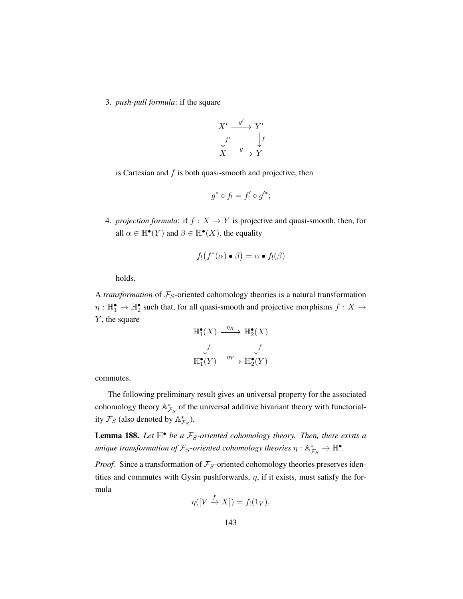3. *push-pull formula*: if the square



is Cartesian and  $f$  is both quasi-smooth and projective, then

$$
g^*\circ f_!=f_!'\circ g'^*;
$$

4. *projection formula*: if  $f : X \to Y$  is projective and quasi-smooth, then, for all  $\alpha \in \mathbb{H}^{\bullet}(Y)$  and  $\beta \in \mathbb{H}^{\bullet}(X)$ , the equality

$$
f_!(f^*(\alpha) \bullet \beta) = \alpha \bullet f_!(\beta)
$$

holds.

A *transformation* of  $\mathcal{F}_S$ -oriented cohomology theories is a natural transformation  $\eta: \mathbb{H}_1^{\bullet} \to \mathbb{H}_2^{\bullet}$  such that, for all quasi-smooth and projective morphisms  $f: X \to$  $Y$ , the square

$$
\begin{array}{ccc}\n\mathbb{H}^{\bullet}_{1}(X) & \xrightarrow{\eta_{X}} & \mathbb{H}^{\bullet}_{2}(X) \\
\downarrow f_{!} & & \downarrow f_{!} \\
\mathbb{H}^{\bullet}_{1}(Y) & \xrightarrow{\eta_{Y}} & \mathbb{H}^{\bullet}_{2}(Y)\n\end{array}
$$

commutes.

The following preliminary result gives an universal property for the associated cohomology theory  $\mathbb{A}_{\mathcal{F}_S}^*$  of the universal additive bivariant theory with functoriality  $\mathcal{F}_S$  (also denoted by  $\mathbb{A}_{\mathcal{F}_S}^*$ ).

**Lemma 188.** Let  $\mathbb{H}^{\bullet}$  be a  $\mathcal{F}_S$ -oriented cohomology theory. Then, there exists a unique transformation of  $\mathcal{F}_S$ -oriented cohomology theories  $\eta: \mathbb{A}_{\mathcal{F}_S}^* \to \mathbb{H}^\bullet$ .

*Proof.* Since a transformation of  $\mathcal{F}_S$ -oriented cohomology theories preserves identities and commutes with Gysin pushforwards,  $\eta$ , if it exists, must satisfy the formula f

$$
\eta([V \xrightarrow{f} X]) = f_!(1_V).
$$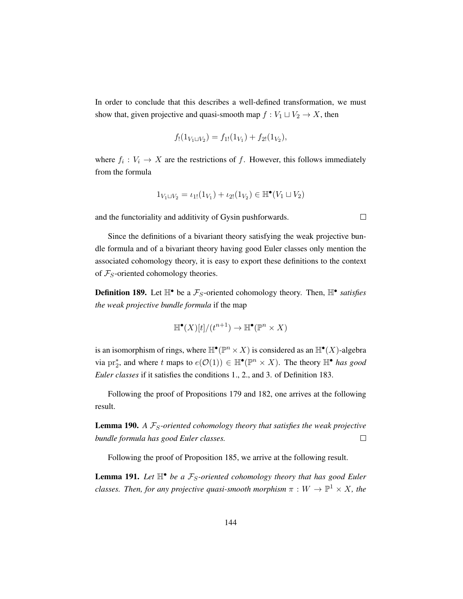In order to conclude that this describes a well-defined transformation, we must show that, given projective and quasi-smooth map  $f : V_1 \sqcup V_2 \rightarrow X$ , then

$$
f_!(1_{V_1 \sqcup V_2}) = f_{1!}(1_{V_1}) + f_{2!}(1_{V_2}),
$$

where  $f_i: V_i \to X$  are the restrictions of f. However, this follows immediately from the formula

$$
1_{V_1 \sqcup V_2} = \iota_{1!}(1_{V_1}) + \iota_{2!}(1_{V_2}) \in \mathbb{H}^{\bullet}(V_1 \sqcup V_2)
$$

 $\Box$ 

and the functoriality and additivity of Gysin pushforwards.

Since the definitions of a bivariant theory satisfying the weak projective bundle formula and of a bivariant theory having good Euler classes only mention the associated cohomology theory, it is easy to export these definitions to the context of  $\mathcal{F}_S$ -oriented cohomology theories.

**Definition 189.** Let  $\mathbb{H}^{\bullet}$  be a  $\mathcal{F}_S$ -oriented cohomology theory. Then,  $\mathbb{H}^{\bullet}$  satisfies *the weak projective bundle formula* if the map

$$
\mathbb{H}^{\bullet}(X)[t]/(t^{n+1}) \to \mathbb{H}^{\bullet}(\mathbb{P}^n \times X)
$$

is an isomorphism of rings, where  $\mathbb{H}^{\bullet}(\mathbb{P}^n \times X)$  is considered as an  $\mathbb{H}^{\bullet}(X)$ -algebra via pr<sub>2</sub><sup>\*</sup>, and where t maps to  $e(\mathcal{O}(1)) \in \mathbb{H}^{\bullet}(\mathbb{P}^n \times X)$ . The theory  $\mathbb{H}^{\bullet}$  has good *Euler classes* if it satisfies the conditions 1., 2., and 3. of Definition [183.](#page-147-0)

Following the proof of Propositions [179](#page-143-1) and [182,](#page-146-0) one arrives at the following result.

**Lemma 190.** *A*  $\mathcal{F}_S$ -oriented cohomology theory that satisfies the weak projective *bundle formula has good Euler classes.*  $\Box$ 

Following the proof of Proposition [185,](#page-148-0) we arrive at the following result.

**Lemma 191.** Let  $\mathbb{H}^{\bullet}$  be a  $\mathcal{F}_S$ -oriented cohomology theory that has good Euler *classes. Then, for any projective quasi-smooth morphism*  $\pi : W \to \mathbb{P}^1 \times X$ *, the*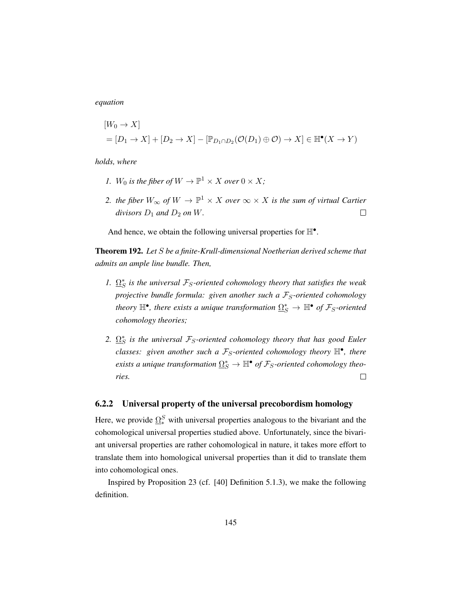*equation*

$$
[W_0 \to X]
$$
  
=  $[D_1 \to X] + [D_2 \to X] - [\mathbb{P}_{D_1 \cap D_2}(\mathcal{O}(D_1) \oplus \mathcal{O}) \to X] \in \mathbb{H}^{\bullet}(X \to Y)$ 

*holds, where*

- *1.*  $W_0$  *is the fiber of*  $W \to \mathbb{P}^1 \times X$  *over*  $0 \times X$ *;*
- 2. *the fiber*  $W_{\infty}$  of  $W \to \mathbb{P}^1 \times X$  over  $\infty \times X$  is the sum of virtual Cartier *divisors*  $D_1$  *and*  $D_2$  *on W*.  $\Box$

And hence, we obtain the following universal properties for  $\mathbb{H}^{\bullet}$ .

Theorem 192. *Let* S *be a finite-Krull-dimensional Noetherian derived scheme that admits an ample line bundle. Then,*

- *1.*  $\Omega_S^*$  is the universal  $\mathcal{F}_S$ -oriented cohomology theory that satisfies the weak *projective bundle formula: given another such a*  $\mathcal{F}_S$ *-oriented cohomology* theory  $\mathbb{H}^{\bullet}$ , there exists a unique transformation  $\Omega_{S}^{*} \to \mathbb{H}^{\bullet}$  of  $\mathcal{F}_{S}$ -oriented *cohomology theories;*
- 2.  $\Omega_S^*$  is the universal  $\mathcal{F}_S$ -oriented cohomology theory that has good Euler  $classes:$  given another such a  $F_S$ -oriented cohomology theory  $\mathbb{H}^{\bullet}$ , there  $e$ xists a unique transformation  $\Omega_S^* \to \mathbb{H}^\bullet$  of  $\mathcal{F}_S$ -oriented cohomology theo- $\Box$ *ries.*

### 6.2.2 Universal property of the universal precobordism homology

Here, we provide  $\Omega_*^S$  with universal properties analogous to the bivariant and the cohomological universal properties studied above. Unfortunately, since the bivariant universal properties are rather cohomological in nature, it takes more effort to translate them into homological universal properties than it did to translate them into cohomological ones.

Inspired by Proposition [23](#page-29-0) (cf. [\[40\]](#page-200-1) Definition 5.1.3), we make the following definition.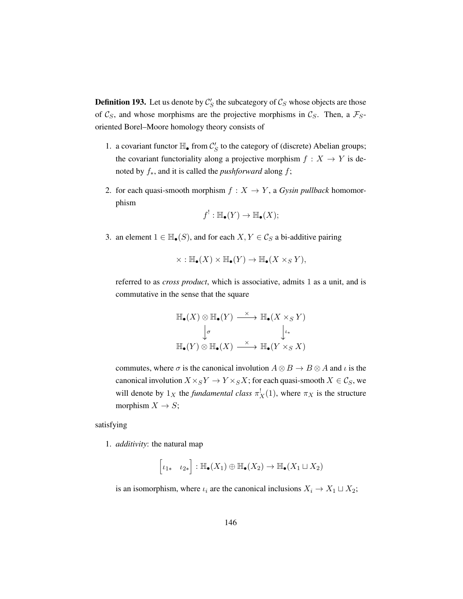<span id="page-155-0"></span>**Definition 193.** Let us denote by  $\mathcal{C}'_S$  the subcategory of  $\mathcal{C}_S$  whose objects are those of  $\mathcal{C}_S$ , and whose morphisms are the projective morphisms in  $\mathcal{C}_S$ . Then, a  $\mathcal{F}_S$ oriented Borel–Moore homology theory consists of

- 1. a covariant functor  $\mathbb{H}_{\bullet}$  from  $\mathcal{C}'_S$  to the category of (discrete) Abelian groups; the covariant functoriality along a projective morphism  $f : X \to Y$  is denoted by f∗, and it is called the *pushforward* along f;
- 2. for each quasi-smooth morphism  $f : X \to Y$ , a *Gysin pullback* homomorphism

$$
f^!: \mathbb{H}_{\bullet}(Y) \to \mathbb{H}_{\bullet}(X);
$$

3. an element  $1 \in \mathbb{H}_{\bullet}(S)$ , and for each  $X, Y \in \mathcal{C}_{S}$  a bi-additive pairing

$$
\times : \mathbb{H}_{\bullet}(X) \times \mathbb{H}_{\bullet}(Y) \to \mathbb{H}_{\bullet}(X \times_S Y),
$$

referred to as *cross product*, which is associative, admits 1 as a unit, and is commutative in the sense that the square

$$
\mathbb{H}_{\bullet}(X) \otimes \mathbb{H}_{\bullet}(Y) \xrightarrow{\times} \mathbb{H}_{\bullet}(X \times_{S} Y)
$$
\n
$$
\downarrow_{\sigma} \qquad \qquad \downarrow_{\iota_{*}}
$$
\n
$$
\mathbb{H}_{\bullet}(Y) \otimes \mathbb{H}_{\bullet}(X) \xrightarrow{\times} \mathbb{H}_{\bullet}(Y \times_{S} X)
$$

commutes, where  $\sigma$  is the canonical involution  $A \otimes B \to B \otimes A$  and  $\iota$  is the canonical involution  $X \times_S Y \to Y \times_S X$ ; for each quasi-smooth  $X \in \mathcal{C}_S$ , we will denote by  $1_X$  the *fundamental class*  $\pi_X^!(1)$ , where  $\pi_X$  is the structure morphism  $X \to S$ ;

satisfying

1. *additivity*: the natural map

$$
\left[\iota_{1*} \quad \iota_{2*}\right] : \mathbb{H}_{\bullet}(X_1) \oplus \mathbb{H}_{\bullet}(X_2) \to \mathbb{H}_{\bullet}(X_1 \sqcup X_2)
$$

is an isomorphism, where  $\iota_i$  are the canonical inclusions  $X_i \to X_1 \sqcup X_2$ ;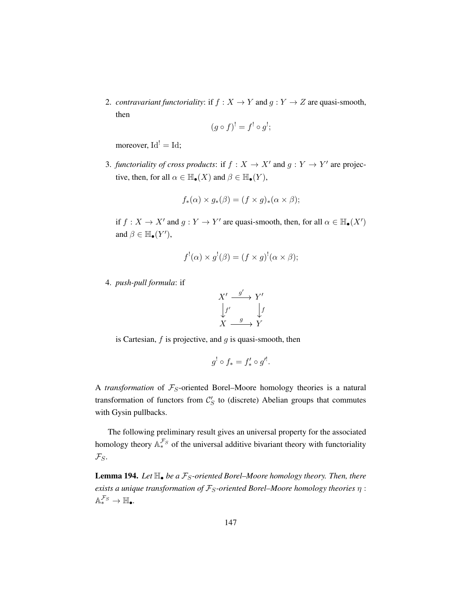2. *contravariant functoriality*: if  $f : X \to Y$  and  $g : Y \to Z$  are quasi-smooth, then

$$
(g \circ f)^! = f^! \circ g^!;
$$

moreover,  $Id' = Id$ ;

3. *functoriality of cross products*: if  $f : X \to X'$  and  $g : Y \to Y'$  are projective, then, for all  $\alpha \in \mathbb{H}_{\bullet}(X)$  and  $\beta \in \mathbb{H}_{\bullet}(Y)$ ,

$$
f_*(\alpha) \times g_*(\beta) = (f \times g)_*(\alpha \times \beta);
$$

if  $f: X \to X'$  and  $g: Y \to Y'$  are quasi-smooth, then, for all  $\alpha \in \mathbb{H}_{\bullet}(X')$ and  $\beta \in \mathbb{H}_{\bullet}(Y'),$ 

$$
f^{!}(\alpha) \times g^{!}(\beta) = (f \times g)^{!}(\alpha \times \beta);
$$

4. *push-pull formula*: if

$$
X' \xrightarrow{g'} Y' \downarrow f'
$$
  
\n
$$
f' \xrightarrow{g} f
$$
  
\n
$$
X \xrightarrow{g} Y
$$

is Cartesian,  $f$  is projective, and  $g$  is quasi-smooth, then

$$
g^! \circ f_* = f'_* \circ g'^!.
$$

A *transformation* of  $\mathcal{F}_S$ -oriented Borel–Moore homology theories is a natural transformation of functors from  $C'_{S}$  to (discrete) Abelian groups that commutes with Gysin pullbacks.

The following preliminary result gives an universal property for the associated homology theory  $A_*^{\mathcal{F}_S}$  of the universal additive bivariant theory with functoriality  $\mathcal{F}_S$ .

<span id="page-156-0"></span>**Lemma 194.** *Let*  $\mathbb{H}_{\bullet}$  *be a*  $\mathcal{F}_{S}$ -oriented Borel–Moore homology theory. Then, there *exists a unique transformation of*  $\mathcal{F}_S$ -oriented Borel–Moore homology theories  $\eta$ :  $\mathbb{A}_*^{\mathcal{F}_S} \to \mathbb{H}_\bullet$ .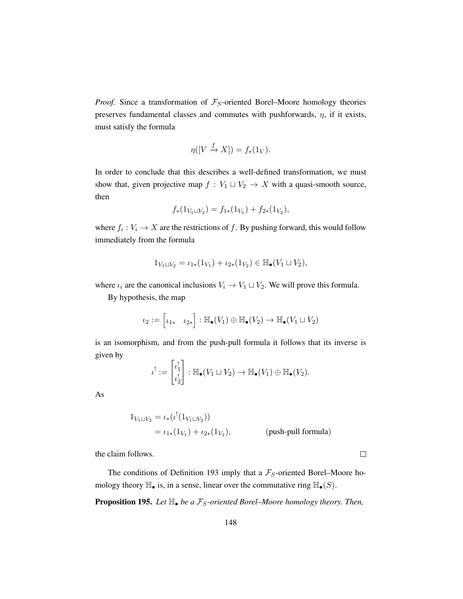*Proof.* Since a transformation of  $\mathcal{F}_S$ -oriented Borel–Moore homology theories preserves fundamental classes and commutes with pushforwards,  $\eta$ , if it exists, must satisfy the formula

$$
\eta([V \xrightarrow{f} X]) = f_*(1_V).
$$

In order to conclude that this describes a well-defined transformation, we must show that, given projective map  $f : V_1 \sqcup V_2 \rightarrow X$  with a quasi-smooth source, then

$$
f_*(1_{V_1 \sqcup V_2}) = f_{1*}(1_{V_1}) + f_{2*}(1_{V_2}),
$$

where  $f_i: V_i \to X$  are the restrictions of f. By pushing forward, this would follow immediately from the formula

$$
1_{V_1 \sqcup V_2} = \iota_{1*}(1_{V_1}) + \iota_{2*}(1_{V_2}) \in \mathbb{H}_{\bullet}(V_1 \sqcup V_2),
$$

where  $\iota_i$  are the canonical inclusions  $V_i \to V_1 \sqcup V_2$ . We will prove this formula.

By hypothesis, the map

$$
\iota_2 := \begin{bmatrix} \iota_{1*} & \iota_{2*} \end{bmatrix} : \mathbb{H}_{\bullet}(V_1) \oplus \mathbb{H}_{\bullet}(V_2) \to \mathbb{H}_{\bullet}(V_1 \sqcup V_2)
$$

is an isomorphism, and from the push-pull formula it follows that its inverse is given by

$$
\iota^! := \begin{bmatrix} \iota_1^! \\ \iota_2^! \end{bmatrix} : \mathbb{H}_{\bullet}(V_1 \sqcup V_2) \to \mathbb{H}_{\bullet}(V_1) \oplus \mathbb{H}_{\bullet}(V_2).
$$

As

$$
1_{V_1 \sqcup V_2} = \iota_*(\iota^!(1_{V_1 \sqcup V_2}))
$$
  
=  $\iota_{1*}(1_{V_1}) + \iota_{2*}(1_{V_2}),$  (push-pull formula)

 $\Box$ 

the claim follows.

The conditions of Definition [193](#page-155-0) imply that a  $\mathcal{F}_S$ -oriented Borel–Moore homology theory  $\mathbb{H}_{\bullet}$  is, in a sense, linear over the commutative ring  $\mathbb{H}_{\bullet}(S)$ .

**Proposition 195.** *Let*  $\mathbb{H}_\bullet$  *be a*  $\mathcal{F}_S$ -oriented Borel–Moore homology theory. Then,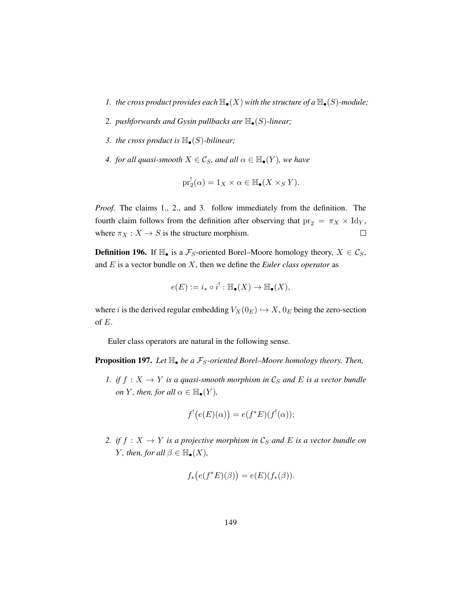- *1. the cross product provides each*  $\mathbb{H}_{\bullet}(X)$  *with the structure of a*  $\mathbb{H}_{\bullet}(S)$ *-module*;
- 2. *pushforwards and Gysin pullbacks are*  $\mathbb{H}_{\bullet}(S)$ *-linear*;
- *3. the cross product is*  $\mathbb{H}_{\bullet}(S)$ *-bilinear;*
- *4. for all quasi-smooth*  $X \in \mathcal{C}_S$ *, and all*  $\alpha \in \mathbb{H}_{\bullet}(Y)$ *, we have*

$$
\mathrm{pr}_2^!(\alpha) = 1_X \times \alpha \in \mathbb{H}_{\bullet}(X \times_S Y).
$$

*Proof.* The claims 1., 2., and 3. follow immediately from the definition. The fourth claim follows from the definition after observing that  $pr_2 = \pi_X \times Id_Y$ , where  $\pi_X : X \to S$  is the structure morphism.  $\Box$ 

**Definition 196.** If  $\mathbb{H}_{\bullet}$  is a  $\mathcal{F}_S$ -oriented Borel–Moore homology theory,  $X \in \mathcal{C}_S$ , and E is a vector bundle on X, then we define the *Euler class operator* as

$$
e(E) := i_* \circ i^! : \mathbb{H}_{\bullet}(X) \to \mathbb{H}_{\bullet}(X),
$$

where *i* is the derived regular embedding  $V_X(0_E) \hookrightarrow X$ ,  $0_E$  being the zero-section of E.

Euler class operators are natural in the following sense.

<span id="page-158-0"></span>**Proposition 197.** *Let*  $\mathbb{H}_{\bullet}$  *be a*  $\mathcal{F}_{S}$ -oriented Borel–Moore homology theory. Then,

*1. if*  $f : X \to Y$  *is a quasi-smooth morphism in*  $\mathcal{C}_S$  *and*  $E$  *is a vector bundle on Y, then, for all*  $\alpha \in \mathbb{H}_{\bullet}(Y)$ *,* 

$$
f'(e(E)(\alpha)) = e(f^*E)(f'(\alpha));
$$

*2. if*  $f : X \to Y$  *is a projective morphism in*  $\mathcal{C}_S$  *and*  $E$  *is a vector bundle on Y, then, for all*  $\beta \in \mathbb{H}_{\bullet}(X)$ *,* 

$$
f_*\big(e(f^*E)(\beta)\big) = e(E)(f_*(\beta)).
$$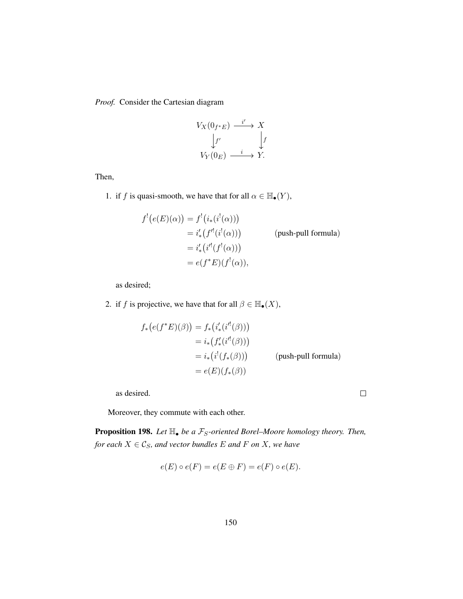*Proof.* Consider the Cartesian diagram

$$
V_X(0_{f^*E}) \xrightarrow{i'} X
$$
  
\n
$$
\downarrow f'
$$
  
\n
$$
V_Y(0_E) \xrightarrow{i} Y.
$$

Then,

1. if f is quasi-smooth, we have that for all  $\alpha \in \mathbb{H}_{\bullet}(Y)$ ,

$$
f'(e(E)(\alpha)) = f'(i_*(i^!(\alpha)))
$$
  
=  $i'_*(f''(i^!(\alpha)))$  (push-pull formula)  
=  $i'_*(i^!(f'(\alpha)))$   
=  $e(f^*E)(f'(\alpha)),$ 

as desired;

2. if f is projective, we have that for all  $\beta \in \mathbb{H}_{\bullet}(X)$ ,

$$
f_*\big(e(f^*E)(\beta)\big) = f_*\big(i'_* (i'(\beta))\big)
$$
  
=  $i_*\big(f'_* (i'(\beta))\big)$   
=  $i_*\big(i^!(f_*(\beta))\big)$  (push-pull formula)  
=  $e(E)(f_*(\beta))$ 

 $\Box$ 

as desired.

Moreover, they commute with each other.

**Proposition 198.** Let  $\mathbb{H}_{\bullet}$  be a  $\mathcal{F}_{S}$ -oriented Borel–Moore homology theory. Then, *for each*  $X \in \mathcal{C}_S$ *, and vector bundles*  $E$  *and*  $F$  *on*  $X$ *, we have* 

$$
e(E) \circ e(F) = e(E \oplus F) = e(F) \circ e(E).
$$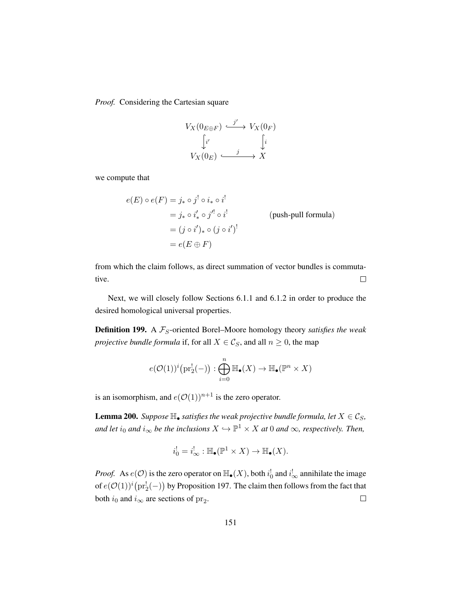*Proof.* Considering the Cartesian square

$$
V_X(0_{E \oplus F}) \xrightarrow{j'} V_X(0_F)
$$

$$
\downarrow i'
$$

$$
V_X(0_E) \xrightarrow{j} X
$$

we compute that

$$
e(E) \circ e(F) = j_* \circ j^! \circ i_* \circ i^!
$$
  
=  $j_* \circ i'_* \circ j'^! \circ i^!$  (push-pull formula)  
=  $(j \circ i')_* \circ (j \circ i')^!$   
=  $e(E \oplus F)$ 

from which the claim follows, as direct summation of vector bundles is commutative.  $\Box$ 

Next, we will closely follow Sections [6.1.1](#page-143-2) and [6.1.2](#page-146-1) in order to produce the desired homological universal properties.

**Definition 199.** A  $\mathcal{F}_S$ -oriented Borel–Moore homology theory *satisfies the weak projective bundle formula* if, for all  $X \in \mathcal{C}_S$ , and all  $n \geq 0$ , the map

$$
e(\mathcal{O}(1))^i \bigl( \mathrm{pr}_2^!(-) \bigr): \bigoplus_{i=0}^n \mathbb{H}_{\bullet}(X) \to \mathbb{H}_{\bullet}(\mathbb{P}^n \times X)
$$

is an isomorphism, and  $e(\mathcal{O}(1))^{n+1}$  is the zero operator.

<span id="page-160-0"></span>**Lemma 200.** *Suppose*  $\mathbb{H}_{\bullet}$  *satisfies the weak projective bundle formula, let*  $X \in \mathcal{C}_S$ *, and let*  $i_0$  *and*  $i_{\infty}$  *be the inclusions*  $X \hookrightarrow \mathbb{P}^1 \times X$  *at* 0 *and*  $\infty$ *, respectively. Then,* 

$$
i_0^! = i_\infty^! : \mathbb{H}_\bullet(\mathbb{P}^1 \times X) \to \mathbb{H}_\bullet(X).
$$

*Proof.* As  $e(\mathcal{O})$  is the zero operator on  $\mathbb{H}_{\bullet}(X)$ , both  $i_0^!$  and  $i_{\infty}^!$  annihilate the image of  $e(\mathcal{O}(1))^i\big(\text{pr}_2^!(-)\big)$  by Proposition [197.](#page-158-0) The claim then follows from the fact that both  $i_0$  and  $i_{\infty}$  are sections of  $\text{pr}_2$ .  $\Box$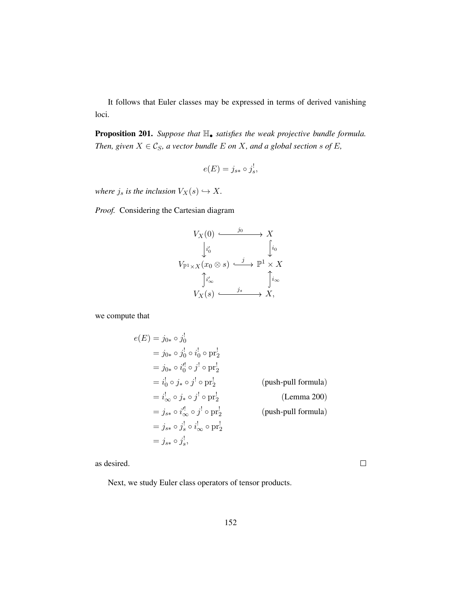It follows that Euler classes may be expressed in terms of derived vanishing loci.

Proposition 201. *Suppose that* H• *satisfies the weak projective bundle formula. Then, given*  $X \in \mathcal{C}_S$ *, a vector bundle*  $E$  *on*  $X$ *, and a global section s of*  $E$ *,* 

$$
e(E) = j_{s*} \circ j_s^!
$$

*where*  $j_s$  *is the inclusion*  $V_X(s) \hookrightarrow X$ *.* 

*Proof.* Considering the Cartesian diagram

$$
V_X(0) \xrightarrow{j_0} X
$$
  
\n
$$
\downarrow i'_0
$$
  
\n
$$
V_{\mathbb{P}^1 \times X}(x_0 \otimes s) \xrightarrow{j} \mathbb{P}^1 \times X
$$
  
\n
$$
\uparrow i'_{\infty}
$$
  
\n
$$
V_X(s) \xrightarrow{j_s} X,
$$

we compute that

$$
e(E) = j_{0*} \circ j_0^1
$$
  
\n
$$
= j_{0*} \circ j_0^1 \circ i_0^1 \circ pr_2^1
$$
  
\n
$$
= j_{0*} \circ i_0^1 \circ j^1 \circ pr_2^1
$$
  
\n
$$
= i_0^1 \circ j_* \circ j^1 \circ pr_2^1
$$
 (push-pull formula)  
\n
$$
= i_{\infty}^1 \circ j_* \circ j^1 \circ pr_2^1
$$
 (Lemma 200)  
\n
$$
= j_{s*} \circ i_{\infty}^1 \circ j^1 \circ pr_2^1
$$
 (push-pull formula)  
\n
$$
= j_{s*} \circ j_s^1 \circ i_{\infty}^1 \circ pr_2^1
$$
  
\n
$$
= j_{s*} \circ j_s^1,
$$

as desired.

Next, we study Euler class operators of tensor products.

 $\Box$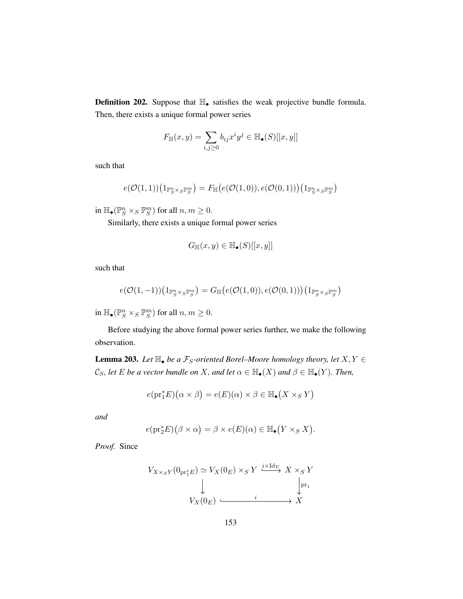Definition 202. Suppose that  $\mathbb{H}_{\bullet}$  satisfies the weak projective bundle formula. Then, there exists a unique formal power series

$$
F_{\mathbb{H}}(x,y) = \sum_{i,j \geq 0} b_{ij} x^i y^j \in \mathbb{H}_{\bullet}(S)[[x,y]]
$$

such that

$$
e(\mathcal{O}(1,1))\big(1_{\mathbb{P}^n_S \times_S \mathbb{P}^m_S}\big) = F_{\mathbb{H}}\big(e(\mathcal{O}(1,0)), e(\mathcal{O}(0,1))\big)\big(1_{\mathbb{P}^n_S \times_S \mathbb{P}^m_S}\big)
$$

in  $\mathbb{H}_{\bullet}(\mathbb{P}^n_S \times_S \mathbb{P}^m_S)$  for all  $n, m \geq 0$ .

Similarly, there exists a unique formal power series

$$
G_{\mathbb{H}}(x,y) \in \mathbb{H}_{\bullet}(S)[[x,y]]
$$

such that

$$
e(\mathcal{O}(1,-1))\big(1_{\mathbb{P}^n_S\times_S \mathbb{P}^m_S}\big)=G_{\mathbb{H}}\big(e(\mathcal{O}(1,0)), e(\mathcal{O}(0,1))\big)\big(1_{\mathbb{P}^n_S\times_S \mathbb{P}^m_S}\big)
$$

in  $\mathbb{H}_{\bullet}(\mathbb{P}^n_S \times_S \mathbb{P}^m_S)$  for all  $n, m \geq 0$ .

Before studying the above formal power series further, we make the following observation.

**Lemma 203.** Let  $\mathbb{H}_{\bullet}$  be a  $\mathcal{F}_{S}$ -oriented Borel–Moore homology theory, let  $X, Y \in$ C<sub>S</sub>, let E be a vector bundle on X, and let  $\alpha \in \mathbb{H}_{\bullet}(X)$  and  $\beta \in \mathbb{H}_{\bullet}(Y)$ *. Then,* 

$$
e(\mathrm{pr}_1^*E)(\alpha \times \beta) = e(E)(\alpha) \times \beta \in \mathbb{H}_{\bullet}(X \times_S Y)
$$

*and*

$$
e(\mathrm{pr}_2^* E)(\beta \times \alpha) = \beta \times e(E)(\alpha) \in \mathbb{H}_{\bullet}(Y \times_S X).
$$

*Proof.* Since

$$
V_{X \times_S Y}(0_{\text{pr}_1^* E}) \simeq V_X(0_E) \times_S Y \xrightarrow{i \times \text{Id}_Y} X \times_S Y
$$
  
\n
$$
\downarrow \qquad \qquad \downarrow
$$
  
\n
$$
V_X(0_E) \xrightarrow{i} \qquad \qquad \downarrow
$$
  
\n
$$
X
$$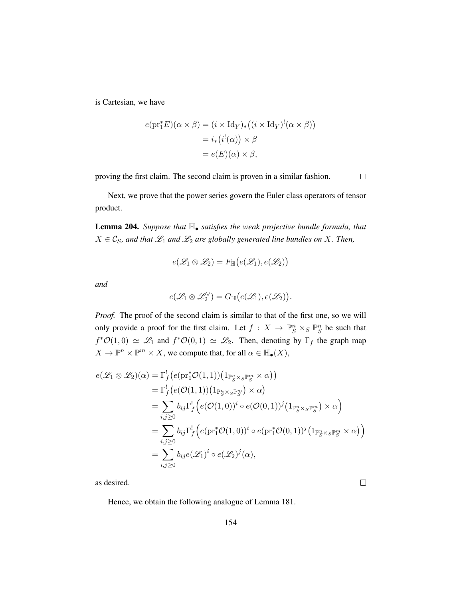is Cartesian, we have

$$
e(\mathrm{pr}_1^* E)(\alpha \times \beta) = (i \times \mathrm{Id}_Y)_* ((i \times \mathrm{Id}_Y)^! (\alpha \times \beta))
$$
  
=  $i_* (i^!(\alpha)) \times \beta$   
=  $e(E)(\alpha) \times \beta$ ,

proving the first claim. The second claim is proven in a similar fashion.

 $\Box$ 

 $\Box$ 

Next, we prove that the power series govern the Euler class operators of tensor product.

Lemma 204. *Suppose that* H• *satisfies the weak projective bundle formula, that*  $X \in \mathcal{C}_S$ , and that  $\mathcal{L}_1$  and  $\mathcal{L}_2$  are globally generated line bundles on X. Then,

$$
e(\mathscr{L}_1 \otimes \mathscr{L}_2) = F_{\mathbb{H}}(e(\mathscr{L}_1), e(\mathscr{L}_2))
$$

*and*

$$
e(\mathscr{L}_1 \otimes \mathscr{L}_2^{\vee}) = G_{\mathbb{H}}(e(\mathscr{L}_1), e(\mathscr{L}_2)).
$$

*Proof.* The proof of the second claim is similar to that of the first one, so we will only provide a proof for the first claim. Let  $f: X \to \mathbb{P}^n_S \times_S \mathbb{P}^n_S$  be such that  $f^*O(1,0) \simeq \mathscr{L}_1$  and  $f^*O(0,1) \simeq \mathscr{L}_2$ . Then, denoting by  $\Gamma_f$  the graph map  $X \to \mathbb{P}^n \times \mathbb{P}^m \times X$ , we compute that, for all  $\alpha \in \mathbb{H}_{\bullet}(X)$ ,

$$
e(\mathcal{L}_1 \otimes \mathcal{L}_2)(\alpha) = \Gamma_f^1(e(\mathrm{pr}_1^*\mathcal{O}(1,1))(\mathbb{1}_{\mathbb{P}_S^n \times_S \mathbb{P}_S^m} \times \alpha))
$$
  
\n
$$
= \Gamma_f^1(e(\mathcal{O}(1,1))(\mathbb{1}_{\mathbb{P}_S^n \times_S \mathbb{P}_S^m}) \times \alpha)
$$
  
\n
$$
= \sum_{i,j \geq 0} b_{ij} \Gamma_f^1(e(\mathcal{O}(1,0))^i \circ e(\mathcal{O}(0,1))^j(\mathbb{1}_{\mathbb{P}_S^n \times_S \mathbb{P}_S^m}) \times \alpha)
$$
  
\n
$$
= \sum_{i,j \geq 0} b_{ij} \Gamma_f^1(e(\mathrm{pr}_1^*\mathcal{O}(1,0))^i \circ e(\mathrm{pr}_1^*\mathcal{O}(0,1))^j(\mathbb{1}_{\mathbb{P}_S^n \times_S \mathbb{P}_S^m} \times \alpha))
$$
  
\n
$$
= \sum_{i,j \geq 0} b_{ij} e(\mathcal{L}_1)^i \circ e(\mathcal{L}_2)^j(\alpha),
$$

as desired.

Hence, we obtain the following analogue of Lemma [181.](#page-145-0)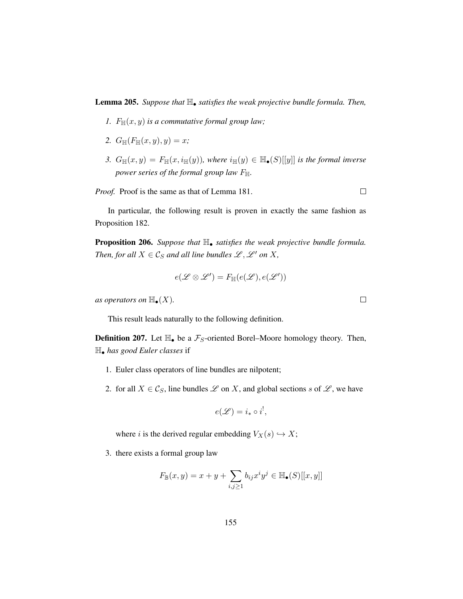Lemma 205. *Suppose that* H• *satisfies the weak projective bundle formula. Then,*

- *1.*  $F_{\mathbb{H}}(x, y)$  *is a commutative formal group law;*
- 2.  $G_{\mathbb{H}}(F_{\mathbb{H}}(x,y),y) = x;$
- 3.  $G_{\mathbb{H}}(x,y) = F_{\mathbb{H}}(x,i_{\mathbb{H}}(y)),$  where  $i_{\mathbb{H}}(y) \in \mathbb{H}_{\bullet}(S)[[y]]$  *is the formal inverse power series of the formal group law F*<sub>H</sub>.

*Proof.* Proof is the same as that of Lemma [181.](#page-145-0)

In particular, the following result is proven in exactly the same fashion as Proposition [182.](#page-146-0)

Proposition 206. *Suppose that* H• *satisfies the weak projective bundle formula. Then, for all*  $X \in \mathcal{C}_S$  *and all line bundles*  $\mathcal{L}, \mathcal{L}'$  *on*  $X$ *,* 

$$
e(\mathscr{L} \otimes \mathscr{L}') = F_{\mathbb{H}}(e(\mathscr{L}), e(\mathscr{L}'))
$$

*as operators on*  $\mathbb{H}_{\bullet}(X)$ *.* 

This result leads naturally to the following definition.

**Definition 207.** Let  $\mathbb{H}_{\bullet}$  be a  $\mathcal{F}_S$ -oriented Borel–Moore homology theory. Then, H• *has good Euler classes* if

- 1. Euler class operators of line bundles are nilpotent;
- 2. for all  $X \in \mathcal{C}_S$ , line bundles  $\mathcal L$  on X, and global sections s of  $\mathcal L$ , we have

$$
e(\mathscr{L}) = i_* \circ i^!,
$$

where i is the derived regular embedding  $V_X(s) \hookrightarrow X$ ;

3. there exists a formal group law

$$
F_{\mathbb{B}}(x,y) = x + y + \sum_{i,j \ge 1} b_{ij} x^i y^j \in \mathbb{H}_{\bullet}(S)[[x,y]]
$$

 $\Box$ 

 $\Box$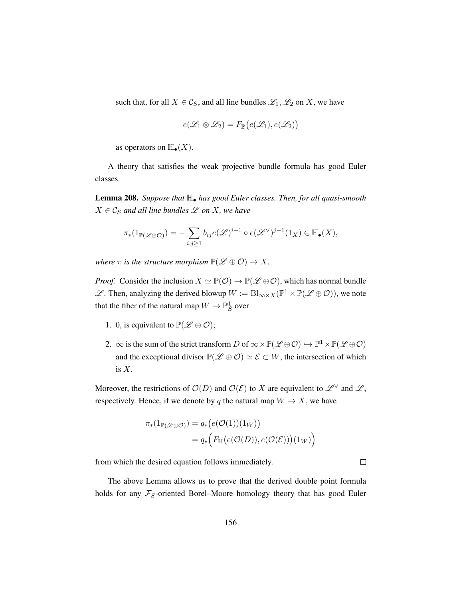such that, for all  $X \in \mathcal{C}_S$ , and all line bundles  $\mathcal{L}_1, \mathcal{L}_2$  on X, we have

$$
e(\mathscr{L}_1 \otimes \mathscr{L}_2) = F_{\mathbb{B}}(e(\mathscr{L}_1), e(\mathscr{L}_2))
$$

as operators on  $\mathbb{H}_{\bullet}(X)$ .

A theory that satisfies the weak projective bundle formula has good Euler classes.

Lemma 208. *Suppose that* H• *has good Euler classes. Then, for all quasi-smooth*  $X \in \mathcal{C}_S$  *and all line bundles*  $\mathcal L$  *on*  $X$ *, we have* 

$$
\pi_*(1_{\mathbb{P}(\mathscr{L}\oplus\mathcal{O})})=-\sum_{i,j\geq 1}b_{ij}e(\mathscr{L})^{i-1}\circ e(\mathscr{L}^{\vee})^{j-1}(1_X)\in\mathbb{H}_{\bullet}(X),
$$

*where*  $\pi$  *is the structure morphism*  $\mathbb{P}(\mathscr{L} \oplus \mathcal{O}) \to X$ .

*Proof.* Consider the inclusion  $X \simeq \mathbb{P}(\mathcal{O}) \to \mathbb{P}(\mathcal{L} \oplus \mathcal{O})$ , which has normal bundle  $\mathscr{L}$ . Then, analyzing the derived blowup  $W := \text{Bl}_{\infty \times X}(\mathbb{P}^1 \times \mathbb{P}(\mathscr{L} \oplus \mathcal{O}))$ , we note that the fiber of the natural map  $W \to \mathbb{P}^1_S$  over

- 1. 0, is equivalent to  $\mathbb{P}(\mathscr{L} \oplus \mathcal{O})$ ;
- 2.  $\infty$  is the sum of the strict transform D of  $\infty \times \mathbb{P}(\mathscr{L} \oplus \mathcal{O}) \hookrightarrow \mathbb{P}^1 \times \mathbb{P}(\mathscr{L} \oplus \mathcal{O})$ and the exceptional divisor  $\mathbb{P}(\mathscr{L} \oplus \mathcal{O}) \simeq \mathscr{E} \subset W$ , the intersection of which is  $X$ .

Moreover, the restrictions of  $\mathcal{O}(D)$  and  $\mathcal{O}(\mathcal{E})$  to X are equivalent to  $\mathcal{L}^{\vee}$  and  $\mathcal{L}$ , respectively. Hence, if we denote by q the natural map  $W \to X$ , we have

$$
\pi_*(1_{\mathbb{P}(\mathscr{L}\oplus\mathcal{O})}) = q_*\big(e(\mathcal{O}(1))(1_W)\big) \n= q_*\Big(F_{\mathbb{H}}\big(e(\mathcal{O}(D)), e(\mathcal{O}(\mathcal{E}))\big)(1_W)\Big)
$$

from which the desired equation follows immediately.

The above Lemma allows us to prove that the derived double point formula holds for any  $\mathcal{F}_S$ -oriented Borel–Moore homology theory that has good Euler

 $\Box$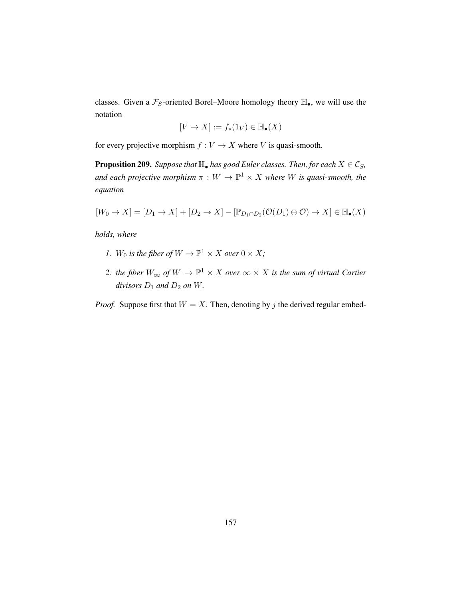classes. Given a  $\mathcal{F}_S$ -oriented Borel–Moore homology theory  $\mathbb{H}_\bullet$ , we will use the notation

$$
[V \to X] := f_*(1_V) \in \mathbb{H}_{\bullet}(X)
$$

for every projective morphism  $f : V \to X$  where V is quasi-smooth.

**Proposition 209.** *Suppose that*  $\mathbb{H}_{\bullet}$  *has good Euler classes. Then, for each*  $X \in \mathcal{C}_S$ *,* and each projective morphism  $\pi : W \to \mathbb{P}^1 \times X$  where W is quasi-smooth, the *equation*

$$
[W_0 \to X] = [D_1 \to X] + [D_2 \to X] - [\mathbb{P}_{D_1 \cap D_2}(\mathcal{O}(D_1) \oplus \mathcal{O}) \to X] \in \mathbb{H}_{\bullet}(X)
$$

*holds, where*

- *1.*  $W_0$  *is the fiber of*  $W \to \mathbb{P}^1 \times X$  *over*  $0 \times X$ *;*
- 2. *the fiber*  $W_{\infty}$  *of*  $W \to \mathbb{P}^1 \times X$  *over*  $\infty \times X$  *is the sum of virtual Cartier divisors*  $D_1$  *and*  $D_2$  *on W*.

*Proof.* Suppose first that  $W = X$ . Then, denoting by j the derived regular embed-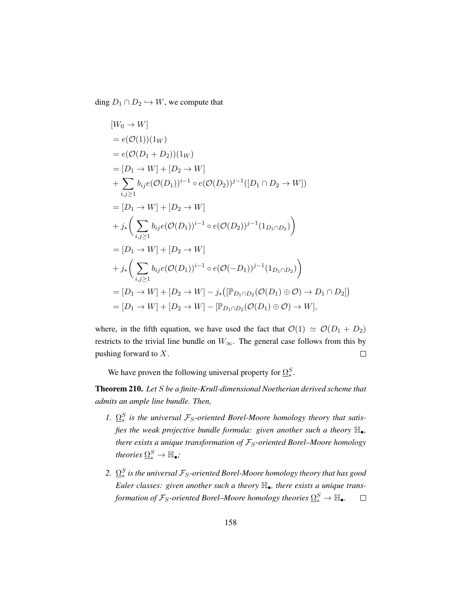ding  $D_1 \cap D_2 \hookrightarrow W$ , we compute that

$$
[W_0 \to W]
$$
  
\n=  $e(\mathcal{O}(1))(1_W)$   
\n=  $[D_1 \to W] + [D_2 \to W]$   
\n+  $\sum_{i,j\geq 1} b_{ij}e(\mathcal{O}(D_1))^{i-1} \circ e(\mathcal{O}(D_2))^{j-1}([D_1 \cap D_2 \to W])$   
\n=  $[D_1 \to W] + [D_2 \to W]$   
\n+  $j_* \Big( \sum_{i,j\geq 1} b_{ij}e(\mathcal{O}(D_1))^{i-1} \circ e(\mathcal{O}(D_2))^{j-1}(1_{D_1 \cap D_2}) \Big)$   
\n=  $[D_1 \to W] + [D_2 \to W]$   
\n+  $j_* \Big( \sum_{i,j\geq 1} b_{ij}e(\mathcal{O}(D_1))^{i-1} \circ e(\mathcal{O}(-D_1))^{j-1}(1_{D_1 \cap D_2}) \Big)$   
\n=  $[D_1 \to W] + [D_2 \to W] - j_* ([\mathbb{P}_{D_1 \cap D_2}(\mathcal{O}(D_1) \oplus \mathcal{O}) \to D_1 \cap D_2])$   
\n=  $[D_1 \to W] + [D_2 \to W] - [\mathbb{P}_{D_1 \cap D_2}(\mathcal{O}(D_1) \oplus \mathcal{O}) \to W],$ 

where, in the fifth equation, we have used the fact that  $\mathcal{O}(1) \simeq \mathcal{O}(D_1 + D_2)$ restricts to the trivial line bundle on  $W_{\infty}$ . The general case follows from this by pushing forward to X.  $\Box$ 

We have proven the following universal property for  $\Omega_*^S$ .

Theorem 210. *Let* S *be a finite-Krull-dimensional Noetherian derived scheme that admits an ample line bundle. Then,*

- *1.*  $\Omega_*^S$  is the universal  $\mathcal{F}_S$ -oriented Borel-Moore homology theory that satis*fies the weak projective bundle formula: given another such a theory*  $\mathbb{H}_{\bullet}$ *, there exists a unique transformation of*  $F_S$ -oriented Borel–Moore homology *theories*  $\underline{\Omega^S_*} \rightarrow \mathbb{H}_\bullet$ ;
- 2.  $\,\underline{\Omega}_*^S$  is the universal  $\mathcal{F}_S$ -oriented Borel-Moore homology theory that has good *Euler classes: given another such a theory* H•*, there exists a unique trans*formation of  $\mathcal{F}_S$ -oriented Borel–Moore homology theories  $\Omega_*^S \to {\mathbb{H}}_\bullet$ .  $\Box$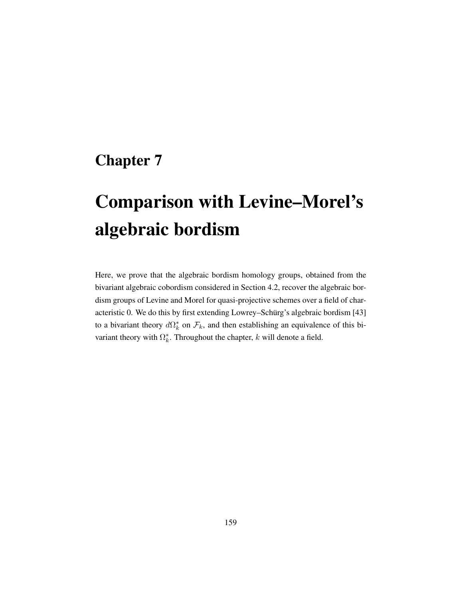## Chapter 7

# Comparison with Levine–Morel's algebraic bordism

Here, we prove that the algebraic bordism homology groups, obtained from the bivariant algebraic cobordism considered in Section [4.2,](#page-112-0) recover the algebraic bordism groups of Levine and Morel for quasi-projective schemes over a field of char-acteristic 0. We do this by first extending Lowrey–Schürg's algebraic bordism [[43\]](#page-200-2) to a bivariant theory  $d\Omega_k^*$  on  $\mathcal{F}_k$ , and then establishing an equivalence of this bivariant theory with  $\Omega_k^*$ . Throughout the chapter, k will denote a field.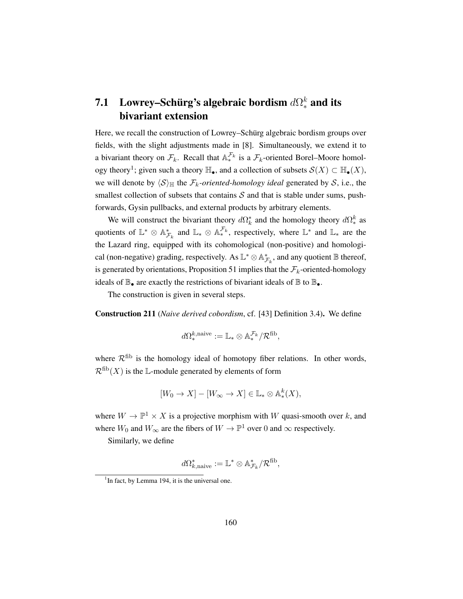### 7.1 Lowrey–Schürg's algebraic bordism  $d\Omega^k_*$  and its bivariant extension

Here, we recall the construction of Lowrey–Schürg algebraic bordism groups over fields, with the slight adjustments made in [\[8\]](#page-197-0). Simultaneously, we extend it to a bivariant theory on  $\mathcal{F}_k$ . Recall that  $\mathbb{A}_*^{\mathcal{F}_k}$  is a  $\mathcal{F}_k$ -oriented Borel–Moore homol-ogy theory<sup>[1](#page-169-0)</sup>; given such a theory  $\mathbb{H}_{\bullet}$ , and a collection of subsets  $\mathcal{S}(X) \subset \mathbb{H}_{\bullet}(X)$ , we will denote by  $\langle S \rangle_{\mathbb{H}}$  the  $\mathcal{F}_k$ -oriented-homology ideal generated by S, i.e., the smallest collection of subsets that contains  $S$  and that is stable under sums, pushforwards, Gysin pullbacks, and external products by arbitrary elements.

We will construct the bivariant theory  $d\Omega_k^*$  and the homology theory  $d\Omega_k^k$  as quotients of  $\mathbb{L}^* \otimes \mathbb{A}_{\mathcal{F}_k}^*$  and  $\mathbb{L}_* \otimes \mathbb{A}_*^{\mathcal{F}_k}$ , respectively, where  $\mathbb{L}^*$  and  $\mathbb{L}_*$  are the the Lazard ring, equipped with its cohomological (non-positive) and homological (non-negative) grading, respectively. As  $\mathbb{L}^* \otimes \mathbb{A}_{\mathcal{F}_k}^*$ , and any quotient  $\mathbb B$  thereof, is generated by orientations, Proposition [51](#page-54-0) implies that the  $\mathcal{F}_k$ -oriented-homology ideals of  $\mathbb{B}_{\bullet}$  are exactly the restrictions of bivariant ideals of  $\mathbb{B}$  to  $\mathbb{B}_{\bullet}$ .

The construction is given in several steps.

<span id="page-169-1"></span>Construction 211 (*Naive derived cobordism*, cf. [\[43\]](#page-200-2) Definition 3.4). We define

$$
d\Omega^{k,\mathrm{naive}}_* := \mathbb{L}_* \otimes \mathbb{A}_*^{\mathcal{F}_k}/\mathcal{R}^\mathrm{fib},
$$

where  $\mathcal{R}^{\text{fib}}$  is the homology ideal of homotopy fiber relations. In other words,  $\mathcal{R}^{\text{fib}}(X)$  is the L-module generated by elements of form

$$
[W_0 \to X] - [W_\infty \to X] \in \mathbb{L}_* \otimes \mathbb{A}_*^k(X),
$$

where  $W \to \mathbb{P}^1 \times X$  is a projective morphism with W quasi-smooth over k, and where  $W_0$  and  $W_{\infty}$  are the fibers of  $W \to \mathbb{P}^1$  over 0 and  $\infty$  respectively.

Similarly, we define

$$
d \Omega^*_{k, \mathrm{naive}} := \mathbb{L}^* \otimes \mathbb{A}^*_{\mathcal{F}_k} / \mathcal{R}^\mathrm{fib},
$$

<span id="page-169-0"></span> $<sup>1</sup>$  In fact, by Lemma [194,](#page-156-0) it is the universal one.</sup>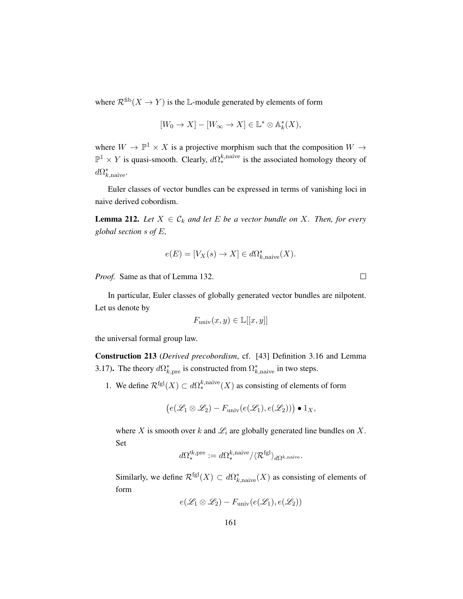where  $\mathcal{R}^{\text{fib}}(X \to Y)$  is the L-module generated by elements of form

$$
[W_0 \to X] - [W_\infty \to X] \in \mathbb{L}^* \otimes \mathbb{A}_k^*(X),
$$

where  $W \to \mathbb{P}^1 \times X$  is a projective morphism such that the composition  $W \to$  $\mathbb{P}^1 \times Y$  is quasi-smooth. Clearly,  $d\Omega^{k,\text{naive}}_*$  is the associated homology theory of  $d\Omega^*_{k,\text{naive}}$ .

Euler classes of vector bundles can be expressed in terms of vanishing loci in naive derived cobordism.

<span id="page-170-0"></span>**Lemma 212.** Let  $X \in \mathcal{C}_k$  and let E be a vector bundle on X. Then, for every *global section* s *of* E*,*

$$
e(E) = [V_X(s) \to X] \in d\Omega^*_{k,\text{naive}}(X).
$$

*Proof.* Same as that of Lemma [132.](#page-102-0)

In particular, Euler classes of globally generated vector bundles are nilpotent. Let us denote by

$$
F_{\text{univ}}(x, y) \in \mathbb{L}[[x, y]]
$$

the universal formal group law.

<span id="page-170-1"></span>Construction 213 (*Derived precobordism*, cf. [\[43\]](#page-200-2) Definition 3.16 and Lemma 3.17). The theory  $d\Omega^*_{k, \text{pre}}$  is constructed from  $\Omega^*_{k, \text{naive}}$  in two steps.

1. We define  $\mathcal{R}^{\text{fgl}}(X) \subset d\Omega^{k,\text{naive}}_*(X)$  as consisting of elements of form

$$
(e(\mathscr{L}_1 \otimes \mathscr{L}_2) - F_{\text{univ}}(e(\mathscr{L}_1), e(\mathscr{L}_2))) \bullet 1_X,
$$

where X is smooth over k and  $\mathcal{L}_i$  are globally generated line bundles on X. Set  $\overline{D}$ 

$$
d\Omega_*^{\prime k,\mathrm{pre}}:=d\Omega_*^{k,\mathrm{naive}}/\langle \mathcal{R}^\mathrm{fgl}\rangle_{d\Omega^{k,\mathrm{naive}}}.
$$

Similarly, we define  $\mathcal{R}^{\text{fgl}}(X) \subset d\Omega^*_{k,\text{naive}}(X)$  as consisting of elements of form

$$
e(\mathscr{L}_1 \otimes \mathscr{L}_2) - F_{\text{univ}}(e(\mathscr{L}_1), e(\mathscr{L}_2))
$$

 $\Box$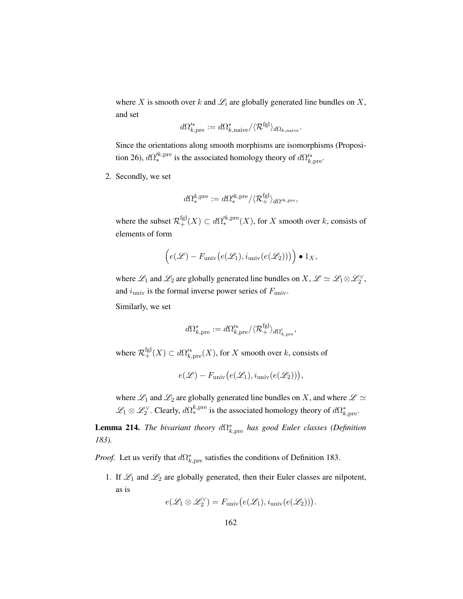where X is smooth over k and  $\mathcal{L}_i$  are globally generated line bundles on X, and set

$$
d\Omega_{k,\mathrm{pre}}'^* := d\Omega_{k,\mathrm{naive}}^*/\langle \mathcal{R}^\mathrm{fgl}\rangle_{d\Omega_{k,\mathrm{naive}}}.
$$

Since the orientations along smooth morphisms are isomorphisms (Proposi-tion [26\)](#page-31-0),  $d\Omega'^{k,\text{pre}}_*$  is the associated homology theory of  $d\Omega'^{*}_{k,\text{pre}}$ .

2. Secondly, we set

$$
d\Omega^{k,\mathrm{pre}}_* := d\Omega'^{k,\mathrm{pre}}_* / \langle \mathcal{R}^\mathrm{fgl}_+ \rangle_{d\Omega'^{k,\mathrm{pre}}},
$$

where the subset  $\mathcal{R}^{\text{fgl}}_+(X) \subset d\Omega'^{k,\text{pre}}_*(X)$ , for X smooth over k, consists of elements of form

$$
\left(e(\mathscr{L}) - F_{\text{univ}}\big(e(\mathscr{L}_1), i_{\text{univ}}\big(e(\mathscr{L}_2)\big)\big)\right) \bullet 1_X,
$$

where  $\mathscr{L}_1$  and  $\mathscr{L}_2$  are globally generated line bundles on  $X, \mathscr{L} \simeq \mathscr{L}_1 \otimes \mathscr{L}_2^{\vee}$ , and  $i_{\text{univ}}$  is the formal inverse power series of  $F_{\text{univ}}$ .

Similarly, we set

$$
d\Omega^*_{k,\mathrm{pre}} := d\Omega'^*_{k,\mathrm{pre}} / \langle \mathcal{R}^\mathrm{fgl}_+ \rangle_{d\Omega'_{k,\mathrm{pre}}},
$$

where  $\mathcal{R}^{\text{fgl}}_{+}(X) \subset d\Omega'^*_{k,\text{pre}}(X)$ , for X smooth over k, consists of

$$
e(\mathcal{L}) - F_{\text{univ}}(e(\mathcal{L}_1), i_{\text{univ}}(e(\mathcal{L}_2))),
$$

where  $\mathscr{L}_1$  and  $\mathscr{L}_2$  are globally generated line bundles on X, and where  $\mathscr{L} \simeq$  $\mathscr{L}_1 \otimes \mathscr{L}_2^{\vee}$ . Clearly,  $d\Omega^{k,\text{pre}}_*$  is the associated homology theory of  $d\Omega^*_{k,\text{pre}}$ .

<span id="page-171-0"></span>**Lemma 214.** *The bivariant theory*  $d\Omega^*_{k,pre}$  *has good Euler classes (Definition*) *[183\)](#page-147-0).*

*Proof.* Let us verify that  $d\Omega^*_{k,pre}$  satisfies the conditions of Definition [183.](#page-147-0)

1. If  $\mathcal{L}_1$  and  $\mathcal{L}_2$  are globally generated, then their Euler classes are nilpotent, as is

$$
e(\mathscr{L}_1 \otimes \mathscr{L}_2^{\vee}) = F_{\mathrm{univ}}\big(e(\mathscr{L}_1), i_{\mathrm{univ}}(e(\mathscr{L}_2))\big).
$$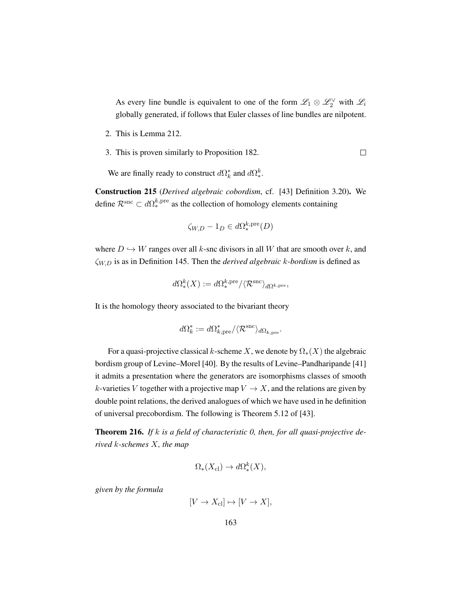As every line bundle is equivalent to one of the form  $\mathscr{L}_1 \otimes \mathscr{L}_2^{\vee}$  with  $\mathscr{L}_i$ globally generated, if follows that Euler classes of line bundles are nilpotent.

- 2. This is Lemma [212.](#page-170-0)
- 3. This is proven similarly to Proposition [182.](#page-146-0)  $\Box$

We are finally ready to construct  $d\Omega_k^*$  and  $d\Omega_*^k$ .

Construction 215 (*Derived algebraic cobordism*, cf. [\[43\]](#page-200-2) Definition 3.20). We define  $\mathcal{R}^{\text{snc}} \subset d\Omega^{k,\text{pre}}_*$  as the collection of homology elements containing

$$
\zeta_{W,D} - 1_D \in d\Omega_*^{k,\text{pre}}(D)
$$

where  $D \hookrightarrow W$  ranges over all k-snc divisors in all W that are smooth over k, and ζW,D is as in Definition [145.](#page-112-1) Then the *derived algebraic* k*-bordism* is defined as

$$
d\Omega^k_*(X) := d\Omega^{k,\mathrm{pre}}_* / \langle \mathcal{R}^\mathrm{snc} \rangle_{d\Omega^{k,\mathrm{pre}}},
$$

It is the homology theory associated to the bivariant theory

$$
d\Omega_k^* := d\Omega_{k,\mathrm{pre}}^* / \langle \mathcal{R}^{\mathrm{snc}} \rangle_{d\Omega_{k,\mathrm{pre}}}.
$$

For a quasi-projective classical k-scheme X, we denote by  $\Omega_*(X)$  the algebraic bordism group of Levine–Morel [\[40\]](#page-200-1). By the results of Levine–Pandharipande [\[41\]](#page-200-0) it admits a presentation where the generators are isomorphisms classes of smooth k-varieties V together with a projective map  $V \to X$ , and the relations are given by double point relations, the derived analogues of which we have used in he definition of universal precobordism. The following is Theorem 5.12 of [\[43\]](#page-200-2).

<span id="page-172-0"></span>Theorem 216. *If* k *is a field of characteristic 0, then, for all quasi-projective derived* k*-schemes* X*, the map*

$$
\Omega_*(X_{\text{cl}}) \to d\Omega^k_*(X),
$$

*given by the formula*

$$
[V \to X_{\rm cl}] \mapsto [V \to X],
$$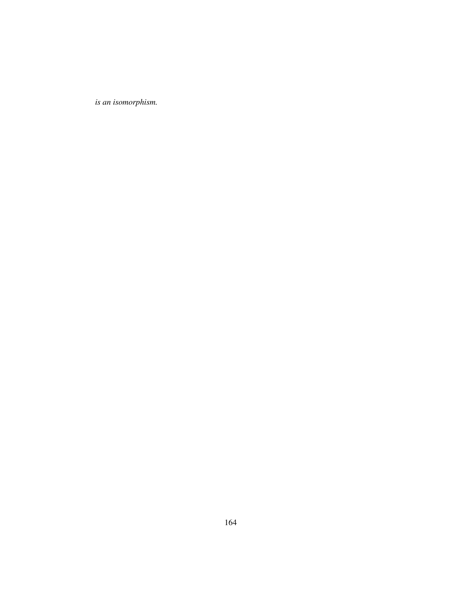*is an isomorphism.*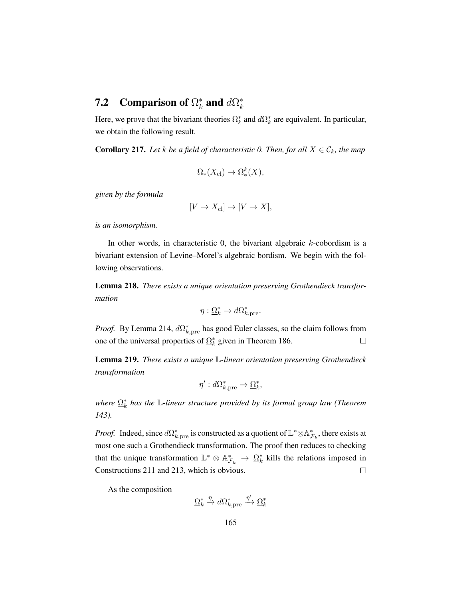#### **7.2** Comparison of  $\Omega_k^*$  $\frac{k}{k}$  and  $d\Omega_k^*$ k

Here, we prove that the bivariant theories  $\Omega_k^*$  and  $d\Omega_k^*$  are equivalent. In particular, we obtain the following result.

<span id="page-174-0"></span>**Corollary 217.** Let *k* be a field of characteristic 0. Then, for all  $X \in \mathcal{C}_k$ , the map

$$
\Omega_*(X_{\text{cl}}) \to \Omega^k_*(X),
$$

*given by the formula*

$$
[V \to X_{\text{cl}}] \mapsto [V \to X],
$$

*is an isomorphism.*

In other words, in characteristic 0, the bivariant algebraic k-cobordism is a bivariant extension of Levine–Morel's algebraic bordism. We begin with the following observations.

Lemma 218. *There exists a unique orientation preserving Grothendieck transformation*

$$
\eta : \underline{\Omega}_k^* \to d\Omega_{k, \text{pre}}^*.
$$

*Proof.* By Lemma [214,](#page-171-0)  $d\Omega_{k,pre}^*$  has good Euler classes, so the claim follows from one of the universal properties of  $\Omega_k^*$  given in Theorem [186.](#page-149-0)  $\Box$ 

Lemma 219. *There exists a unique* L*-linear orientation preserving Grothendieck transformation*

$$
\eta': d\Omega^*_{k, \text{pre}} \to \underline{\Omega}^*_k,
$$

*where*  $\Omega_k^*$  *has the* L-linear structure provided by its formal group law (Theorem *[143\)](#page-110-0).*

*Proof.* Indeed, since  $d\Omega^*_{k,pre}$  is constructed as a quotient of  $\mathbb{L}^* \otimes \mathbb{A}^*_{\mathcal{F}_k}$ , there exists at most one such a Grothendieck transformation. The proof then reduces to checking that the unique transformation  $\mathbb{L}^* \otimes \mathbb{A}_{\mathcal{F}_k}^* \to \Omega_k^*$  kills the relations imposed in Constructions [211](#page-169-1) and [213,](#page-170-1) which is obvious.  $\Box$ 

As the composition

$$
\underline{\Omega}_k^* \xrightarrow{\eta} d\Omega_{k,\mathrm{pre}}^* \xrightarrow{\eta'} \underline{\Omega}_k^*
$$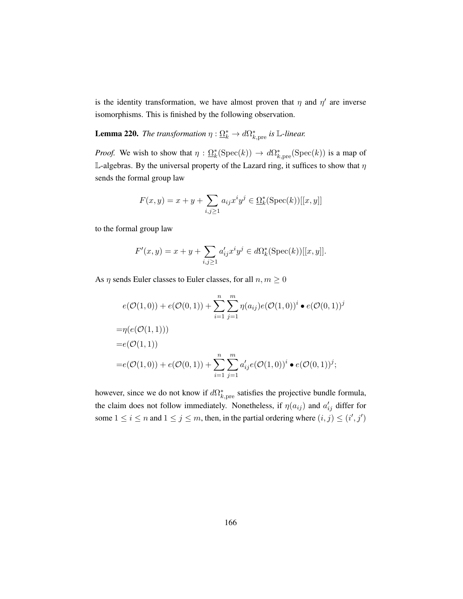is the identity transformation, we have almost proven that  $\eta$  and  $\eta'$  are inverse isomorphisms. This is finished by the following observation.

**Lemma 220.** *The transformation*  $\eta : \underline{\Omega}_k^* \to d\Omega_{k,pre}^*$  *is* L-linear.

*Proof.* We wish to show that  $\eta : \Omega_k^*(\text{Spec}(k)) \to d\Omega_{k,\text{pre}}^*(\text{Spec}(k))$  is a map of L-algebras. By the universal property of the Lazard ring, it suffices to show that  $\eta$ sends the formal group law

$$
F(x,y) = x + y + \sum_{i,j \ge 1} a_{ij} x^i y^j \in \Omega_k^*(\text{Spec}(k))[[x,y]]
$$

to the formal group law

$$
F'(x, y) = x + y + \sum_{i, j \ge 1} a'_{ij} x^i y^j \in d\Omega_k^*(\text{Spec}(k))[[x, y]].
$$

As  $\eta$  sends Euler classes to Euler classes, for all  $n, m \geq 0$ 

$$
e(\mathcal{O}(1,0)) + e(\mathcal{O}(0,1)) + \sum_{i=1}^{n} \sum_{j=1}^{m} \eta(a_{ij}) e(\mathcal{O}(1,0))^i \bullet e(\mathcal{O}(0,1))^j
$$
  
=  $\eta(e(\mathcal{O}(1,1)))$   
=  $e(\mathcal{O}(1,1))$   
=  $e(\mathcal{O}(1,0)) + e(\mathcal{O}(0,1)) + \sum_{i=1}^{n} \sum_{j=1}^{m} a'_{ij} e(\mathcal{O}(1,0))^i \bullet e(\mathcal{O}(0,1))^j;$ 

however, since we do not know if  $d\Omega^*_{k,pre}$  satisfies the projective bundle formula, the claim does not follow immediately. Nonetheless, if  $\eta(a_{ij})$  and  $a'_{ij}$  differ for some  $1 \le i \le n$  and  $1 \le j \le m$ , then, in the partial ordering where  $(i, j) \le (i', j')$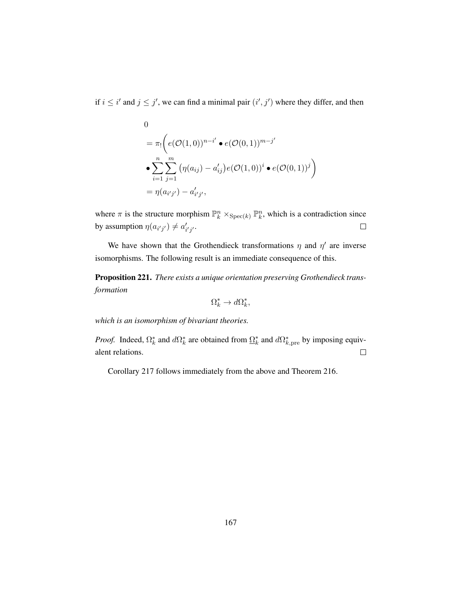if  $i \leq i'$  and  $j \leq j'$ , we can find a minimal pair  $(i', j')$  where they differ, and then

0  
\n
$$
= \pi_! \left( e(\mathcal{O}(1,0))^{n-i'} \bullet e(\mathcal{O}(0,1))^{m-j'} \right)
$$
\n
$$
\bullet \sum_{i=1}^n \sum_{j=1}^m \left( \eta(a_{ij}) - a'_{ij} \right) e(\mathcal{O}(1,0))^i \bullet e(\mathcal{O}(0,1))^j \right)
$$
\n
$$
= \eta(a_{i'j'}) - a'_{i'j'},
$$

where  $\pi$  is the structure morphism  $\mathbb{P}_k^n \times_{\text{Spec}(k)} \mathbb{P}_k^n$ , which is a contradiction since by assumption  $\eta(a_{i'j'}) \neq a'_{i'j'}$ .  $\Box$ 

We have shown that the Grothendieck transformations  $\eta$  and  $\eta'$  are inverse isomorphisms. The following result is an immediate consequence of this.

Proposition 221. *There exists a unique orientation preserving Grothendieck transformation*

$$
\Omega_k^* \to d\Omega_k^*,
$$

*which is an isomorphism of bivariant theories.*

*Proof.* Indeed,  $\Omega_k^*$  and  $d\Omega_k^*$  are obtained from  $\underline{\Omega}_k^*$  and  $d\Omega_{k,pre}^*$  by imposing equivalent relations.  $\Box$ 

Corollary [217](#page-174-0) follows immediately from the above and Theorem [216.](#page-172-0)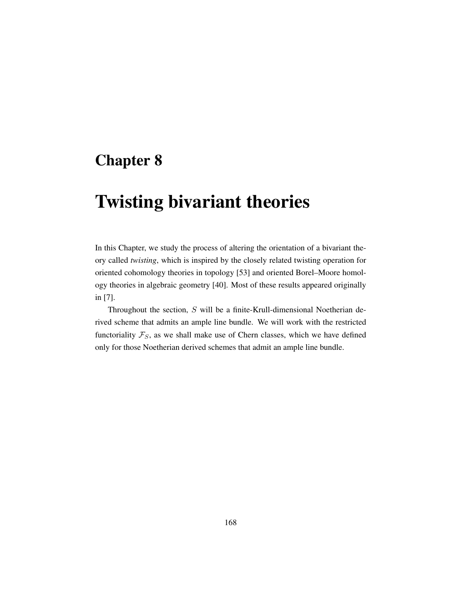## Chapter 8

## Twisting bivariant theories

In this Chapter, we study the process of altering the orientation of a bivariant theory called *twisting*, which is inspired by the closely related twisting operation for oriented cohomology theories in topology [\[53\]](#page-201-0) and oriented Borel–Moore homology theories in algebraic geometry [\[40\]](#page-200-1). Most of these results appeared originally in [\[7\]](#page-197-1).

Throughout the section, S will be a finite-Krull-dimensional Noetherian derived scheme that admits an ample line bundle. We will work with the restricted functoriality  $\mathcal{F}_S$ , as we shall make use of Chern classes, which we have defined only for those Noetherian derived schemes that admit an ample line bundle.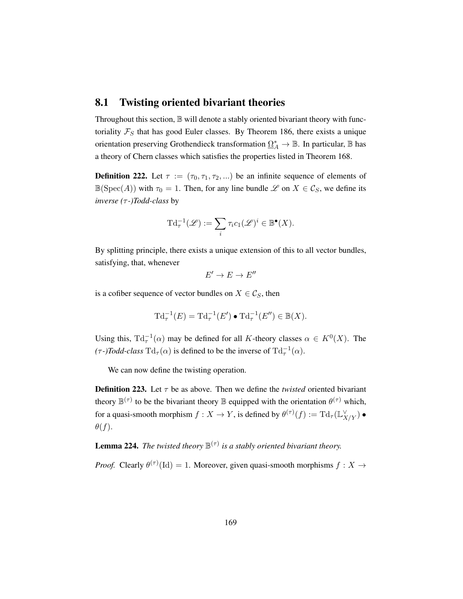### 8.1 Twisting oriented bivariant theories

Throughout this section,  $\mathbb B$  will denote a stably oriented bivariant theory with functoriality  $\mathcal{F}_S$  that has good Euler classes. By Theorem [186,](#page-149-0) there exists a unique orientation preserving Grothendieck transformation  $\Omega^*_A \to \mathbb{B}$ . In particular,  $\mathbb B$  has a theory of Chern classes which satisfies the properties listed in Theorem [168.](#page-132-0)

**Definition 222.** Let  $\tau := (\tau_0, \tau_1, \tau_2, ...)$  be an infinite sequence of elements of  $\mathbb{B}(\text{Spec}(A))$  with  $\tau_0 = 1$ . Then, for any line bundle  $\mathscr{L}$  on  $X \in \mathcal{C}_S$ , we define its *inverse (*τ *-)Todd-class* by

$$
\mathrm{Td}_{\tau}^{-1}(\mathscr{L}) := \sum_{i} \tau_i c_1(\mathscr{L})^i \in \mathbb{B}^{\bullet}(X).
$$

By splitting principle, there exists a unique extension of this to all vector bundles, satisfying, that, whenever

$$
E'\to E\to E''
$$

is a cofiber sequence of vector bundles on  $X \in \mathcal{C}_S$ , then

$$
\mathrm{Td}_{\tau}^{-1}(E) = \mathrm{Td}_{\tau}^{-1}(E') \bullet \mathrm{Td}_{\tau}^{-1}(E'') \in \mathbb{B}(X).
$$

Using this,  $Td_{\tau}^{-1}(\alpha)$  may be defined for all K-theory classes  $\alpha \in K^{0}(X)$ . The  $(\tau)$ *Todd-class*  $\mathrm{Td}_{\tau}(\alpha)$  is defined to be the inverse of  $\mathrm{Td}_{\tau}^{-1}(\alpha)$ .

We can now define the twisting operation.

**Definition 223.** Let  $\tau$  be as above. Then we define the *twisted* oriented bivariant theory  $\mathbb{B}^{(\tau)}$  to be the bivariant theory  $\mathbb B$  equipped with the orientation  $\theta^{(\tau)}$  which, for a quasi-smooth morphism  $f: X \to Y$ , is defined by  $\theta^{(\tau)}(f) := \mathrm{Td}_{\tau}(\mathbb{L}_{X/Y}^{\vee}) \bullet$  $\theta(f)$ .

**Lemma 224.** The twisted theory  $\mathbb{B}^{(\tau)}$  is a stably oriented bivariant theory.

*Proof.* Clearly  $\theta^{(\tau)}(\text{Id}) = 1$ . Moreover, given quasi-smooth morphisms  $f : X \to$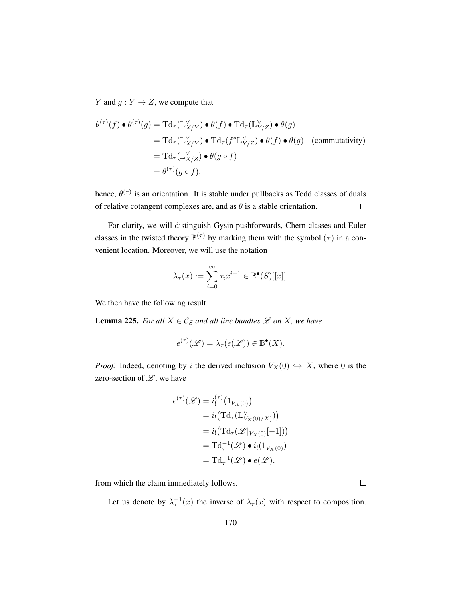Y and  $g: Y \to Z$ , we compute that

$$
\theta^{(\tau)}(f) \bullet \theta^{(\tau)}(g) = \mathrm{Td}_{\tau}(\mathbb{L}_{X/Y}^{\vee}) \bullet \theta(f) \bullet \mathrm{Td}_{\tau}(\mathbb{L}_{Y/Z}^{\vee}) \bullet \theta(g)
$$
  
\n
$$
= \mathrm{Td}_{\tau}(\mathbb{L}_{X/Y}^{\vee}) \bullet \mathrm{Td}_{\tau}(f^{*}\mathbb{L}_{Y/Z}^{\vee}) \bullet \theta(f) \bullet \theta(g) \quad \text{(commutativity)}
$$
  
\n
$$
= \mathrm{Td}_{\tau}(\mathbb{L}_{X/Z}^{\vee}) \bullet \theta(g \circ f)
$$
  
\n
$$
= \theta^{(\tau)}(g \circ f);
$$

hence,  $\theta^{(\tau)}$  is an orientation. It is stable under pullbacks as Todd classes of duals of relative cotangent complexes are, and as  $\theta$  is a stable orientation.  $\Box$ 

For clarity, we will distinguish Gysin pushforwards, Chern classes and Euler classes in the twisted theory  $\mathbb{B}^{(\tau)}$  by marking them with the symbol  $(\tau)$  in a convenient location. Moreover, we will use the notation

$$
\lambda_{\tau}(x) := \sum_{i=0}^{\infty} \tau_i x^{i+1} \in \mathbb{B}^{\bullet}(S)[[x]].
$$

We then have the following result.

**Lemma 225.** For all  $X \in \mathcal{C}_S$  and all line bundles  $\mathcal{L}$  on X, we have

$$
e^{(\tau)}(\mathscr{L}) = \lambda_{\tau}(e(\mathscr{L})) \in \mathbb{B}^{\bullet}(X).
$$

*Proof.* Indeed, denoting by i the derived inclusion  $V_X(0) \hookrightarrow X$ , where 0 is the zero-section of  $\mathscr{L}$ , we have

$$
e^{(\tau)}(\mathscr{L}) = i_!^{(\tau)}(1_{V_X(0)})
$$
  
=  $i_! (T d_\tau(\mathbb{L}_{V_X(0)/X}^{\vee}))$   
=  $i_! (T d_\tau(\mathscr{L}|_{V_X(0)}[-1]))$   
=  $T d_\tau^{-1}(\mathscr{L}) \bullet i_! (1_{V_X(0)})$   
=  $T d_\tau^{-1}(\mathscr{L}) \bullet e(\mathscr{L}),$ 

from which the claim immediately follows.

Let us denote by  $\lambda_\tau^{-1}(x)$  the inverse of  $\lambda_\tau(x)$  with respect to composition.

 $\Box$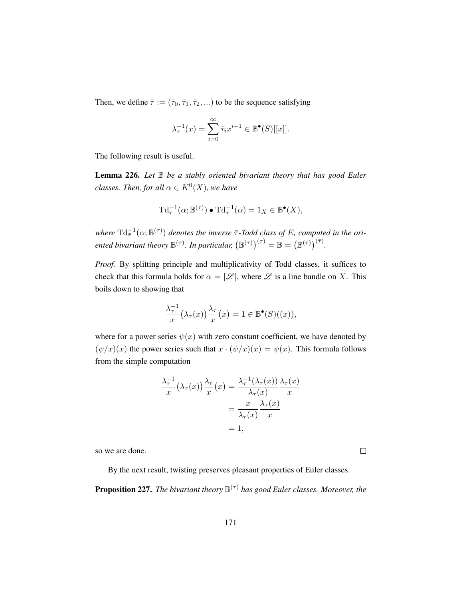Then, we define  $\bar{\tau} := (\bar{\tau}_0, \bar{\tau}_1, \bar{\tau}_2, \ldots)$  to be the sequence satisfying

$$
\lambda_{\tau}^{-1}(x) = \sum_{i=0}^{\infty} \overline{\tau}_i x^{i+1} \in \mathbb{B}^{\bullet}(S)[[x]].
$$

The following result is useful.

<span id="page-180-1"></span>Lemma 226. *Let* B *be a stably oriented bivariant theory that has good Euler classes. Then, for all*  $\alpha \in K^0(X)$ *, we have* 

$$
\mathrm{Td}_{\bar{\tau}}^{-1}(\alpha; \mathbb{B}^{(\tau)}) \bullet \mathrm{Td}_{\tau}^{-1}(\alpha) = 1_X \in \mathbb{B}^{\bullet}(X),
$$

where  $\mathrm{Td}^{-1}_{\bar{\tau}}(\alpha;\mathbb{B}^{(\tau)})$  denotes the inverse  $\bar{\tau}$ -Todd class of E, computed in the ori*ented bivariant theory*  $\mathbb{B}^{(\tau)}$ *. In particular,*  $(\mathbb{B}^{(\bar{\tau})})^{(\tau)} = \mathbb{B} = (\mathbb{B}^{(\tau)})^{(\bar{\tau})}$ *.* 

*Proof.* By splitting principle and multiplicativity of Todd classes, it suffices to check that this formula holds for  $\alpha = [\mathcal{L}]$ , where  $\mathcal L$  is a line bundle on X. This boils down to showing that

$$
\frac{\lambda_{\tau}^{-1}}{x}(\lambda_{\tau}(x))\frac{\lambda_{\tau}}{x}(x) = 1 \in \mathbb{B}^{\bullet}(S)((x)),
$$

where for a power series  $\psi(x)$  with zero constant coefficient, we have denoted by  $(\psi/x)(x)$  the power series such that  $x \cdot (\psi/x)(x) = \psi(x)$ . This formula follows from the simple computation

$$
\frac{\lambda_{\tau}^{-1}}{x}(\lambda_{\tau}(x))\frac{\lambda_{\tau}}{x}(x) = \frac{\lambda_{\tau}^{-1}(\lambda_{\tau}(x))}{\lambda_{\tau}(x)}\frac{\lambda_{\tau}(x)}{x}
$$

$$
= \frac{x}{\lambda_{\tau}(x)}\frac{\lambda_{\tau}(x)}{x}
$$

$$
= 1,
$$

so we are done.

By the next result, twisting preserves pleasant properties of Euler classes.

 $\Box$ 

<span id="page-180-0"></span>Proposition 227. *The bivariant theory* B (τ) *has good Euler classes. Moreover, the*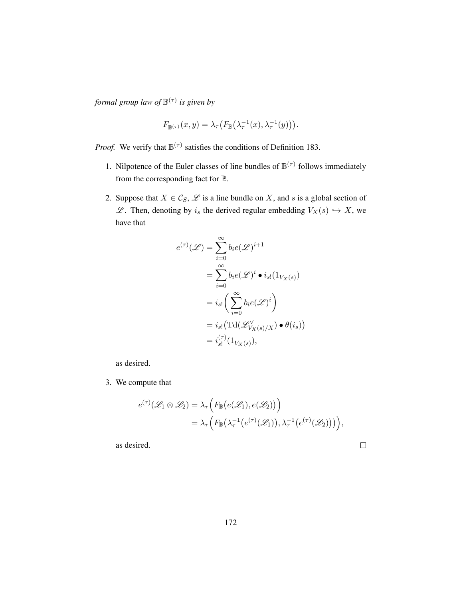*formal group law of* B (τ) *is given by*

$$
F_{\mathbb{B}^{(\tau)}}(x,y) = \lambda_{\tau} \big( F_{\mathbb{B}} \big( \lambda_{\tau}^{-1}(x), \lambda_{\tau}^{-1}(y) \big) \big).
$$

*Proof.* We verify that  $\mathbb{B}^{(\tau)}$  satisfies the conditions of Definition [183.](#page-147-0)

- 1. Nilpotence of the Euler classes of line bundles of  $\mathbb{B}^{(\tau)}$  follows immediately from the corresponding fact for B.
- 2. Suppose that  $X \in \mathcal{C}_S$ ,  $\mathcal{L}$  is a line bundle on X, and s is a global section of  $\mathscr{L}$ . Then, denoting by  $i_s$  the derived regular embedding  $V_X(s) \hookrightarrow X$ , we have that

$$
e^{(\tau)}(\mathscr{L}) = \sum_{i=0}^{\infty} b_i e(\mathscr{L})^{i+1}
$$
  
= 
$$
\sum_{i=0}^{\infty} b_i e(\mathscr{L})^i \bullet i_{s!} (1_{V_X(s)})
$$
  
= 
$$
i_{s!} \left( \sum_{i=0}^{\infty} b_i e(\mathscr{L})^i \right)
$$
  
= 
$$
i_{s!} (\text{Td}(\mathscr{L}_{V_X(s)/X}^{\vee}) \bullet \theta(i_s))
$$
  
= 
$$
i_{s!}^{(\tau)} (1_{V_X(s)}),
$$

as desired.

3. We compute that

$$
e^{(\tau)}(\mathscr{L}_1 \otimes \mathscr{L}_2) = \lambda_\tau \Big( F_{\mathbb{B}}\big(e(\mathscr{L}_1), e(\mathscr{L}_2)\big)\Big) = \lambda_\tau \Big( F_{\mathbb{B}}\big(\lambda_\tau^{-1}\big(e^{(\tau)}(\mathscr{L}_1)\big), \lambda_\tau^{-1}\big(e^{(\tau)}(\mathscr{L}_2)\big)\big)\Big),
$$

as desired.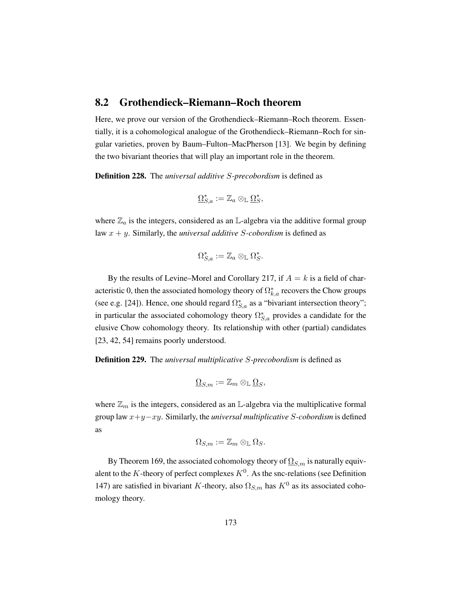### <span id="page-182-0"></span>8.2 Grothendieck–Riemann–Roch theorem

Here, we prove our version of the Grothendieck–Riemann–Roch theorem. Essentially, it is a cohomological analogue of the Grothendieck–Riemann–Roch for singular varieties, proven by Baum–Fulton–MacPherson [\[13\]](#page-198-0). We begin by defining the two bivariant theories that will play an important role in the theorem.

Definition 228. The *universal additive* S*-precobordism* is defined as

$$
\underline{\Omega}_{S,a}^* := \mathbb{Z}_a \otimes_{\mathbb{L}} \underline{\Omega}_S^*,
$$

where  $\mathbb{Z}_a$  is the integers, considered as an L-algebra via the additive formal group law x + y. Similarly, the *universal additive* S*-cobordism* is defined as

$$
\Omega_{S,a}^* := \mathbb{Z}_a \otimes_{\mathbb{L}} \Omega_S^*.
$$

By the results of Levine–Morel and Corollary [217,](#page-174-0) if  $A = k$  is a field of characteristic 0, then the associated homology theory of  $\Omega_{k,a}^*$  recovers the Chow groups (see e.g. [\[24\]](#page-199-0)). Hence, one should regard  $\Omega_{S,a}^*$  as a "bivariant intersection theory"; in particular the associated cohomology theory  $\Omega_{S,a}^*$  provides a candidate for the elusive Chow cohomology theory. Its relationship with other (partial) candidates [\[23,](#page-199-1) [42,](#page-200-0) [54\]](#page-201-0) remains poorly understood.

Definition 229. The *universal multiplicative* S*-precobordism* is defined as

$$
\underline{\Omega}_{S,m} := \mathbb{Z}_m \otimes_{\mathbb{L}} \underline{\Omega}_S,
$$

where  $\mathbb{Z}_m$  is the integers, considered as an L-algebra via the multiplicative formal group law x+y−xy. Similarly, the *universal multiplicative* S*-cobordism* is defined as

$$
\Omega_{S,m}:=\mathbb{Z}_m\otimes_{\mathbb{L}}\Omega_S.
$$

By Theorem [169,](#page-134-0) the associated cohomology theory of  $\Omega_{S,m}$  is naturally equivalent to the K-theory of perfect complexes  $K^0$ . As the snc-relations (see Definition [147\)](#page-113-0) are satisfied in bivariant K-theory, also  $\Omega_{S,m}$  has  $K^0$  as its associated cohomology theory.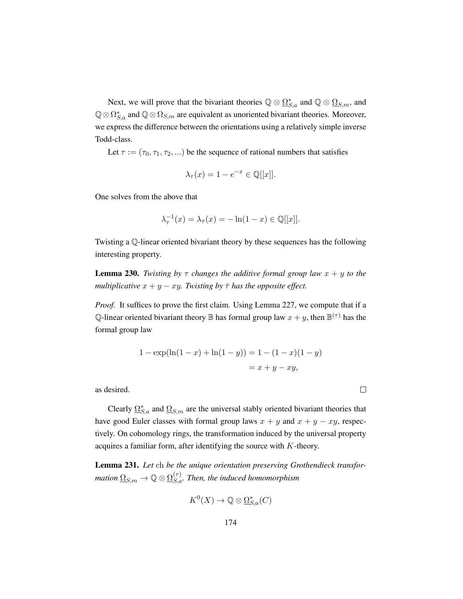Next, we will prove that the bivariant theories  $\mathbb{Q} \otimes \underline{\Omega}_{S,a}^*$  and  $\mathbb{Q} \otimes \underline{\Omega}_{S,m}$ , and  $\mathbb{Q}\otimes\Omega_{S,a}^*$  and  $\mathbb{Q}\otimes\Omega_{S,m}$  are equivalent as unoriented bivariant theories. Moreover, we express the difference between the orientations using a relatively simple inverse Todd-class.

Let  $\tau := (\tau_0, \tau_1, \tau_2, ...)$  be the sequence of rational numbers that satisfies

$$
\lambda_{\tau}(x) = 1 - e^{-x} \in \mathbb{Q}[[x]].
$$

One solves from the above that

$$
\lambda_{\tau}^{-1}(x) = \lambda_{\bar{\tau}}(x) = -\ln(1-x) \in \mathbb{Q}[[x]].
$$

Twisting a Q-linear oriented bivariant theory by these sequences has the following interesting property.

**Lemma 230.** *Twisting by*  $\tau$  *changes the additive formal group law*  $x + y$  *to the multiplicative*  $x + y - xy$ *. Twisting by*  $\bar{\tau}$  *has the opposite effect.* 

*Proof.* It suffices to prove the first claim. Using Lemma [227,](#page-180-0) we compute that if a Q-linear oriented bivariant theory  $\mathbb B$  has formal group law  $x + y$ , then  $\mathbb B^{(\tau)}$  has the formal group law

$$
1 - \exp(\ln(1 - x) + \ln(1 - y)) = 1 - (1 - x)(1 - y)
$$

$$
= x + y - xy,
$$

 $\Box$ 

as desired.

Clearly  $\Omega_{S,a}^*$  and  $\Omega_{S,m}$  are the universal stably oriented bivariant theories that have good Euler classes with formal group laws  $x + y$  and  $x + y - xy$ , respectively. On cohomology rings, the transformation induced by the universal property acquires a familiar form, after identifying the source with  $K$ -theory.

Lemma 231. *Let* ch *be the unique orientation preserving Grothendieck transfor*mation  $\underline{\Omega}_{S,m}\to\mathbb Q\otimes\underline{\Omega}_{S,a}^{(\tau)}.$  Then, the induced homomorphism

$$
K^0(X) \to \mathbb{Q} \otimes \underline{\Omega}^*_{S,a}(C)
$$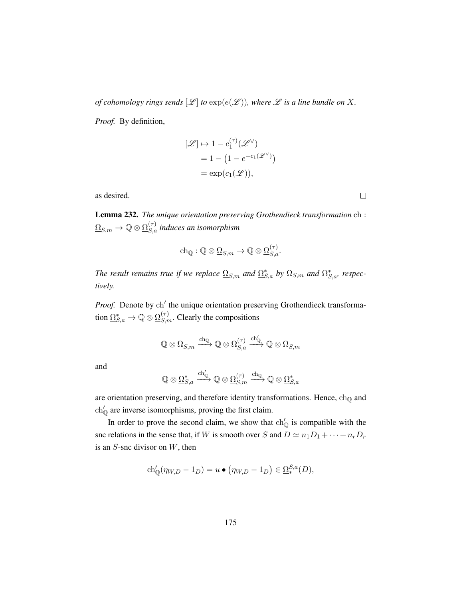*of cohomology rings sends*  $[\mathcal{L}]$  *to*  $\exp(e(\mathcal{L}))$ *, where*  $\mathcal L$  *is a line bundle on* X.

*Proof.* By definition,

$$
[\mathcal{L}] \mapsto 1 - c_1^{(\tau)}(\mathcal{L}^{\vee})
$$
  
= 1 - (1 - e^{-c\_1(\mathcal{L}^{\vee})})  
= exp(c\_1(\mathcal{L})),

as desired.

<span id="page-184-0"></span>Lemma 232. *The unique orientation preserving Grothendieck transformation* ch :  $\underline{\Omega}_{S,m}\to \mathbb{Q}\otimes \underline{\Omega}_{S,a}^{(\tau)}$  induces an isomorphism

$$
\mathrm{ch}_\mathbb{Q} : \mathbb{Q} \otimes \underline{\Omega}_{S,m} \to \mathbb{Q} \otimes \underline{\Omega}_{S,a}^{(\tau)}.
$$

*The result remains true if we replace*  $\Omega_{S,m}$  *and*  $\Omega_{S,a}^{*}$  *by*  $\Omega_{S,m}$  *and*  $\Omega_{S,a}^{*}$ *, respectively.*

Proof. Denote by ch' the unique orientation preserving Grothendieck transformation  $\underline{\Omega}^*_{S,a} \to \mathbb{Q} \otimes \underline{\Omega}^{(\bar{\tau})}_{S,m}$ . Clearly the compositions

$$
\mathbb{Q} \otimes \underline{\Omega}_{S,m} \xrightarrow{\text{ch}_\mathbb{Q}} \mathbb{Q} \otimes \underline{\Omega}_{S,a}^{(\tau)} \xrightarrow{\text{ch}_\mathbb{Q}'} \mathbb{Q} \otimes \underline{\Omega}_{S,m}
$$

and

$$
\mathbb{Q} \otimes \underline{\Omega}^{*}_{S,a} \xrightarrow{\mathrm{ch}'_{\mathbb{Q}}} \mathbb{Q} \otimes \underline{\Omega}^{(\bar{\tau})}_{S,m} \xrightarrow{\mathrm{ch}_{\mathbb{Q}}} \mathbb{Q} \otimes \underline{\Omega}^{*}_{S,a}
$$

are orientation preserving, and therefore identity transformations. Hence,  $ch_{\mathbb{Q}}$  and  $\ch'_{\mathbb{O}}$  are inverse isomorphisms, proving the first claim.

In order to prove the second claim, we show that  $\ch'_{\mathbb{Q}}$  is compatible with the snc relations in the sense that, if W is smooth over S and  $D \simeq n_1D_1 + \cdots + n_rD_r$ is an  $S$ -snc divisor on  $W$ , then

$$
ch'_{\mathbb{Q}}(\eta_{W,D} - 1_D) = u \bullet (\eta_{W,D} - 1_D) \in \Omega_*^{S,a}(D),
$$

 $\Box$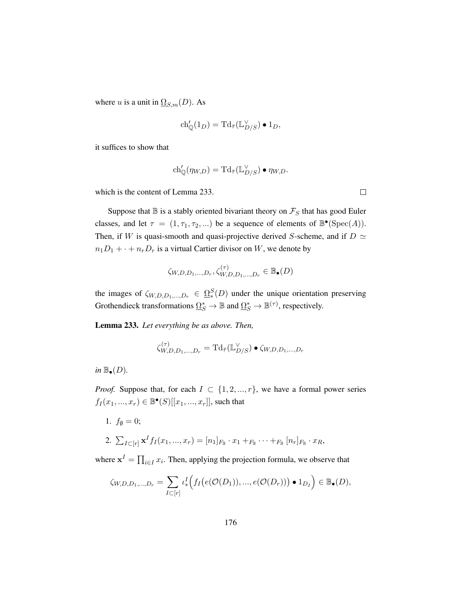where u is a unit in  $\Omega_{S,m}(D)$ . As

$$
ch'_{\mathbb{Q}}(1_D) = \mathrm{Td}_{\bar{\tau}}(\mathbb{L}_{D/S}^{\vee}) \bullet 1_D,
$$

it suffices to show that

$$
ch'_{\mathbb{Q}}(\eta_{W,D}) = \mathrm{Td}_{\bar{\tau}}(\mathbb{L}_{D/S}^{\vee}) \bullet \eta_{W,D}.
$$

which is the content of Lemma [233.](#page-185-0)

Suppose that  $\mathbb B$  is a stably oriented bivariant theory on  $\mathcal F_S$  that has good Euler classes, and let  $\tau = (1, \tau_1, \tau_2, ...)$  be a sequence of elements of  $\mathbb{B}^{\bullet}(\text{Spec}(A)).$ Then, if W is quasi-smooth and quasi-projective derived S-scheme, and if  $D \simeq$  $n_1D_1 + \cdots + n_rD_r$  is a virtual Cartier divisor on W, we denote by

$$
\zeta_{W,D,D_1,\dots,D_r}, \zeta_{W,D,D_1,\dots,D_r}^{(\tau)} \in \mathbb{B}_{\bullet}(D)
$$

the images of  $\zeta_{W,D,D_1,...,D_r} \in \Omega_*^S(D)$  under the unique orientation preserving Grothendieck transformations  $\underline{\Omega}_S^* \to \mathbb{B}$  and  $\underline{\Omega}_S^* \to \mathbb{B}^{(\tau)}$ , respectively.

<span id="page-185-0"></span>Lemma 233. *Let everything be as above. Then,*

$$
\zeta_{W,D,D_1,\ldots,D_r}^{(\tau)} = \mathrm{Td}_{\bar{\tau}}(\mathbb{L}_{D/S}^{\vee}) \bullet \zeta_{W,D,D_1,\ldots,D_r}
$$

*in*  $\mathbb{B}_{\bullet}(D)$ *.* 

*Proof.* Suppose that, for each  $I \subset \{1, 2, ..., r\}$ , we have a formal power series  $f_I(x_1, ..., x_r) \in \mathbb{B}^{\bullet}(S)[[x_1, ..., x_r]],$  such that

1.  $f_{\emptyset} = 0;$ 

2. 
$$
\sum_{I \subset [r]} \mathbf{x}^I f_I(x_1, ..., x_r) = [n_1]_{F_{\mathbb{B}}} \cdot x_1 +_{F_{\mathbb{B}}} \cdots +_{F_{\mathbb{B}}} [n_r]_{F_{\mathbb{B}}} \cdot x_R
$$

where  $\mathbf{x}^I = \prod_{i \in I} x_i$ . Then, applying the projection formula, we observe that

$$
\zeta_{W,D,D_1,...,D_r} = \sum_{I \subset [r]} \iota^I_* \Big( f_I \big( e(\mathcal{O}(D_1)), ..., e(\mathcal{O}(D_r)) \big) \bullet 1_{D_I} \Big) \in \mathbb{B}_{\bullet}(D),
$$

 $\Box$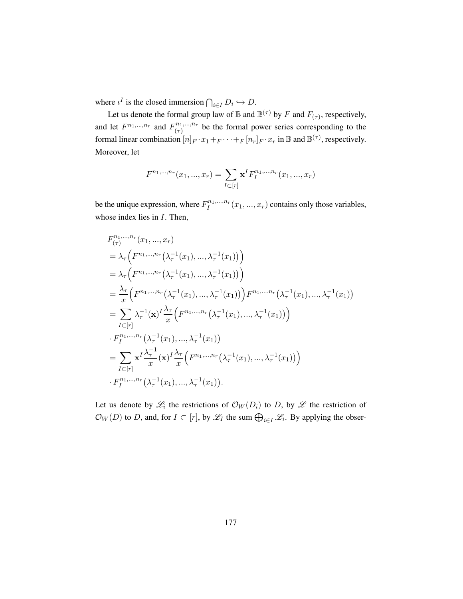where  $\iota^I$  is the closed immersion  $\bigcap_{i \in I} D_i \hookrightarrow D$ .

Let us denote the formal group law of  $\mathbb B$  and  $\mathbb B^{(\tau)}$  by  $F$  and  $F_{(\tau)}$ , respectively, and let  $F^{n_1,...,n_r}$  and  $F^{n_1,...,n_r}_{(r)}$  $\binom{n_1,\ldots,n_r}{\binom{r}{r}}$  be the formal power series corresponding to the formal linear combination  $[n]_F \cdot x_1 +_F \cdots +_F [n_r]_F \cdot x_r$  in  $\mathbb B$  and  $\mathbb B^{(\tau)}$ , respectively. Moreover, let

$$
F^{n_1,...,n_r}(x_1,...,x_r) = \sum_{I \subset [r]} \mathbf{x}^I F_I^{n_1,...,n_r}(x_1,...,x_r)
$$

be the unique expression, where  $F_l^{n_1,...,n_r}$  $I_I^{n_1,...,n_r}(x_1,...,x_r)$  contains only those variables, whose index lies in  $I$ . Then,

$$
F_{(\tau)}^{n_1,...,n_r}(x_1,...,x_r)
$$
  
=  $\lambda_{\tau} \Big( F^{n_1,...,n_r}(\lambda_{\tau}^{-1}(x_1), ..., \lambda_{\tau}^{-1}(x_1)) \Big)$   
=  $\lambda_{\tau} \Big( F^{n_1,...,n_r}(\lambda_{\tau}^{-1}(x_1), ..., \lambda_{\tau}^{-1}(x_1)) \Big)$   
=  $\frac{\lambda_{\tau}}{x} \Big( F^{n_1,...,n_r}(\lambda_{\tau}^{-1}(x_1), ..., \lambda_{\tau}^{-1}(x_1)) \Big) F^{n_1,...,n_r}(\lambda_{\tau}^{-1}(x_1), ..., \lambda_{\tau}^{-1}(x_1))$   
=  $\sum_{I \subset [r]} \lambda_{\tau}^{-1}(\mathbf{x})^I \frac{\lambda_{\tau}}{x} \Big( F^{n_1,...,n_r}(\lambda_{\tau}^{-1}(x_1), ..., \lambda_{\tau}^{-1}(x_1)) \Big)$   
 $\cdot F_I^{n_1,...,n_r}(\lambda_{\tau}^{-1}(x_1), ..., \lambda_{\tau}^{-1}(x_1))$   
=  $\sum_{I \subset [r]} \mathbf{x}^I \frac{\lambda_{\tau}^{-1}}{x}(\mathbf{x})^I \frac{\lambda_{\tau}}{x} \Big( F^{n_1,...,n_r}(\lambda_{\tau}^{-1}(x_1), ..., \lambda_{\tau}^{-1}(x_1)) \Big)$   
 $\cdot F_I^{n_1,...,n_r}(\lambda_{\tau}^{-1}(x_1), ..., \lambda_{\tau}^{-1}(x_1)).$ 

Let us denote by  $\mathscr{L}_i$  the restrictions of  $\mathcal{O}_W(D_i)$  to D, by  $\mathscr{L}$  the restriction of  $\mathcal{O}_W(D)$  to D, and, for  $I \subset [r]$ , by  $\mathscr{L}_I$  the sum  $\bigoplus_{i \in I} \mathscr{L}_i$ . By applying the obser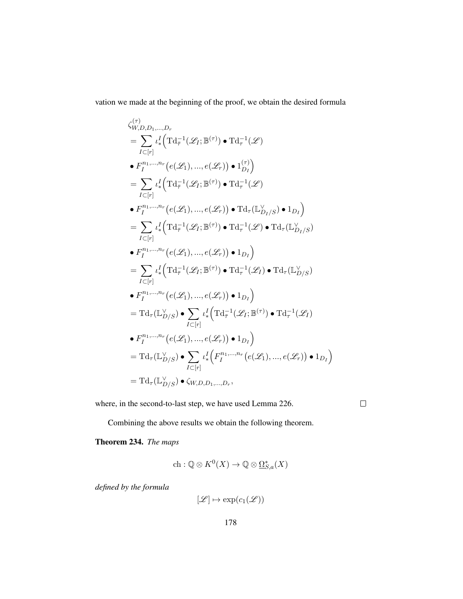vation we made at the beginning of the proof, we obtain the desired formula

$$
\zeta_{W,D,D_1,\ldots,D_r}^{(\tau)}
$$
\n
$$
= \sum_{I \subset [r]} \iota_*^I \Big( \mathrm{Td}_{\overline{\tau}}^{-1}(\mathscr{L}_I; \mathbb{B}^{(\tau)}) \bullet \mathrm{Td}_{\tau}^{-1}(\mathscr{L})
$$
\n
$$
\bullet F_1^{n_1,\ldots,n_r} \big( e(\mathscr{L}_1), \ldots, e(\mathscr{L}_r) \big) \bullet 1_{D_I}^{(\tau)} \Big)
$$
\n
$$
= \sum_{I \subset [r]} \iota_*^I \Big( \mathrm{Td}_{\overline{\tau}}^{-1}(\mathscr{L}_I; \mathbb{B}^{(\tau)}) \bullet \mathrm{Td}_{\tau}^{-1}(\mathscr{L})
$$
\n
$$
\bullet F_1^{n_1,\ldots,n_r} \big( e(\mathscr{L}_1), \ldots, e(\mathscr{L}_r) \big) \bullet \mathrm{Td}_{\tau} (\mathbb{L}_{D_I/S}^{\vee}) \bullet 1_{D_I} \Big)
$$
\n
$$
= \sum_{I \subset [r]} \iota_*^I \Big( \mathrm{Td}_{\overline{\tau}}^{-1}(\mathscr{L}_I; \mathbb{B}^{(\tau)}) \bullet \mathrm{Td}_{\tau}^{-1}(\mathscr{L}) \bullet \mathrm{Td}_{\tau} (\mathbb{L}_{D_I/S}^{\vee})
$$
\n
$$
\bullet F_1^{n_1,\ldots,n_r} \big( e(\mathscr{L}_1), \ldots, e(\mathscr{L}_r) \big) \bullet 1_{D_I} \Big)
$$
\n
$$
= \sum_{I \subset [r]} \iota_*^I \Big( \mathrm{Td}_{\overline{\tau}}^{-1}(\mathscr{L}_I; \mathbb{B}^{(\tau)}) \bullet \mathrm{Td}_{\tau}^{-1}(\mathscr{L}_I) \bullet \mathrm{Td}_{\tau} (\mathbb{L}_{D/S}^{\vee})
$$
\n
$$
\bullet F_1^{n_1,\ldots,n_r} \big( e(\mathscr{L}_1), \ldots, e(\mathscr{L}_r) \big) \bullet 1_{D_I} \Big)
$$
\n
$$
= \mathrm{Td}_{\tau} (\mathbb{L}_{D/S}^{\vee}) \bullet \sum_{I \subset [r]} \iota_*^I \Big( \mathrm{Td}_{\overline{\tau}}^{-1}(\mathscr{L}_I; \mathbb{B}^{(\tau)}) \bullet \mathrm{Td}_{\tau
$$

where, in the second-to-last step, we have used Lemma [226.](#page-180-1)

 $\Box$ 

Combining the above results we obtain the following theorem.

## Theorem 234. *The maps*

$$
\mathrm{ch}:\mathbb{Q}\otimes K^0(X)\to\mathbb{Q}\otimes\underline{\Omega}^*_{S,a}(X)
$$

*defined by the formula*

$$
[\mathscr{L}] \mapsto \exp(c_1(\mathscr{L}))
$$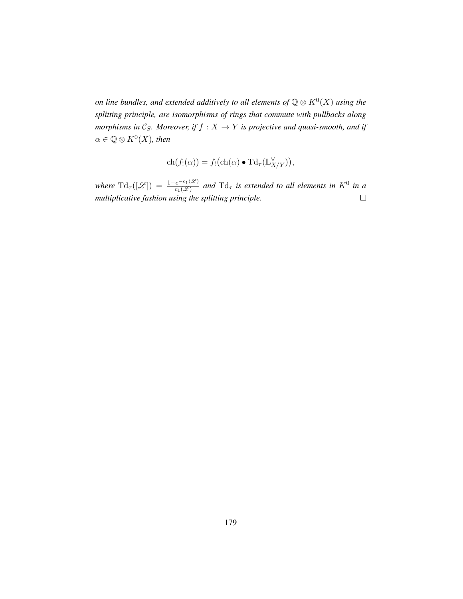*on line bundles, and extended additively to all elements of*  $\mathbb{Q} \otimes K^0(X)$  using the *splitting principle, are isomorphisms of rings that commute with pullbacks along morphisms in*  $\mathcal{C}_S$ *. Moreover, if*  $f : X \rightarrow Y$  *is projective and quasi-smooth, and if*  $\alpha \in \mathbb{Q} \otimes K^0(X)$ , then

$$
ch(f_!(\alpha)) = f_!(ch(\alpha) \bullet T d_\tau(\mathbb{L}^\vee_{X/Y})),
$$

*where*  $\text{Td}_{\tau}([\mathscr{L}]) = \frac{1-e^{-c_1(\mathscr{L})}}{c_1(\mathscr{L})}$  and  $\text{Td}_{\tau}$  is extended to all elements in  $K^0$  in a *multiplicative fashion using the splitting principle.*  $\Box$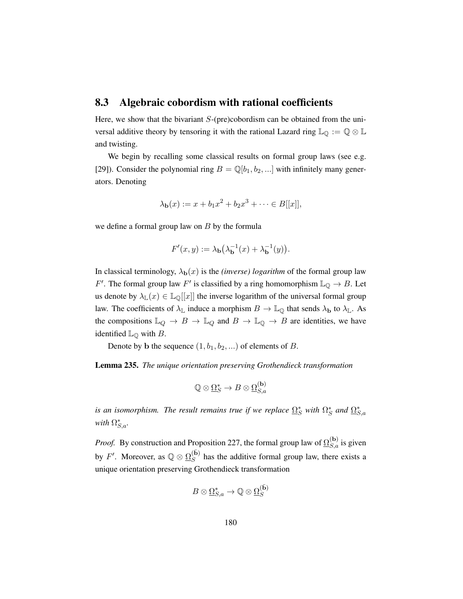#### <span id="page-189-0"></span>8.3 Algebraic cobordism with rational coefficients

Here, we show that the bivariant  $S$ -(pre)cobordism can be obtained from the universal additive theory by tensoring it with the rational Lazard ring  $\mathbb{L}_{\mathbb{Q}} := \mathbb{Q} \otimes \mathbb{L}$ and twisting.

We begin by recalling some classical results on formal group laws (see e.g. [\[29\]](#page-199-2)). Consider the polynomial ring  $B = \mathbb{Q}[b_1, b_2, \ldots]$  with infinitely many generators. Denoting

$$
\lambda_{\mathbf{b}}(x) := x + b_1 x^2 + b_2 x^3 + \dots \in B[[x]],
$$

we define a formal group law on  $B$  by the formula

$$
F'(x,y) := \lambda_{\mathbf{b}}(\lambda_{\mathbf{b}}^{-1}(x) + \lambda_{\mathbf{b}}^{-1}(y)).
$$

In classical terminology,  $\lambda_{b}(x)$  is the *(inverse) logarithm* of the formal group law F'. The formal group law F' is classified by a ring homomorphism  $\mathbb{L}_{\mathbb{Q}} \to B$ . Let us denote by  $\lambda_{\mathbb{L}}(x) \in \mathbb{L}_{\mathbb{Q}}[[x]]$  the inverse logarithm of the universal formal group law. The coefficients of  $\lambda_{\mathbb{L}}$  induce a morphism  $B \to \mathbb{L}_{\mathbb{Q}}$  that sends  $\lambda_{\mathbf{b}}$  to  $\lambda_{\mathbb{L}}$ . As the compositions  $\mathbb{L}_Q \to B \to \mathbb{L}_Q$  and  $B \to \mathbb{L}_Q \to B$  are identities, we have identified  $\mathbb{L}_{\mathbb{Q}}$  with B.

Denote by b the sequence  $(1, b_1, b_2, ...)$  of elements of B.

Lemma 235. *The unique orientation preserving Grothendieck transformation*

$$
\mathbb{Q}\otimes \underline{\Omega}_S^* \to B\otimes \underline{\Omega}_{S,a}^{(\mathbf{b})}
$$

*is an isomorphism. The result remains true if we replace*  $\Omega_S^*$  with  $\Omega_S^*$  and  $\Omega_{S,a}^*$ *with*  $\Omega_{S,a}^*$ .

*Proof.* By construction and Proposition [227,](#page-180-0) the formal group law of  $\Omega_{S,a}^{(b)}$  is given by F'. Moreover, as  $\mathbb{Q} \otimes \underline{\Omega}_S^{(\bar{\mathbf{b}})}$  $S<sub>S</sub>$  has the additive formal group law, there exists a unique orientation preserving Grothendieck transformation

$$
B\otimes \underline{\Omega}^*_{S,a}\to \mathbb{Q}\otimes \underline{\Omega}^{(\bar{\mathbf{b}})}_S
$$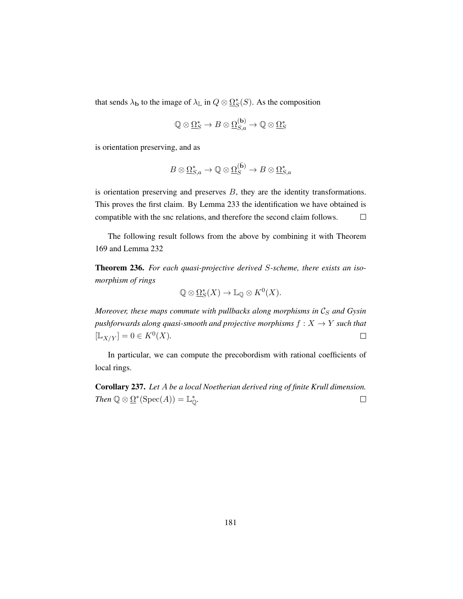that sends  $\lambda_{\mathbf{b}}$  to the image of  $\lambda_{\mathbb{L}}$  in  $Q \otimes \underline{\Omega}^*_{S}(S)$ . As the composition

$$
\mathbb{Q}\otimes \underline{\Omega}_S^* \to B\otimes \underline{\Omega}_{S,a}^{(\mathbf{b})}\to \mathbb{Q}\otimes \underline{\Omega}_S^*
$$

is orientation preserving, and as

$$
B\otimes \underline{\Omega}^{*}_{S,a}\to \mathbb{Q}\otimes \underline{\Omega}^{(\bar{\mathbf{b}})}_S\to B\otimes \underline{\Omega}^{*}_{S,a}
$$

is orientation preserving and preserves  $B$ , they are the identity transformations. This proves the first claim. By Lemma [233](#page-185-0) the identification we have obtained is compatible with the snc relations, and therefore the second claim follows.  $\Box$ 

The following result follows from the above by combining it with Theorem [169](#page-134-0) and Lemma [232](#page-184-0)

Theorem 236. *For each quasi-projective derived* S*-scheme, there exists an isomorphism of rings*

$$
\mathbb{Q}\otimes \underline{\Omega}_S^*(X)\to \mathbb{L}_{\mathbb{Q}}\otimes K^0(X).
$$

*Moreover, these maps commute with pullbacks along morphisms in*  $C_S$  *and Gysin pushforwards along quasi-smooth and projective morphisms*  $f : X \rightarrow Y$  *such that*  $[\mathbb{L}_{X/Y}] = 0 \in K^0(X).$  $\Box$ 

In particular, we can compute the precobordism with rational coefficients of local rings.

Corollary 237. *Let* A *be a local Noetherian derived ring of finite Krull dimension. Then*  $\mathbb{Q} \otimes \underline{\Omega}^*(\text{Spec}(A)) = \mathbb{L}_{\mathbb{Q}}^*$ .  $\Box$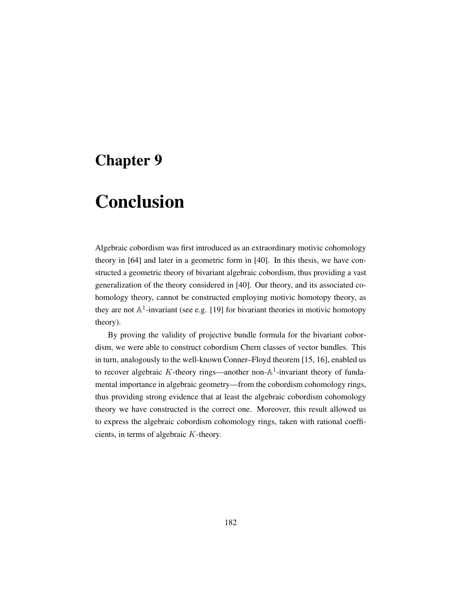## <span id="page-191-0"></span>Chapter 9

# Conclusion

Algebraic cobordism was first introduced as an extraordinary motivic cohomology theory in [\[64\]](#page-202-0) and later in a geometric form in [\[40\]](#page-200-1). In this thesis, we have constructed a geometric theory of bivariant algebraic cobordism, thus providing a vast generalization of the theory considered in [\[40\]](#page-200-1). Our theory, and its associated cohomology theory, cannot be constructed employing motivic homotopy theory, as they are not  $\mathbb{A}^1$ -invariant (see e.g. [\[19\]](#page-198-1) for bivariant theories in motivic homotopy theory).

By proving the validity of projective bundle formula for the bivariant cobordism, we were able to construct cobordism Chern classes of vector bundles. This in turn, analogously to the well-known Conner–Floyd theorem [\[15,](#page-198-2) [16\]](#page-198-3), enabled us to recover algebraic K-theory rings—another non- $\mathbb{A}^1$ -invariant theory of fundamental importance in algebraic geometry—from the cobordism cohomology rings, thus providing strong evidence that at least the algebraic cobordism cohomology theory we have constructed is the correct one. Moreover, this result allowed us to express the algebraic cobordism cohomology rings, taken with rational coefficients, in terms of algebraic K-theory.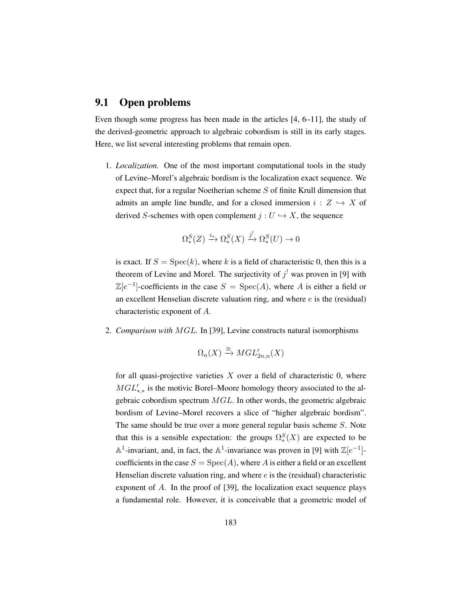### <span id="page-192-0"></span>9.1 Open problems

Even though some progress has been made in the articles [\[4,](#page-197-0) [6–](#page-197-1)[11\]](#page-198-4), the study of the derived-geometric approach to algebraic cobordism is still in its early stages. Here, we list several interesting problems that remain open.

1. *Localization.* One of the most important computational tools in the study of Levine–Morel's algebraic bordism is the localization exact sequence. We expect that, for a regular Noetherian scheme  $S$  of finite Krull dimension that admits an ample line bundle, and for a closed immersion  $i : Z \hookrightarrow X$  of derived S-schemes with open complement  $j : U \hookrightarrow X$ , the sequence

$$
\Omega_*^S(Z) \xrightarrow{i_*} \Omega_*^S(X) \xrightarrow{j'} \Omega_*^S(U) \to 0
$$

is exact. If  $S = \text{Spec}(k)$ , where k is a field of characteristic 0, then this is a theorem of Levine and Morel. The surjectivity of  $j^!$  was proven in [\[9\]](#page-197-2) with  $\mathbb{Z}[e^{-1}]$ -coefficients in the case  $S = \text{Spec}(A)$ , where A is either a field or an excellent Henselian discrete valuation ring, and where  $e$  is the (residual) characteristic exponent of A.

2. *Comparison with* MGL*.* In [\[39\]](#page-200-2), Levine constructs natural isomorphisms

$$
\Omega_n(X) \xrightarrow{\cong} MGL'_{2n,n}(X)
$$

for all quasi-projective varieties  $X$  over a field of characteristic 0, where  $MGL_{*,*}'$  is the motivic Borel–Moore homology theory associated to the algebraic cobordism spectrum MGL. In other words, the geometric algebraic bordism of Levine–Morel recovers a slice of "higher algebraic bordism". The same should be true over a more general regular basis scheme S. Note that this is a sensible expectation: the groups  $\Omega_*^S(X)$  are expected to be  $\mathbb{A}^1$ -invariant, and, in fact, the  $\mathbb{A}^1$ -invariance was proven in [\[9\]](#page-197-2) with  $\mathbb{Z}[e^{-1}]$ coefficients in the case  $S = \text{Spec}(A)$ , where A is either a field or an excellent Henselian discrete valuation ring, and where  $e$  is the (residual) characteristic exponent of A. In the proof of [\[39\]](#page-200-2), the localization exact sequence plays a fundamental role. However, it is conceivable that a geometric model of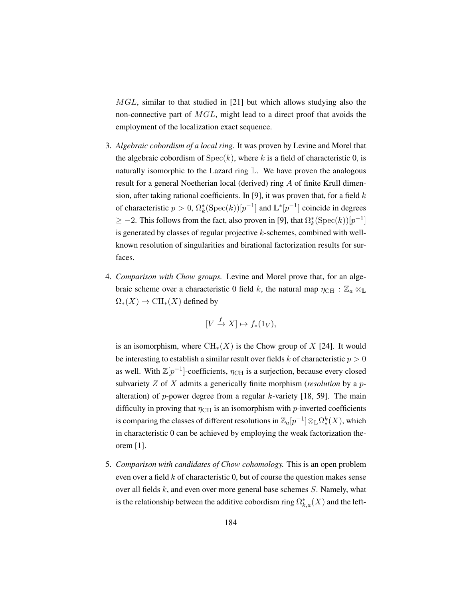<span id="page-193-0"></span>MGL, similar to that studied in [\[21\]](#page-198-5) but which allows studying also the non-connective part of  $MGL$ , might lead to a direct proof that avoids the employment of the localization exact sequence.

- 3. *Algebraic cobordism of a local ring.* It was proven by Levine and Morel that the algebraic cobordism of  $Spec(k)$ , where k is a field of characteristic 0, is naturally isomorphic to the Lazard ring L. We have proven the analogous result for a general Noetherian local (derived) ring A of finite Krull dimen-sion, after taking rational coefficients. In [\[9\]](#page-197-2), it was proven that, for a field  $k$ of characteristic  $p > 0$ ,  $\Omega_k^*(\text{Spec}(k))[p^{-1}]$  and  $\mathbb{L}^*[p^{-1}]$  coincide in degrees  $\geq -2$ . This follows from the fact, also proven in [\[9\]](#page-197-2), that  $\Omega_k^*(\text{Spec}(k))[p^{-1}]$ is generated by classes of regular projective  $k$ -schemes, combined with wellknown resolution of singularities and birational factorization results for surfaces.
- 4. *Comparison with Chow groups.* Levine and Morel prove that, for an algebraic scheme over a characteristic 0 field k, the natural map  $\eta_{\text{CH}} : \mathbb{Z}_a \otimes_{\mathbb{L}}$  $\Omega_*(X) \to \mathrm{CH}_*(X)$  defined by

$$
[V \xrightarrow{f} X] \mapsto f_*(1_V),
$$

is an isomorphism, where  $\text{CH}_{*}(X)$  is the Chow group of X [\[24\]](#page-199-0). It would be interesting to establish a similar result over fields k of characteristic  $p > 0$ as well. With  $\mathbb{Z}[p^{-1}]$ -coefficients,  $\eta_{\text{CH}}$  is a surjection, because every closed subvariety Z of X admits a generically finite morphism (*resolution* by a palteration) of p-power degree from a regular  $k$ -variety [\[18,](#page-198-6) [59\]](#page-202-1). The main difficulty in proving that  $\eta_{\text{CH}}$  is an isomorphism with p-inverted coefficients is comparing the classes of different resolutions in  $\mathbb{Z}_a[p^{-1}]\otimes_{\mathbb{L}}\Omega^k_*(X),$  which in characteristic 0 can be achieved by employing the weak factorization theorem [\[1\]](#page-197-3).

5. *Comparison with candidates of Chow cohomology.* This is an open problem even over a field  $k$  of characteristic 0, but of course the question makes sense over all fields  $k$ , and even over more general base schemes  $S$ . Namely, what is the relationship between the additive cobordism ring  $\Omega_{k,a}^*(X)$  and the left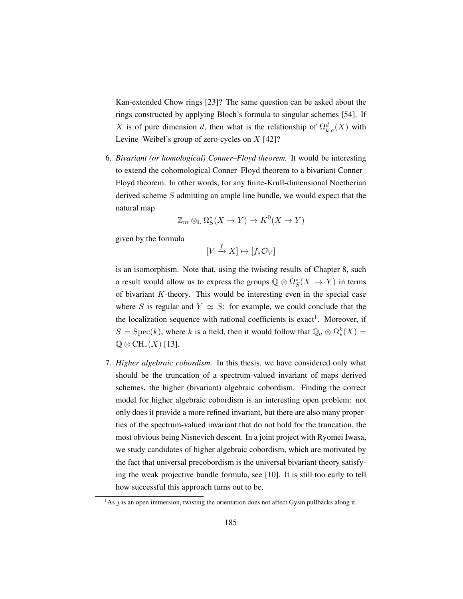<span id="page-194-1"></span>Kan-extended Chow rings [\[23\]](#page-199-1)? The same question can be asked about the rings constructed by applying Bloch's formula to singular schemes [\[54\]](#page-201-0). If X is of pure dimension d, then what is the relationship of  $\Omega_{k,a}^d(X)$  with Levine–Weibel's group of zero-cycles on  $X$  [\[42\]](#page-200-0)?

6. *Bivariant (or homological) Conner–Floyd theorem.* It would be interesting to extend the cohomological Conner–Floyd theorem to a bivariant Conner– Floyd theorem. In other words, for any finite-Krull-dimensional Noetherian derived scheme S admitting an ample line bundle, we would expect that the natural map

$$
\mathbb{Z}_m \otimes_{\mathbb{L}} \Omega_S^*(X \to Y) \to K^0(X \to Y)
$$

given by the formula

 $[V \xrightarrow{f} X] \mapsto [f_* \mathcal{O}_V]$ 

is an isomorphism. Note that, using the twisting results of Chapter [8,](#page-177-0) such a result would allow us to express the groups  $\mathbb{Q} \otimes \Omega_S^*(X \to Y)$  in terms of bivariant K-theory. This would be interesting even in the special case where S is regular and  $Y \simeq S$ : for example, we could conclude that the the localization sequence with rational coefficients is exact<sup>[1](#page-194-0)</sup>. Moreover, if  $S = \text{Spec}(k)$ , where k is a field, then it would follow that  $\mathbb{Q}_a \otimes \Omega_*^k(X) =$  $\mathbb{Q} \otimes \mathrm{CH}_*(X)$  [\[13\]](#page-198-0).

7. *Higher algebraic cobordism.* In this thesis, we have considered only what should be the truncation of a spectrum-valued invariant of maps derived schemes, the higher (bivariant) algebraic cobordism. Finding the correct model for higher algebraic cobordism is an interesting open problem: not only does it provide a more refined invariant, but there are also many properties of the spectrum-valued invariant that do not hold for the truncation, the most obvious being Nisnevich descent. In a joint project with Ryomei Iwasa, we study candidates of higher algebraic cobordism, which are motivated by the fact that universal precobordism is the universal bivariant theory satisfying the weak projective bundle formula, see [\[10\]](#page-197-4). It is still too early to tell how successful this approach turns out to be.

<span id="page-194-0"></span><sup>&</sup>lt;sup>1</sup>As *j* is an open immersion, twisting the orientation does not affect Gysin pullbacks along it.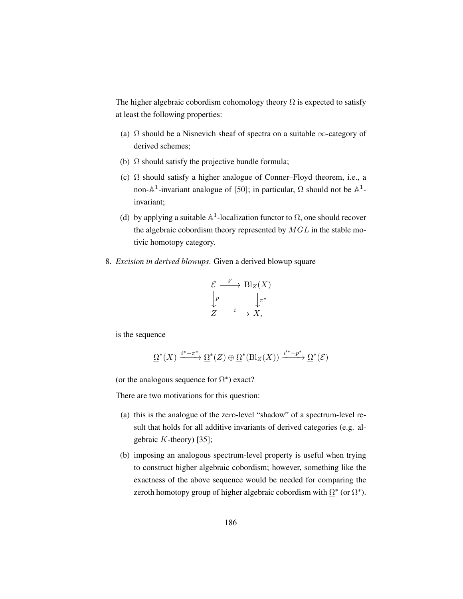<span id="page-195-0"></span>The higher algebraic cobordism cohomology theory  $\Omega$  is expected to satisfy at least the following properties:

- (a)  $\Omega$  should be a Nisnevich sheaf of spectra on a suitable  $\infty$ -category of derived schemes;
- (b)  $\Omega$  should satisfy the projective bundle formula;
- (c)  $\Omega$  should satisfy a higher analogue of Conner–Floyd theorem, i.e., a non- $\mathbb{A}^1$ -invariant analogue of [\[50\]](#page-201-1); in particular,  $\Omega$  should not be  $\mathbb{A}^1$ invariant;
- (d) by applying a suitable  $\mathbb{A}^1$ -localization functor to  $\Omega$ , one should recover the algebraic cobordism theory represented by  $MGL$  in the stable motivic homotopy category.
- 8. *Excision in derived blowups*. Given a derived blowup square

$$
\mathcal{E} \xrightarrow{i'} \text{Bl}_Z(X)
$$

$$
\downarrow p \qquad \qquad \downarrow \pi^*
$$

$$
Z \xrightarrow{i} X,
$$

is the sequence

$$
\underline{\Omega}^*(X) \xrightarrow{i^*+\pi^*} \underline{\Omega}^*(Z) \oplus \underline{\Omega}^*(\text{Bl}_Z(X)) \xrightarrow{i'^*-p^*} \underline{\Omega}^*(\mathcal{E})
$$

(or the analogous sequence for  $\Omega^*$ ) exact?

There are two motivations for this question:

- (a) this is the analogue of the zero-level "shadow" of a spectrum-level result that holds for all additive invariants of derived categories (e.g. algebraic  $K$ -theory) [\[35\]](#page-200-3);
- (b) imposing an analogous spectrum-level property is useful when trying to construct higher algebraic cobordism; however, something like the exactness of the above sequence would be needed for comparing the zeroth homotopy group of higher algebraic cobordism with  $\Omega^*$  (or  $\Omega^*$ ).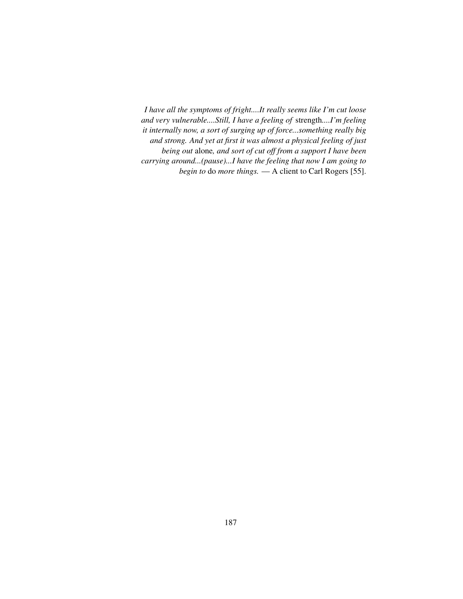<span id="page-196-0"></span>*I have all the symptoms of fright....It really seems like I'm cut loose and very vulnerable....Still, I have a feeling of* strength*....I'm feeling it internally now, a sort of surging up of force...something really big and strong. And yet at first it was almost a physical feeling of just being out* alone*, and sort of cut off from a support I have been carrying around...(pause)...I have the feeling that now I am going to begin to* do *more things.* — A client to Carl Rogers [\[55\]](#page-201-2).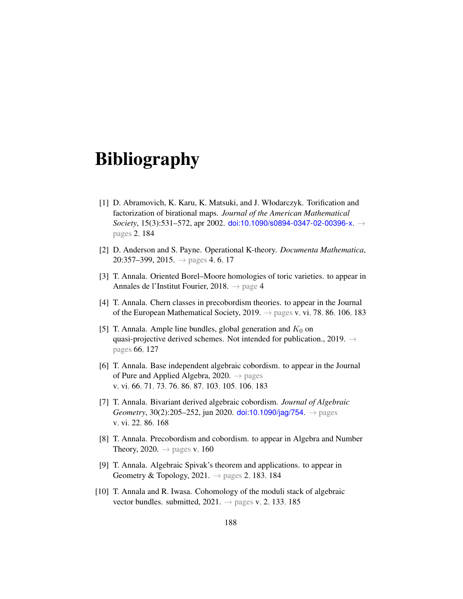# Bibliography

- <span id="page-197-3"></span>[1] D. Abramovich, K. Karu, K. Matsuki, and J. Włodarczyk. Torification and factorization of birational maps. *Journal of the American Mathematical Society*, 15(3):531–572, apr 2002. [doi:10.1090/s0894-0347-02-00396-x](http://dx.doi.org/10.1090/s0894-0347-02-00396-x). → pages [2,](#page-11-0) [184](#page-193-0)
- [2] D. Anderson and S. Payne. Operational K-theory. *Documenta Mathematica*, 20:357–399, 2015.  $\rightarrow$  pages [4,](#page-13-0) [6,](#page-15-0) [17](#page-26-0)
- [3] T. Annala. Oriented Borel–Moore homologies of toric varieties. to appear in Annales de l'Institut Fourier, 2018. → page [4](#page-13-0)
- <span id="page-197-0"></span>[4] T. Annala. Chern classes in precobordism theories. to appear in the Journal of the European Mathematical Society, 2019.  $\rightarrow$  pages [v,](#page-4-0) [vi,](#page-5-0) [78,](#page-87-0) [86,](#page-95-0) [106,](#page-115-0) [183](#page-192-0)
- [5] T. Annala. Ample line bundles, global generation and  $K_0$  on quasi-projective derived schemes. Not intended for publication., 2019.  $\rightarrow$ pages [66,](#page-75-0) [127](#page-136-0)
- <span id="page-197-1"></span>[6] T. Annala. Base independent algebraic cobordism. to appear in the Journal of Pure and Applied Algebra, 2020.  $\rightarrow$  pages [v,](#page-4-0) [vi,](#page-5-0) [66,](#page-75-0) [71,](#page-80-0) [73,](#page-82-0) [76,](#page-85-0) [86,](#page-95-0) [87,](#page-96-0) [103,](#page-112-0) [105,](#page-114-0) [106,](#page-115-0) [183](#page-192-0)
- [7] T. Annala. Bivariant derived algebraic cobordism. *Journal of Algebraic Geometry*, 30(2):205–252, jun 2020. [doi:10.1090/jag/754](http://dx.doi.org/10.1090/jag/754). → pages [v,](#page-4-0) [vi,](#page-5-0) [22,](#page-31-0) [86,](#page-95-0) [168](#page-177-1)
- [8] T. Annala. Precobordism and cobordism. to appear in Algebra and Number Theory, 2020.  $\rightarrow$  pages [v,](#page-4-0) [160](#page-169-0)
- <span id="page-197-2"></span>[9] T. Annala. Algebraic Spivak's theorem and applications. to appear in Geometry & Topology, 2021.  $\rightarrow$  pages [2,](#page-11-0) [183,](#page-192-0) [184](#page-193-0)
- <span id="page-197-4"></span>[10] T. Annala and R. Iwasa. Cohomology of the moduli stack of algebraic vector bundles. submitted,  $2021. \rightarrow$  pages [v,](#page-4-0) [2,](#page-11-0) [133,](#page-142-0) [185](#page-194-1)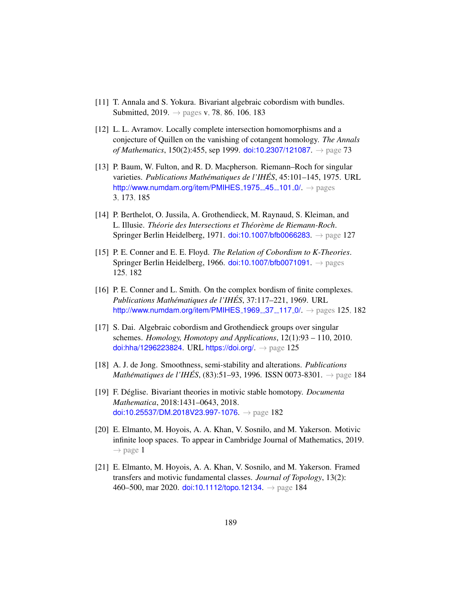- <span id="page-198-4"></span>[11] T. Annala and S. Yokura. Bivariant algebraic cobordism with bundles. Submitted, 2019.  $\rightarrow$  pages [v,](#page-4-0) [78,](#page-87-0) [86,](#page-95-0) [106,](#page-115-0) [183](#page-192-0)
- [12] L. L. Avramov. Locally complete intersection homomorphisms and a conjecture of Quillen on the vanishing of cotangent homology. *The Annals of Mathematics*, 150(2):455, sep 1999. [doi:10.2307/121087](http://dx.doi.org/10.2307/121087). → page [73](#page-82-0)
- <span id="page-198-0"></span>[13] P. Baum, W. Fulton, and R. D. Macpherson. Riemann–Roch for singular varieties. *Publications Mathematiques de l'IH ´ ES´* , 45:101–145, 1975. URL [http://www.numdam.org/item/PMIHES](http://www.numdam.org/item/PMIHES_1975__45__101_0/)\_1975\_45\_101\_0/.  $\rightarrow$  pages [3,](#page-12-0) [173,](#page-182-0) [185](#page-194-1)
- [14] P. Berthelot, O. Jussila, A. Grothendieck, M. Raynaud, S. Kleiman, and L. Illusie. *Théorie des Intersections et Théorème de Riemann-Roch.* Springer Berlin Heidelberg, 1971. [doi:10.1007/bfb0066283](http://dx.doi.org/10.1007/bfb0066283). → page [127](#page-136-0)
- <span id="page-198-2"></span>[15] P. E. Conner and E. E. Floyd. *The Relation of Cobordism to K-Theories*. Springer Berlin Heidelberg, 1966. [doi:10.1007/bfb0071091](http://dx.doi.org/10.1007/bfb0071091).  $\rightarrow$  pages [125,](#page-134-1) [182](#page-191-0)
- <span id="page-198-3"></span>[16] P. E. Conner and L. Smith. On the complex bordism of finite complexes. *Publications Mathématiques de l'IHÉS, 37:117-221, 1969.* URL [http://www.numdam.org/item/PMIHES](http://www.numdam.org/item/PMIHES_1969__37__117_0/)\_1969\_37\_117\_0/.  $\rightarrow$  pages [125,](#page-134-1) [182](#page-191-0)
- [17] S. Dai. Algebraic cobordism and Grothendieck groups over singular schemes. *Homology, Homotopy and Applications*, 12(1):93 – 110, 2010. [doi:hha/1296223824](http://dx.doi.org/hha/1296223824). URL <https://doi.org/>.  $\rightarrow$  page [125](#page-134-1)
- <span id="page-198-6"></span>[18] A. J. de Jong. Smoothness, semi-stability and alterations. *Publications Mathématiques de l'IHÉS*, (83):51–93, 1996. ISSN 0073-8301. → page [184](#page-193-0)
- <span id="page-198-1"></span>[19] F. Deglise. Bivariant theories in motivic stable homotopy. ´ *Documenta Mathematica*, 2018:1431–0643, 2018. [doi:10.25537/DM.2018V23.997-1076](http://dx.doi.org/10.25537/DM.2018V23.997-1076).  $\rightarrow$  page [182](#page-191-0)
- [20] E. Elmanto, M. Hoyois, A. A. Khan, V. Sosnilo, and M. Yakerson. Motivic infinite loop spaces. To appear in Cambridge Journal of Mathematics, 2019.  $\rightarrow$  page [1](#page-10-0)
- <span id="page-198-5"></span>[21] E. Elmanto, M. Hoyois, A. A. Khan, V. Sosnilo, and M. Yakerson. Framed transfers and motivic fundamental classes. *Journal of Topology*, 13(2): 460–500, mar 2020. [doi:10.1112/topo.12134](http://dx.doi.org/10.1112/topo.12134).  $\rightarrow$  page [184](#page-193-0)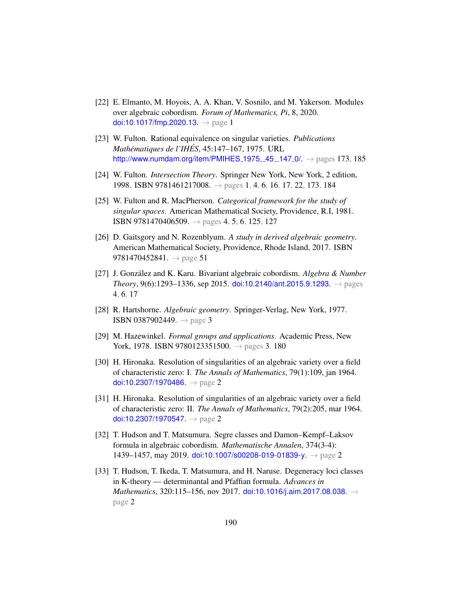- [22] E. Elmanto, M. Hoyois, A. A. Khan, V. Sosnilo, and M. Yakerson. Modules over algebraic cobordism. *Forum of Mathematics, Pi*, 8, 2020. [doi:10.1017/fmp.2020.13](http://dx.doi.org/10.1017/fmp.2020.13).  $\rightarrow$  page [1](#page-10-0)
- <span id="page-199-1"></span>[23] W. Fulton. Rational equivalence on singular varieties. *Publications Mathematiques de l'IH ´ ES´* , 45:147–167, 1975. URL [http://www.numdam.org/item/PMIHES](http://www.numdam.org/item/PMIHES_1975__45__147_0/)\_1975\_45\_147\_0/.  $\rightarrow$  pages [173,](#page-182-0) [185](#page-194-1)
- <span id="page-199-0"></span>[24] W. Fulton. *Intersection Theory*. Springer New York, New York, 2 edition, 1998. ISBN 9781461217008. → pages [1,](#page-10-0) [4,](#page-13-0) [6,](#page-15-0) [16,](#page-25-0) [17,](#page-26-0) [22,](#page-31-0) [173,](#page-182-0) [184](#page-193-0)
- [25] W. Fulton and R. MacPherson. *Categorical framework for the study of singular spaces*. American Mathematical Society, Providence, R.I, 1981. **ISBN 9781470406509.**  $\rightarrow$  pages [4,](#page-13-0) [5,](#page-14-0) [6,](#page-15-0) [125,](#page-134-1) [127](#page-136-0)
- [26] D. Gaitsgory and N. Rozenblyum. *A study in derived algebraic geometry*. American Mathematical Society, Providence, Rhode Island, 2017. ISBN 9781470452841.  $\rightarrow$  page [51](#page-60-0)
- [27] J. González and K. Karu. Bivariant algebraic cobordism. *Algebra & Number Theory*, 9(6):1293–1336, sep 2015. [doi:10.2140/ant.2015.9.1293](http://dx.doi.org/10.2140/ant.2015.9.1293).  $\rightarrow$  pages [4,](#page-13-0) [6,](#page-15-0) [17](#page-26-0)
- [28] R. Hartshorne. *Algebraic geometry*. Springer-Verlag, New York, 1977. ISBN 0[3](#page-12-0)87902449.  $\rightarrow$  page 3
- <span id="page-199-2"></span>[29] M. Hazewinkel. *Formal groups and applications*. Academic Press, New York, 1978. ISBN 9780123351500.  $\rightarrow$  pages [3,](#page-12-0) [180](#page-189-0)
- [30] H. Hironaka. Resolution of singularities of an algebraic variety over a field of characteristic zero: I. *The Annals of Mathematics*, 79(1):109, jan 1964. [doi:10.2307/1970486](http://dx.doi.org/10.2307/1970486).  $\rightarrow$  page [2](#page-11-0)
- [31] H. Hironaka. Resolution of singularities of an algebraic variety over a field of characteristic zero: II. *The Annals of Mathematics*, 79(2):205, mar 1964. [doi:10.2307/1970547](http://dx.doi.org/10.2307/1970547).  $\rightarrow$  page [2](#page-11-0)
- [32] T. Hudson and T. Matsumura. Segre classes and Damon–Kempf–Laksov formula in algebraic cobordism. *Mathematische Annalen*, 374(3-4): 1439–1457, may 2019. [doi:10.1007/s00208-019-01839-y](http://dx.doi.org/10.1007/s00208-019-01839-y).  $\rightarrow$  page [2](#page-11-0)
- [33] T. Hudson, T. Ikeda, T. Matsumura, and H. Naruse. Degeneracy loci classes in K-theory — determinantal and Pfaffian formula. *Advances in Mathematics*, 320:115–156, nov 2017. [doi:10.1016/j.aim.2017.08.038](http://dx.doi.org/10.1016/j.aim.2017.08.038). → page [2](#page-11-0)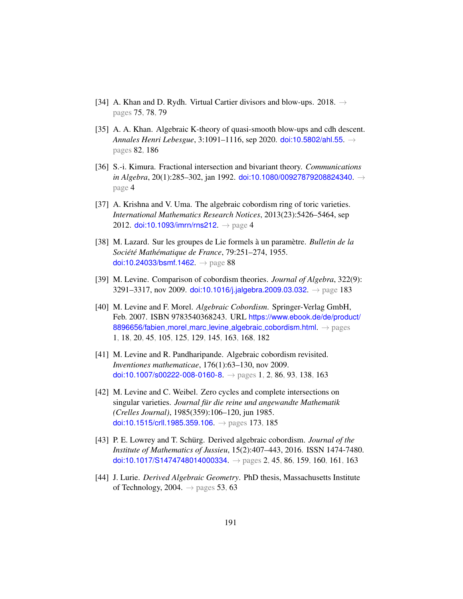- [34] A. Khan and D. Rydh. Virtual Cartier divisors and blow-ups. 2018.  $\rightarrow$ pages [75,](#page-84-0) [78,](#page-87-0) [79](#page-88-0)
- <span id="page-200-3"></span>[35] A. A. Khan. Algebraic K-theory of quasi-smooth blow-ups and cdh descent. *Annales Henri Lebesgue*, 3:1091–1116, sep 2020. [doi:10.5802/ahl.55](http://dx.doi.org/10.5802/ahl.55). → pages [82,](#page-91-0) [186](#page-195-0)
- [36] S.-i. Kimura. Fractional intersection and bivariant theory. *Communications in Algebra*, 20(1):285–302, jan 1992. [doi:10.1080/00927879208824340](http://dx.doi.org/10.1080/00927879208824340). → page [4](#page-13-0)
- [37] A. Krishna and V. Uma. The algebraic cobordism ring of toric varieties. *International Mathematics Research Notices*, 2013(23):5426–5464, sep 2012. [doi:10.1093/imrn/rns212](http://dx.doi.org/10.1093/imrn/rns212).  $\rightarrow$  page [4](#page-13-0)
- [38] M. Lazard. Sur les groupes de Lie formels à un paramètre. *Bulletin de la Societ´ e Math ´ ematique de France ´* , 79:251–274, 1955. [doi:10.24033/bsmf.1462](http://dx.doi.org/10.24033/bsmf.1462). → page [88](#page-97-0)
- <span id="page-200-2"></span>[39] M. Levine. Comparison of cobordism theories. *Journal of Algebra*, 322(9): 3291–3317, nov 2009. [doi:10.1016/j.jalgebra.2009.03.032](http://dx.doi.org/10.1016/j.jalgebra.2009.03.032).  $\rightarrow$  page [183](#page-192-0)
- <span id="page-200-1"></span>[40] M. Levine and F. Morel. *Algebraic Cobordism*. Springer-Verlag GmbH, Feb. 2007. ISBN 9783540368243. URL [https://www.ebook.de/de/product/](https://www.ebook.de/de/product/8896656/fabien_morel_marc_levine_algebraic_cobordism.html) [8896656/fabien](https://www.ebook.de/de/product/8896656/fabien_morel_marc_levine_algebraic_cobordism.html)\_morel\_marc\_levine\_algebraic\_cobordism.html. → pages [1,](#page-10-0) [18,](#page-27-0) [20,](#page-29-0) [45,](#page-54-0) [105,](#page-114-0) [125,](#page-134-1) [129,](#page-138-0) [145,](#page-154-0) [163,](#page-172-0) [168,](#page-177-1) [182](#page-191-0)
- [41] M. Levine and R. Pandharipande. Algebraic cobordism revisited. *Inventiones mathematicae*, 176(1):63–130, nov 2009. [doi:10.1007/s00222-008-0160-8](http://dx.doi.org/10.1007/s00222-008-0160-8).  $\rightarrow$  pages [1,](#page-10-0) [2,](#page-11-0) [86,](#page-95-0) [93,](#page-102-0) [138,](#page-147-1) [163](#page-172-0)
- <span id="page-200-0"></span>[42] M. Levine and C. Weibel. Zero cycles and complete intersections on singular varieties. *Journal fur die reine und angewandte Mathematik ¨ (Crelles Journal)*, 1985(359):106–120, jun 1985. [doi:10.1515/crll.1985.359.106](http://dx.doi.org/10.1515/crll.1985.359.106).  $\rightarrow$  pages [173,](#page-182-0) [185](#page-194-1)
- [43] P. E. Lowrey and T. Schürg. Derived algebraic cobordism. *Journal of the Institute of Mathematics of Jussieu*, 15(2):407–443, 2016. ISSN 1474-7480. [doi:10.1017/S1474748014000334](http://dx.doi.org/10.1017/S1474748014000334).  $\rightarrow$  pages [2,](#page-11-0) [45,](#page-54-0) [86,](#page-95-0) [159,](#page-168-0) [160,](#page-169-0) [161,](#page-170-0) [163](#page-172-0)
- [44] J. Lurie. *Derived Algebraic Geometry*. PhD thesis, Massachusetts Institute of Technology, 2004.  $\rightarrow$  pages [53,](#page-62-0) [63](#page-72-0)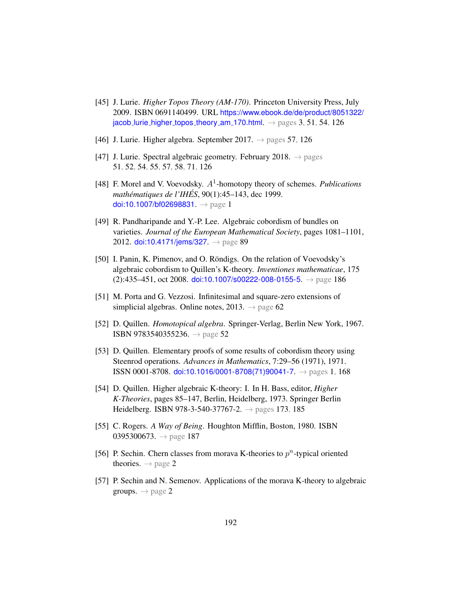- [45] J. Lurie. *Higher Topos Theory (AM-170)*. Princeton University Press, July 2009. ISBN 0691140499. URL [https://www.ebook.de/de/product/8051322/](https://www.ebook.de/de/product/8051322/jacob_lurie_higher_topos_theory_am_170.html) jacob lurie higher topos theory am [170.html](https://www.ebook.de/de/product/8051322/jacob_lurie_higher_topos_theory_am_170.html).  $\rightarrow$  pages [3,](#page-12-0) [51,](#page-60-0) [54,](#page-63-0) [126](#page-135-0)
- [46] J. Lurie. Higher algebra. September 2017.  $\rightarrow$  pages [57,](#page-66-0) [126](#page-135-0)
- [47] J. Lurie. Spectral algebraic geometry. February 2018.  $\rightarrow$  pages [51,](#page-60-0) [52,](#page-61-0) [54,](#page-63-0) [55,](#page-64-0) [57,](#page-66-0) [58,](#page-67-0) [71,](#page-80-0) [126](#page-135-0)
- [48] F. Morel and V. Voevodsky.  $A^1$ -homotopy theory of schemes. *Publications mathematiques de l'IH ´ ES´* , 90(1):45–143, dec 1999. [doi:10.1007/bf02698831](http://dx.doi.org/10.1007/bf02698831). → page [1](#page-10-0)
- [49] R. Pandharipande and Y.-P. Lee. Algebraic cobordism of bundles on varieties. *Journal of the European Mathematical Society*, pages 1081–1101, 2012. [doi:10.4171/jems/327](http://dx.doi.org/10.4171/jems/327).  $\rightarrow$  page [89](#page-98-0)
- <span id="page-201-1"></span>[50] I. Panin, K. Pimenov, and O. Röndigs. On the relation of Voevodsky's algebraic cobordism to Quillen's K-theory. *Inventiones mathematicae*, 175  $(2):435-451$ , oct 2008. [doi:10.1007/s00222-008-0155-5](http://dx.doi.org/10.1007/s00222-008-0155-5).  $\rightarrow$  page [186](#page-195-0)
- [51] M. Porta and G. Vezzosi. Infinitesimal and square-zero extensions of simplicial algebras. Online notes, 2013.  $\rightarrow$  page [62](#page-71-0)
- [52] D. Quillen. *Homotopical algebra*. Springer-Verlag, Berlin New York, 1967. ISBN 9783540355236. → page [52](#page-61-0)
- [53] D. Quillen. Elementary proofs of some results of cobordism theory using Steenrod operations. *Advances in Mathematics*, 7:29–56 (1971), 1971. ISSN 0001-8708. [doi:10.1016/0001-8708\(71\)90041-7](http://dx.doi.org/10.1016/0001-8708(71)90041-7). → pages [1,](#page-10-0) [168](#page-177-1)
- <span id="page-201-0"></span>[54] D. Quillen. Higher algebraic K-theory: I. In H. Bass, editor, *Higher K-Theories*, pages 85–147, Berlin, Heidelberg, 1973. Springer Berlin Heidelberg. ISBN 978-3-540-37767-2.  $\rightarrow$  pages [173,](#page-182-0) [185](#page-194-1)
- <span id="page-201-2"></span>[55] C. Rogers. *A Way of Being*. Houghton Mifflin, Boston, 1980. ISBN 0395300673.  $\rightarrow$  page [187](#page-196-0)
- [56] P. Sechin. Chern classes from morava K-theories to  $p^n$ -typical oriented theories.  $\rightarrow$  page [2](#page-11-0)
- [57] P. Sechin and N. Semenov. Applications of the morava K-theory to algebraic groups.  $\rightarrow$  page [2](#page-11-0)